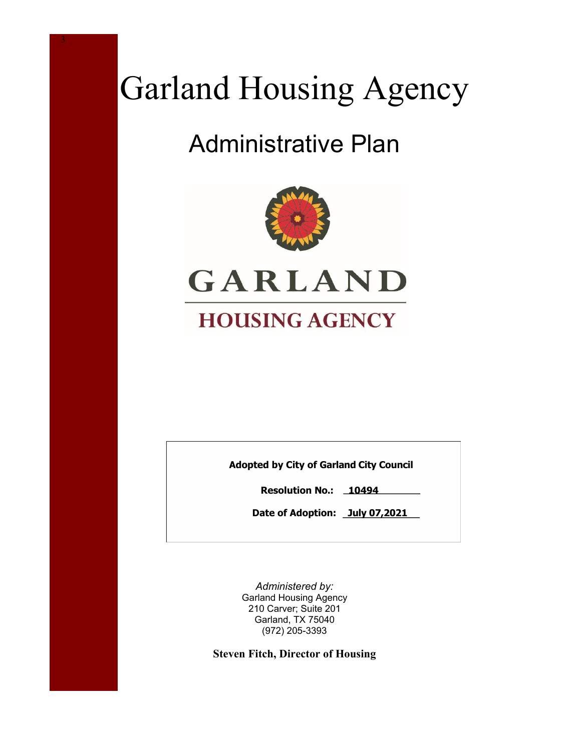# Garland Housing Agency

3

# Administrative Plan



**Adopted by City of Garland City Council** 

**Resolution No.: 10494** 

**Date of Adoption: July 07,2021** 

*Administered by:*  Garland Housing Agency 210 Carver; Suite 201 Garland, TX 75040 (972) 205-3393

**Steven Fitch, Director of Housing**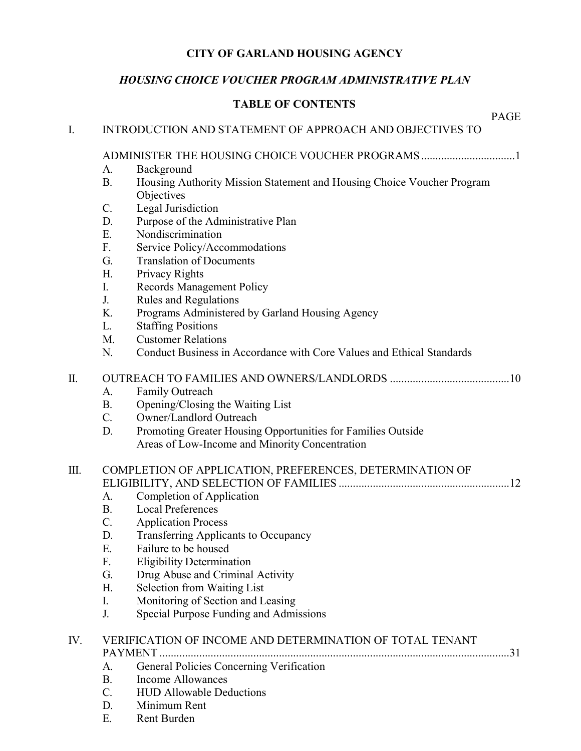# **CITY OF GARLAND HOUSING AGENCY**

# *HOUSING CHOICE VOUCHER PROGRAM ADMINISTRATIVE PLAN*

# **TABLE OF CONTENTS**

|     | PAGE                                                                                              |  |  |
|-----|---------------------------------------------------------------------------------------------------|--|--|
| I.  | <b>INTRODUCTION AND STATEMENT OF APPROACH AND OBJECTIVES TO</b>                                   |  |  |
|     | ADMINISTER THE HOUSING CHOICE VOUCHER PROGRAMS1                                                   |  |  |
|     | A.<br>Background                                                                                  |  |  |
|     | <b>B.</b><br>Housing Authority Mission Statement and Housing Choice Voucher Program<br>Objectives |  |  |
|     | C.<br>Legal Jurisdiction                                                                          |  |  |
|     | D.<br>Purpose of the Administrative Plan                                                          |  |  |
|     | E.<br>Nondiscrimination                                                                           |  |  |
|     | F.<br>Service Policy/Accommodations                                                               |  |  |
|     | <b>Translation of Documents</b><br>G.                                                             |  |  |
|     | Η.<br>Privacy Rights                                                                              |  |  |
|     | I.<br><b>Records Management Policy</b>                                                            |  |  |
|     | J.<br><b>Rules and Regulations</b>                                                                |  |  |
|     | K.<br>Programs Administered by Garland Housing Agency                                             |  |  |
|     | L.<br><b>Staffing Positions</b>                                                                   |  |  |
|     | M.<br><b>Customer Relations</b>                                                                   |  |  |
|     | N.<br>Conduct Business in Accordance with Core Values and Ethical Standards                       |  |  |
| Π.  |                                                                                                   |  |  |
|     | Family Outreach<br>A.                                                                             |  |  |
|     | Opening/Closing the Waiting List<br><b>B.</b>                                                     |  |  |
|     | C.<br>Owner/Landlord Outreach                                                                     |  |  |
|     | D.<br>Promoting Greater Housing Opportunities for Families Outside                                |  |  |
|     | Areas of Low-Income and Minority Concentration                                                    |  |  |
| Ш.  | COMPLETION OF APPLICATION, PREFERENCES, DETERMINATION OF                                          |  |  |
|     |                                                                                                   |  |  |
|     | Completion of Application<br>A.                                                                   |  |  |
|     | <b>Local Preferences</b><br><b>B.</b>                                                             |  |  |
|     | C.<br><b>Application Process</b>                                                                  |  |  |
|     | D.<br>Transferring Applicants to Occupancy                                                        |  |  |
|     | Ε.<br>Failure to be housed                                                                        |  |  |
|     | F.<br><b>Eligibility Determination</b>                                                            |  |  |
|     | Drug Abuse and Criminal Activity<br>G.                                                            |  |  |
|     | Η.<br>Selection from Waiting List                                                                 |  |  |
|     | Monitoring of Section and Leasing<br>I.                                                           |  |  |
|     | J.<br>Special Purpose Funding and Admissions                                                      |  |  |
| IV. | VERIFICATION OF INCOME AND DETERMINATION OF TOTAL TENANT                                          |  |  |
|     | General Policies Concerning Verification<br>A.                                                    |  |  |
|     | <b>B.</b><br><b>Income Allowances</b>                                                             |  |  |
|     | C.<br><b>HUD Allowable Deductions</b>                                                             |  |  |

- D. Minimum Rent
- E. Rent Burden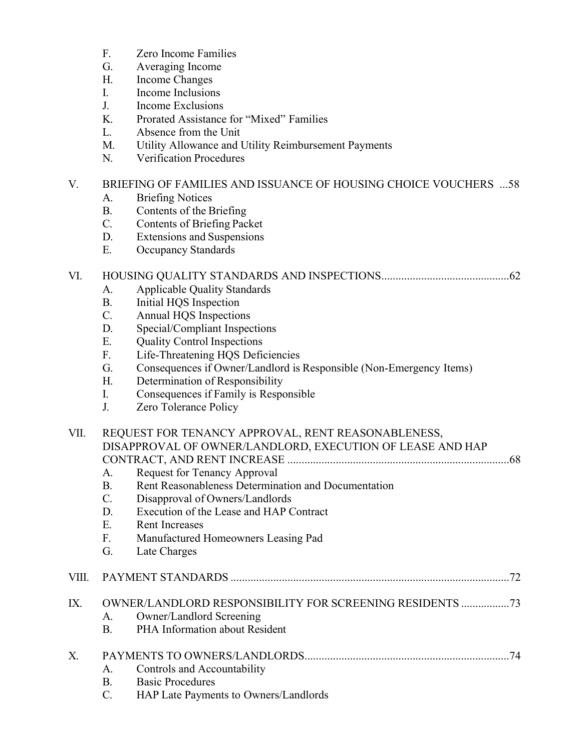- F. Zero Income Families
- G. Averaging Income<br>H. Income Changes
- Income Changes
- I. Income Inclusions
- J. Income Exclusions
- K. Prorated Assistance for "Mixed" Families
- L. Absence from the Unit
- M. Utility Allowance and Utility Reimbursement Payments
- N. Verification Procedures

# V. BRIEFING OF FAMILIES AND ISSUANCE OF HOUSING CHOICE VOUCHERS ...58

- A. Briefing Notices<br>B. Contents of the B
- Contents of the Briefing
- C. Contents of Briefing Packet
- D. Extensions and Suspensions
- E. Occupancy Standards

| VI.   | <b>Applicable Quality Standards</b><br>A.<br>Initial HQS Inspection<br><b>B.</b><br>Annual HQS Inspections<br>C.<br>Special/Compliant Inspections<br>D.<br><b>Quality Control Inspections</b><br>E.<br>Life-Threatening HQS Deficiencies<br>F.<br>G.<br>Consequences if Owner/Landlord is Responsible (Non-Emergency Items)                                                                                                                                 |  |
|-------|-------------------------------------------------------------------------------------------------------------------------------------------------------------------------------------------------------------------------------------------------------------------------------------------------------------------------------------------------------------------------------------------------------------------------------------------------------------|--|
|       | Determination of Responsibility<br>Η.<br>Consequences if Family is Responsible<br>Ι.                                                                                                                                                                                                                                                                                                                                                                        |  |
| VII.  | Zero Tolerance Policy<br>J.<br>REQUEST FOR TENANCY APPROVAL, RENT REASONABLENESS,<br>DISAPPROVAL OF OWNER/LANDLORD, EXECUTION OF LEASE AND HAP<br><b>Request for Tenancy Approval</b><br>A.<br>Rent Reasonableness Determination and Documentation<br><b>B.</b><br>C.<br>Disapproval of Owners/Landlords<br>Execution of the Lease and HAP Contract<br>D.<br>E.<br><b>Rent Increases</b><br>F.<br>Manufactured Homeowners Leasing Pad<br>Late Charges<br>G. |  |
| VIII. |                                                                                                                                                                                                                                                                                                                                                                                                                                                             |  |
| IX.   | OWNER/LANDLORD RESPONSIBILITY FOR SCREENING RESIDENTS  73<br>Owner/Landlord Screening<br>A.<br>PHA Information about Resident<br><b>B.</b>                                                                                                                                                                                                                                                                                                                  |  |
| Χ.    | Controls and Accountability<br>A.<br><b>Basic Procedures</b><br><b>B.</b>                                                                                                                                                                                                                                                                                                                                                                                   |  |

C. HAP Late Payments to Owners/Landlords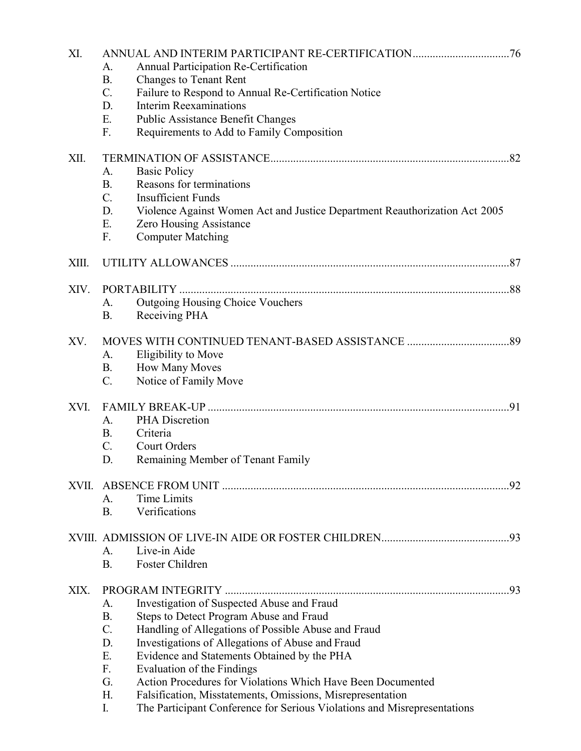| XI.   |                                                                                  |
|-------|----------------------------------------------------------------------------------|
|       | Annual Participation Re-Certification<br>A.                                      |
|       | <b>B.</b><br><b>Changes to Tenant Rent</b>                                       |
|       | Failure to Respond to Annual Re-Certification Notice<br>C.                       |
|       | <b>Interim Reexaminations</b><br>D.                                              |
|       | E.<br><b>Public Assistance Benefit Changes</b>                                   |
|       | Requirements to Add to Family Composition<br>F.                                  |
| XII.  |                                                                                  |
|       | <b>Basic Policy</b><br>A.                                                        |
|       | <b>B.</b><br>Reasons for terminations                                            |
|       | $C_{\cdot}$<br><b>Insufficient Funds</b>                                         |
|       | D.<br>Violence Against Women Act and Justice Department Reauthorization Act 2005 |
|       | Ε.<br>Zero Housing Assistance                                                    |
|       | <b>Computer Matching</b><br>F.                                                   |
| XIII. |                                                                                  |
|       |                                                                                  |
| XIV.  |                                                                                  |
|       | <b>Outgoing Housing Choice Vouchers</b><br>A.                                    |
|       | Receiving PHA<br><b>B.</b>                                                       |
| XV.   |                                                                                  |
|       | Eligibility to Move<br>A.                                                        |
|       | <b>B.</b><br>How Many Moves                                                      |
|       | C.<br>Notice of Family Move                                                      |
|       |                                                                                  |
| XVI.  |                                                                                  |
|       | <b>PHA Discretion</b><br>A.                                                      |
|       | <b>B.</b><br>Criteria                                                            |
|       | $C_{\cdot}$<br><b>Court Orders</b>                                               |
|       | Remaining Member of Tenant Family<br>D.                                          |
| XVII. | .92                                                                              |
|       | <b>Time Limits</b><br>A.                                                         |
|       | Verifications<br><b>B.</b>                                                       |
|       |                                                                                  |
|       | Live-in Aide<br>A.                                                               |
|       | Foster Children<br><b>B.</b>                                                     |
|       |                                                                                  |
| XIX.  |                                                                                  |
|       | Investigation of Suspected Abuse and Fraud<br>A.                                 |
|       | Steps to Detect Program Abuse and Fraud<br><b>B.</b>                             |
|       | $C_{\cdot}$<br>Handling of Allegations of Possible Abuse and Fraud               |
|       | Investigations of Allegations of Abuse and Fraud<br>D.                           |
|       | Evidence and Statements Obtained by the PHA<br>E.                                |
|       | F.<br>Evaluation of the Findings                                                 |
|       | G.<br>Action Procedures for Violations Which Have Been Documented                |
|       | H.<br>Falsification, Misstatements, Omissions, Misrepresentation                 |
|       | The Participant Conference for Serious Violations and Misrepresentations<br>I.   |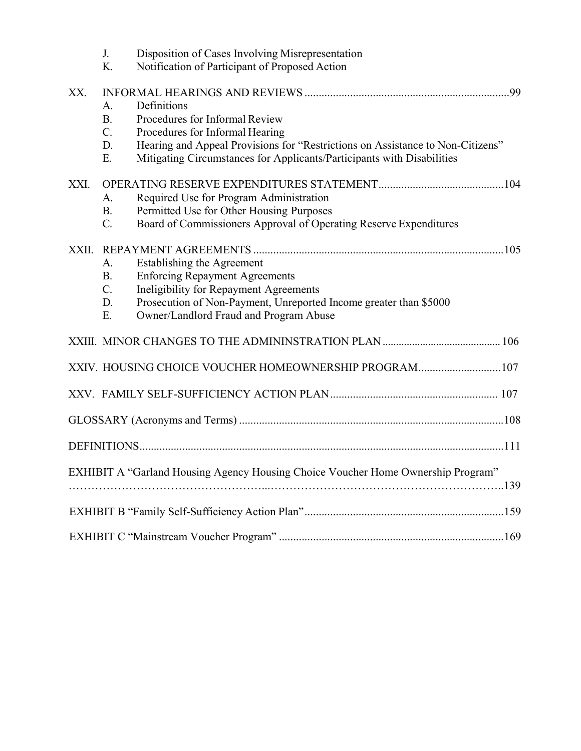|       | J.          | Disposition of Cases Involving Misrepresentation                                 |  |  |
|-------|-------------|----------------------------------------------------------------------------------|--|--|
|       | K.          | Notification of Participant of Proposed Action                                   |  |  |
| XX.   |             |                                                                                  |  |  |
|       | A.          | Definitions                                                                      |  |  |
|       | <b>B.</b>   | Procedures for Informal Review                                                   |  |  |
|       | $C_{\cdot}$ | Procedures for Informal Hearing                                                  |  |  |
|       | D.          | Hearing and Appeal Provisions for "Restrictions on Assistance to Non-Citizens"   |  |  |
|       | E.          | Mitigating Circumstances for Applicants/Participants with Disabilities           |  |  |
| XXI.  |             |                                                                                  |  |  |
|       | A.          | Required Use for Program Administration                                          |  |  |
|       | <b>B.</b>   | Permitted Use for Other Housing Purposes                                         |  |  |
|       | C.          | Board of Commissioners Approval of Operating Reserve Expenditures                |  |  |
| XXII. |             |                                                                                  |  |  |
|       | A.          | <b>Establishing the Agreement</b>                                                |  |  |
|       | <b>B.</b>   | <b>Enforcing Repayment Agreements</b>                                            |  |  |
|       | $C_{\cdot}$ | Ineligibility for Repayment Agreements                                           |  |  |
|       | D.          | Prosecution of Non-Payment, Unreported Income greater than \$5000                |  |  |
|       | E.          | Owner/Landlord Fraud and Program Abuse                                           |  |  |
|       |             |                                                                                  |  |  |
|       |             | XXIV. HOUSING CHOICE VOUCHER HOMEOWNERSHIP PROGRAM107                            |  |  |
|       |             |                                                                                  |  |  |
|       |             |                                                                                  |  |  |
|       |             |                                                                                  |  |  |
|       |             | EXHIBIT A "Garland Housing Agency Housing Choice Voucher Home Ownership Program" |  |  |
|       |             |                                                                                  |  |  |
|       |             |                                                                                  |  |  |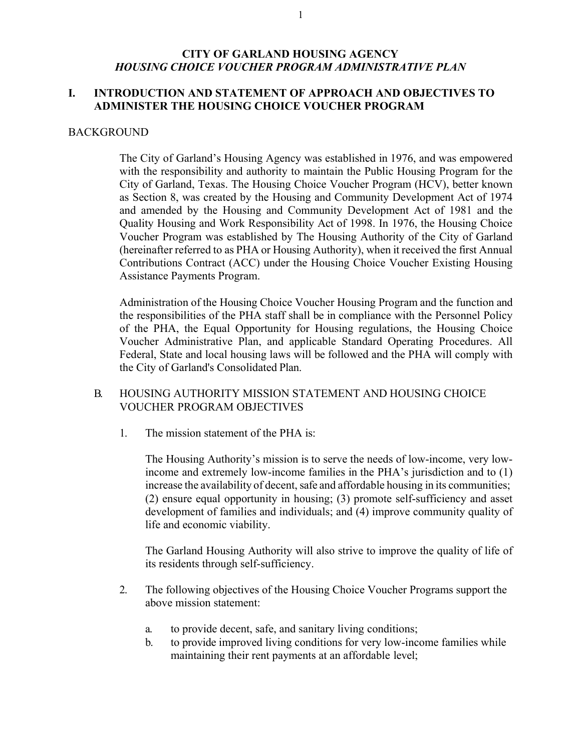# **CITY OF GARLAND HOUSING AGENCY**  *HOUSING CHOICE VOUCHER PROGRAM ADMINISTRATIVE PLAN*

# **I. INTRODUCTION AND STATEMENT OF APPROACH AND OBJECTIVES TO ADMINISTER THE HOUSING CHOICE VOUCHER PROGRAM**

#### **BACKGROUND**

The City of Garland's Housing Agency was established in 1976, and was empowered with the responsibility and authority to maintain the Public Housing Program for the City of Garland, Texas. The Housing Choice Voucher Program (HCV), better known as Section 8, was created by the Housing and Community Development Act of 1974 and amended by the Housing and Community Development Act of 1981 and the Quality Housing and Work Responsibility Act of 1998. In 1976, the Housing Choice Voucher Program was established by The Housing Authority of the City of Garland (hereinafter referred to as PHA or Housing Authority), when it received the first Annual Contributions Contract (ACC) under the Housing Choice Voucher Existing Housing Assistance Payments Program.

Administration of the Housing Choice Voucher Housing Program and the function and the responsibilities of the PHA staff shall be in compliance with the Personnel Policy of the PHA, the Equal Opportunity for Housing regulations, the Housing Choice Voucher Administrative Plan, and applicable Standard Operating Procedures. All Federal, State and local housing laws will be followed and the PHA will comply with the City of Garland's Consolidated Plan.

#### B. HOUSING AUTHORITY MISSION STATEMENT AND HOUSING CHOICE VOUCHER PROGRAM OBJECTIVES

1. The mission statement of the PHA is:

The Housing Authority's mission is to serve the needs of low-income, very lowincome and extremely low-income families in the PHA's jurisdiction and to (1) increase the availability of decent, safe and affordable housing in its communities; (2) ensure equal opportunity in housing; (3) promote self-sufficiency and asset development of families and individuals; and (4) improve community quality of life and economic viability.

The Garland Housing Authority will also strive to improve the quality of life of its residents through self-sufficiency.

- 2. The following objectives of the Housing Choice Voucher Programs support the above mission statement:
	- a. to provide decent, safe, and sanitary living conditions;
	- b. to provide improved living conditions for very low-income families while maintaining their rent payments at an affordable level;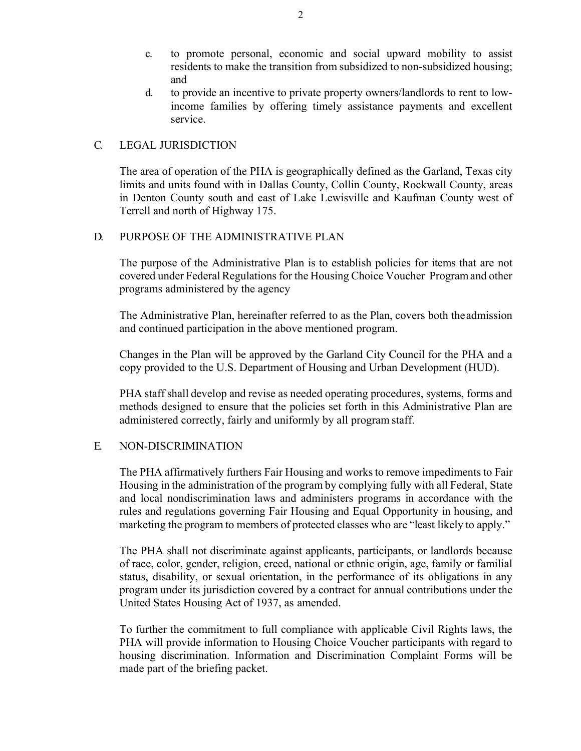- c. to promote personal, economic and social upward mobility to assist residents to make the transition from subsidized to non-subsidized housing; and
- d. to provide an incentive to private property owners/landlords to rent to lowincome families by offering timely assistance payments and excellent service.

#### C. LEGAL JURISDICTION

The area of operation of the PHA is geographically defined as the Garland, Texas city limits and units found with in Dallas County, Collin County, Rockwall County, areas in Denton County south and east of Lake Lewisville and Kaufman County west of Terrell and north of Highway 175.

# D. PURPOSE OF THE ADMINISTRATIVE PLAN

The purpose of the Administrative Plan is to establish policies for items that are not covered under Federal Regulations for the Housing Choice Voucher Program and other programs administered by the agency

The Administrative Plan, hereinafter referred to as the Plan, covers both the admission and continued participation in the above mentioned program.

Changes in the Plan will be approved by the Garland City Council for the PHA and a copy provided to the U.S. Department of Housing and Urban Development (HUD).

PHA staff shall develop and revise as needed operating procedures, systems, forms and methods designed to ensure that the policies set forth in this Administrative Plan are administered correctly, fairly and uniformly by all program staff.

#### E. NON-DISCRIMINATION

The PHA affirmatively furthers Fair Housing and works to remove impediments to Fair Housing in the administration of the program by complying fully with all Federal, State and local nondiscrimination laws and administers programs in accordance with the rules and regulations governing Fair Housing and Equal Opportunity in housing, and marketing the program to members of protected classes who are "least likely to apply."

The PHA shall not discriminate against applicants, participants, or landlords because of race, color, gender, religion, creed, national or ethnic origin, age, family or familial status, disability, or sexual orientation, in the performance of its obligations in any program under its jurisdiction covered by a contract for annual contributions under the United States Housing Act of 1937, as amended.

To further the commitment to full compliance with applicable Civil Rights laws, the PHA will provide information to Housing Choice Voucher participants with regard to housing discrimination. Information and Discrimination Complaint Forms will be made part of the briefing packet.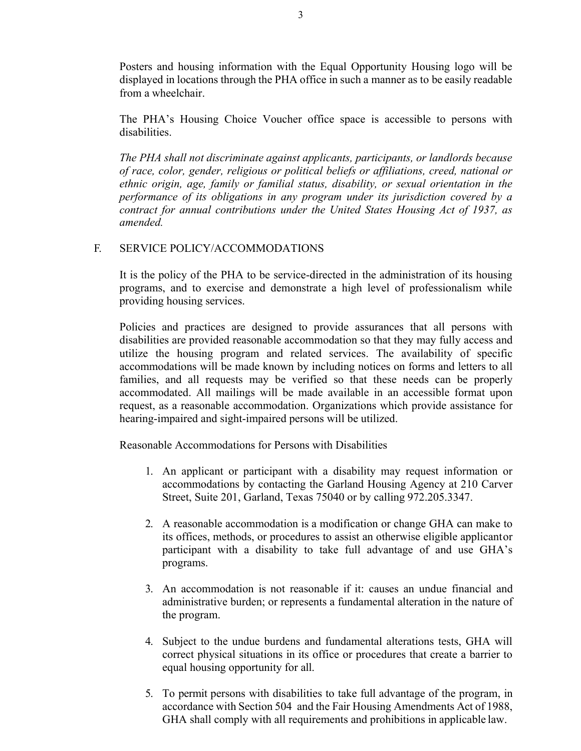Posters and housing information with the Equal Opportunity Housing logo will be displayed in locations through the PHA office in such a manner as to be easily readable from a wheelchair.

The PHA's Housing Choice Voucher office space is accessible to persons with disabilities.

*The PHA shall not discriminate against applicants, participants, or landlords because of race, color, gender, religious or political beliefs or affiliations, creed, national or ethnic origin, age, family or familial status, disability, or sexual orientation in the performance of its obligations in any program under its jurisdiction covered by a contract for annual contributions under the United States Housing Act of 1937, as amended.* 

#### F. SERVICE POLICY/ACCOMMODATIONS

It is the policy of the PHA to be service-directed in the administration of its housing programs, and to exercise and demonstrate a high level of professionalism while providing housing services.

Policies and practices are designed to provide assurances that all persons with disabilities are provided reasonable accommodation so that they may fully access and utilize the housing program and related services. The availability of specific accommodations will be made known by including notices on forms and letters to all families, and all requests may be verified so that these needs can be properly accommodated. All mailings will be made available in an accessible format upon request, as a reasonable accommodation. Organizations which provide assistance for hearing-impaired and sight-impaired persons will be utilized.

Reasonable Accommodations for Persons with Disabilities

- 1. An applicant or participant with a disability may request information or accommodations by contacting the Garland Housing Agency at 210 Carver Street, Suite 201, Garland, Texas 75040 or by calling 972.205.3347.
- 2. A reasonable accommodation is a modification or change GHA can make to its offices, methods, or procedures to assist an otherwise eligible applicant or participant with a disability to take full advantage of and use GHA's programs.
- 3. An accommodation is not reasonable if it: causes an undue financial and administrative burden; or represents a fundamental alteration in the nature of the program.
- 4. Subject to the undue burdens and fundamental alterations tests, GHA will correct physical situations in its office or procedures that create a barrier to equal housing opportunity for all.
- 5. To permit persons with disabilities to take full advantage of the program, in accordance with Section 504 and the Fair Housing Amendments Act of 1988, GHA shall comply with all requirements and prohibitions in applicable law.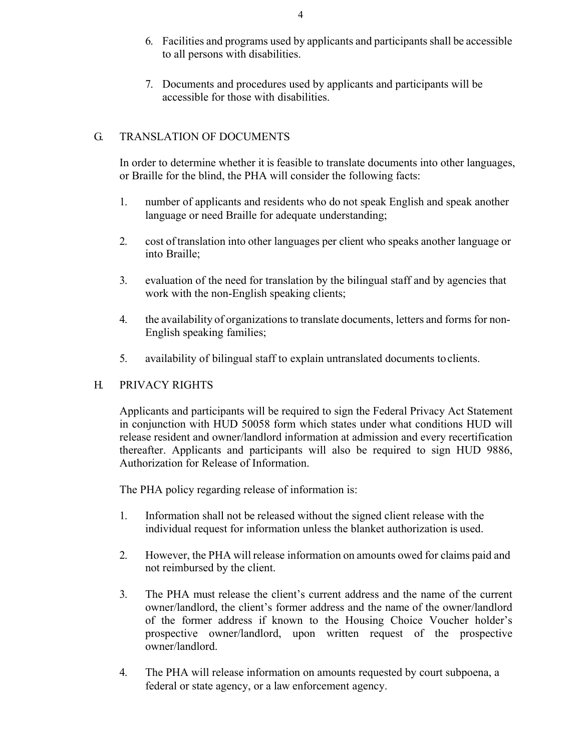- 6. Facilities and programs used by applicants and participants shall be accessible to all persons with disabilities.
- 7. Documents and procedures used by applicants and participants will be accessible for those with disabilities.

# G. TRANSLATION OF DOCUMENTS

In order to determine whether it is feasible to translate documents into other languages, or Braille for the blind, the PHA will consider the following facts:

- 1. number of applicants and residents who do not speak English and speak another language or need Braille for adequate understanding;
- 2. cost of translation into other languages per client who speaks another language or into Braille;
- 3. evaluation of the need for translation by the bilingual staff and by agencies that work with the non-English speaking clients;
- 4. the availability of organizations to translate documents, letters and forms for non-English speaking families;
- 5. availability of bilingual staff to explain untranslated documents to clients.

#### H. PRIVACY RIGHTS

Applicants and participants will be required to sign the Federal Privacy Act Statement in conjunction with HUD 50058 form which states under what conditions HUD will release resident and owner/landlord information at admission and every recertification thereafter. Applicants and participants will also be required to sign HUD 9886, Authorization for Release of Information.

The PHA policy regarding release of information is:

- 1. Information shall not be released without the signed client release with the individual request for information unless the blanket authorization is used.
- 2. However, the PHA will release information on amounts owed for claims paid and not reimbursed by the client.
- 3. The PHA must release the client's current address and the name of the current owner/landlord, the client's former address and the name of the owner/landlord of the former address if known to the Housing Choice Voucher holder's prospective owner/landlord, upon written request of the prospective owner/landlord.
- 4. The PHA will release information on amounts requested by court subpoena, a federal or state agency, or a law enforcement agency.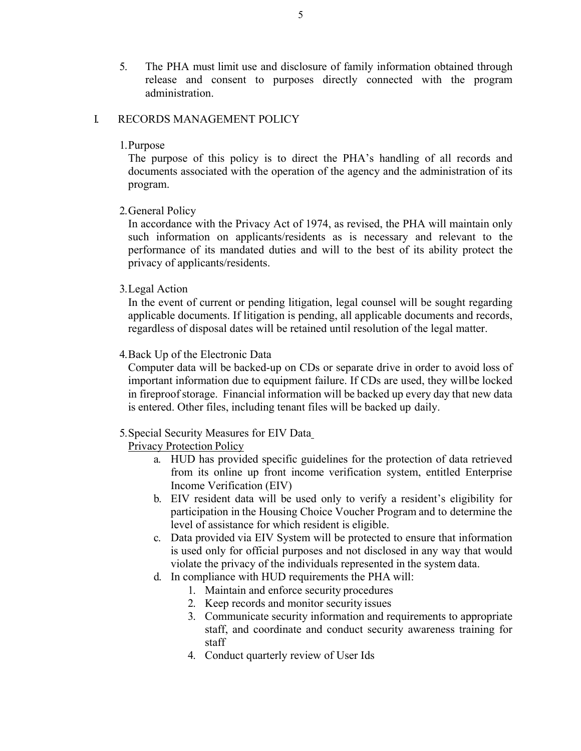5. The PHA must limit use and disclosure of family information obtained through release and consent to purposes directly connected with the program administration.

#### I. RECORDS MANAGEMENT POLICY

1.Purpose

The purpose of this policy is to direct the PHA's handling of all records and documents associated with the operation of the agency and the administration of its program.

#### 2.General Policy

In accordance with the Privacy Act of 1974, as revised, the PHA will maintain only such information on applicants/residents as is necessary and relevant to the performance of its mandated duties and will to the best of its ability protect the privacy of applicants/residents.

#### 3.Legal Action

In the event of current or pending litigation, legal counsel will be sought regarding applicable documents. If litigation is pending, all applicable documents and records, regardless of disposal dates will be retained until resolution of the legal matter.

#### 4.Back Up of the Electronic Data

Computer data will be backed-up on CDs or separate drive in order to avoid loss of important information due to equipment failure. If CDs are used, they will be locked in fireproof storage. Financial information will be backed up every day that new data is entered. Other files, including tenant files will be backed up daily.

#### 5.Special Security Measures for EIV Data

Privacy Protection Policy

- a. HUD has provided specific guidelines for the protection of data retrieved from its online up front income verification system, entitled Enterprise Income Verification (EIV)
- b. EIV resident data will be used only to verify a resident's eligibility for participation in the Housing Choice Voucher Program and to determine the level of assistance for which resident is eligible.
- c. Data provided via EIV System will be protected to ensure that information is used only for official purposes and not disclosed in any way that would violate the privacy of the individuals represented in the system data.
- d. In compliance with HUD requirements the PHA will:
	- 1. Maintain and enforce security procedures
		- 2. Keep records and monitor security issues
	- 3. Communicate security information and requirements to appropriate staff, and coordinate and conduct security awareness training for staff
	- 4. Conduct quarterly review of User Ids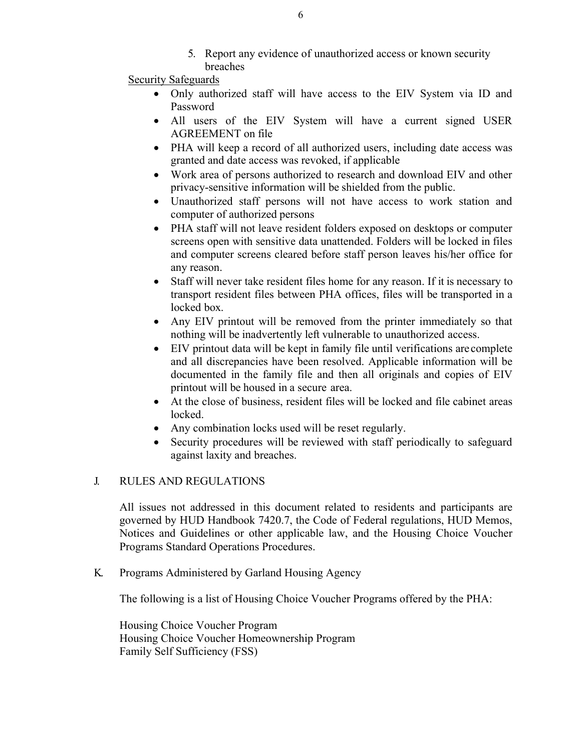5. Report any evidence of unauthorized access or known security breaches

Security Safeguards

- Only authorized staff will have access to the EIV System via ID and Password
- All users of the EIV System will have a current signed USER AGREEMENT on file
- PHA will keep a record of all authorized users, including date access was granted and date access was revoked, if applicable
- Work area of persons authorized to research and download EIV and other privacy-sensitive information will be shielded from the public.
- Unauthorized staff persons will not have access to work station and computer of authorized persons
- PHA staff will not leave resident folders exposed on desktops or computer screens open with sensitive data unattended. Folders will be locked in files and computer screens cleared before staff person leaves his/her office for any reason.
- Staff will never take resident files home for any reason. If it is necessary to transport resident files between PHA offices, files will be transported in a locked box.
- Any EIV printout will be removed from the printer immediately so that nothing will be inadvertently left vulnerable to unauthorized access.
- EIV printout data will be kept in family file until verifications are complete and all discrepancies have been resolved. Applicable information will be documented in the family file and then all originals and copies of EIV printout will be housed in a secure area.
- At the close of business, resident files will be locked and file cabinet areas locked.
- Any combination locks used will be reset regularly.
- Security procedures will be reviewed with staff periodically to safeguard against laxity and breaches.

# J. RULES AND REGULATIONS

All issues not addressed in this document related to residents and participants are governed by HUD Handbook 7420.7, the Code of Federal regulations, HUD Memos, Notices and Guidelines or other applicable law, and the Housing Choice Voucher Programs Standard Operations Procedures.

K. Programs Administered by Garland Housing Agency

The following is a list of Housing Choice Voucher Programs offered by the PHA:

Housing Choice Voucher Program Housing Choice Voucher Homeownership Program Family Self Sufficiency (FSS)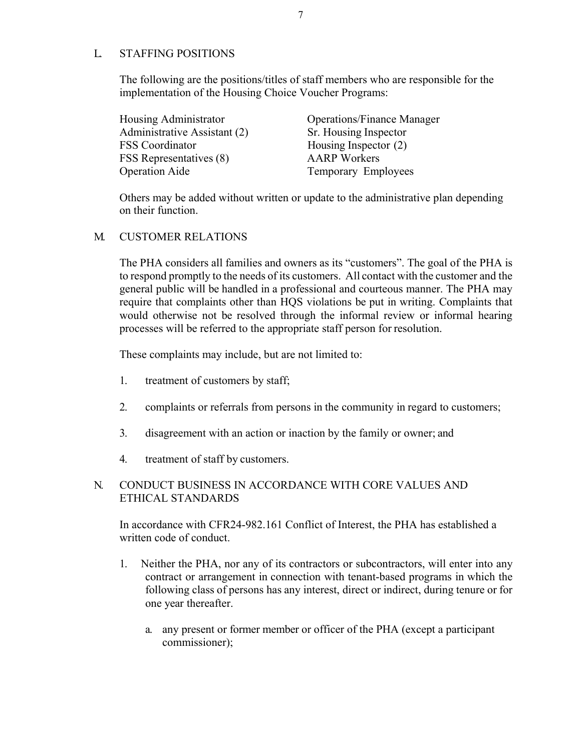#### L. STAFFING POSITIONS

The following are the positions/titles of staff members who are responsible for the implementation of the Housing Choice Voucher Programs:

| Housing Administrator        | <b>Operations/Finance Manager</b> |
|------------------------------|-----------------------------------|
| Administrative Assistant (2) | Sr. Housing Inspector             |
| <b>FSS</b> Coordinator       | Housing Inspector $(2)$           |
| FSS Representatives (8)      | <b>AARP</b> Workers               |
| <b>Operation Aide</b>        | Temporary Employees               |

Others may be added without written or update to the administrative plan depending on their function.

#### M. CUSTOMER RELATIONS

The PHA considers all families and owners as its "customers". The goal of the PHA is to respond promptly to the needs of its customers. All contact with the customer and the general public will be handled in a professional and courteous manner. The PHA may require that complaints other than HQS violations be put in writing. Complaints that would otherwise not be resolved through the informal review or informal hearing processes will be referred to the appropriate staff person for resolution.

These complaints may include, but are not limited to:

- 1. treatment of customers by staff;
- 2. complaints or referrals from persons in the community in regard to customers;
- 3. disagreement with an action or inaction by the family or owner; and
- 4. treatment of staff by customers.

#### N. CONDUCT BUSINESS IN ACCORDANCE WITH CORE VALUES AND ETHICAL STANDARDS

In accordance with CFR24-982.161 Conflict of Interest, the PHA has established a written code of conduct.

- 1. Neither the PHA, nor any of its contractors or subcontractors, will enter into any contract or arrangement in connection with tenant-based programs in which the following class of persons has any interest, direct or indirect, during tenure or for one year thereafter.
	- a. any present or former member or officer of the PHA (except a participant commissioner);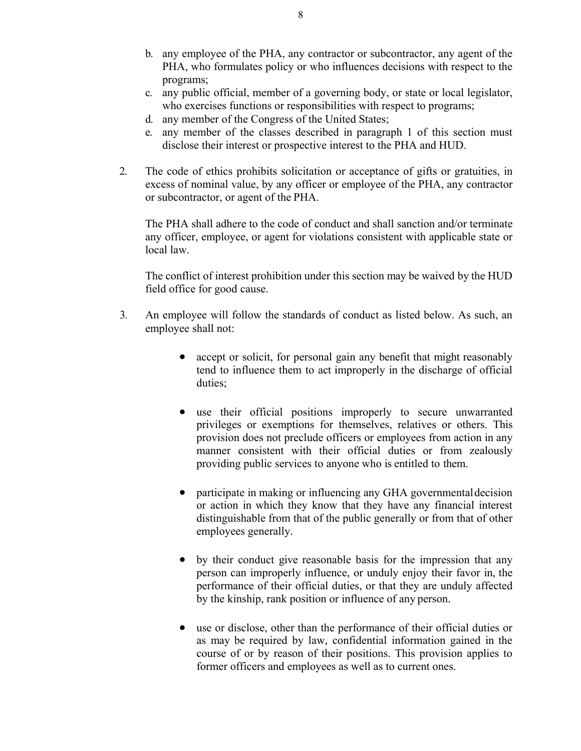- b. any employee of the PHA, any contractor or subcontractor, any agent of the PHA, who formulates policy or who influences decisions with respect to the programs;
- c. any public official, member of a governing body, or state or local legislator, who exercises functions or responsibilities with respect to programs;
- d. any member of the Congress of the United States;
- e. any member of the classes described in paragraph 1 of this section must disclose their interest or prospective interest to the PHA and HUD.
- 2. The code of ethics prohibits solicitation or acceptance of gifts or gratuities, in excess of nominal value, by any officer or employee of the PHA, any contractor or subcontractor, or agent of the PHA.

The PHA shall adhere to the code of conduct and shall sanction and/or terminate any officer, employee, or agent for violations consistent with applicable state or local law.

The conflict of interest prohibition under this section may be waived by the HUD field office for good cause.

- 3. An employee will follow the standards of conduct as listed below. As such, an employee shall not:
	- accept or solicit, for personal gain any benefit that might reasonably tend to influence them to act improperly in the discharge of official duties;
	- use their official positions improperly to secure unwarranted privileges or exemptions for themselves, relatives or others. This provision does not preclude officers or employees from action in any manner consistent with their official duties or from zealously providing public services to anyone who is entitled to them.
	- participate in making or influencing any GHA governmental decision or action in which they know that they have any financial interest distinguishable from that of the public generally or from that of other employees generally.
	- by their conduct give reasonable basis for the impression that any person can improperly influence, or unduly enjoy their favor in, the performance of their official duties, or that they are unduly affected by the kinship, rank position or influence of any person.
	- use or disclose, other than the performance of their official duties or as may be required by law, confidential information gained in the course of or by reason of their positions. This provision applies to former officers and employees as well as to current ones.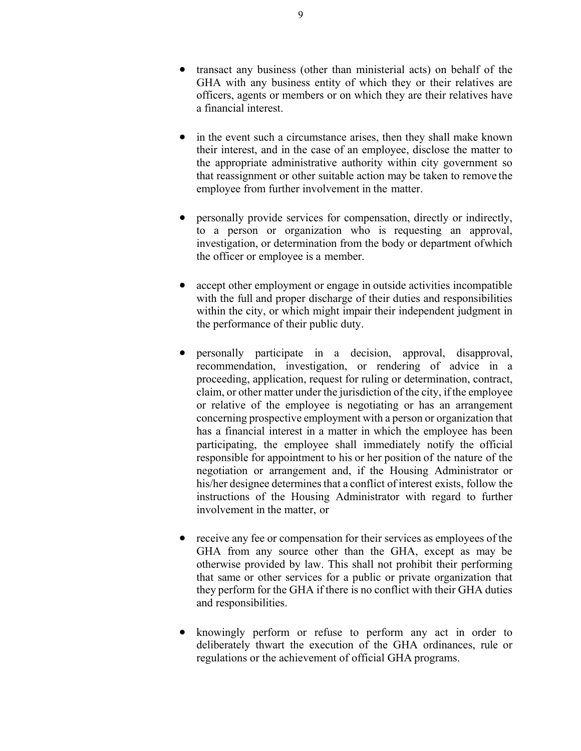- transact any business (other than ministerial acts) on behalf of the GHA with any business entity of which they or their relatives are officers, agents or members or on which they are their relatives have a financial interest.
- in the event such a circumstance arises, then they shall make known their interest, and in the case of an employee, disclose the matter to the appropriate administrative authority within city government so that reassignment or other suitable action may be taken to remove the employee from further involvement in the matter.
- personally provide services for compensation, directly or indirectly, to a person or organization who is requesting an approval, investigation, or determination from the body or department of which the officer or employee is a member.
- accept other employment or engage in outside activities incompatible with the full and proper discharge of their duties and responsibilities within the city, or which might impair their independent judgment in the performance of their public duty.
- personally participate in a decision, approval, disapproval, recommendation, investigation, or rendering of advice in a proceeding, application, request for ruling or determination, contract, claim, or other matter under the jurisdiction of the city, if the employee or relative of the employee is negotiating or has an arrangement concerning prospective employment with a person or organization that has a financial interest in a matter in which the employee has been participating, the employee shall immediately notify the official responsible for appointment to his or her position of the nature of the negotiation or arrangement and, if the Housing Administrator or his/her designee determines that a conflict of interest exists, follow the instructions of the Housing Administrator with regard to further involvement in the matter, or
- receive any fee or compensation for their services as employees of the GHA from any source other than the GHA, except as may be otherwise provided by law. This shall not prohibit their performing that same or other services for a public or private organization that they perform for the GHA if there is no conflict with their GHA duties and responsibilities.
- knowingly perform or refuse to perform any act in order to deliberately thwart the execution of the GHA ordinances, rule or regulations or the achievement of official GHA programs.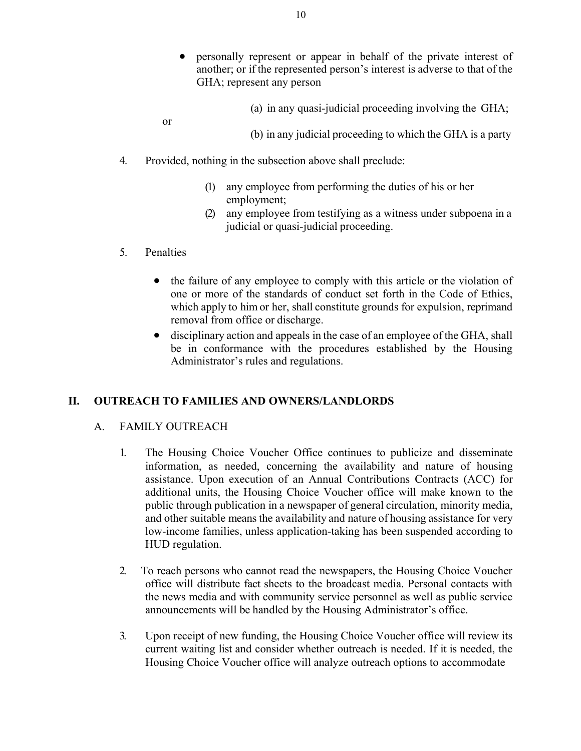- personally represent or appear in behalf of the private interest of another; or if the represented person's interest is adverse to that of the GHA; represent any person
	- (a) in any quasi-judicial proceeding involving the GHA;

or

- (b) in any judicial proceeding to which the GHA is a party
- 4. Provided, nothing in the subsection above shall preclude:
	- (1) any employee from performing the duties of his or her employment;
	- (2) any employee from testifying as a witness under subpoena in a judicial or quasi-judicial proceeding.
- 5. Penalties
	- the failure of any employee to comply with this article or the violation of one or more of the standards of conduct set forth in the Code of Ethics, which apply to him or her, shall constitute grounds for expulsion, reprimand removal from office or discharge.
	- disciplinary action and appeals in the case of an employee of the GHA, shall be in conformance with the procedures established by the Housing Administrator's rules and regulations.

#### **II. OUTREACH TO FAMILIES AND OWNERS/LANDLORDS**

#### A. FAMILY OUTREACH

- 1. The Housing Choice Voucher Office continues to publicize and disseminate information, as needed, concerning the availability and nature of housing assistance. Upon execution of an Annual Contributions Contracts (ACC) for additional units, the Housing Choice Voucher office will make known to the public through publication in a newspaper of general circulation, minority media, and other suitable means the availability and nature of housing assistance for very low-income families, unless application-taking has been suspended according to HUD regulation.
- 2. To reach persons who cannot read the newspapers, the Housing Choice Voucher office will distribute fact sheets to the broadcast media. Personal contacts with the news media and with community service personnel as well as public service announcements will be handled by the Housing Administrator's office.
- 3. Upon receipt of new funding, the Housing Choice Voucher office will review its current waiting list and consider whether outreach is needed. If it is needed, the Housing Choice Voucher office will analyze outreach options to accommodate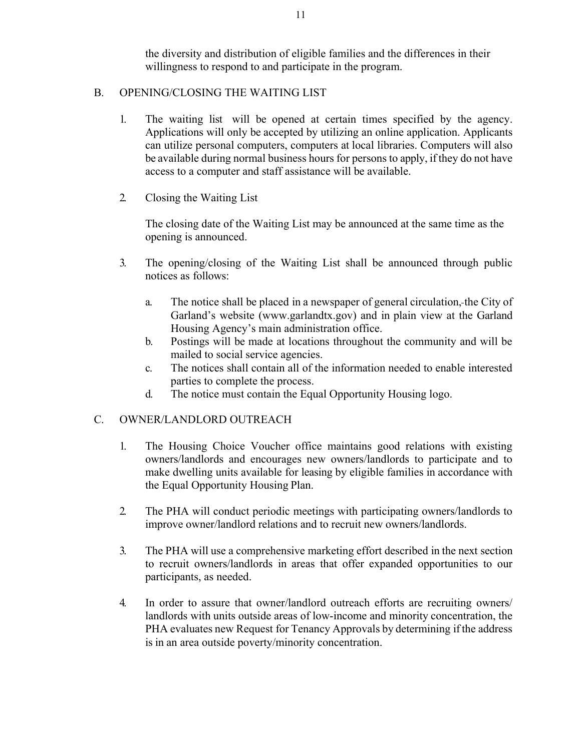the diversity and distribution of eligible families and the differences in their willingness to respond to and participate in the program.

# B. OPENING/CLOSING THE WAITING LIST

- 1. The waiting list will be opened at certain times specified by the agency. Applications will only be accepted by utilizing an online application. Applicants can utilize personal computers, computers at local libraries. Computers will also be available during normal business hours for persons to apply, if they do not have access to a computer and staff assistance will be available.
- 2. Closing the Waiting List

The closing date of the Waiting List may be announced at the same time as the opening is announced.

- 3. The opening/closing of the Waiting List shall be announced through public notices as follows:
	- a. The notice shall be placed in a newspaper of general circulation, the City of Garland's website (www.garlandtx.gov) and in plain view at the Garland Housing Agency's main administration office.
	- b. Postings will be made at locations throughout the community and will be mailed to social service agencies.
	- c. The notices shall contain all of the information needed to enable interested parties to complete the process.
	- d. The notice must contain the Equal Opportunity Housing logo.

# C. OWNER/LANDLORD OUTREACH

- 1. The Housing Choice Voucher office maintains good relations with existing owners/landlords and encourages new owners/landlords to participate and to make dwelling units available for leasing by eligible families in accordance with the Equal Opportunity Housing Plan.
- 2. The PHA will conduct periodic meetings with participating owners/landlords to improve owner/landlord relations and to recruit new owners/landlords.
- 3. The PHA will use a comprehensive marketing effort described in the next section to recruit owners/landlords in areas that offer expanded opportunities to our participants, as needed.
- 4. In order to assure that owner/landlord outreach efforts are recruiting owners/ landlords with units outside areas of low-income and minority concentration, the PHA evaluates new Request for Tenancy Approvals by determining if the address is in an area outside poverty/minority concentration.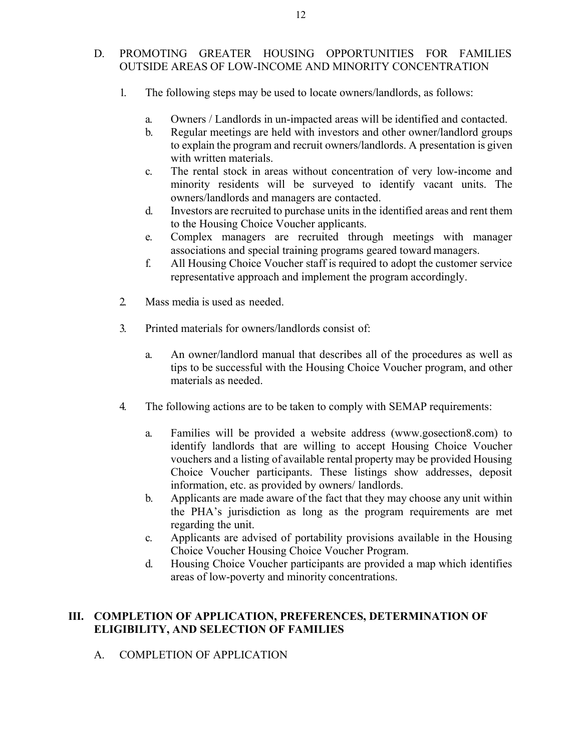#### D. PROMOTING GREATER HOUSING OPPORTUNITIES FOR FAMILIES OUTSIDE AREAS OF LOW-INCOME AND MINORITY CONCENTRATION

- 1. The following steps may be used to locate owners/landlords, as follows:
	- a. Owners / Landlords in un-impacted areas will be identified and contacted.
	- b. Regular meetings are held with investors and other owner/landlord groups to explain the program and recruit owners/landlords. A presentation is given with written materials.
	- c. The rental stock in areas without concentration of very low-income and minority residents will be surveyed to identify vacant units. The owners/landlords and managers are contacted.
	- d. Investors are recruited to purchase units in the identified areas and rent them to the Housing Choice Voucher applicants.
	- e. Complex managers are recruited through meetings with manager associations and special training programs geared toward managers.
	- f. All Housing Choice Voucher staff is required to adopt the customer service representative approach and implement the program accordingly.
- 2. Mass media is used as needed.
- 3. Printed materials for owners/landlords consist of:
	- a. An owner/landlord manual that describes all of the procedures as well as tips to be successful with the Housing Choice Voucher program, and other materials as needed.
- 4. The following actions are to be taken to comply with SEMAP requirements:
	- a. Families will be provided a website address (www.gosection8.com) to identify landlords that are willing to accept Housing Choice Voucher vouchers and a listing of available rental property may be provided Housing Choice Voucher participants. These listings show addresses, deposit information, etc. as provided by owners/ landlords.
	- b. Applicants are made aware of the fact that they may choose any unit within the PHA's jurisdiction as long as the program requirements are met regarding the unit.
	- c. Applicants are advised of portability provisions available in the Housing Choice Voucher Housing Choice Voucher Program.
	- d. Housing Choice Voucher participants are provided a map which identifies areas of low-poverty and minority concentrations.

# **III. COMPLETION OF APPLICATION, PREFERENCES, DETERMINATION OF ELIGIBILITY, AND SELECTION OF FAMILIES**

A. COMPLETION OF APPLICATION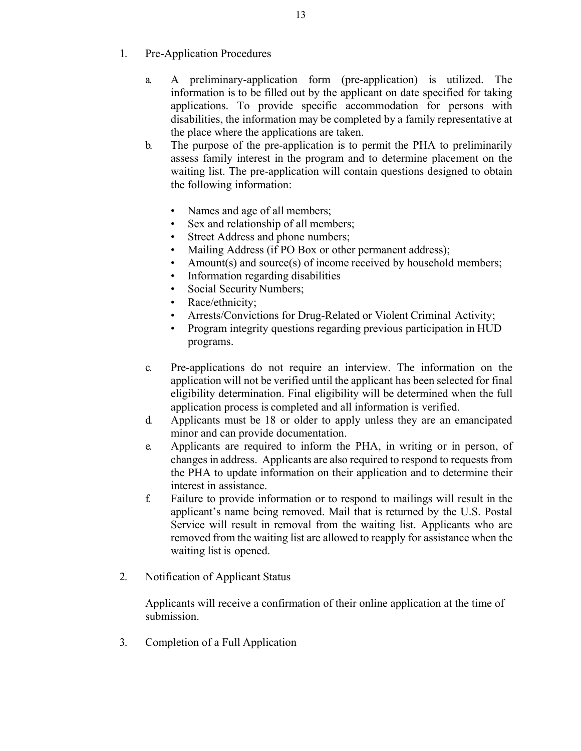- 1. Pre-Application Procedures
	- a. A preliminary-application form (pre-application) is utilized. The information is to be filled out by the applicant on date specified for taking applications. To provide specific accommodation for persons with disabilities, the information may be completed by a family representative at the place where the applications are taken.
	- b. The purpose of the pre-application is to permit the PHA to preliminarily assess family interest in the program and to determine placement on the waiting list. The pre-application will contain questions designed to obtain the following information:
		- Names and age of all members;
		- Sex and relationship of all members;
		- Street Address and phone numbers;
		- Mailing Address (if PO Box or other permanent address);
		- Amount(s) and source(s) of income received by household members;
		- Information regarding disabilities
		- Social Security Numbers;
		- Race/ethnicity;
		- Arrests/Convictions for Drug-Related or Violent Criminal Activity;
		- Program integrity questions regarding previous participation in HUD programs.
	- c. Pre-applications do not require an interview. The information on the application will not be verified until the applicant has been selected for final eligibility determination. Final eligibility will be determined when the full application process is completed and all information is verified.
	- d. Applicants must be 18 or older to apply unless they are an emancipated minor and can provide documentation.
	- e. Applicants are required to inform the PHA, in writing or in person, of changes in address. Applicants are also required to respond to requests from the PHA to update information on their application and to determine their interest in assistance.
	- f. Failure to provide information or to respond to mailings will result in the applicant's name being removed. Mail that is returned by the U.S. Postal Service will result in removal from the waiting list. Applicants who are removed from the waiting list are allowed to reapply for assistance when the waiting list is opened.
- 2. Notification of Applicant Status

Applicants will receive a confirmation of their online application at the time of submission.

3. Completion of a Full Application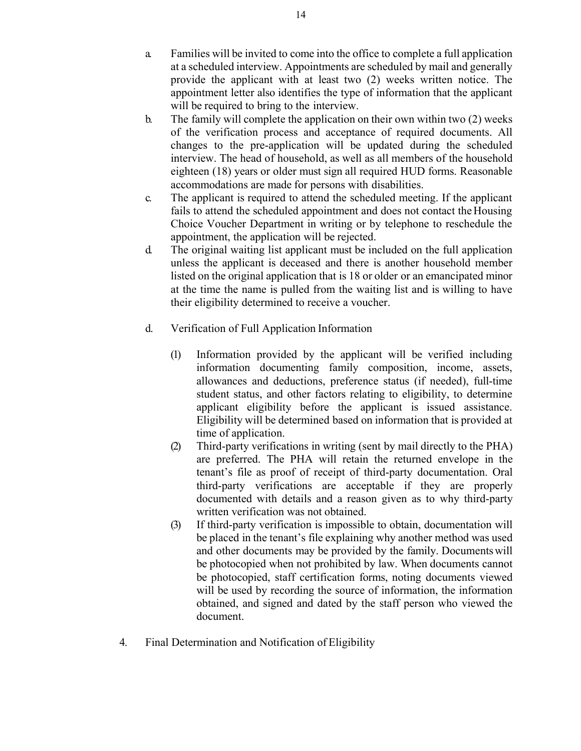- a. Families will be invited to come into the office to complete a full application at a scheduled interview. Appointments are scheduled by mail and generally provide the applicant with at least two (2) weeks written notice. The appointment letter also identifies the type of information that the applicant will be required to bring to the interview.
- b. The family will complete the application on their own within two (2) weeks of the verification process and acceptance of required documents. All changes to the pre-application will be updated during the scheduled interview. The head of household, as well as all members of the household eighteen (18) years or older must sign all required HUD forms. Reasonable accommodations are made for persons with disabilities.
- c. The applicant is required to attend the scheduled meeting. If the applicant fails to attend the scheduled appointment and does not contact the Housing Choice Voucher Department in writing or by telephone to reschedule the appointment, the application will be rejected.
- d. The original waiting list applicant must be included on the full application unless the applicant is deceased and there is another household member listed on the original application that is 18 or older or an emancipated minor at the time the name is pulled from the waiting list and is willing to have their eligibility determined to receive a voucher.
- d. Verification of Full Application Information
	- (1) Information provided by the applicant will be verified including information documenting family composition, income, assets, allowances and deductions, preference status (if needed), full-time student status, and other factors relating to eligibility, to determine applicant eligibility before the applicant is issued assistance. Eligibility will be determined based on information that is provided at time of application.
	- (2) Third-party verifications in writing (sent by mail directly to the PHA) are preferred. The PHA will retain the returned envelope in the tenant's file as proof of receipt of third-party documentation. Oral third-party verifications are acceptable if they are properly documented with details and a reason given as to why third-party written verification was not obtained.
	- (3) If third-party verification is impossible to obtain, documentation will be placed in the tenant's file explaining why another method was used and other documents may be provided by the family. Documents will be photocopied when not prohibited by law. When documents cannot be photocopied, staff certification forms, noting documents viewed will be used by recording the source of information, the information obtained, and signed and dated by the staff person who viewed the document.
- 4. Final Determination and Notification of Eligibility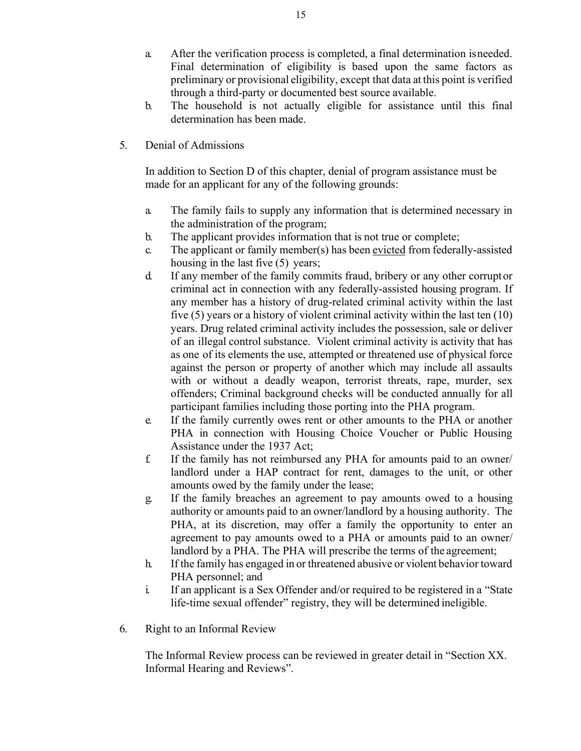a. After the verification process is completed, a final determination is needed. Final determination of eligibility is based upon the same factors as preliminary or provisional eligibility, except that data at this point is verified through a third-party or documented best source available.

- b. The household is not actually eligible for assistance until this final determination has been made.
- 5. Denial of Admissions

In addition to Section D of this chapter, denial of program assistance must be made for an applicant for any of the following grounds:

- a. The family fails to supply any information that is determined necessary in the administration of the program;
- b. The applicant provides information that is not true or complete;
- c. The applicant or family member(s) has been evicted from federally-assisted housing in the last five (5) years;
- d. If any member of the family commits fraud, bribery or any other corrupt or criminal act in connection with any federally-assisted housing program. If any member has a history of drug-related criminal activity within the last five (5) years or a history of violent criminal activity within the last ten (10) years. Drug related criminal activity includes the possession, sale or deliver of an illegal control substance. Violent criminal activity is activity that has as one of its elements the use, attempted or threatened use of physical force against the person or property of another which may include all assaults with or without a deadly weapon, terrorist threats, rape, murder, sex offenders; Criminal background checks will be conducted annually for all participant families including those porting into the PHA program.
- e. If the family currently owes rent or other amounts to the PHA or another PHA in connection with Housing Choice Voucher or Public Housing Assistance under the 1937 Act;
- f. If the family has not reimbursed any PHA for amounts paid to an owner/ landlord under a HAP contract for rent, damages to the unit, or other amounts owed by the family under the lease;
- g. If the family breaches an agreement to pay amounts owed to a housing authority or amounts paid to an owner/landlord by a housing authority. The PHA, at its discretion, may offer a family the opportunity to enter an agreement to pay amounts owed to a PHA or amounts paid to an owner/ landlord by a PHA. The PHA will prescribe the terms of the agreement;
- h. If the family has engaged in or threatened abusive or violent behavior toward PHA personnel; and
- i. If an applicant is a Sex Offender and/or required to be registered in a "State life-time sexual offender" registry, they will be determined ineligible.
- 6. Right to an Informal Review

The Informal Review process can be reviewed in greater detail in "Section XX. Informal Hearing and Reviews".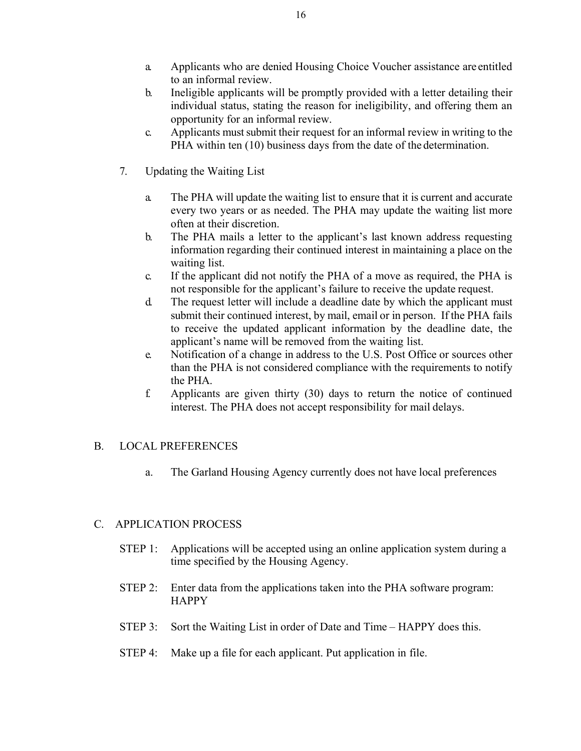- a. Applicants who are denied Housing Choice Voucher assistance are entitled to an informal review.
- b. Ineligible applicants will be promptly provided with a letter detailing their individual status, stating the reason for ineligibility, and offering them an opportunity for an informal review.
- c. Applicants must submit their request for an informal review in writing to the PHA within ten (10) business days from the date of the determination.
- 7. Updating the Waiting List
	- a. The PHA will update the waiting list to ensure that it is current and accurate every two years or as needed. The PHA may update the waiting list more often at their discretion.
	- b. The PHA mails a letter to the applicant's last known address requesting information regarding their continued interest in maintaining a place on the waiting list.
	- c. If the applicant did not notify the PHA of a move as required, the PHA is not responsible for the applicant's failure to receive the update request.
	- d. The request letter will include a deadline date by which the applicant must submit their continued interest, by mail, email or in person. If the PHA fails to receive the updated applicant information by the deadline date, the applicant's name will be removed from the waiting list.
	- e. Notification of a change in address to the U.S. Post Office or sources other than the PHA is not considered compliance with the requirements to notify the PHA.
	- f. Applicants are given thirty (30) days to return the notice of continued interest. The PHA does not accept responsibility for mail delays.

#### B. LOCAL PREFERENCES

a. The Garland Housing Agency currently does not have local preferences

#### C. APPLICATION PROCESS

- STEP 1: Applications will be accepted using an online application system during a time specified by the Housing Agency.
- STEP 2: Enter data from the applications taken into the PHA software program: **HAPPY**
- STEP 3: Sort the Waiting List in order of Date and Time HAPPY does this.
- STEP 4: Make up a file for each applicant. Put application in file.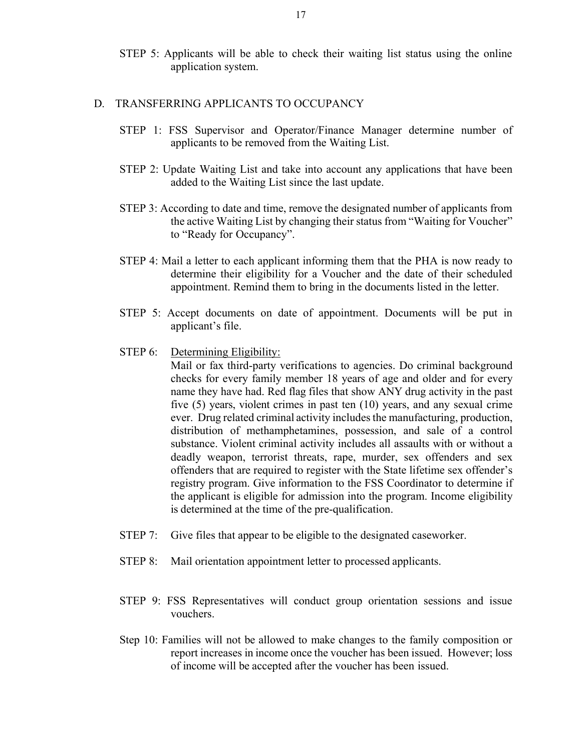STEP 5: Applicants will be able to check their waiting list status using the online application system.

#### D. TRANSFERRING APPLICANTS TO OCCUPANCY

- STEP 1: FSS Supervisor and Operator/Finance Manager determine number of applicants to be removed from the Waiting List.
- STEP 2: Update Waiting List and take into account any applications that have been added to the Waiting List since the last update.
- STEP 3: According to date and time, remove the designated number of applicants from the active Waiting List by changing their status from "Waiting for Voucher" to "Ready for Occupancy".
- STEP 4: Mail a letter to each applicant informing them that the PHA is now ready to determine their eligibility for a Voucher and the date of their scheduled appointment. Remind them to bring in the documents listed in the letter.
- STEP 5: Accept documents on date of appointment. Documents will be put in applicant's file.
- STEP 6: Determining Eligibility:

Mail or fax third-party verifications to agencies. Do criminal background checks for every family member 18 years of age and older and for every name they have had. Red flag files that show ANY drug activity in the past five (5) years, violent crimes in past ten (10) years, and any sexual crime ever. Drug related criminal activity includes the manufacturing, production, distribution of methamphetamines, possession, and sale of a control substance. Violent criminal activity includes all assaults with or without a deadly weapon, terrorist threats, rape, murder, sex offenders and sex offenders that are required to register with the State lifetime sex offender's registry program. Give information to the FSS Coordinator to determine if the applicant is eligible for admission into the program. Income eligibility is determined at the time of the pre-qualification.

- STEP 7: Give files that appear to be eligible to the designated caseworker.
- STEP 8: Mail orientation appointment letter to processed applicants.
- STEP 9: FSS Representatives will conduct group orientation sessions and issue vouchers.
- Step 10: Families will not be allowed to make changes to the family composition or report increases in income once the voucher has been issued. However; loss of income will be accepted after the voucher has been issued.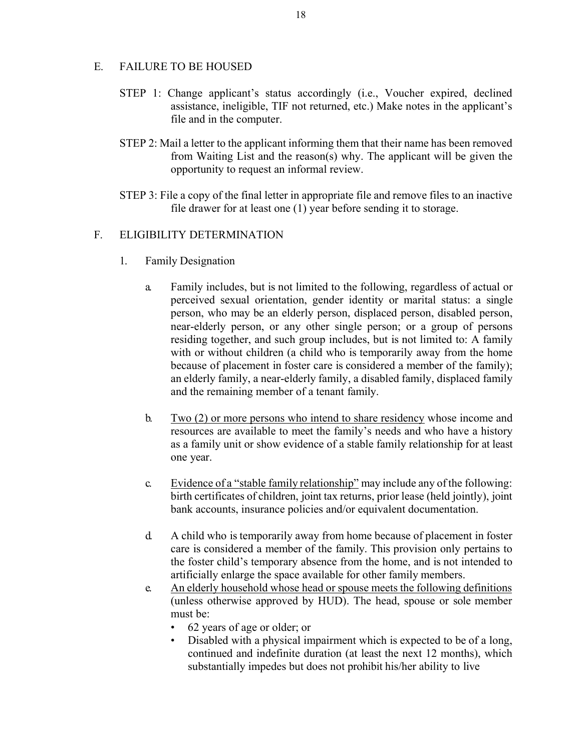#### E. FAILURE TO BE HOUSED

- STEP 1: Change applicant's status accordingly (i.e., Voucher expired, declined assistance, ineligible, TIF not returned, etc.) Make notes in the applicant's file and in the computer.
- STEP 2: Mail a letter to the applicant informing them that their name has been removed from Waiting List and the reason(s) why. The applicant will be given the opportunity to request an informal review.
- STEP 3: File a copy of the final letter in appropriate file and remove files to an inactive file drawer for at least one (1) year before sending it to storage.

#### F. ELIGIBILITY DETERMINATION

- 1. Family Designation
	- a. Family includes, but is not limited to the following, regardless of actual or perceived sexual orientation, gender identity or marital status: a single person, who may be an elderly person, displaced person, disabled person, near-elderly person, or any other single person; or a group of persons residing together, and such group includes, but is not limited to: A family with or without children (a child who is temporarily away from the home because of placement in foster care is considered a member of the family); an elderly family, a near-elderly family, a disabled family, displaced family and the remaining member of a tenant family.
	- b. Two (2) or more persons who intend to share residency whose income and resources are available to meet the family's needs and who have a history as a family unit or show evidence of a stable family relationship for at least one year.
	- c. Evidence of a "stable family relationship" may include any of the following: birth certificates of children, joint tax returns, prior lease (held jointly), joint bank accounts, insurance policies and/or equivalent documentation.
	- d. A child who is temporarily away from home because of placement in foster care is considered a member of the family. This provision only pertains to the foster child's temporary absence from the home, and is not intended to artificially enlarge the space available for other family members.
	- e. An elderly household whose head or spouse meets the following definitions (unless otherwise approved by HUD). The head, spouse or sole member must be:
		- 62 years of age or older; or
		- Disabled with a physical impairment which is expected to be of a long, continued and indefinite duration (at least the next 12 months), which substantially impedes but does not prohibit his/her ability to live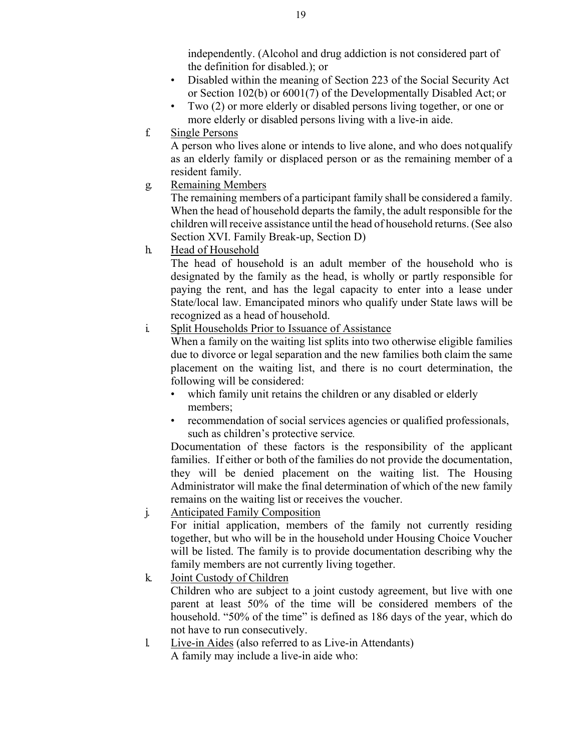independently. (Alcohol and drug addiction is not considered part of the definition for disabled.); or

- Disabled within the meaning of Section 223 of the Social Security Act or Section 102(b) or 6001(7) of the Developmentally Disabled Act; or
- Two (2) or more elderly or disabled persons living together, or one or more elderly or disabled persons living with a live-in aide.
- f. Single Persons

A person who lives alone or intends to live alone, and who does not qualify as an elderly family or displaced person or as the remaining member of a resident family.

g. Remaining Members

The remaining members of a participant family shall be considered a family. When the head of household departs the family, the adult responsible for the children will receive assistance until the head of household returns. (See also Section XVI. Family Break-up, Section D)

h. Head of Household

The head of household is an adult member of the household who is designated by the family as the head, is wholly or partly responsible for paying the rent, and has the legal capacity to enter into a lease under State/local law. Emancipated minors who qualify under State laws will be recognized as a head of household.

i. Split Households Prior to Issuance of Assistance

When a family on the waiting list splits into two otherwise eligible families due to divorce or legal separation and the new families both claim the same placement on the waiting list, and there is no court determination, the following will be considered:

- which family unit retains the children or any disabled or elderly members;
- recommendation of social services agencies or qualified professionals, such as children's protective service*.*

Documentation of these factors is the responsibility of the applicant families. If either or both of the families do not provide the documentation, they will be denied placement on the waiting list. The Housing Administrator will make the final determination of which of the new family remains on the waiting list or receives the voucher.

j. Anticipated Family Composition

For initial application, members of the family not currently residing together, but who will be in the household under Housing Choice Voucher will be listed. The family is to provide documentation describing why the family members are not currently living together.

k. Joint Custody of Children

Children who are subject to a joint custody agreement, but live with one parent at least 50% of the time will be considered members of the household. "50% of the time" is defined as 186 days of the year, which do not have to run consecutively.

l. Live-in Aides (also referred to as Live-in Attendants) A family may include a live-in aide who: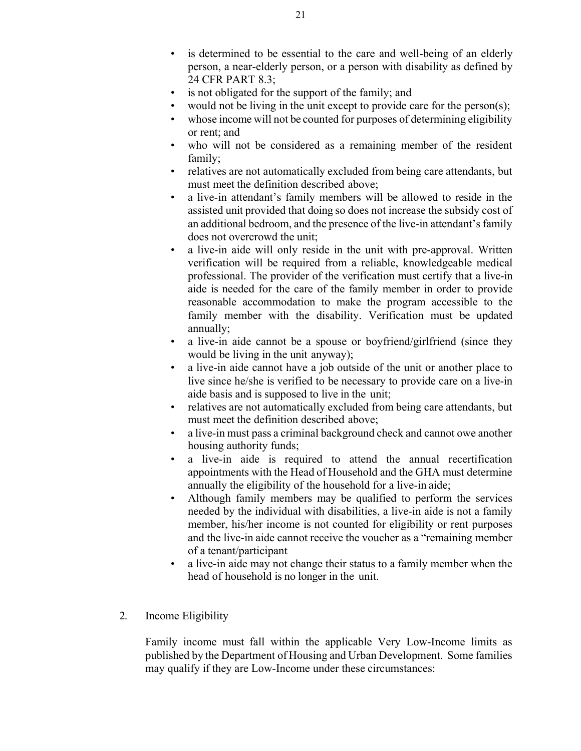- is determined to be essential to the care and well-being of an elderly person, a near-elderly person, or a person with disability as defined by 24 CFR PART 8.3;
- is not obligated for the support of the family; and
- would not be living in the unit except to provide care for the person(s);
- whose income will not be counted for purposes of determining eligibility or rent; and
- who will not be considered as a remaining member of the resident family;
- relatives are not automatically excluded from being care attendants, but must meet the definition described above;
- a live-in attendant's family members will be allowed to reside in the assisted unit provided that doing so does not increase the subsidy cost of an additional bedroom, and the presence of the live-in attendant's family does not overcrowd the unit;
- a live-in aide will only reside in the unit with pre-approval. Written verification will be required from a reliable, knowledgeable medical professional. The provider of the verification must certify that a live-in aide is needed for the care of the family member in order to provide reasonable accommodation to make the program accessible to the family member with the disability. Verification must be updated annually;
- a live-in aide cannot be a spouse or boyfriend/girlfriend (since they would be living in the unit anyway);
- a live-in aide cannot have a job outside of the unit or another place to live since he/she is verified to be necessary to provide care on a live-in aide basis and is supposed to live in the unit;
- relatives are not automatically excluded from being care attendants, but must meet the definition described above;
- a live-in must pass a criminal background check and cannot owe another housing authority funds;
- a live-in aide is required to attend the annual recertification appointments with the Head of Household and the GHA must determine annually the eligibility of the household for a live-in aide;
- Although family members may be qualified to perform the services needed by the individual with disabilities, a live-in aide is not a family member, his/her income is not counted for eligibility or rent purposes and the live-in aide cannot receive the voucher as a "remaining member of a tenant/participant
- a live-in aide may not change their status to a family member when the head of household is no longer in the unit.
- 2. Income Eligibility

Family income must fall within the applicable Very Low-Income limits as published by the Department of Housing and Urban Development. Some families may qualify if they are Low-Income under these circumstances: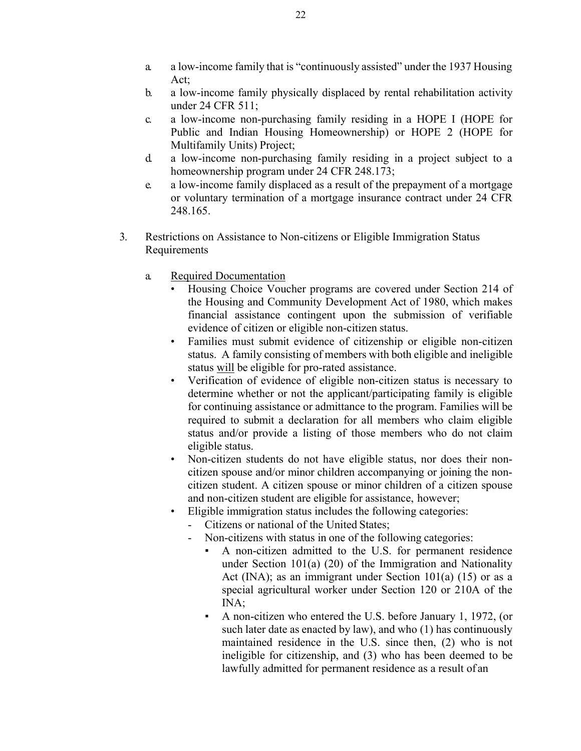- a. a low-income family that is "continuously assisted" under the 1937 Housing Act;
- b. a low-income family physically displaced by rental rehabilitation activity under 24 CFR 511;
- c. a low-income non-purchasing family residing in a HOPE I (HOPE for Public and Indian Housing Homeownership) or HOPE 2 (HOPE for Multifamily Units) Project;
- d. a low-income non-purchasing family residing in a project subject to a homeownership program under 24 CFR 248.173;
- e. a low-income family displaced as a result of the prepayment of a mortgage or voluntary termination of a mortgage insurance contract under 24 CFR 248.165.
- 3. Restrictions on Assistance to Non-citizens or Eligible Immigration Status Requirements
	- a. Required Documentation
		- Housing Choice Voucher programs are covered under Section 214 of the Housing and Community Development Act of 1980, which makes financial assistance contingent upon the submission of verifiable evidence of citizen or eligible non-citizen status.
		- Families must submit evidence of citizenship or eligible non-citizen status. A family consisting of members with both eligible and ineligible status will be eligible for pro-rated assistance.
		- Verification of evidence of eligible non-citizen status is necessary to determine whether or not the applicant/participating family is eligible for continuing assistance or admittance to the program. Families will be required to submit a declaration for all members who claim eligible status and/or provide a listing of those members who do not claim eligible status.
		- Non-citizen students do not have eligible status, nor does their noncitizen spouse and/or minor children accompanying or joining the noncitizen student. A citizen spouse or minor children of a citizen spouse and non-citizen student are eligible for assistance, however;
		- Eligible immigration status includes the following categories:
			- Citizens or national of the United States;
			- Non-citizens with status in one of the following categories:
				- A non-citizen admitted to the U.S. for permanent residence under Section 101(a) (20) of the Immigration and Nationality Act (INA); as an immigrant under Section 101(a) (15) or as a special agricultural worker under Section 120 or 210A of the INA;
				- A non-citizen who entered the U.S. before January 1, 1972, (or such later date as enacted by law), and who (1) has continuously maintained residence in the U.S. since then, (2) who is not ineligible for citizenship, and (3) who has been deemed to be lawfully admitted for permanent residence as a result of an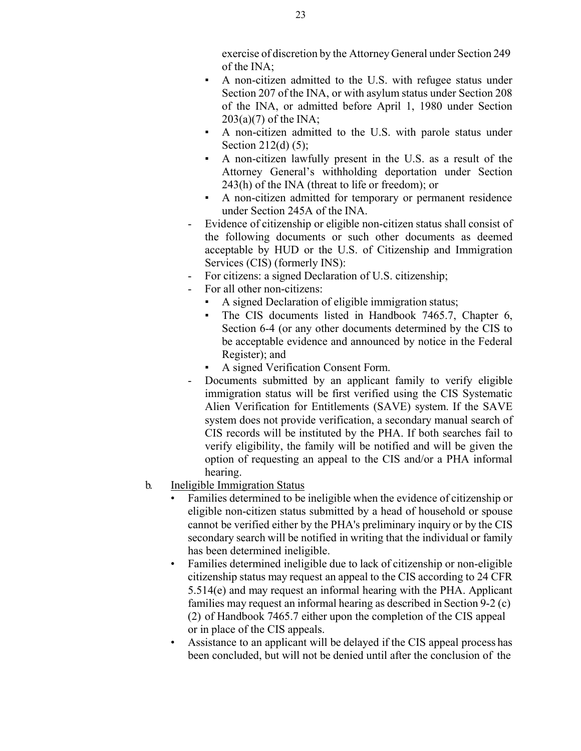exercise of discretion by the Attorney General under Section 249 of the INA;

- A non-citizen admitted to the U.S. with refugee status under Section 207 of the INA, or with asylum status under Section 208 of the INA, or admitted before April 1, 1980 under Section 203(a)(7) of the INA;
- A non-citizen admitted to the U.S. with parole status under Section 212(d) (5);
- A non-citizen lawfully present in the U.S. as a result of the Attorney General's withholding deportation under Section 243(h) of the INA (threat to life or freedom); or
- A non-citizen admitted for temporary or permanent residence under Section 245A of the INA.
- Evidence of citizenship or eligible non-citizen status shall consist of the following documents or such other documents as deemed acceptable by HUD or the U.S. of Citizenship and Immigration Services (CIS) (formerly INS):
- For citizens: a signed Declaration of U.S. citizenship;
- For all other non-citizens:
	- A signed Declaration of eligible immigration status;
	- The CIS documents listed in Handbook 7465.7, Chapter 6, Section 6-4 (or any other documents determined by the CIS to be acceptable evidence and announced by notice in the Federal Register); and
	- A signed Verification Consent Form.
- Documents submitted by an applicant family to verify eligible immigration status will be first verified using the CIS Systematic Alien Verification for Entitlements (SAVE) system. If the SAVE system does not provide verification, a secondary manual search of CIS records will be instituted by the PHA. If both searches fail to verify eligibility, the family will be notified and will be given the option of requesting an appeal to the CIS and/or a PHA informal hearing.
- b. Ineligible Immigration Status
	- Families determined to be ineligible when the evidence of citizenship or eligible non-citizen status submitted by a head of household or spouse cannot be verified either by the PHA's preliminary inquiry or by the CIS secondary search will be notified in writing that the individual or family has been determined ineligible.
	- Families determined ineligible due to lack of citizenship or non-eligible citizenship status may request an appeal to the CIS according to 24 CFR 5.514(e) and may request an informal hearing with the PHA. Applicant families may request an informal hearing as described in Section 9-2 (c) (2) of Handbook 7465.7 either upon the completion of the CIS appeal or in place of the CIS appeals.
	- Assistance to an applicant will be delayed if the CIS appeal process has been concluded, but will not be denied until after the conclusion of the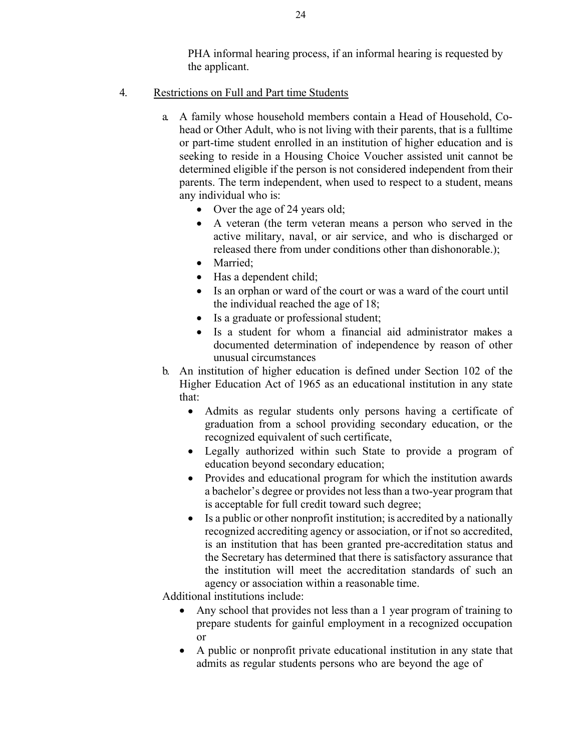PHA informal hearing process, if an informal hearing is requested by the applicant.

- 4. Restrictions on Full and Part time Students
	- a. A family whose household members contain a Head of Household, Cohead or Other Adult, who is not living with their parents, that is a fulltime or part-time student enrolled in an institution of higher education and is seeking to reside in a Housing Choice Voucher assisted unit cannot be determined eligible if the person is not considered independent from their parents. The term independent, when used to respect to a student, means any individual who is:
		- Over the age of 24 years old;
		- A veteran (the term veteran means a person who served in the active military, naval, or air service, and who is discharged or released there from under conditions other than dishonorable.);
		- Married:
		- Has a dependent child;
		- Is an orphan or ward of the court or was a ward of the court until the individual reached the age of 18;
		- Is a graduate or professional student;
		- Is a student for whom a financial aid administrator makes a documented determination of independence by reason of other unusual circumstances
	- b. An institution of higher education is defined under Section 102 of the Higher Education Act of 1965 as an educational institution in any state that:
		- Admits as regular students only persons having a certificate of graduation from a school providing secondary education, or the recognized equivalent of such certificate,
		- Legally authorized within such State to provide a program of education beyond secondary education;
		- Provides and educational program for which the institution awards a bachelor's degree or provides not less than a two-year program that is acceptable for full credit toward such degree;
		- Is a public or other nonprofit institution; is accredited by a nationally recognized accrediting agency or association, or if not so accredited, is an institution that has been granted pre-accreditation status and the Secretary has determined that there is satisfactory assurance that the institution will meet the accreditation standards of such an agency or association within a reasonable time.

Additional institutions include:

- Any school that provides not less than a 1 year program of training to prepare students for gainful employment in a recognized occupation or
- A public or nonprofit private educational institution in any state that admits as regular students persons who are beyond the age of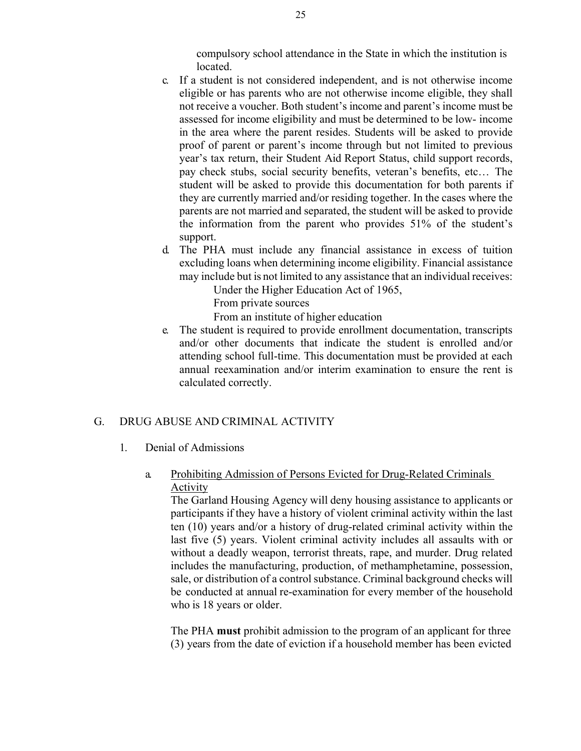compulsory school attendance in the State in which the institution is located.

- c. If a student is not considered independent, and is not otherwise income eligible or has parents who are not otherwise income eligible, they shall not receive a voucher. Both student's income and parent's income must be assessed for income eligibility and must be determined to be low- income in the area where the parent resides. Students will be asked to provide proof of parent or parent's income through but not limited to previous year's tax return, their Student Aid Report Status, child support records, pay check stubs, social security benefits, veteran's benefits, etc… The student will be asked to provide this documentation for both parents if they are currently married and/or residing together. In the cases where the parents are not married and separated, the student will be asked to provide the information from the parent who provides 51% of the student's support.
- d. The PHA must include any financial assistance in excess of tuition excluding loans when determining income eligibility. Financial assistance may include but is not limited to any assistance that an individual receives:

 Under the Higher Education Act of 1965, From private sources

From an institute of higher education

e. The student is required to provide enrollment documentation, transcripts and/or other documents that indicate the student is enrolled and/or attending school full-time. This documentation must be provided at each annual reexamination and/or interim examination to ensure the rent is calculated correctly.

# G. DRUG ABUSE AND CRIMINAL ACTIVITY

1. Denial of Admissions

# a. Prohibiting Admission of Persons Evicted for Drug-Related Criminals Activity

The Garland Housing Agency will deny housing assistance to applicants or participants if they have a history of violent criminal activity within the last ten (10) years and/or a history of drug-related criminal activity within the last five (5) years. Violent criminal activity includes all assaults with or without a deadly weapon, terrorist threats, rape, and murder. Drug related includes the manufacturing, production, of methamphetamine, possession, sale, or distribution of a control substance. Criminal background checks will be conducted at annual re-examination for every member of the household who is 18 years or older.

The PHA **must** prohibit admission to the program of an applicant for three (3) years from the date of eviction if a household member has been evicted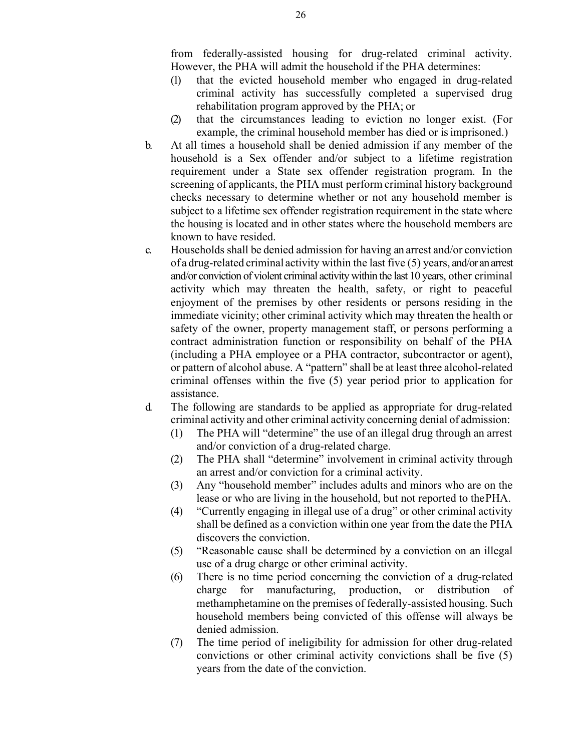from federally-assisted housing for drug-related criminal activity. However, the PHA will admit the household if the PHA determines:

- (1) that the evicted household member who engaged in drug-related criminal activity has successfully completed a supervised drug rehabilitation program approved by the PHA; or
- (2) that the circumstances leading to eviction no longer exist. (For example, the criminal household member has died or is imprisoned.)
- b. At all times a household shall be denied admission if any member of the household is a Sex offender and/or subject to a lifetime registration requirement under a State sex offender registration program. In the screening of applicants, the PHA must perform criminal history background checks necessary to determine whether or not any household member is subject to a lifetime sex offender registration requirement in the state where the housing is located and in other states where the household members are known to have resided.
- c. Households shall be denied admission for having an arrest and/or conviction of a drug-related criminal activity within the last five (5) years, and/or an arrest and/or conviction of violent criminal activity within the last 10 years, other criminal activity which may threaten the health, safety, or right to peaceful enjoyment of the premises by other residents or persons residing in the immediate vicinity; other criminal activity which may threaten the health or safety of the owner, property management staff, or persons performing a contract administration function or responsibility on behalf of the PHA (including a PHA employee or a PHA contractor, subcontractor or agent), or pattern of alcohol abuse. A "pattern" shall be at least three alcohol-related criminal offenses within the five (5) year period prior to application for assistance.
- d. The following are standards to be applied as appropriate for drug-related criminal activity and other criminal activity concerning denial of admission:
	- (1) The PHA will "determine" the use of an illegal drug through an arrest and/or conviction of a drug-related charge.
	- (2) The PHA shall "determine" involvement in criminal activity through an arrest and/or conviction for a criminal activity.
	- (3) Any "household member" includes adults and minors who are on the lease or who are living in the household, but not reported to the PHA.
	- (4) "Currently engaging in illegal use of a drug" or other criminal activity shall be defined as a conviction within one year from the date the PHA discovers the conviction.
	- (5) "Reasonable cause shall be determined by a conviction on an illegal use of a drug charge or other criminal activity.
	- (6) There is no time period concerning the conviction of a drug-related charge for manufacturing, production, or distribution of methamphetamine on the premises of federally-assisted housing. Such household members being convicted of this offense will always be denied admission.
	- (7) The time period of ineligibility for admission for other drug-related convictions or other criminal activity convictions shall be five (5) years from the date of the conviction.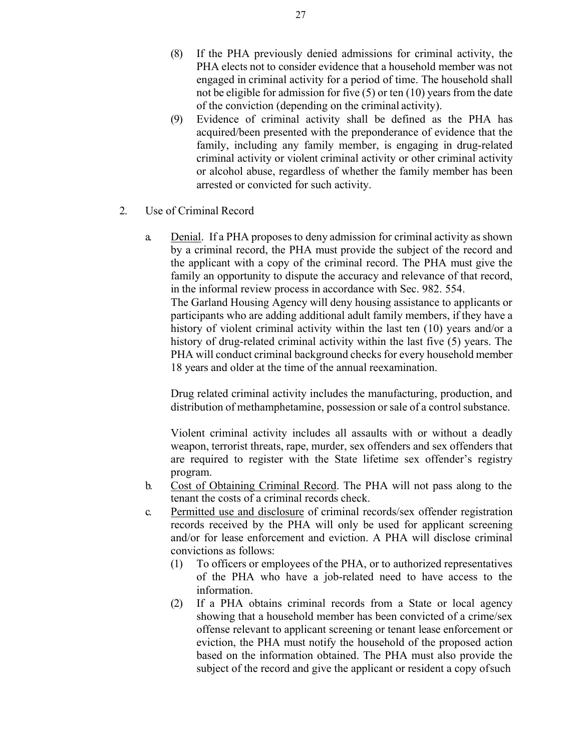- (8) If the PHA previously denied admissions for criminal activity, the PHA elects not to consider evidence that a household member was not engaged in criminal activity for a period of time. The household shall not be eligible for admission for five (5) or ten (10) years from the date of the conviction (depending on the criminal activity).
- (9) Evidence of criminal activity shall be defined as the PHA has acquired/been presented with the preponderance of evidence that the family, including any family member, is engaging in drug-related criminal activity or violent criminal activity or other criminal activity or alcohol abuse, regardless of whether the family member has been arrested or convicted for such activity.
- 2. Use of Criminal Record
	- a. Denial. If a PHA proposes to deny admission for criminal activity as shown by a criminal record, the PHA must provide the subject of the record and the applicant with a copy of the criminal record. The PHA must give the family an opportunity to dispute the accuracy and relevance of that record, in the informal review process in accordance with Sec. 982. 554. The Garland Housing Agency will deny housing assistance to applicants or

participants who are adding additional adult family members, if they have a history of violent criminal activity within the last ten (10) years and/or a history of drug-related criminal activity within the last five (5) years. The PHA will conduct criminal background checks for every household member 18 years and older at the time of the annual reexamination.

Drug related criminal activity includes the manufacturing, production, and distribution of methamphetamine, possession or sale of a control substance.

Violent criminal activity includes all assaults with or without a deadly weapon, terrorist threats, rape, murder, sex offenders and sex offenders that are required to register with the State lifetime sex offender's registry program.

- b. Cost of Obtaining Criminal Record. The PHA will not pass along to the tenant the costs of a criminal records check.
- c. Permitted use and disclosure of criminal records/sex offender registration records received by the PHA will only be used for applicant screening and/or for lease enforcement and eviction. A PHA will disclose criminal convictions as follows:
	- (1) To officers or employees of the PHA, or to authorized representatives of the PHA who have a job-related need to have access to the information.
	- (2) If a PHA obtains criminal records from a State or local agency showing that a household member has been convicted of a crime/sex offense relevant to applicant screening or tenant lease enforcement or eviction, the PHA must notify the household of the proposed action based on the information obtained. The PHA must also provide the subject of the record and give the applicant or resident a copy of such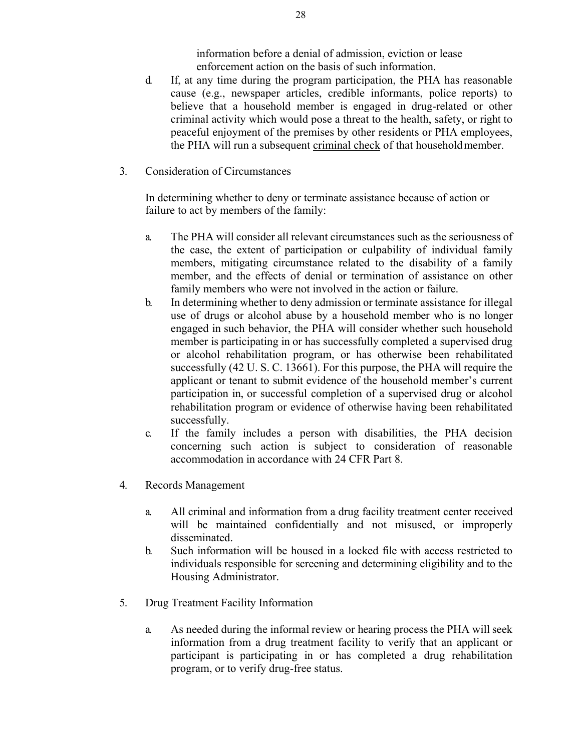information before a denial of admission, eviction or lease enforcement action on the basis of such information.

- d. If, at any time during the program participation, the PHA has reasonable cause (e.g., newspaper articles, credible informants, police reports) to believe that a household member is engaged in drug-related or other criminal activity which would pose a threat to the health, safety, or right to peaceful enjoyment of the premises by other residents or PHA employees, the PHA will run a subsequent criminal check of that household member.
- 3. Consideration of Circumstances

In determining whether to deny or terminate assistance because of action or failure to act by members of the family:

- a. The PHA will consider all relevant circumstances such as the seriousness of the case, the extent of participation or culpability of individual family members, mitigating circumstance related to the disability of a family member, and the effects of denial or termination of assistance on other family members who were not involved in the action or failure.
- b. In determining whether to deny admission or terminate assistance for illegal use of drugs or alcohol abuse by a household member who is no longer engaged in such behavior, the PHA will consider whether such household member is participating in or has successfully completed a supervised drug or alcohol rehabilitation program, or has otherwise been rehabilitated successfully (42 U. S. C. 13661). For this purpose, the PHA will require the applicant or tenant to submit evidence of the household member's current participation in, or successful completion of a supervised drug or alcohol rehabilitation program or evidence of otherwise having been rehabilitated successfully.
- c. If the family includes a person with disabilities, the PHA decision concerning such action is subject to consideration of reasonable accommodation in accordance with 24 CFR Part 8.
- 4. Records Management
	- a. All criminal and information from a drug facility treatment center received will be maintained confidentially and not misused, or improperly disseminated.
	- b. Such information will be housed in a locked file with access restricted to individuals responsible for screening and determining eligibility and to the Housing Administrator.
- 5. Drug Treatment Facility Information
	- a. As needed during the informal review or hearing process the PHA will seek information from a drug treatment facility to verify that an applicant or participant is participating in or has completed a drug rehabilitation program, or to verify drug-free status.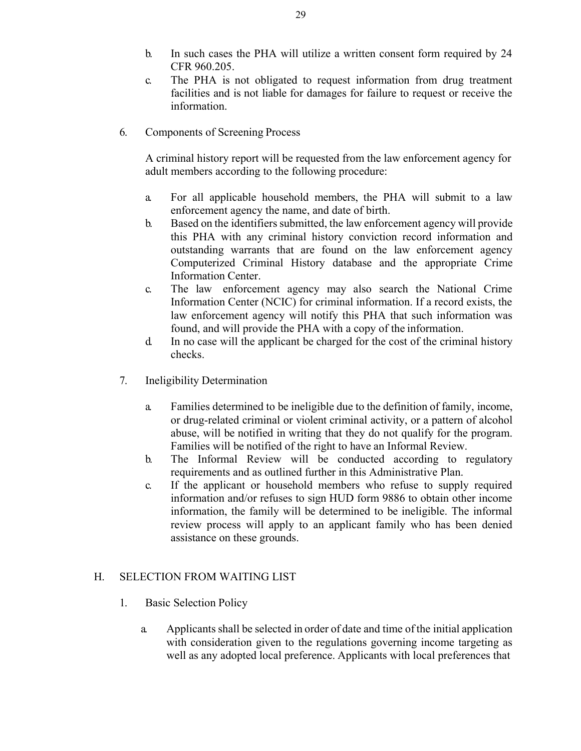- b. In such cases the PHA will utilize a written consent form required by 24 CFR 960.205.
- c. The PHA is not obligated to request information from drug treatment facilities and is not liable for damages for failure to request or receive the information.
- 6. Components of Screening Process

A criminal history report will be requested from the law enforcement agency for adult members according to the following procedure:

- a. For all applicable household members, the PHA will submit to a law enforcement agency the name, and date of birth.
- b. Based on the identifiers submitted, the law enforcement agency will provide this PHA with any criminal history conviction record information and outstanding warrants that are found on the law enforcement agency Computerized Criminal History database and the appropriate Crime Information Center.
- c. The law enforcement agency may also search the National Crime Information Center (NCIC) for criminal information. If a record exists, the law enforcement agency will notify this PHA that such information was found, and will provide the PHA with a copy of the information.
- d. In no case will the applicant be charged for the cost of the criminal history checks.
- 7. Ineligibility Determination
	- a. Families determined to be ineligible due to the definition of family, income, or drug-related criminal or violent criminal activity, or a pattern of alcohol abuse, will be notified in writing that they do not qualify for the program. Families will be notified of the right to have an Informal Review.
	- b. The Informal Review will be conducted according to regulatory requirements and as outlined further in this Administrative Plan.
	- c. If the applicant or household members who refuse to supply required information and/or refuses to sign HUD form 9886 to obtain other income information, the family will be determined to be ineligible. The informal review process will apply to an applicant family who has been denied assistance on these grounds.

# H. SELECTION FROM WAITING LIST

- 1. Basic Selection Policy
	- a. Applicants shall be selected in order of date and time of the initial application with consideration given to the regulations governing income targeting as well as any adopted local preference. Applicants with local preferences that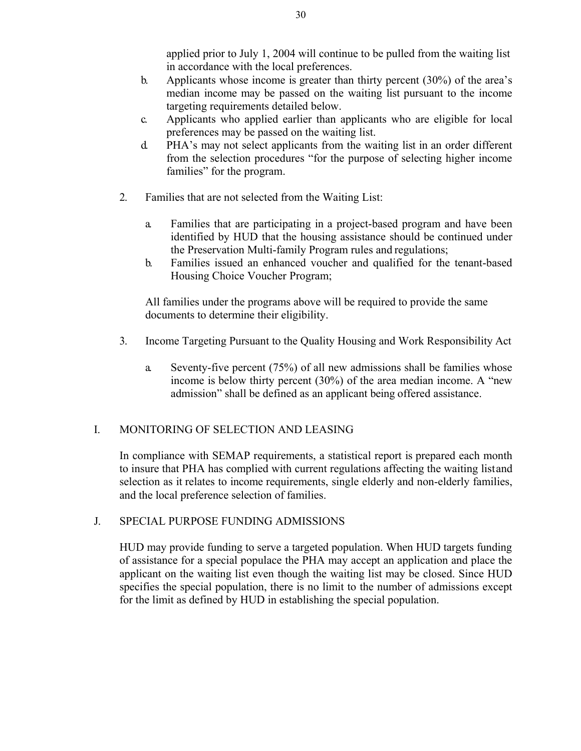applied prior to July 1, 2004 will continue to be pulled from the waiting list in accordance with the local preferences.

- b. Applicants whose income is greater than thirty percent (30%) of the area's median income may be passed on the waiting list pursuant to the income targeting requirements detailed below.
- c. Applicants who applied earlier than applicants who are eligible for local preferences may be passed on the waiting list.
- d. PHA's may not select applicants from the waiting list in an order different from the selection procedures "for the purpose of selecting higher income families" for the program.
- 2. Families that are not selected from the Waiting List:
	- a. Families that are participating in a project-based program and have been identified by HUD that the housing assistance should be continued under the Preservation Multi-family Program rules and regulations;
	- b. Families issued an enhanced voucher and qualified for the tenant-based Housing Choice Voucher Program;

All families under the programs above will be required to provide the same documents to determine their eligibility.

- 3. Income Targeting Pursuant to the Quality Housing and Work Responsibility Act
	- a. Seventy-five percent (75%) of all new admissions shall be families whose income is below thirty percent (30%) of the area median income. A "new admission" shall be defined as an applicant being offered assistance.

# I. MONITORING OF SELECTION AND LEASING

In compliance with SEMAP requirements, a statistical report is prepared each month to insure that PHA has complied with current regulations affecting the waiting list and selection as it relates to income requirements, single elderly and non-elderly families, and the local preference selection of families.

# J. SPECIAL PURPOSE FUNDING ADMISSIONS

HUD may provide funding to serve a targeted population. When HUD targets funding of assistance for a special populace the PHA may accept an application and place the applicant on the waiting list even though the waiting list may be closed. Since HUD specifies the special population, there is no limit to the number of admissions except for the limit as defined by HUD in establishing the special population.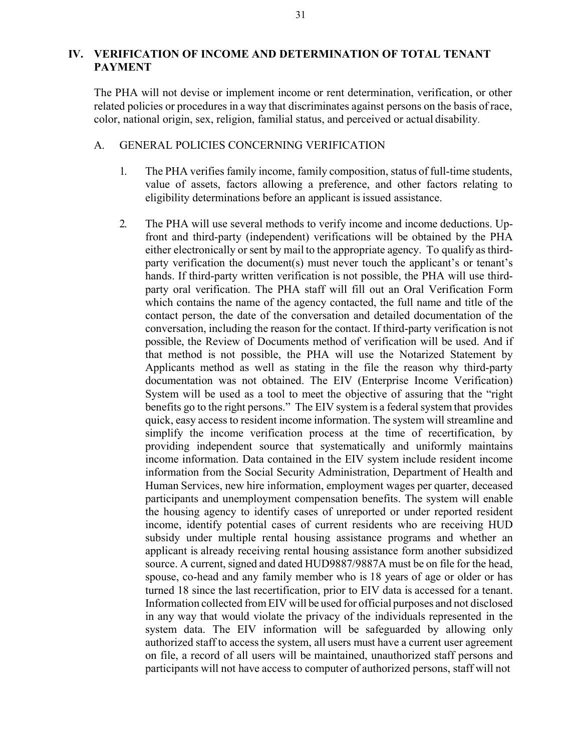# **IV. VERIFICATION OF INCOME AND DETERMINATION OF TOTAL TENANT PAYMENT**

The PHA will not devise or implement income or rent determination, verification, or other related policies or procedures in a way that discriminates against persons on the basis of race, color, national origin, sex, religion, familial status, and perceived or actual disability.

#### A. GENERAL POLICIES CONCERNING VERIFICATION

- 1. The PHA verifies family income, family composition, status of full-time students, value of assets, factors allowing a preference, and other factors relating to eligibility determinations before an applicant is issued assistance.
- 2. The PHA will use several methods to verify income and income deductions. Upfront and third-party (independent) verifications will be obtained by the PHA either electronically or sent by mail to the appropriate agency. To qualify as thirdparty verification the document(s) must never touch the applicant's or tenant's hands. If third-party written verification is not possible, the PHA will use thirdparty oral verification. The PHA staff will fill out an Oral Verification Form which contains the name of the agency contacted, the full name and title of the contact person, the date of the conversation and detailed documentation of the conversation, including the reason for the contact. If third-party verification is not possible, the Review of Documents method of verification will be used. And if that method is not possible, the PHA will use the Notarized Statement by Applicants method as well as stating in the file the reason why third-party documentation was not obtained. The EIV (Enterprise Income Verification) System will be used as a tool to meet the objective of assuring that the "right benefits go to the right persons." The EIV system is a federal system that provides quick, easy access to resident income information. The system will streamline and simplify the income verification process at the time of recertification, by providing independent source that systematically and uniformly maintains income information. Data contained in the EIV system include resident income information from the Social Security Administration, Department of Health and Human Services, new hire information, employment wages per quarter, deceased participants and unemployment compensation benefits. The system will enable the housing agency to identify cases of unreported or under reported resident income, identify potential cases of current residents who are receiving HUD subsidy under multiple rental housing assistance programs and whether an applicant is already receiving rental housing assistance form another subsidized source. A current, signed and dated HUD9887/9887A must be on file for the head, spouse, co-head and any family member who is 18 years of age or older or has turned 18 since the last recertification, prior to EIV data is accessed for a tenant. Information collected from EIV will be used for official purposes and not disclosed in any way that would violate the privacy of the individuals represented in the system data. The EIV information will be safeguarded by allowing only authorized staff to access the system, all users must have a current user agreement on file, a record of all users will be maintained, unauthorized staff persons and participants will not have access to computer of authorized persons, staff will not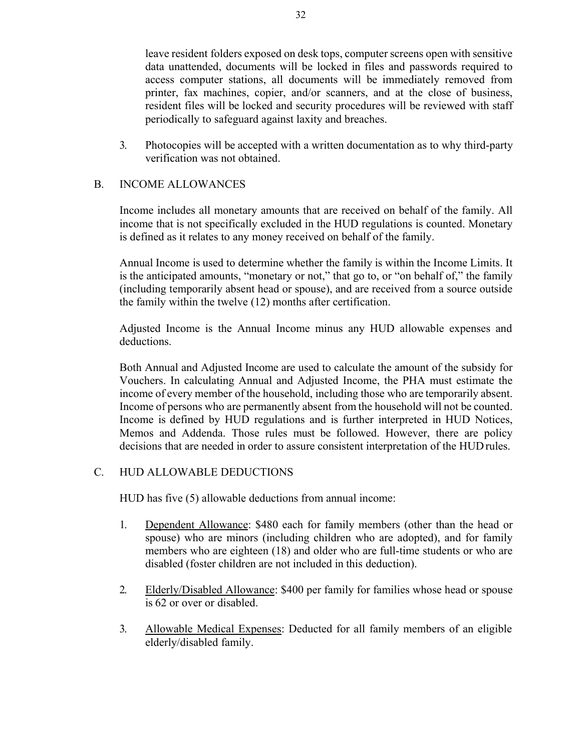leave resident folders exposed on desk tops, computer screens open with sensitive data unattended, documents will be locked in files and passwords required to access computer stations, all documents will be immediately removed from printer, fax machines, copier, and/or scanners, and at the close of business, resident files will be locked and security procedures will be reviewed with staff periodically to safeguard against laxity and breaches.

3. Photocopies will be accepted with a written documentation as to why third-party verification was not obtained.

#### B. INCOME ALLOWANCES

Income includes all monetary amounts that are received on behalf of the family. All income that is not specifically excluded in the HUD regulations is counted. Monetary is defined as it relates to any money received on behalf of the family.

Annual Income is used to determine whether the family is within the Income Limits. It is the anticipated amounts, "monetary or not," that go to, or "on behalf of," the family (including temporarily absent head or spouse), and are received from a source outside the family within the twelve (12) months after certification.

Adjusted Income is the Annual Income minus any HUD allowable expenses and deductions.

Both Annual and Adjusted Income are used to calculate the amount of the subsidy for Vouchers. In calculating Annual and Adjusted Income, the PHA must estimate the income of every member of the household, including those who are temporarily absent. Income of persons who are permanently absent from the household will not be counted. Income is defined by HUD regulations and is further interpreted in HUD Notices, Memos and Addenda. Those rules must be followed. However, there are policy decisions that are needed in order to assure consistent interpretation of the HUD rules.

#### C. HUD ALLOWABLE DEDUCTIONS

HUD has five (5) allowable deductions from annual income:

- 1. Dependent Allowance: \$480 each for family members (other than the head or spouse) who are minors (including children who are adopted), and for family members who are eighteen (18) and older who are full-time students or who are disabled (foster children are not included in this deduction).
- 2. Elderly/Disabled Allowance: \$400 per family for families whose head or spouse is 62 or over or disabled.
- 3. Allowable Medical Expenses: Deducted for all family members of an eligible elderly/disabled family.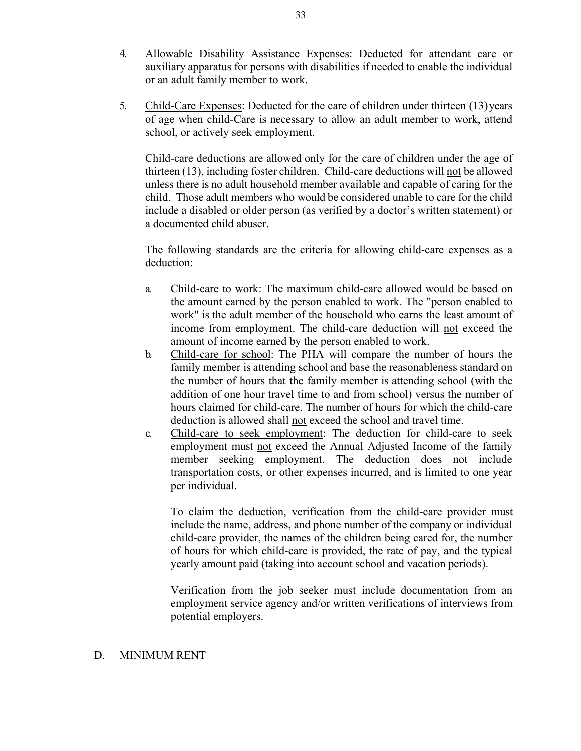- 4. Allowable Disability Assistance Expenses: Deducted for attendant care or auxiliary apparatus for persons with disabilities if needed to enable the individual or an adult family member to work.
- 5. Child-Care Expenses: Deducted for the care of children under thirteen (13) years of age when child-Care is necessary to allow an adult member to work, attend school, or actively seek employment.

Child-care deductions are allowed only for the care of children under the age of thirteen (13), including foster children. Child-care deductions will not be allowed unless there is no adult household member available and capable of caring for the child. Those adult members who would be considered unable to care for the child include a disabled or older person (as verified by a doctor's written statement) or a documented child abuser.

The following standards are the criteria for allowing child-care expenses as a deduction:

- a. Child-care to work: The maximum child-care allowed would be based on the amount earned by the person enabled to work. The "person enabled to work" is the adult member of the household who earns the least amount of income from employment. The child-care deduction will not exceed the amount of income earned by the person enabled to work.
- b. Child-care for school: The PHA will compare the number of hours the family member is attending school and base the reasonableness standard on the number of hours that the family member is attending school (with the addition of one hour travel time to and from school) versus the number of hours claimed for child-care. The number of hours for which the child-care deduction is allowed shall not exceed the school and travel time.
- c. Child-care to seek employment: The deduction for child-care to seek employment must not exceed the Annual Adjusted Income of the family member seeking employment. The deduction does not include transportation costs, or other expenses incurred, and is limited to one year per individual.

To claim the deduction, verification from the child-care provider must include the name, address, and phone number of the company or individual child-care provider, the names of the children being cared for, the number of hours for which child-care is provided, the rate of pay, and the typical yearly amount paid (taking into account school and vacation periods).

Verification from the job seeker must include documentation from an employment service agency and/or written verifications of interviews from potential employers.

#### D. MINIMUM RENT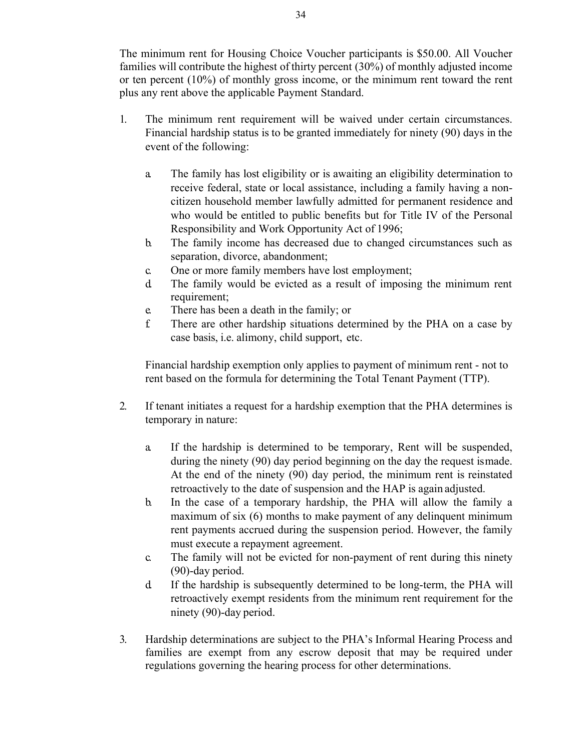The minimum rent for Housing Choice Voucher participants is \$50.00. All Voucher families will contribute the highest of thirty percent (30%) of monthly adjusted income or ten percent (10%) of monthly gross income, or the minimum rent toward the rent plus any rent above the applicable Payment Standard.

- 1. The minimum rent requirement will be waived under certain circumstances. Financial hardship status is to be granted immediately for ninety (90) days in the event of the following:
	- a. The family has lost eligibility or is awaiting an eligibility determination to receive federal, state or local assistance, including a family having a noncitizen household member lawfully admitted for permanent residence and who would be entitled to public benefits but for Title IV of the Personal Responsibility and Work Opportunity Act of 1996;
	- b. The family income has decreased due to changed circumstances such as separation, divorce, abandonment;
	- c. One or more family members have lost employment;
	- d. The family would be evicted as a result of imposing the minimum rent requirement;
	- e. There has been a death in the family; or
	- f. There are other hardship situations determined by the PHA on a case by case basis, i.e. alimony, child support, etc.

Financial hardship exemption only applies to payment of minimum rent - not to rent based on the formula for determining the Total Tenant Payment (TTP).

- 2. If tenant initiates a request for a hardship exemption that the PHA determines is temporary in nature:
	- a. If the hardship is determined to be temporary, Rent will be suspended, during the ninety (90) day period beginning on the day the request is made. At the end of the ninety (90) day period, the minimum rent is reinstated retroactively to the date of suspension and the HAP is again adjusted.
	- b. In the case of a temporary hardship, the PHA will allow the family a maximum of six (6) months to make payment of any delinquent minimum rent payments accrued during the suspension period. However, the family must execute a repayment agreement.
	- c. The family will not be evicted for non-payment of rent during this ninety (90)-day period.
	- d. If the hardship is subsequently determined to be long-term, the PHA will retroactively exempt residents from the minimum rent requirement for the ninety (90)-day period.
- 3. Hardship determinations are subject to the PHA's Informal Hearing Process and families are exempt from any escrow deposit that may be required under regulations governing the hearing process for other determinations.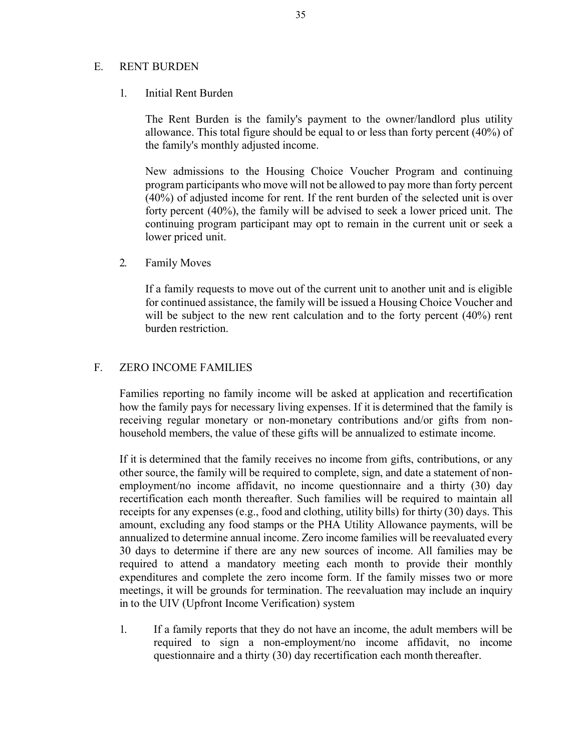#### E. RENT BURDEN

#### 1. Initial Rent Burden

The Rent Burden is the family's payment to the owner/landlord plus utility allowance. This total figure should be equal to or less than forty percent (40%) of the family's monthly adjusted income.

New admissions to the Housing Choice Voucher Program and continuing program participants who move will not be allowed to pay more than forty percent (40%) of adjusted income for rent. If the rent burden of the selected unit is over forty percent (40%), the family will be advised to seek a lower priced unit. The continuing program participant may opt to remain in the current unit or seek a lower priced unit.

2. Family Moves

If a family requests to move out of the current unit to another unit and is eligible for continued assistance, the family will be issued a Housing Choice Voucher and will be subject to the new rent calculation and to the forty percent (40%) rent burden restriction.

### F. ZERO INCOME FAMILIES

Families reporting no family income will be asked at application and recertification how the family pays for necessary living expenses. If it is determined that the family is receiving regular monetary or non-monetary contributions and/or gifts from nonhousehold members, the value of these gifts will be annualized to estimate income.

If it is determined that the family receives no income from gifts, contributions, or any other source, the family will be required to complete, sign, and date a statement of nonemployment/no income affidavit, no income questionnaire and a thirty (30) day recertification each month thereafter. Such families will be required to maintain all receipts for any expenses (e.g., food and clothing, utility bills) for thirty (30) days. This amount, excluding any food stamps or the PHA Utility Allowance payments, will be annualized to determine annual income. Zero income families will be reevaluated every 30 days to determine if there are any new sources of income. All families may be required to attend a mandatory meeting each month to provide their monthly expenditures and complete the zero income form. If the family misses two or more meetings, it will be grounds for termination. The reevaluation may include an inquiry in to the UIV (Upfront Income Verification) system

1. If a family reports that they do not have an income, the adult members will be required to sign a non-employment/no income affidavit, no income questionnaire and a thirty (30) day recertification each month thereafter.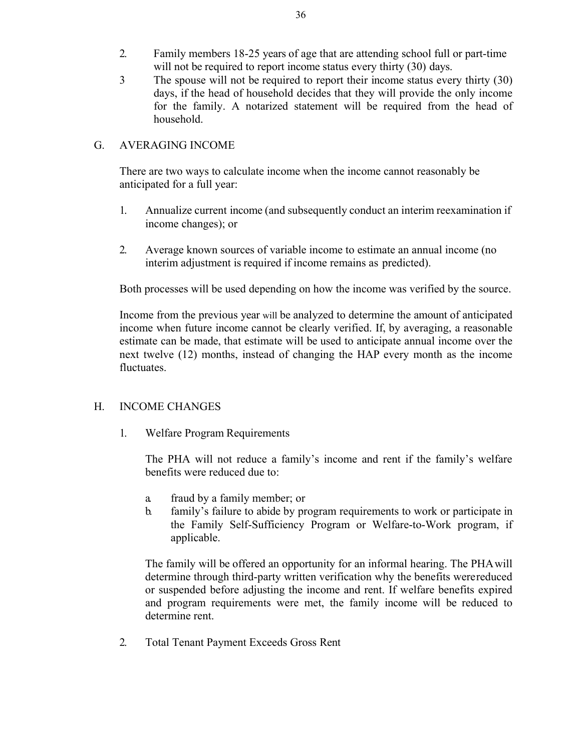- 2. Family members 18-25 years of age that are attending school full or part-time will not be required to report income status every thirty (30) days.
- 3 The spouse will not be required to report their income status every thirty (30) days, if the head of household decides that they will provide the only income for the family. A notarized statement will be required from the head of household.

### G. AVERAGING INCOME

There are two ways to calculate income when the income cannot reasonably be anticipated for a full year:

- 1. Annualize current income (and subsequently conduct an interim reexamination if income changes); or
- 2. Average known sources of variable income to estimate an annual income (no interim adjustment is required if income remains as predicted).

Both processes will be used depending on how the income was verified by the source.

Income from the previous year will be analyzed to determine the amount of anticipated income when future income cannot be clearly verified. If, by averaging, a reasonable estimate can be made, that estimate will be used to anticipate annual income over the next twelve (12) months, instead of changing the HAP every month as the income fluctuates.

# H. INCOME CHANGES

1. Welfare Program Requirements

The PHA will not reduce a family's income and rent if the family's welfare benefits were reduced due to:

- a. fraud by a family member; or
- b. family's failure to abide by program requirements to work or participate in the Family Self-Sufficiency Program or Welfare-to-Work program, if applicable.

The family will be offered an opportunity for an informal hearing. The PHA will determine through third-party written verification why the benefits were reduced or suspended before adjusting the income and rent. If welfare benefits expired and program requirements were met, the family income will be reduced to determine rent.

2. Total Tenant Payment Exceeds Gross Rent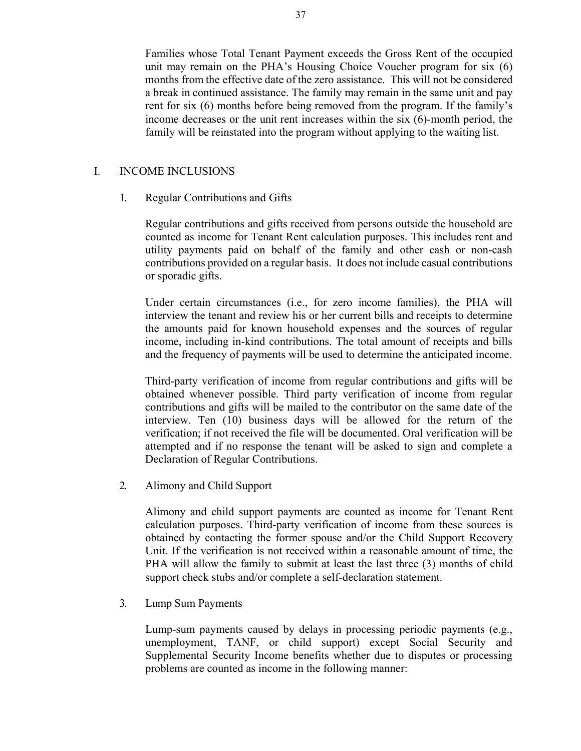Families whose Total Tenant Payment exceeds the Gross Rent of the occupied unit may remain on the PHA's Housing Choice Voucher program for six (6) months from the effective date of the zero assistance. This will not be considered a break in continued assistance. The family may remain in the same unit and pay rent for six (6) months before being removed from the program. If the family's income decreases or the unit rent increases within the six (6)-month period, the family will be reinstated into the program without applying to the waiting list.

#### I. INCOME INCLUSIONS

1. Regular Contributions and Gifts

Regular contributions and gifts received from persons outside the household are counted as income for Tenant Rent calculation purposes. This includes rent and utility payments paid on behalf of the family and other cash or non-cash contributions provided on a regular basis. It does not include casual contributions or sporadic gifts.

Under certain circumstances (i.e., for zero income families), the PHA will interview the tenant and review his or her current bills and receipts to determine the amounts paid for known household expenses and the sources of regular income, including in-kind contributions. The total amount of receipts and bills and the frequency of payments will be used to determine the anticipated income.

Third-party verification of income from regular contributions and gifts will be obtained whenever possible. Third party verification of income from regular contributions and gifts will be mailed to the contributor on the same date of the interview. Ten (10) business days will be allowed for the return of the verification; if not received the file will be documented. Oral verification will be attempted and if no response the tenant will be asked to sign and complete a Declaration of Regular Contributions.

2. Alimony and Child Support

Alimony and child support payments are counted as income for Tenant Rent calculation purposes. Third-party verification of income from these sources is obtained by contacting the former spouse and/or the Child Support Recovery Unit. If the verification is not received within a reasonable amount of time, the PHA will allow the family to submit at least the last three (3) months of child support check stubs and/or complete a self-declaration statement.

3. Lump Sum Payments

Lump-sum payments caused by delays in processing periodic payments (e.g., unemployment, TANF, or child support) except Social Security and Supplemental Security Income benefits whether due to disputes or processing problems are counted as income in the following manner: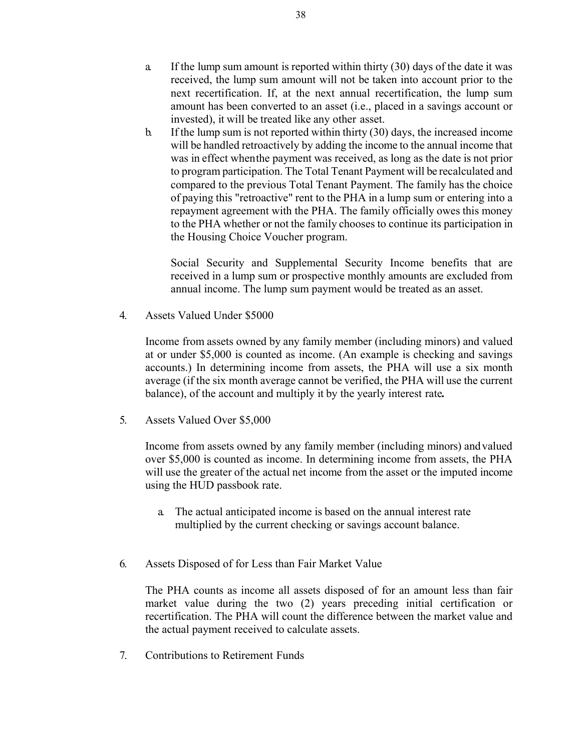- a. If the lump sum amount is reported within thirty (30) days of the date it was received, the lump sum amount will not be taken into account prior to the next recertification. If, at the next annual recertification, the lump sum amount has been converted to an asset (i.e., placed in a savings account or invested), it will be treated like any other asset.
- b. If the lump sum is not reported within thirty (30) days, the increased income will be handled retroactively by adding the income to the annual income that was in effect when the payment was received, as long as the date is not prior to program participation. The Total Tenant Payment will be recalculated and compared to the previous Total Tenant Payment. The family has the choice of paying this "retroactive" rent to the PHA in a lump sum or entering into a repayment agreement with the PHA. The family officially owes this money to the PHA whether or not the family chooses to continue its participation in the Housing Choice Voucher program.

Social Security and Supplemental Security Income benefits that are received in a lump sum or prospective monthly amounts are excluded from annual income. The lump sum payment would be treated as an asset.

4. Assets Valued Under \$5000

Income from assets owned by any family member (including minors) and valued at or under \$5,000 is counted as income. (An example is checking and savings accounts.) In determining income from assets, the PHA will use a six month average (if the six month average cannot be verified, the PHA will use the current balance), of the account and multiply it by the yearly interest rate*.* 

5. Assets Valued Over \$5,000

Income from assets owned by any family member (including minors) and valued over \$5,000 is counted as income. In determining income from assets, the PHA will use the greater of the actual net income from the asset or the imputed income using the HUD passbook rate.

- a. The actual anticipated income is based on the annual interest rate multiplied by the current checking or savings account balance.
- 6. Assets Disposed of for Less than Fair Market Value

The PHA counts as income all assets disposed of for an amount less than fair market value during the two (2) years preceding initial certification or recertification. The PHA will count the difference between the market value and the actual payment received to calculate assets.

7. Contributions to Retirement Funds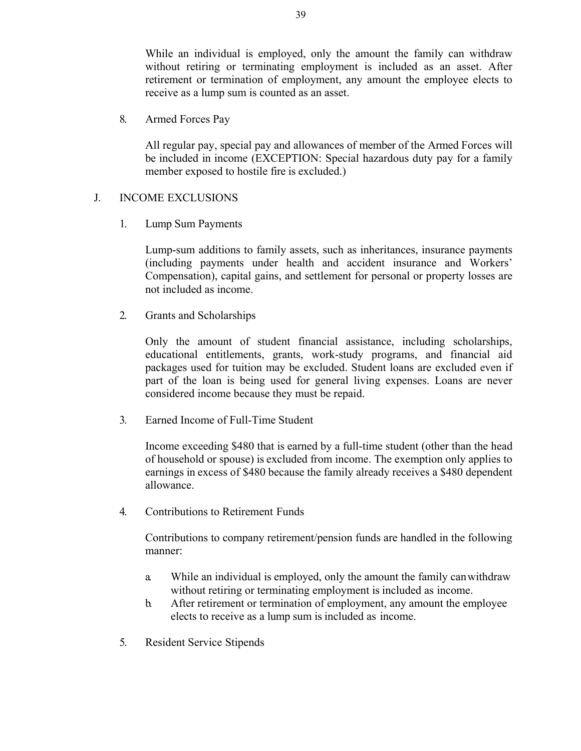While an individual is employed, only the amount the family can withdraw without retiring or terminating employment is included as an asset. After retirement or termination of employment, any amount the employee elects to receive as a lump sum is counted as an asset.

8. Armed Forces Pay

All regular pay, special pay and allowances of member of the Armed Forces will be included in income (EXCEPTION: Special hazardous duty pay for a family member exposed to hostile fire is excluded.)

### J. INCOME EXCLUSIONS

1. Lump Sum Payments

Lump-sum additions to family assets, such as inheritances, insurance payments (including payments under health and accident insurance and Workers' Compensation), capital gains, and settlement for personal or property losses are not included as income.

2. Grants and Scholarships

Only the amount of student financial assistance, including scholarships, educational entitlements, grants, work-study programs, and financial aid packages used for tuition may be excluded. Student loans are excluded even if part of the loan is being used for general living expenses. Loans are never considered income because they must be repaid.

3. Earned Income of Full-Time Student

Income exceeding \$480 that is earned by a full-time student (other than the head of household or spouse) is excluded from income. The exemption only applies to earnings in excess of \$480 because the family already receives a \$480 dependent allowance.

4. Contributions to Retirement Funds

Contributions to company retirement/pension funds are handled in the following manner:

- a. While an individual is employed, only the amount the family can withdraw without retiring or terminating employment is included as income.
- b. After retirement or termination of employment, any amount the employee elects to receive as a lump sum is included as income.
- 5. Resident Service Stipends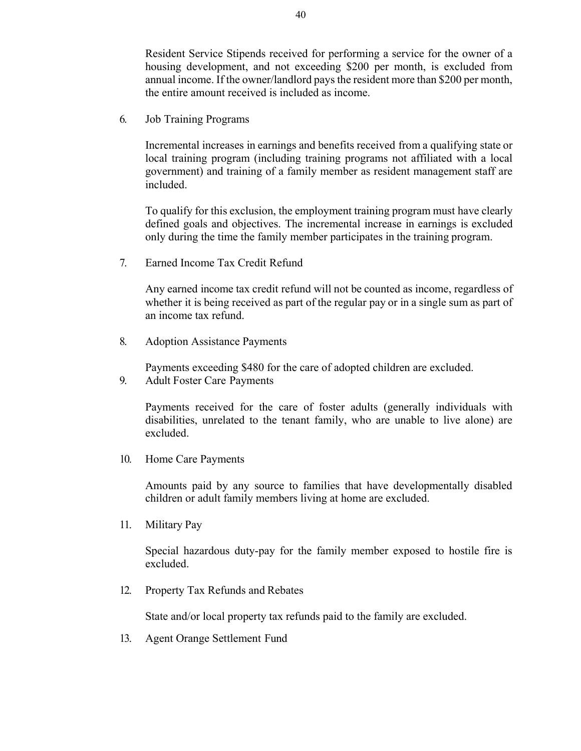Resident Service Stipends received for performing a service for the owner of a housing development, and not exceeding \$200 per month, is excluded from annual income. If the owner/landlord pays the resident more than \$200 per month, the entire amount received is included as income.

6. Job Training Programs

Incremental increases in earnings and benefits received from a qualifying state or local training program (including training programs not affiliated with a local government) and training of a family member as resident management staff are included.

To qualify for this exclusion, the employment training program must have clearly defined goals and objectives. The incremental increase in earnings is excluded only during the time the family member participates in the training program.

7. Earned Income Tax Credit Refund

Any earned income tax credit refund will not be counted as income, regardless of whether it is being received as part of the regular pay or in a single sum as part of an income tax refund.

8. Adoption Assistance Payments

Payments exceeding \$480 for the care of adopted children are excluded.

9. Adult Foster Care Payments

Payments received for the care of foster adults (generally individuals with disabilities, unrelated to the tenant family, who are unable to live alone) are excluded.

10. Home Care Payments

Amounts paid by any source to families that have developmentally disabled children or adult family members living at home are excluded.

11. Military Pay

Special hazardous duty-pay for the family member exposed to hostile fire is excluded.

12. Property Tax Refunds and Rebates

State and/or local property tax refunds paid to the family are excluded.

13. Agent Orange Settlement Fund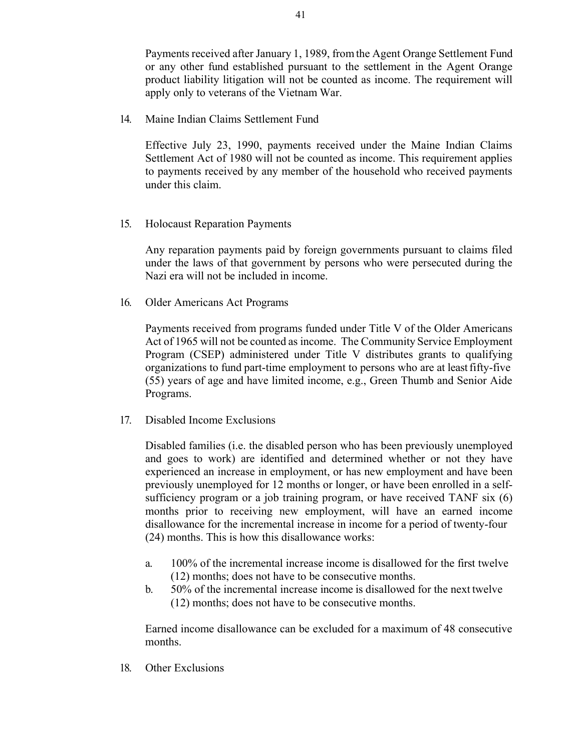Payments received after January 1, 1989, from the Agent Orange Settlement Fund or any other fund established pursuant to the settlement in the Agent Orange product liability litigation will not be counted as income. The requirement will apply only to veterans of the Vietnam War.

14. Maine Indian Claims Settlement Fund

Effective July 23, 1990, payments received under the Maine Indian Claims Settlement Act of 1980 will not be counted as income. This requirement applies to payments received by any member of the household who received payments under this claim.

15. Holocaust Reparation Payments

Any reparation payments paid by foreign governments pursuant to claims filed under the laws of that government by persons who were persecuted during the Nazi era will not be included in income.

16. Older Americans Act Programs

Payments received from programs funded under Title V of the Older Americans Act of 1965 will not be counted as income. The Community Service Employment Program (CSEP) administered under Title V distributes grants to qualifying organizations to fund part-time employment to persons who are at least fifty-five (55) years of age and have limited income, e.g., Green Thumb and Senior Aide Programs.

17. Disabled Income Exclusions

Disabled families (i.e. the disabled person who has been previously unemployed and goes to work) are identified and determined whether or not they have experienced an increase in employment, or has new employment and have been previously unemployed for 12 months or longer, or have been enrolled in a selfsufficiency program or a job training program, or have received TANF six (6) months prior to receiving new employment, will have an earned income disallowance for the incremental increase in income for a period of twenty-four (24) months. This is how this disallowance works:

- a. 100% of the incremental increase income is disallowed for the first twelve (12) months; does not have to be consecutive months.
- b. 50% of the incremental increase income is disallowed for the next twelve (12) months; does not have to be consecutive months.

Earned income disallowance can be excluded for a maximum of 48 consecutive months.

18. Other Exclusions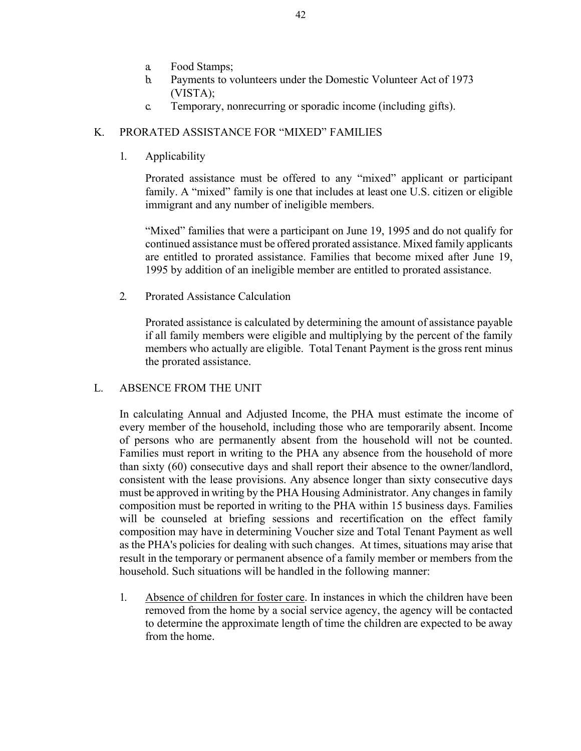- a. Food Stamps;
- b. Payments to volunteers under the Domestic Volunteer Act of 1973 (VISTA);
- c. Temporary, nonrecurring or sporadic income (including gifts).

### K. PRORATED ASSISTANCE FOR "MIXED" FAMILIES

1. Applicability

Prorated assistance must be offered to any "mixed" applicant or participant family. A "mixed" family is one that includes at least one U.S. citizen or eligible immigrant and any number of ineligible members.

"Mixed" families that were a participant on June 19, 1995 and do not qualify for continued assistance must be offered prorated assistance. Mixed family applicants are entitled to prorated assistance. Families that become mixed after June 19, 1995 by addition of an ineligible member are entitled to prorated assistance.

2. Prorated Assistance Calculation

Prorated assistance is calculated by determining the amount of assistance payable if all family members were eligible and multiplying by the percent of the family members who actually are eligible. Total Tenant Payment is the gross rent minus the prorated assistance.

#### L. ABSENCE FROM THE UNIT

In calculating Annual and Adjusted Income, the PHA must estimate the income of every member of the household, including those who are temporarily absent. Income of persons who are permanently absent from the household will not be counted. Families must report in writing to the PHA any absence from the household of more than sixty (60) consecutive days and shall report their absence to the owner/landlord, consistent with the lease provisions. Any absence longer than sixty consecutive days must be approved in writing by the PHA Housing Administrator. Any changes in family composition must be reported in writing to the PHA within 15 business days. Families will be counseled at briefing sessions and recertification on the effect family composition may have in determining Voucher size and Total Tenant Payment as well as the PHA's policies for dealing with such changes. At times, situations may arise that result in the temporary or permanent absence of a family member or members from the household. Such situations will be handled in the following manner:

1. Absence of children for foster care. In instances in which the children have been removed from the home by a social service agency, the agency will be contacted to determine the approximate length of time the children are expected to be away from the home.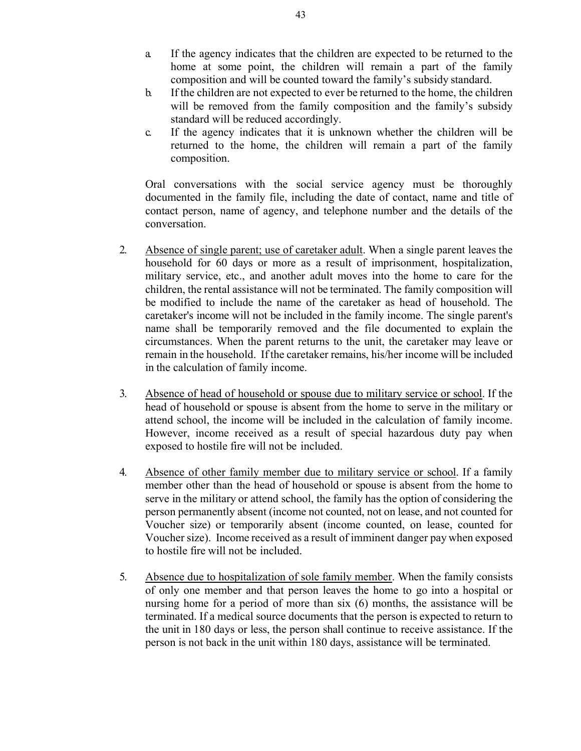- a. If the agency indicates that the children are expected to be returned to the home at some point, the children will remain a part of the family composition and will be counted toward the family's subsidy standard.
- b. If the children are not expected to ever be returned to the home, the children will be removed from the family composition and the family's subsidy standard will be reduced accordingly.
- c. If the agency indicates that it is unknown whether the children will be returned to the home, the children will remain a part of the family composition.

Oral conversations with the social service agency must be thoroughly documented in the family file, including the date of contact, name and title of contact person, name of agency, and telephone number and the details of the conversation.

- 2. Absence of single parent; use of caretaker adult. When a single parent leaves the household for 60 days or more as a result of imprisonment, hospitalization, military service, etc., and another adult moves into the home to care for the children, the rental assistance will not be terminated. The family composition will be modified to include the name of the caretaker as head of household. The caretaker's income will not be included in the family income. The single parent's name shall be temporarily removed and the file documented to explain the circumstances. When the parent returns to the unit, the caretaker may leave or remain in the household. If the caretaker remains, his/her income will be included in the calculation of family income.
- 3. Absence of head of household or spouse due to military service or school. If the head of household or spouse is absent from the home to serve in the military or attend school, the income will be included in the calculation of family income. However, income received as a result of special hazardous duty pay when exposed to hostile fire will not be included.
- 4. Absence of other family member due to military service or school. If a family member other than the head of household or spouse is absent from the home to serve in the military or attend school, the family has the option of considering the person permanently absent (income not counted, not on lease, and not counted for Voucher size) or temporarily absent (income counted, on lease, counted for Voucher size). Income received as a result of imminent danger pay when exposed to hostile fire will not be included.
- 5. Absence due to hospitalization of sole family member. When the family consists of only one member and that person leaves the home to go into a hospital or nursing home for a period of more than six (6) months, the assistance will be terminated. If a medical source documents that the person is expected to return to the unit in 180 days or less, the person shall continue to receive assistance. If the person is not back in the unit within 180 days, assistance will be terminated.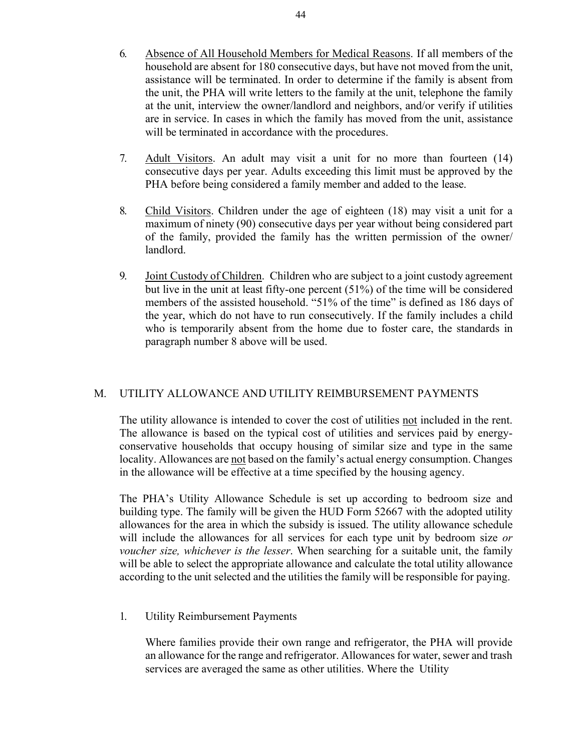- 6. Absence of All Household Members for Medical Reasons. If all members of the household are absent for 180 consecutive days, but have not moved from the unit, assistance will be terminated. In order to determine if the family is absent from the unit, the PHA will write letters to the family at the unit, telephone the family at the unit, interview the owner/landlord and neighbors, and/or verify if utilities are in service. In cases in which the family has moved from the unit, assistance will be terminated in accordance with the procedures.
- 7. Adult Visitors. An adult may visit a unit for no more than fourteen (14) consecutive days per year. Adults exceeding this limit must be approved by the PHA before being considered a family member and added to the lease.
- 8. Child Visitors. Children under the age of eighteen (18) may visit a unit for a maximum of ninety (90) consecutive days per year without being considered part of the family, provided the family has the written permission of the owner/ landlord.
- 9. Joint Custody of Children. Children who are subject to a joint custody agreement but live in the unit at least fifty-one percent (51%) of the time will be considered members of the assisted household. "51% of the time" is defined as 186 days of the year, which do not have to run consecutively. If the family includes a child who is temporarily absent from the home due to foster care, the standards in paragraph number 8 above will be used.

# M. UTILITY ALLOWANCE AND UTILITY REIMBURSEMENT PAYMENTS

The utility allowance is intended to cover the cost of utilities not included in the rent. The allowance is based on the typical cost of utilities and services paid by energyconservative households that occupy housing of similar size and type in the same locality. Allowances are not based on the family's actual energy consumption. Changes in the allowance will be effective at a time specified by the housing agency.

The PHA's Utility Allowance Schedule is set up according to bedroom size and building type. The family will be given the HUD Form 52667 with the adopted utility allowances for the area in which the subsidy is issued. The utility allowance schedule will include the allowances for all services for each type unit by bedroom size *or voucher size, whichever is the lesser*. When searching for a suitable unit, the family will be able to select the appropriate allowance and calculate the total utility allowance according to the unit selected and the utilities the family will be responsible for paying.

### 1. Utility Reimbursement Payments

Where families provide their own range and refrigerator, the PHA will provide an allowance for the range and refrigerator. Allowances for water, sewer and trash services are averaged the same as other utilities. Where the Utility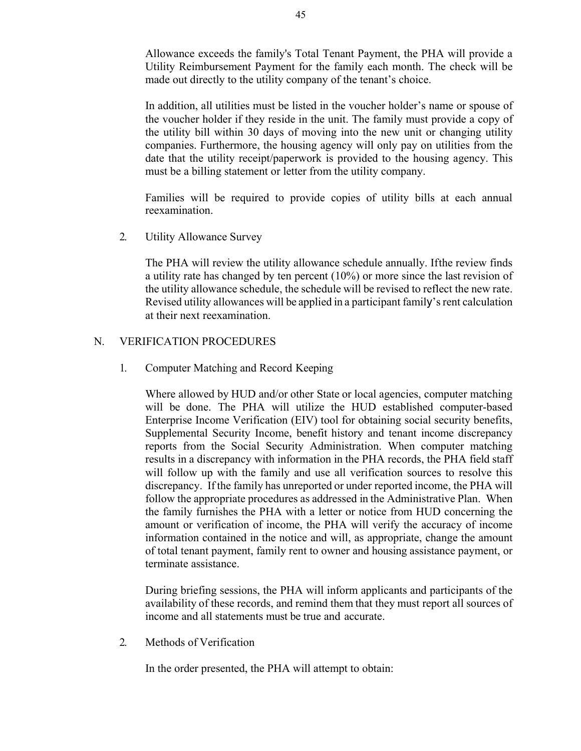Allowance exceeds the family's Total Tenant Payment, the PHA will provide a Utility Reimbursement Payment for the family each month. The check will be made out directly to the utility company of the tenant's choice.

In addition, all utilities must be listed in the voucher holder's name or spouse of the voucher holder if they reside in the unit. The family must provide a copy of the utility bill within 30 days of moving into the new unit or changing utility companies. Furthermore, the housing agency will only pay on utilities from the date that the utility receipt/paperwork is provided to the housing agency. This must be a billing statement or letter from the utility company.

Families will be required to provide copies of utility bills at each annual reexamination.

2. Utility Allowance Survey

The PHA will review the utility allowance schedule annually. If the review finds a utility rate has changed by ten percent (10%) or more since the last revision of the utility allowance schedule, the schedule will be revised to reflect the new rate. Revised utility allowances will be applied in a participant family's rent calculation at their next reexamination.

#### N. VERIFICATION PROCEDURES

1. Computer Matching and Record Keeping

Where allowed by HUD and/or other State or local agencies, computer matching will be done. The PHA will utilize the HUD established computer-based Enterprise Income Verification (EIV) tool for obtaining social security benefits, Supplemental Security Income, benefit history and tenant income discrepancy reports from the Social Security Administration. When computer matching results in a discrepancy with information in the PHA records, the PHA field staff will follow up with the family and use all verification sources to resolve this discrepancy. If the family has unreported or under reported income, the PHA will follow the appropriate procedures as addressed in the Administrative Plan. When the family furnishes the PHA with a letter or notice from HUD concerning the amount or verification of income, the PHA will verify the accuracy of income information contained in the notice and will, as appropriate, change the amount of total tenant payment, family rent to owner and housing assistance payment, or terminate assistance.

During briefing sessions, the PHA will inform applicants and participants of the availability of these records, and remind them that they must report all sources of income and all statements must be true and accurate.

2. Methods of Verification

In the order presented, the PHA will attempt to obtain: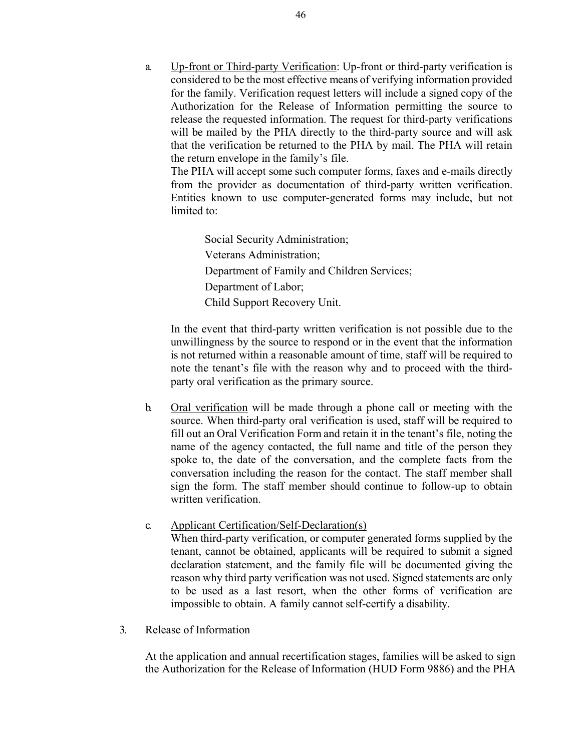a. Up-front or Third-party Verification: Up-front or third-party verification is considered to be the most effective means of verifying information provided for the family. Verification request letters will include a signed copy of the Authorization for the Release of Information permitting the source to release the requested information. The request for third-party verifications will be mailed by the PHA directly to the third-party source and will ask that the verification be returned to the PHA by mail. The PHA will retain the return envelope in the family's file.

The PHA will accept some such computer forms, faxes and e-mails directly from the provider as documentation of third-party written verification. Entities known to use computer-generated forms may include, but not limited to:

 Social Security Administration; Veterans Administration; Department of Family and Children Services; Department of Labor; Child Support Recovery Unit.

In the event that third-party written verification is not possible due to the unwillingness by the source to respond or in the event that the information is not returned within a reasonable amount of time, staff will be required to note the tenant's file with the reason why and to proceed with the thirdparty oral verification as the primary source.

- b. Oral verification will be made through a phone call or meeting with the source. When third-party oral verification is used, staff will be required to fill out an Oral Verification Form and retain it in the tenant's file, noting the name of the agency contacted, the full name and title of the person they spoke to, the date of the conversation, and the complete facts from the conversation including the reason for the contact. The staff member shall sign the form. The staff member should continue to follow-up to obtain written verification.
- c. Applicant Certification/Self-Declaration(s) When third-party verification, or computer generated forms supplied by the tenant, cannot be obtained, applicants will be required to submit a signed declaration statement, and the family file will be documented giving the reason why third party verification was not used. Signed statements are only to be used as a last resort, when the other forms of verification are impossible to obtain. A family cannot self-certify a disability.
- 3. Release of Information

At the application and annual recertification stages, families will be asked to sign the Authorization for the Release of Information (HUD Form 9886) and the PHA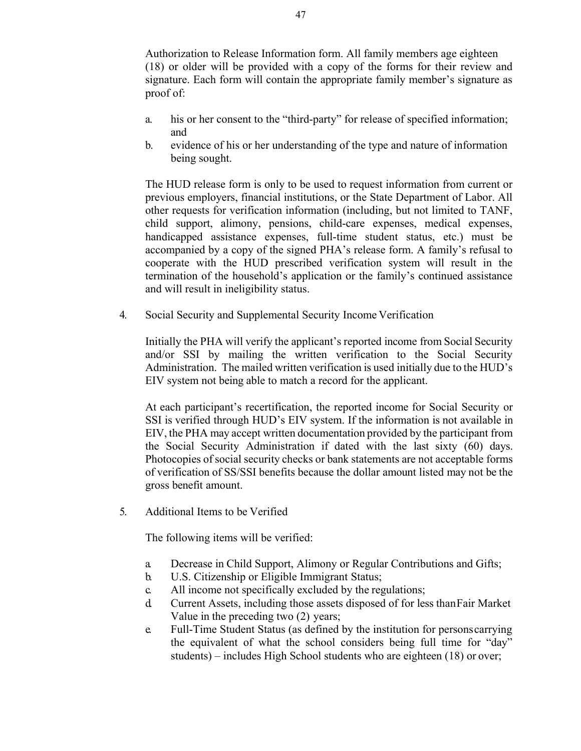Authorization to Release Information form. All family members age eighteen (18) or older will be provided with a copy of the forms for their review and signature. Each form will contain the appropriate family member's signature as proof of:

- a. his or her consent to the "third-party" for release of specified information; and
- b. evidence of his or her understanding of the type and nature of information being sought.

The HUD release form is only to be used to request information from current or previous employers, financial institutions, or the State Department of Labor. All other requests for verification information (including, but not limited to TANF, child support, alimony, pensions, child-care expenses, medical expenses, handicapped assistance expenses, full-time student status, etc.) must be accompanied by a copy of the signed PHA's release form. A family's refusal to cooperate with the HUD prescribed verification system will result in the termination of the household's application or the family's continued assistance and will result in ineligibility status.

4. Social Security and Supplemental Security Income Verification

Initially the PHA will verify the applicant's reported income from Social Security and/or SSI by mailing the written verification to the Social Security Administration. The mailed written verification is used initially due to the HUD's EIV system not being able to match a record for the applicant.

At each participant's recertification, the reported income for Social Security or SSI is verified through HUD's EIV system. If the information is not available in EIV, the PHA may accept written documentation provided by the participant from the Social Security Administration if dated with the last sixty (60) days. Photocopies of social security checks or bank statements are not acceptable forms of verification of SS/SSI benefits because the dollar amount listed may not be the gross benefit amount.

5. Additional Items to be Verified

The following items will be verified:

- a. Decrease in Child Support, Alimony or Regular Contributions and Gifts;
- b. U.S. Citizenship or Eligible Immigrant Status;
- c. All income not specifically excluded by the regulations;
- d. Current Assets, including those assets disposed of for less than Fair Market Value in the preceding two (2) years;
- e. Full-Time Student Status (as defined by the institution for persons carrying the equivalent of what the school considers being full time for "day" students) – includes High School students who are eighteen (18) or over;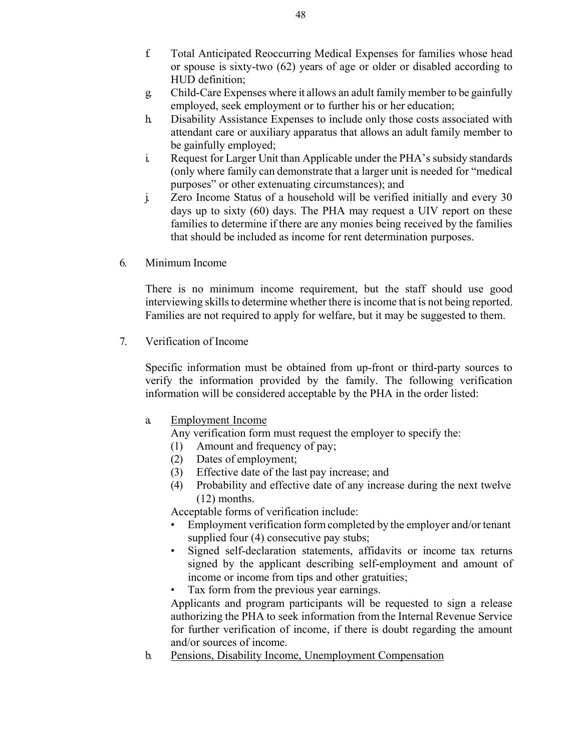- f. Total Anticipated Reoccurring Medical Expenses for families whose head or spouse is sixty-two (62) years of age or older or disabled according to HUD definition;
- g. Child-Care Expenses where it allows an adult family member to be gainfully employed, seek employment or to further his or her education;
- h. Disability Assistance Expenses to include only those costs associated with attendant care or auxiliary apparatus that allows an adult family member to be gainfully employed;
- i. Request for Larger Unit than Applicable under the PHA's subsidy standards (only where family can demonstrate that a larger unit is needed for "medical purposes" or other extenuating circumstances); and
- j. Zero Income Status of a household will be verified initially and every 30 days up to sixty (60) days. The PHA may request a UIV report on these families to determine if there are any monies being received by the families that should be included as income for rent determination purposes.
- 6. Minimum Income

There is no minimum income requirement, but the staff should use good interviewing skills to determine whether there is income that is not being reported. Families are not required to apply for welfare, but it may be suggested to them.

7. Verification of Income

Specific information must be obtained from up-front or third-party sources to verify the information provided by the family. The following verification information will be considered acceptable by the PHA in the order listed:

a. Employment Income

Any verification form must request the employer to specify the:

- (1) Amount and frequency of pay;
- (2) Dates of employment;
- (3) Effective date of the last pay increase; and
- (4) Probability and effective date of any increase during the next twelve (12) months.

Acceptable forms of verification include:

- Employment verification form completed by the employer and/or tenant supplied four (4) consecutive pay stubs;
- Signed self-declaration statements, affidavits or income tax returns signed by the applicant describing self-employment and amount of income or income from tips and other gratuities;

Tax form from the previous year earnings.

Applicants and program participants will be requested to sign a release authorizing the PHA to seek information from the Internal Revenue Service for further verification of income, if there is doubt regarding the amount and/or sources of income.

b. Pensions, Disability Income, Unemployment Compensation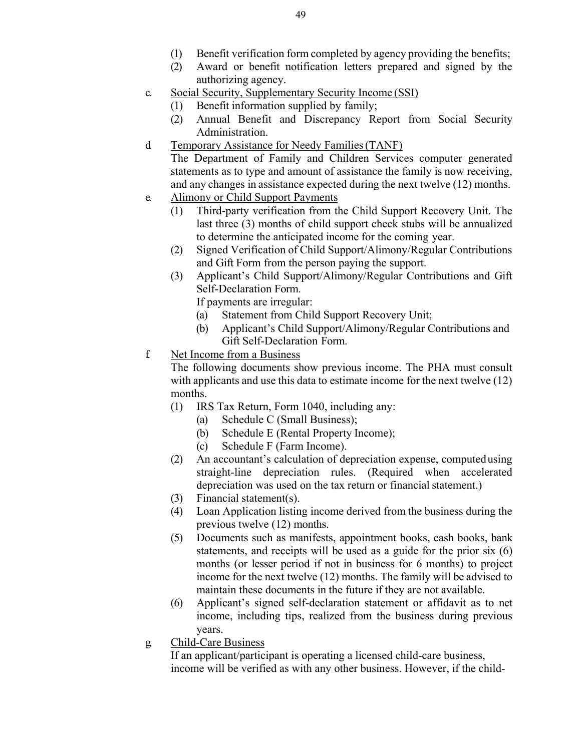- (1) Benefit verification form completed by agency providing the benefits;
- (2) Award or benefit notification letters prepared and signed by the authorizing agency.
- c. Social Security, Supplementary Security Income (SSI)
	- (1) Benefit information supplied by family;
	- (2) Annual Benefit and Discrepancy Report from Social Security Administration.
- d. Temporary Assistance for Needy Families (TANF)

The Department of Family and Children Services computer generated statements as to type and amount of assistance the family is now receiving, and any changes in assistance expected during the next twelve (12) months.

- e. Alimony or Child Support Payments
	- (1) Third-party verification from the Child Support Recovery Unit. The last three (3) months of child support check stubs will be annualized to determine the anticipated income for the coming year.
	- (2) Signed Verification of Child Support/Alimony/Regular Contributions and Gift Form from the person paying the support.
	- (3) Applicant's Child Support/Alimony/Regular Contributions and Gift Self-Declaration Form.

If payments are irregular:

- (a) Statement from Child Support Recovery Unit;
- (b) Applicant's Child Support/Alimony/Regular Contributions and Gift Self-Declaration Form.
- f. Net Income from a Business

The following documents show previous income. The PHA must consult with applicants and use this data to estimate income for the next twelve (12) months.

- (1) IRS Tax Return, Form 1040, including any:
	- (a) Schedule C (Small Business);
	- (b) Schedule E (Rental Property Income);
	- (c) Schedule F (Farm Income).
- (2) An accountant's calculation of depreciation expense, computed using straight-line depreciation rules. (Required when accelerated depreciation was used on the tax return or financial statement.)
- (3) Financial statement(s).
- (4) Loan Application listing income derived from the business during the previous twelve (12) months.
- (5) Documents such as manifests, appointment books, cash books, bank statements, and receipts will be used as a guide for the prior six (6) months (or lesser period if not in business for 6 months) to project income for the next twelve (12) months. The family will be advised to maintain these documents in the future if they are not available.
- (6) Applicant's signed self-declaration statement or affidavit as to net income, including tips, realized from the business during previous years.
- g. Child-Care Business

If an applicant/participant is operating a licensed child-care business, income will be verified as with any other business. However, if the child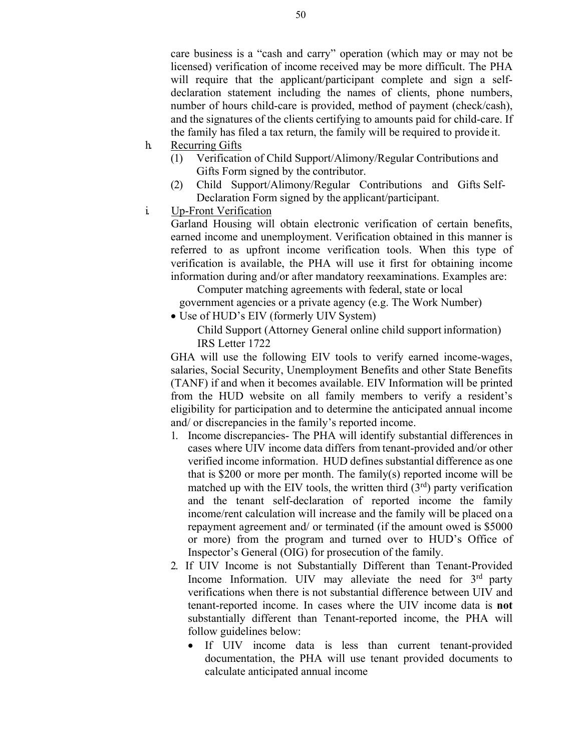care business is a "cash and carry" operation (which may or may not be licensed) verification of income received may be more difficult. The PHA will require that the applicant/participant complete and sign a selfdeclaration statement including the names of clients, phone numbers, number of hours child-care is provided, method of payment (check/cash), and the signatures of the clients certifying to amounts paid for child-care. If the family has filed a tax return, the family will be required to provide it.

- h. Recurring Gifts
	- (1) Verification of Child Support/Alimony/Regular Contributions and Gifts Form signed by the contributor.
	- (2) Child Support/Alimony/Regular Contributions and Gifts Self-Declaration Form signed by the applicant/participant.
- i. Up-Front Verification

Garland Housing will obtain electronic verification of certain benefits, earned income and unemployment. Verification obtained in this manner is referred to as upfront income verification tools. When this type of verification is available, the PHA will use it first for obtaining income information during and/or after mandatory reexaminations. Examples are:

 Computer matching agreements with federal, state or local government agencies or a private agency (e.g. The Work Number)

Use of HUD's EIV (formerly UIV System)

 Child Support (Attorney General online child support information) IRS Letter 1722

GHA will use the following EIV tools to verify earned income-wages, salaries, Social Security, Unemployment Benefits and other State Benefits (TANF) if and when it becomes available. EIV Information will be printed from the HUD website on all family members to verify a resident's eligibility for participation and to determine the anticipated annual income and/ or discrepancies in the family's reported income.

- 1. Income discrepancies- The PHA will identify substantial differences in cases where UIV income data differs from tenant-provided and/or other verified income information. HUD defines substantial difference as one that is \$200 or more per month. The family(s) reported income will be matched up with the EIV tools, the written third  $(3<sup>rd</sup>)$  party verification and the tenant self-declaration of reported income the family income/rent calculation will increase and the family will be placed on a repayment agreement and/ or terminated (if the amount owed is \$5000 or more) from the program and turned over to HUD's Office of Inspector's General (OIG) for prosecution of the family.
- 2. If UIV Income is not Substantially Different than Tenant-Provided Income Information. UIV may alleviate the need for  $3<sup>rd</sup>$  party verifications when there is not substantial difference between UIV and tenant-reported income. In cases where the UIV income data is **not**  substantially different than Tenant-reported income, the PHA will follow guidelines below:
	- If UIV income data is less than current tenant-provided documentation, the PHA will use tenant provided documents to calculate anticipated annual income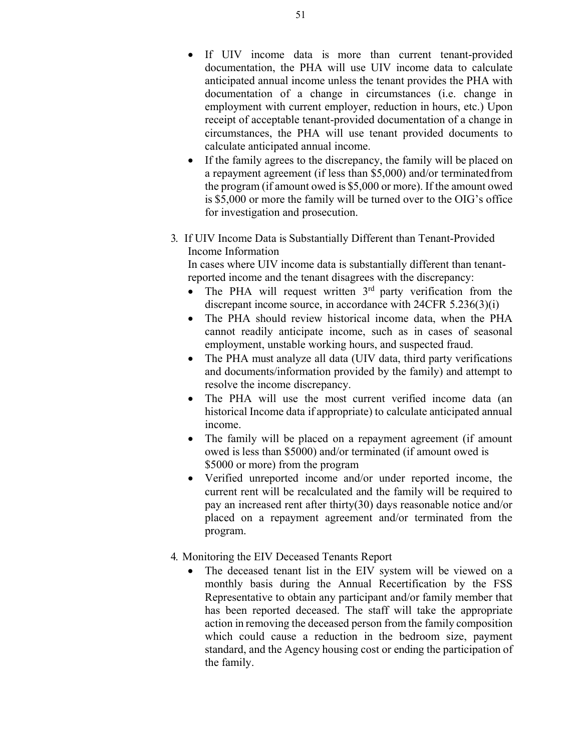- If UIV income data is more than current tenant-provided documentation, the PHA will use UIV income data to calculate anticipated annual income unless the tenant provides the PHA with documentation of a change in circumstances (i.e. change in employment with current employer, reduction in hours, etc.) Upon receipt of acceptable tenant-provided documentation of a change in circumstances, the PHA will use tenant provided documents to calculate anticipated annual income.
- If the family agrees to the discrepancy, the family will be placed on a repayment agreement (if less than \$5,000) and/or terminated from the program (if amount owed is \$5,000 or more). If the amount owed is \$5,000 or more the family will be turned over to the OIG's office for investigation and prosecution.
- 3. If UIV Income Data is Substantially Different than Tenant-Provided Income Information

In cases where UIV income data is substantially different than tenantreported income and the tenant disagrees with the discrepancy:

- The PHA will request written  $3<sup>rd</sup>$  party verification from the discrepant income source, in accordance with 24CFR 5.236(3)(i)
- The PHA should review historical income data, when the PHA cannot readily anticipate income, such as in cases of seasonal employment, unstable working hours, and suspected fraud.
- The PHA must analyze all data (UIV data, third party verifications and documents/information provided by the family) and attempt to resolve the income discrepancy.
- The PHA will use the most current verified income data (an historical Income data if appropriate) to calculate anticipated annual income.
- The family will be placed on a repayment agreement (if amount owed is less than \$5000) and/or terminated (if amount owed is \$5000 or more) from the program
- Verified unreported income and/or under reported income, the current rent will be recalculated and the family will be required to pay an increased rent after thirty(30) days reasonable notice and/or placed on a repayment agreement and/or terminated from the program.
- 4. Monitoring the EIV Deceased Tenants Report
	- The deceased tenant list in the EIV system will be viewed on a monthly basis during the Annual Recertification by the FSS Representative to obtain any participant and/or family member that has been reported deceased. The staff will take the appropriate action in removing the deceased person from the family composition which could cause a reduction in the bedroom size, payment standard, and the Agency housing cost or ending the participation of the family.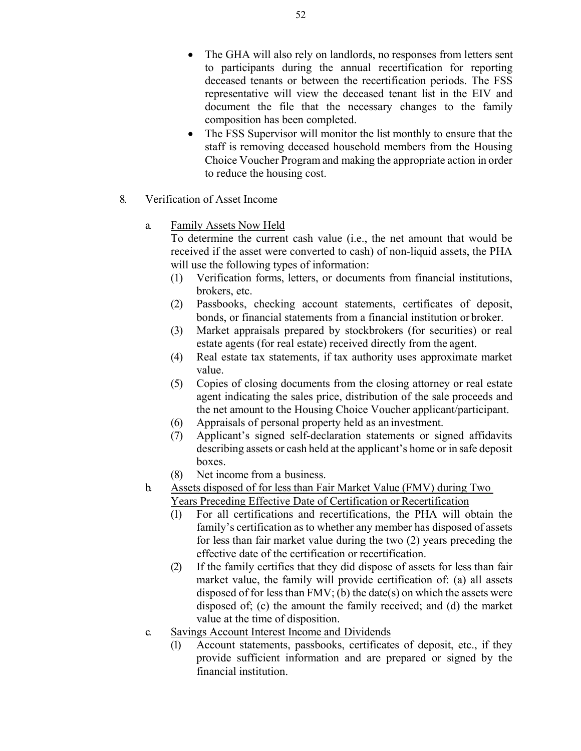- The GHA will also rely on landlords, no responses from letters sent to participants during the annual recertification for reporting deceased tenants or between the recertification periods. The FSS representative will view the deceased tenant list in the EIV and document the file that the necessary changes to the family composition has been completed.
- The FSS Supervisor will monitor the list monthly to ensure that the staff is removing deceased household members from the Housing Choice Voucher Program and making the appropriate action in order to reduce the housing cost.
- 8. Verification of Asset Income

### a. Family Assets Now Held

To determine the current cash value (i.e., the net amount that would be received if the asset were converted to cash) of non-liquid assets, the PHA will use the following types of information:

- (1) Verification forms, letters, or documents from financial institutions, brokers, etc.
- (2) Passbooks, checking account statements, certificates of deposit, bonds, or financial statements from a financial institution or broker.
- (3) Market appraisals prepared by stockbrokers (for securities) or real estate agents (for real estate) received directly from the agent.
- (4) Real estate tax statements, if tax authority uses approximate market value.
- (5) Copies of closing documents from the closing attorney or real estate agent indicating the sales price, distribution of the sale proceeds and the net amount to the Housing Choice Voucher applicant/participant.
- (6) Appraisals of personal property held as an investment.
- (7) Applicant's signed self-declaration statements or signed affidavits describing assets or cash held at the applicant's home or in safe deposit boxes.
- (8) Net income from a business.
- b. Assets disposed of for less than Fair Market Value (FMV) during Two Years Preceding Effective Date of Certification or Recertification
	- (1) For all certifications and recertifications, the PHA will obtain the family's certification as to whether any member has disposed of assets for less than fair market value during the two (2) years preceding the effective date of the certification or recertification.
	- (2) If the family certifies that they did dispose of assets for less than fair market value, the family will provide certification of: (a) all assets disposed of for less than  $FMV$ ; (b) the date(s) on which the assets were disposed of; (c) the amount the family received; and (d) the market value at the time of disposition.
- c. Savings Account Interest Income and Dividends
	- (1) Account statements, passbooks, certificates of deposit, etc., if they provide sufficient information and are prepared or signed by the financial institution.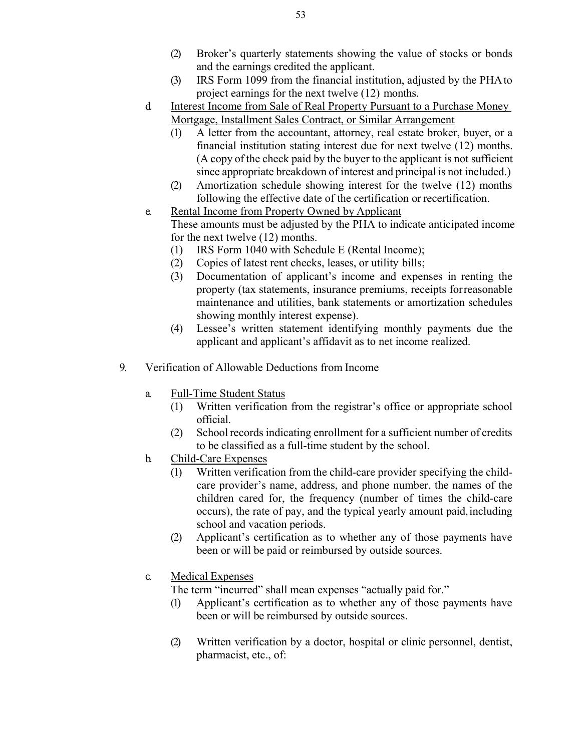- (2) Broker's quarterly statements showing the value of stocks or bonds and the earnings credited the applicant.
- (3) IRS Form 1099 from the financial institution, adjusted by the PHA to project earnings for the next twelve (12) months.
- d. Interest Income from Sale of Real Property Pursuant to a Purchase Money Mortgage, Installment Sales Contract, or Similar Arrangement
	- (1) A letter from the accountant, attorney, real estate broker, buyer, or a financial institution stating interest due for next twelve (12) months. (A copy of the check paid by the buyer to the applicant is not sufficient since appropriate breakdown of interest and principal is not included.)
	- (2) Amortization schedule showing interest for the twelve (12) months following the effective date of the certification or recertification.
- e. Rental Income from Property Owned by Applicant These amounts must be adjusted by the PHA to indicate anticipated income for the next twelve (12) months.
	- (1) IRS Form 1040 with Schedule E (Rental Income);
	- (2) Copies of latest rent checks, leases, or utility bills;
	- (3) Documentation of applicant's income and expenses in renting the property (tax statements, insurance premiums, receipts for reasonable maintenance and utilities, bank statements or amortization schedules showing monthly interest expense).
	- (4) Lessee's written statement identifying monthly payments due the applicant and applicant's affidavit as to net income realized.
- 9. Verification of Allowable Deductions from Income
	- a. Full-Time Student Status
		- (1) Written verification from the registrar's office or appropriate school official.
		- (2) School records indicating enrollment for a sufficient number of credits to be classified as a full-time student by the school.
	- b. Child-Care Expenses
		- (1) Written verification from the child-care provider specifying the childcare provider's name, address, and phone number, the names of the children cared for, the frequency (number of times the child-care occurs), the rate of pay, and the typical yearly amount paid, including school and vacation periods.
		- (2) Applicant's certification as to whether any of those payments have been or will be paid or reimbursed by outside sources.
	- c. Medical Expenses

The term "incurred" shall mean expenses "actually paid for."

- (1) Applicant's certification as to whether any of those payments have been or will be reimbursed by outside sources.
- (2) Written verification by a doctor, hospital or clinic personnel, dentist, pharmacist, etc., of: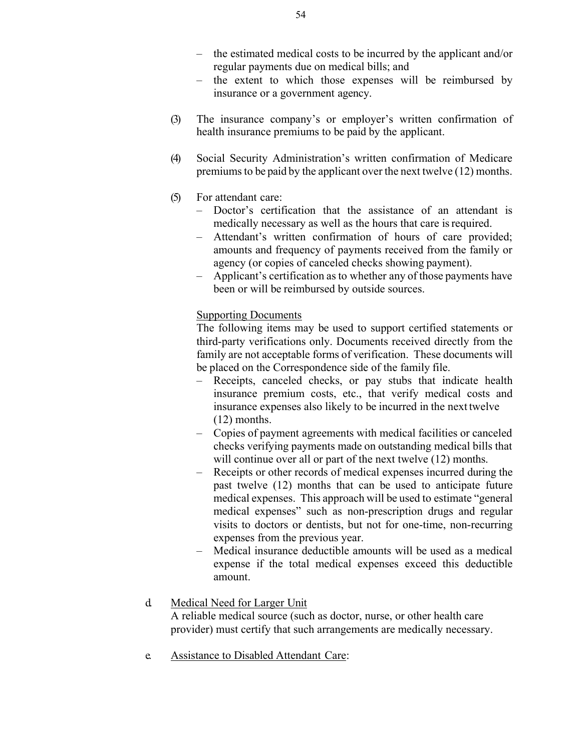- the estimated medical costs to be incurred by the applicant and/or regular payments due on medical bills; and
- the extent to which those expenses will be reimbursed by insurance or a government agency.
- (3) The insurance company's or employer's written confirmation of health insurance premiums to be paid by the applicant.
- (4) Social Security Administration's written confirmation of Medicare premiums to be paid by the applicant over the next twelve (12) months.
- (5) For attendant care:
	- Doctor's certification that the assistance of an attendant is medically necessary as well as the hours that care is required.
	- Attendant's written confirmation of hours of care provided; amounts and frequency of payments received from the family or agency (or copies of canceled checks showing payment).
	- Applicant's certification as to whether any of those payments have been or will be reimbursed by outside sources.

### Supporting Documents

The following items may be used to support certified statements or third-party verifications only. Documents received directly from the family are not acceptable forms of verification. These documents will be placed on the Correspondence side of the family file.

- Receipts, canceled checks, or pay stubs that indicate health insurance premium costs, etc., that verify medical costs and insurance expenses also likely to be incurred in the next twelve (12) months.
- Copies of payment agreements with medical facilities or canceled checks verifying payments made on outstanding medical bills that will continue over all or part of the next twelve (12) months.
- Receipts or other records of medical expenses incurred during the past twelve (12) months that can be used to anticipate future medical expenses. This approach will be used to estimate "general medical expenses" such as non-prescription drugs and regular visits to doctors or dentists, but not for one-time, non-recurring expenses from the previous year.
- Medical insurance deductible amounts will be used as a medical expense if the total medical expenses exceed this deductible amount.

### d. Medical Need for Larger Unit

A reliable medical source (such as doctor, nurse, or other health care provider) must certify that such arrangements are medically necessary.

e. Assistance to Disabled Attendant Care: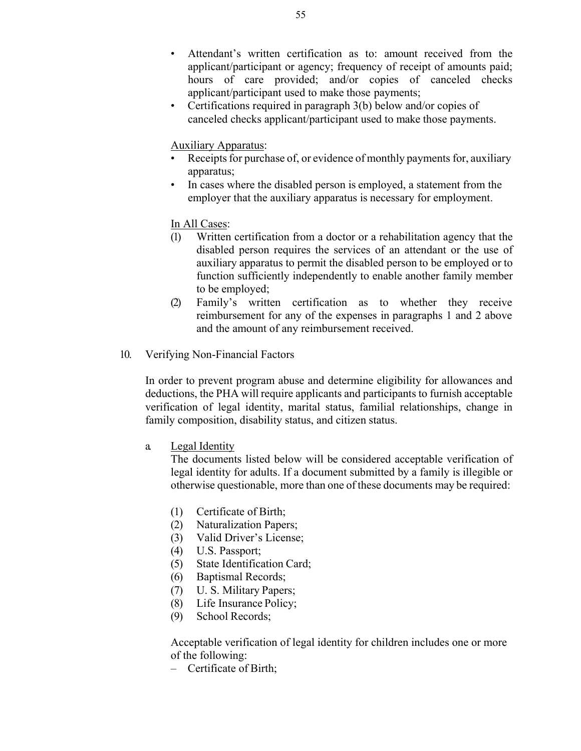• Attendant's written certification as to: amount received from the applicant/participant or agency; frequency of receipt of amounts paid; hours of care provided; and/or copies of canceled checks applicant/participant used to make those payments;

• Certifications required in paragraph 3(b) below and/or copies of canceled checks applicant/participant used to make those payments.

#### Auxiliary Apparatus:

- Receipts for purchase of, or evidence of monthly payments for, auxiliary apparatus;
- In cases where the disabled person is employed, a statement from the employer that the auxiliary apparatus is necessary for employment.

#### In All Cases:

- (1) Written certification from a doctor or a rehabilitation agency that the disabled person requires the services of an attendant or the use of auxiliary apparatus to permit the disabled person to be employed or to function sufficiently independently to enable another family member to be employed;
- (2) Family's written certification as to whether they receive reimbursement for any of the expenses in paragraphs 1 and 2 above and the amount of any reimbursement received.
- 10. Verifying Non-Financial Factors

In order to prevent program abuse and determine eligibility for allowances and deductions, the PHA will require applicants and participants to furnish acceptable verification of legal identity, marital status, familial relationships, change in family composition, disability status, and citizen status.

a. Legal Identity

The documents listed below will be considered acceptable verification of legal identity for adults. If a document submitted by a family is illegible or otherwise questionable, more than one of these documents may be required:

- (1) Certificate of Birth;
- (2) Naturalization Papers;
- (3) Valid Driver's License;
- (4) U.S. Passport;
- (5) State Identification Card;
- (6) Baptismal Records;
- (7) U. S. Military Papers;
- (8) Life Insurance Policy;
- (9) School Records;

Acceptable verification of legal identity for children includes one or more of the following:

– Certificate of Birth;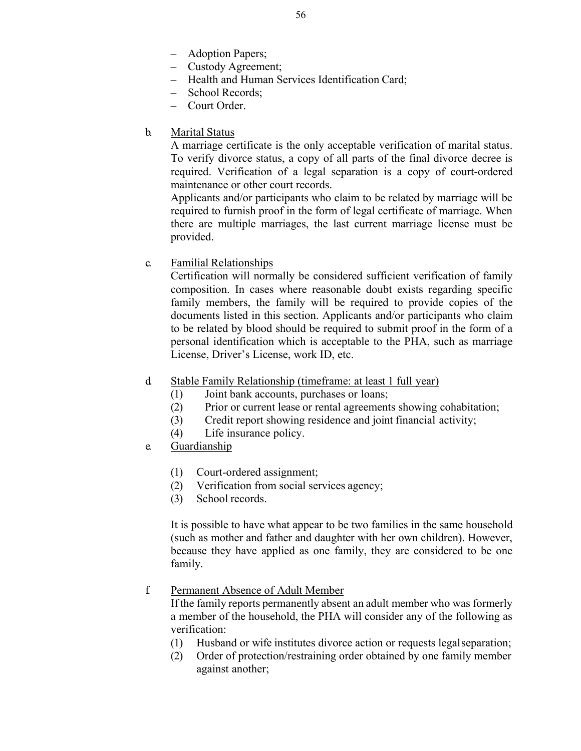- Adoption Papers;
- Custody Agreement;
- Health and Human Services Identification Card;
- School Records:
- Court Order.
- b. Marital Status

A marriage certificate is the only acceptable verification of marital status. To verify divorce status, a copy of all parts of the final divorce decree is required. Verification of a legal separation is a copy of court-ordered maintenance or other court records.

Applicants and/or participants who claim to be related by marriage will be required to furnish proof in the form of legal certificate of marriage. When there are multiple marriages, the last current marriage license must be provided.

c. Familial Relationships

Certification will normally be considered sufficient verification of family composition. In cases where reasonable doubt exists regarding specific family members, the family will be required to provide copies of the documents listed in this section. Applicants and/or participants who claim to be related by blood should be required to submit proof in the form of a personal identification which is acceptable to the PHA, such as marriage License, Driver's License, work ID, etc.

- d. Stable Family Relationship (timeframe: at least 1 full year)
	- (1) Joint bank accounts, purchases or loans;
	- (2) Prior or current lease or rental agreements showing cohabitation;
	- (3) Credit report showing residence and joint financial activity;
	- (4) Life insurance policy.
- e. Guardianship
	- (1) Court-ordered assignment;
	- (2) Verification from social services agency;
	- (3) School records.

It is possible to have what appear to be two families in the same household (such as mother and father and daughter with her own children). However, because they have applied as one family, they are considered to be one family.

f. Permanent Absence of Adult Member

If the family reports permanently absent an adult member who was formerly a member of the household, the PHA will consider any of the following as verification:

- (1) Husband or wife institutes divorce action or requests legal separation;
- (2) Order of protection/restraining order obtained by one family member against another;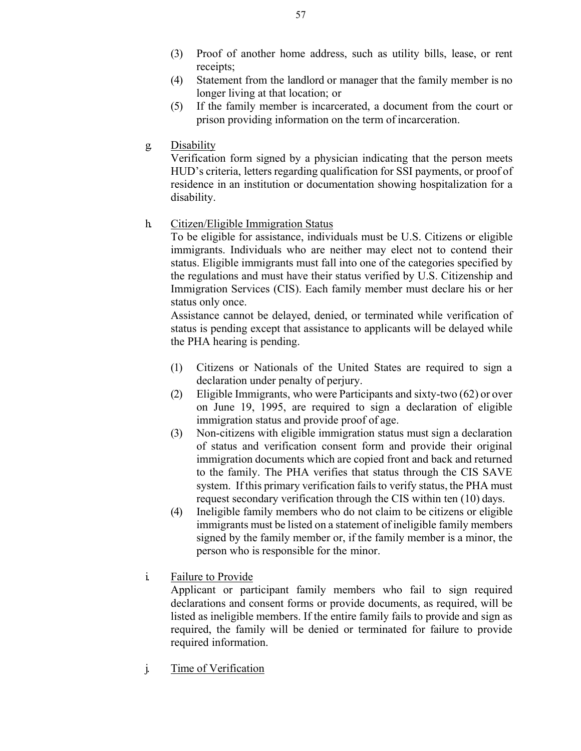- (3) Proof of another home address, such as utility bills, lease, or rent receipts;
- (4) Statement from the landlord or manager that the family member is no longer living at that location; or
- (5) If the family member is incarcerated, a document from the court or prison providing information on the term of incarceration.
- g. Disability

Verification form signed by a physician indicating that the person meets HUD's criteria, letters regarding qualification for SSI payments, or proof of residence in an institution or documentation showing hospitalization for a disability.

h. Citizen/Eligible Immigration Status

To be eligible for assistance, individuals must be U.S. Citizens or eligible immigrants. Individuals who are neither may elect not to contend their status. Eligible immigrants must fall into one of the categories specified by the regulations and must have their status verified by U.S. Citizenship and Immigration Services (CIS). Each family member must declare his or her status only once.

Assistance cannot be delayed, denied, or terminated while verification of status is pending except that assistance to applicants will be delayed while the PHA hearing is pending.

- (1) Citizens or Nationals of the United States are required to sign a declaration under penalty of perjury.
- (2) Eligible Immigrants, who were Participants and sixty-two (62) or over on June 19, 1995, are required to sign a declaration of eligible immigration status and provide proof of age.
- (3) Non-citizens with eligible immigration status must sign a declaration of status and verification consent form and provide their original immigration documents which are copied front and back and returned to the family. The PHA verifies that status through the CIS SAVE system. If this primary verification fails to verify status, the PHA must request secondary verification through the CIS within ten (10) days.
- (4) Ineligible family members who do not claim to be citizens or eligible immigrants must be listed on a statement of ineligible family members signed by the family member or, if the family member is a minor, the person who is responsible for the minor.
- i. Failure to Provide

Applicant or participant family members who fail to sign required declarations and consent forms or provide documents, as required, will be listed as ineligible members. If the entire family fails to provide and sign as required, the family will be denied or terminated for failure to provide required information.

j. Time of Verification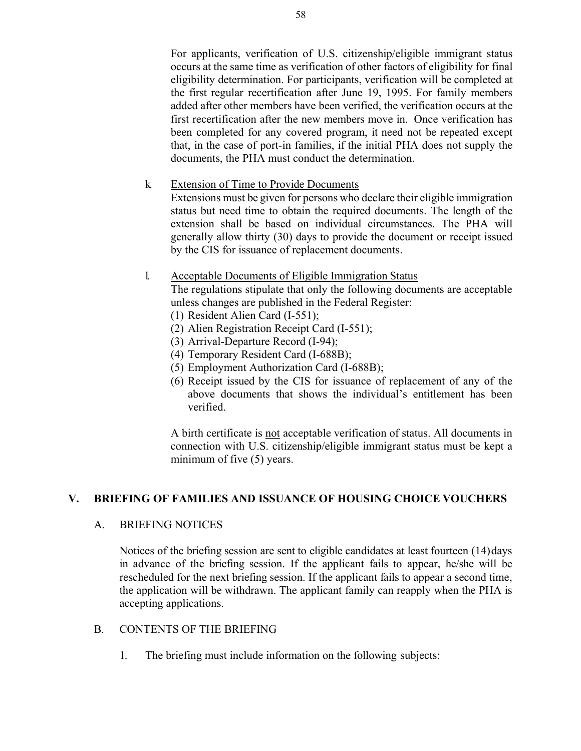For applicants, verification of U.S. citizenship/eligible immigrant status occurs at the same time as verification of other factors of eligibility for final eligibility determination. For participants, verification will be completed at the first regular recertification after June 19, 1995. For family members added after other members have been verified, the verification occurs at the first recertification after the new members move in. Once verification has been completed for any covered program, it need not be repeated except that, in the case of port-in families, if the initial PHA does not supply the documents, the PHA must conduct the determination.

k. Extension of Time to Provide Documents

Extensions must be given for persons who declare their eligible immigration status but need time to obtain the required documents. The length of the extension shall be based on individual circumstances. The PHA will generally allow thirty (30) days to provide the document or receipt issued by the CIS for issuance of replacement documents.

# l. Acceptable Documents of Eligible Immigration Status

The regulations stipulate that only the following documents are acceptable unless changes are published in the Federal Register:

- (1) Resident Alien Card (I-551);
- (2) Alien Registration Receipt Card (I-551);
- (3) Arrival-Departure Record (I-94);
- (4) Temporary Resident Card (I-688B);
- (5) Employment Authorization Card (I-688B);
- (6) Receipt issued by the CIS for issuance of replacement of any of the above documents that shows the individual's entitlement has been verified.

A birth certificate is not acceptable verification of status. All documents in connection with U.S. citizenship/eligible immigrant status must be kept a minimum of five (5) years.

# **V. BRIEFING OF FAMILIES AND ISSUANCE OF HOUSING CHOICE VOUCHERS**

### A. BRIEFING NOTICES

Notices of the briefing session are sent to eligible candidates at least fourteen (14) days in advance of the briefing session. If the applicant fails to appear, he/she will be rescheduled for the next briefing session. If the applicant fails to appear a second time, the application will be withdrawn. The applicant family can reapply when the PHA is accepting applications.

### B. CONTENTS OF THE BRIEFING

1. The briefing must include information on the following subjects: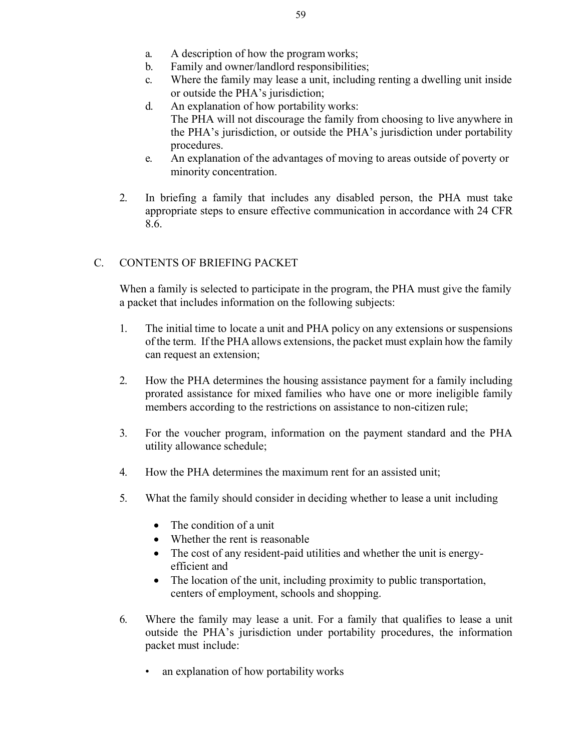- a. A description of how the program works;
- b. Family and owner/landlord responsibilities;
- c. Where the family may lease a unit, including renting a dwelling unit inside or outside the PHA's jurisdiction;
- d. An explanation of how portability works: The PHA will not discourage the family from choosing to live anywhere in the PHA's jurisdiction, or outside the PHA's jurisdiction under portability procedures.
- e. An explanation of the advantages of moving to areas outside of poverty or minority concentration.
- 2. In briefing a family that includes any disabled person, the PHA must take appropriate steps to ensure effective communication in accordance with 24 CFR 8.6.

### C. CONTENTS OF BRIEFING PACKET

When a family is selected to participate in the program, the PHA must give the family a packet that includes information on the following subjects:

- 1. The initial time to locate a unit and PHA policy on any extensions or suspensions of the term. If the PHA allows extensions, the packet must explain how the family can request an extension;
- 2. How the PHA determines the housing assistance payment for a family including prorated assistance for mixed families who have one or more ineligible family members according to the restrictions on assistance to non-citizen rule;
- 3. For the voucher program, information on the payment standard and the PHA utility allowance schedule;
- 4. How the PHA determines the maximum rent for an assisted unit;
- 5. What the family should consider in deciding whether to lease a unit including
	- The condition of a unit
	- Whether the rent is reasonable
	- The cost of any resident-paid utilities and whether the unit is energyefficient and
	- The location of the unit, including proximity to public transportation, centers of employment, schools and shopping.
- 6. Where the family may lease a unit. For a family that qualifies to lease a unit outside the PHA's jurisdiction under portability procedures, the information packet must include:
	- an explanation of how portability works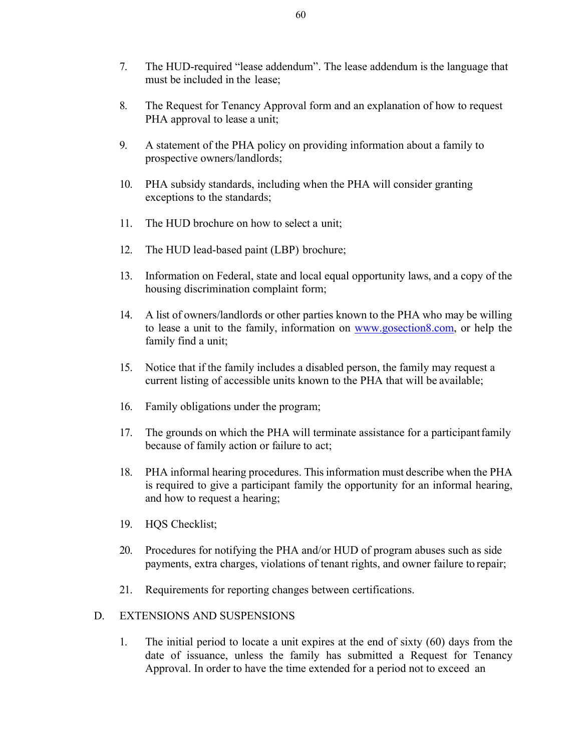- 7. The HUD-required "lease addendum". The lease addendum is the language that must be included in the lease;
- 8. The Request for Tenancy Approval form and an explanation of how to request PHA approval to lease a unit;
- 9. A statement of the PHA policy on providing information about a family to prospective owners/landlords;
- 10. PHA subsidy standards, including when the PHA will consider granting exceptions to the standards;
- 11. The HUD brochure on how to select a unit;
- 12. The HUD lead-based paint (LBP) brochure;
- 13. Information on Federal, state and local equal opportunity laws, and a copy of the housing discrimination complaint form;
- 14. A list of owners/landlords or other parties known to the PHA who may be willing to lease a unit to the family, information on www.gosection8.com, or help the family find a unit;
- 15. Notice that if the family includes a disabled person, the family may request a current listing of accessible units known to the PHA that will be available;
- 16. Family obligations under the program;
- 17. The grounds on which the PHA will terminate assistance for a participant family because of family action or failure to act;
- 18. PHA informal hearing procedures. This information must describe when the PHA is required to give a participant family the opportunity for an informal hearing, and how to request a hearing;
- 19. HQS Checklist;
- 20. Procedures for notifying the PHA and/or HUD of program abuses such as side payments, extra charges, violations of tenant rights, and owner failure to repair;
- 21. Requirements for reporting changes between certifications.

### D. EXTENSIONS AND SUSPENSIONS

1. The initial period to locate a unit expires at the end of sixty (60) days from the date of issuance, unless the family has submitted a Request for Tenancy Approval. In order to have the time extended for a period not to exceed an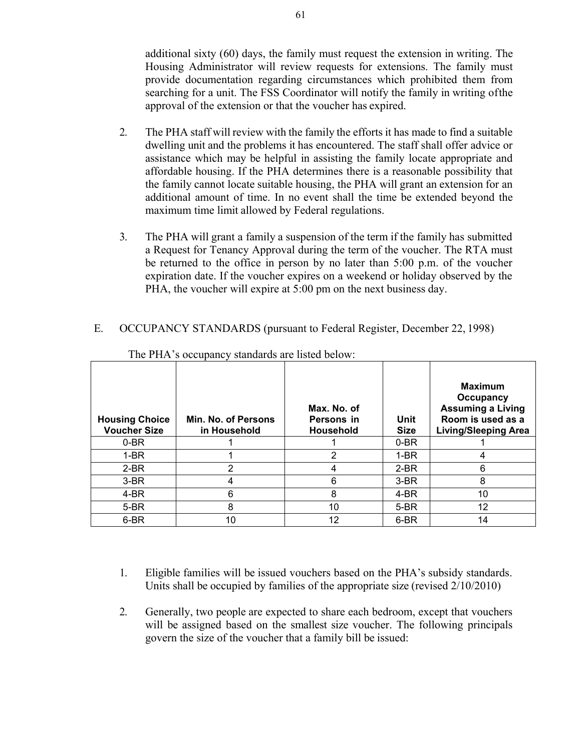additional sixty (60) days, the family must request the extension in writing. The Housing Administrator will review requests for extensions. The family must provide documentation regarding circumstances which prohibited them from searching for a unit. The FSS Coordinator will notify the family in writing of the approval of the extension or that the voucher has expired.

- 2. The PHA staff will review with the family the efforts it has made to find a suitable dwelling unit and the problems it has encountered. The staff shall offer advice or assistance which may be helpful in assisting the family locate appropriate and affordable housing. If the PHA determines there is a reasonable possibility that the family cannot locate suitable housing, the PHA will grant an extension for an additional amount of time. In no event shall the time be extended beyond the maximum time limit allowed by Federal regulations.
- 3. The PHA will grant a family a suspension of the term if the family has submitted a Request for Tenancy Approval during the term of the voucher. The RTA must be returned to the office in person by no later than 5:00 p.m. of the voucher expiration date. If the voucher expires on a weekend or holiday observed by the PHA, the voucher will expire at 5:00 pm on the next business day.

### E. OCCUPANCY STANDARDS (pursuant to Federal Register, December 22, 1998)

| <b>Housing Choice</b><br><b>Voucher Size</b> | Min. No. of Persons<br>in Household | Max. No. of<br>Persons in<br><b>Household</b> | Unit<br><b>Size</b> | <b>Maximum</b><br>Occupancy<br><b>Assuming a Living</b><br>Room is used as a<br><b>Living/Sleeping Area</b> |
|----------------------------------------------|-------------------------------------|-----------------------------------------------|---------------------|-------------------------------------------------------------------------------------------------------------|
| $0-BR$                                       |                                     |                                               | $0-BR$              |                                                                                                             |
| $1-BR$                                       |                                     | 2                                             | $1-BR$              |                                                                                                             |
| $2-BR$                                       | 2                                   | 4                                             | $2-BR$              | 6                                                                                                           |
| $3-BR$                                       |                                     | 6                                             | $3-BR$              | 8                                                                                                           |
| 4-BR                                         | 6                                   | 8                                             | 4-BR                | 10                                                                                                          |
| $5-BR$                                       | 8                                   | 10                                            | $5-BR$              | 12                                                                                                          |
| 6-BR                                         | 10                                  | 12                                            | 6-BR                | 14                                                                                                          |

The PHA's occupancy standards are listed below:

- 1. Eligible families will be issued vouchers based on the PHA's subsidy standards. Units shall be occupied by families of the appropriate size (revised 2/10/2010)
- 2. Generally, two people are expected to share each bedroom, except that vouchers will be assigned based on the smallest size voucher. The following principals govern the size of the voucher that a family bill be issued: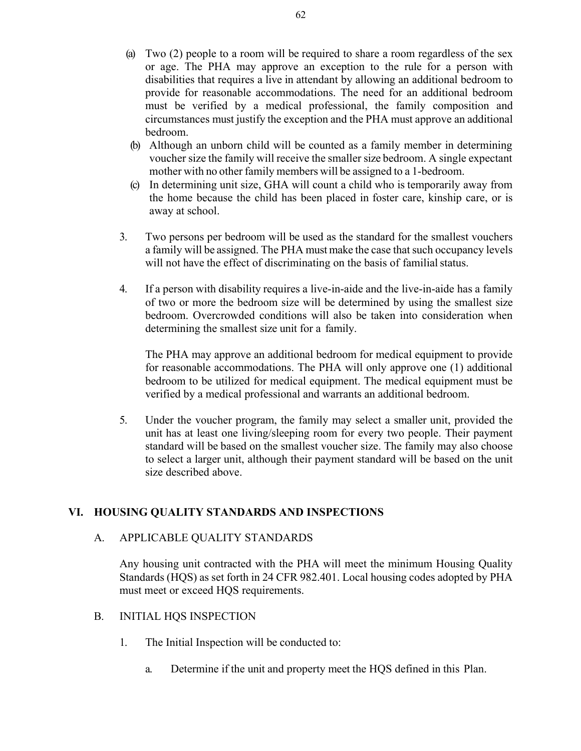- (a) Two (2) people to a room will be required to share a room regardless of the sex or age. The PHA may approve an exception to the rule for a person with disabilities that requires a live in attendant by allowing an additional bedroom to provide for reasonable accommodations. The need for an additional bedroom must be verified by a medical professional, the family composition and circumstances must justify the exception and the PHA must approve an additional bedroom.
- (b) Although an unborn child will be counted as a family member in determining voucher size the family will receive the smaller size bedroom. A single expectant mother with no other family members will be assigned to a 1-bedroom.
- (c) In determining unit size, GHA will count a child who is temporarily away from the home because the child has been placed in foster care, kinship care, or is away at school.
- 3. Two persons per bedroom will be used as the standard for the smallest vouchers a family will be assigned. The PHA must make the case that such occupancy levels will not have the effect of discriminating on the basis of familial status.
- 4. If a person with disability requires a live-in-aide and the live-in-aide has a family of two or more the bedroom size will be determined by using the smallest size bedroom. Overcrowded conditions will also be taken into consideration when determining the smallest size unit for a family.

The PHA may approve an additional bedroom for medical equipment to provide for reasonable accommodations. The PHA will only approve one (1) additional bedroom to be utilized for medical equipment. The medical equipment must be verified by a medical professional and warrants an additional bedroom.

5. Under the voucher program, the family may select a smaller unit, provided the unit has at least one living/sleeping room for every two people. Their payment standard will be based on the smallest voucher size. The family may also choose to select a larger unit, although their payment standard will be based on the unit size described above.

# **VI. HOUSING QUALITY STANDARDS AND INSPECTIONS**

# A. APPLICABLE QUALITY STANDARDS

Any housing unit contracted with the PHA will meet the minimum Housing Quality Standards (HQS) as set forth in 24 CFR 982.401. Local housing codes adopted by PHA must meet or exceed HQS requirements.

- B. INITIAL HQS INSPECTION
	- 1. The Initial Inspection will be conducted to:
		- a. Determine if the unit and property meet the HQS defined in this Plan.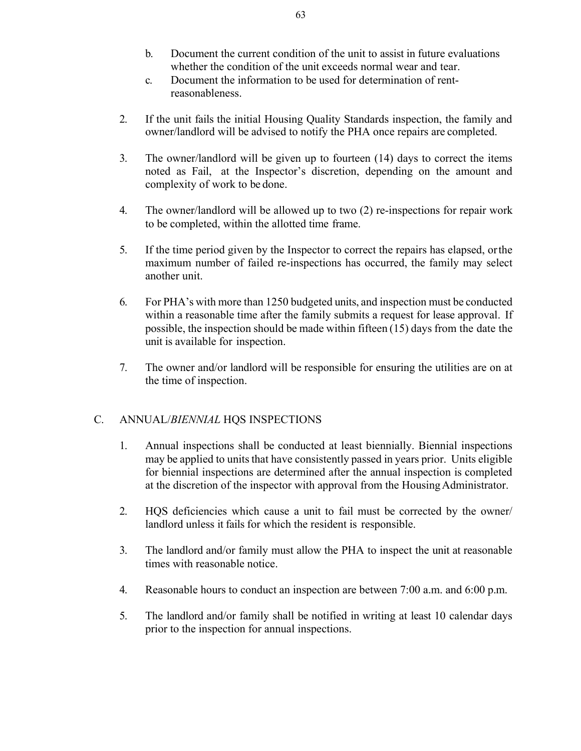- b. Document the current condition of the unit to assist in future evaluations whether the condition of the unit exceeds normal wear and tear.
- c. Document the information to be used for determination of rentreasonableness.
- 2. If the unit fails the initial Housing Quality Standards inspection, the family and owner/landlord will be advised to notify the PHA once repairs are completed.
- 3. The owner/landlord will be given up to fourteen (14) days to correct the items noted as Fail, at the Inspector's discretion, depending on the amount and complexity of work to be done.
- 4. The owner/landlord will be allowed up to two (2) re-inspections for repair work to be completed, within the allotted time frame.
- 5. If the time period given by the Inspector to correct the repairs has elapsed, or the maximum number of failed re-inspections has occurred, the family may select another unit.
- 6. For PHA's with more than 1250 budgeted units, and inspection must be conducted within a reasonable time after the family submits a request for lease approval. If possible, the inspection should be made within fifteen (15) days from the date the unit is available for inspection.
- 7. The owner and/or landlord will be responsible for ensuring the utilities are on at the time of inspection.

# C. ANNUAL/*BIENNIAL* HQS INSPECTIONS

- 1. Annual inspections shall be conducted at least biennially. Biennial inspections may be applied to units that have consistently passed in years prior. Units eligible for biennial inspections are determined after the annual inspection is completed at the discretion of the inspector with approval from the Housing Administrator.
- 2. HQS deficiencies which cause a unit to fail must be corrected by the owner/ landlord unless it fails for which the resident is responsible.
- 3. The landlord and/or family must allow the PHA to inspect the unit at reasonable times with reasonable notice.
- 4. Reasonable hours to conduct an inspection are between 7:00 a.m. and 6:00 p.m.
- 5. The landlord and/or family shall be notified in writing at least 10 calendar days prior to the inspection for annual inspections.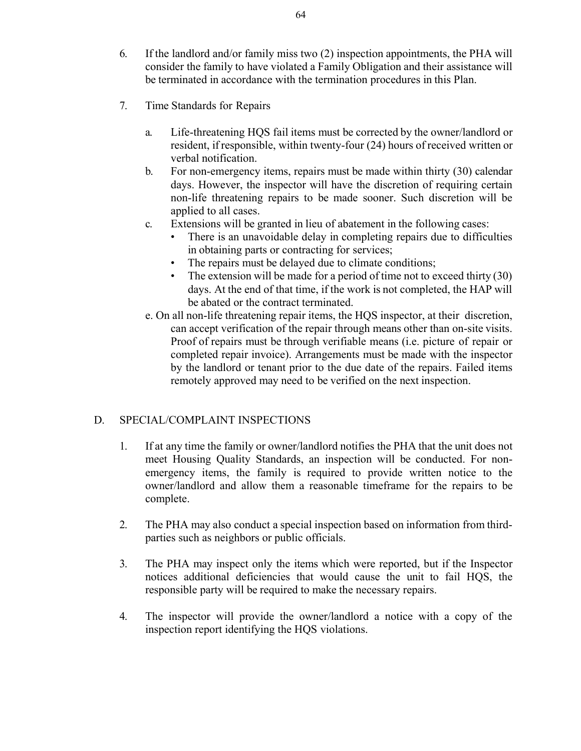- 6. If the landlord and/or family miss two (2) inspection appointments, the PHA will consider the family to have violated a Family Obligation and their assistance will be terminated in accordance with the termination procedures in this Plan.
- 7. Time Standards for Repairs
	- a. Life-threatening HQS fail items must be corrected by the owner/landlord or resident, if responsible, within twenty-four (24) hours of received written or verbal notification.
	- b. For non-emergency items, repairs must be made within thirty (30) calendar days. However, the inspector will have the discretion of requiring certain non-life threatening repairs to be made sooner. Such discretion will be applied to all cases.
	- c. Extensions will be granted in lieu of abatement in the following cases:
		- There is an unavoidable delay in completing repairs due to difficulties in obtaining parts or contracting for services;
		- The repairs must be delayed due to climate conditions;
		- The extension will be made for a period of time not to exceed thirty  $(30)$ days. At the end of that time, if the work is not completed, the HAP will be abated or the contract terminated.
	- e. On all non-life threatening repair items, the HQS inspector, at their discretion, can accept verification of the repair through means other than on-site visits. Proof of repairs must be through verifiable means (i.e. picture of repair or completed repair invoice). Arrangements must be made with the inspector by the landlord or tenant prior to the due date of the repairs. Failed items remotely approved may need to be verified on the next inspection.

# D. SPECIAL/COMPLAINT INSPECTIONS

- 1. If at any time the family or owner/landlord notifies the PHA that the unit does not meet Housing Quality Standards, an inspection will be conducted. For nonemergency items, the family is required to provide written notice to the owner/landlord and allow them a reasonable timeframe for the repairs to be complete.
- 2. The PHA may also conduct a special inspection based on information from thirdparties such as neighbors or public officials.
- 3. The PHA may inspect only the items which were reported, but if the Inspector notices additional deficiencies that would cause the unit to fail HQS, the responsible party will be required to make the necessary repairs.
- 4. The inspector will provide the owner/landlord a notice with a copy of the inspection report identifying the HQS violations.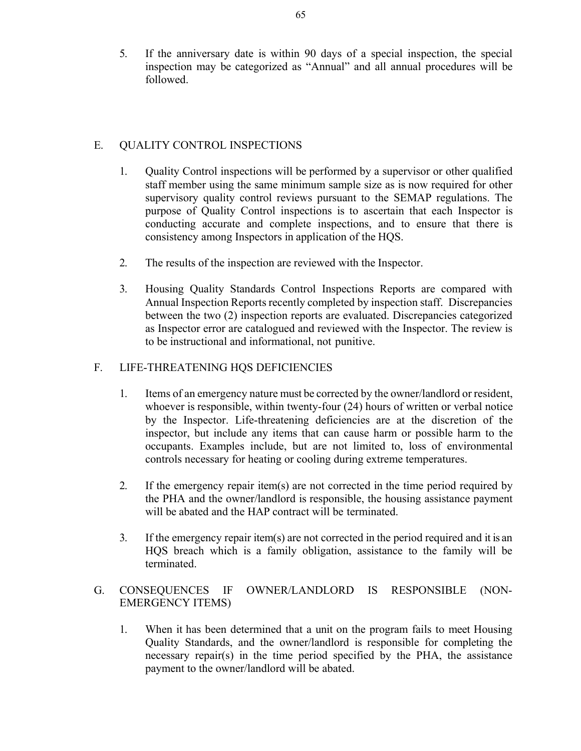5. If the anniversary date is within 90 days of a special inspection, the special inspection may be categorized as "Annual" and all annual procedures will be followed.

# E. QUALITY CONTROL INSPECTIONS

- 1. Quality Control inspections will be performed by a supervisor or other qualified staff member using the same minimum sample size as is now required for other supervisory quality control reviews pursuant to the SEMAP regulations. The purpose of Quality Control inspections is to ascertain that each Inspector is conducting accurate and complete inspections, and to ensure that there is consistency among Inspectors in application of the HQS.
- 2. The results of the inspection are reviewed with the Inspector.
- 3. Housing Quality Standards Control Inspections Reports are compared with Annual Inspection Reports recently completed by inspection staff. Discrepancies between the two (2) inspection reports are evaluated. Discrepancies categorized as Inspector error are catalogued and reviewed with the Inspector. The review is to be instructional and informational, not punitive.

# F. LIFE-THREATENING HQS DEFICIENCIES

- 1. Items of an emergency nature must be corrected by the owner/landlord or resident, whoever is responsible, within twenty-four (24) hours of written or verbal notice by the Inspector. Life-threatening deficiencies are at the discretion of the inspector, but include any items that can cause harm or possible harm to the occupants. Examples include, but are not limited to, loss of environmental controls necessary for heating or cooling during extreme temperatures.
- 2. If the emergency repair item(s) are not corrected in the time period required by the PHA and the owner/landlord is responsible, the housing assistance payment will be abated and the HAP contract will be terminated.
- 3. If the emergency repair item(s) are not corrected in the period required and it is an HQS breach which is a family obligation, assistance to the family will be terminated.

# G. CONSEQUENCES IF OWNER/LANDLORD IS RESPONSIBLE (NON-EMERGENCY ITEMS)

1. When it has been determined that a unit on the program fails to meet Housing Quality Standards, and the owner/landlord is responsible for completing the necessary repair(s) in the time period specified by the PHA, the assistance payment to the owner/landlord will be abated.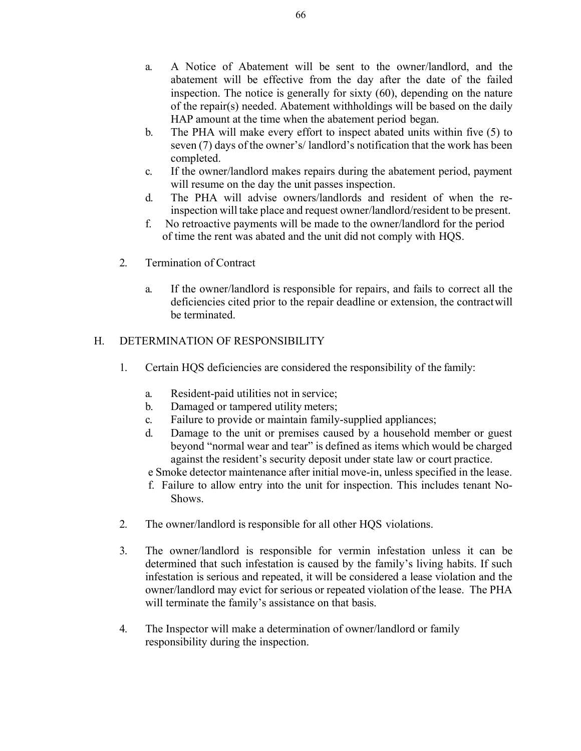- a. A Notice of Abatement will be sent to the owner/landlord, and the abatement will be effective from the day after the date of the failed inspection. The notice is generally for sixty (60), depending on the nature of the repair(s) needed. Abatement withholdings will be based on the daily HAP amount at the time when the abatement period began.
- b. The PHA will make every effort to inspect abated units within five (5) to seven (7) days of the owner's/ landlord's notification that the work has been completed.
- c. If the owner/landlord makes repairs during the abatement period, payment will resume on the day the unit passes inspection.
- d. The PHA will advise owners/landlords and resident of when the reinspection will take place and request owner/landlord/resident to be present.
- f. No retroactive payments will be made to the owner/landlord for the period of time the rent was abated and the unit did not comply with HQS.
- 2. Termination of Contract
	- a. If the owner/landlord is responsible for repairs, and fails to correct all the deficiencies cited prior to the repair deadline or extension, the contract will be terminated.

# H. DETERMINATION OF RESPONSIBILITY

- 1. Certain HQS deficiencies are considered the responsibility of the family:
	- a. Resident-paid utilities not in service;
	- b. Damaged or tampered utility meters;
	- c. Failure to provide or maintain family-supplied appliances;
	- d. Damage to the unit or premises caused by a household member or guest beyond "normal wear and tear" is defined as items which would be charged against the resident's security deposit under state law or court practice.
	- e Smoke detector maintenance after initial move-in, unless specified in the lease.
	- f. Failure to allow entry into the unit for inspection. This includes tenant No-Shows.
- 2. The owner/landlord is responsible for all other HQS violations.
- 3. The owner/landlord is responsible for vermin infestation unless it can be determined that such infestation is caused by the family's living habits. If such infestation is serious and repeated, it will be considered a lease violation and the owner/landlord may evict for serious or repeated violation of the lease. The PHA will terminate the family's assistance on that basis.
- 4. The Inspector will make a determination of owner/landlord or family responsibility during the inspection.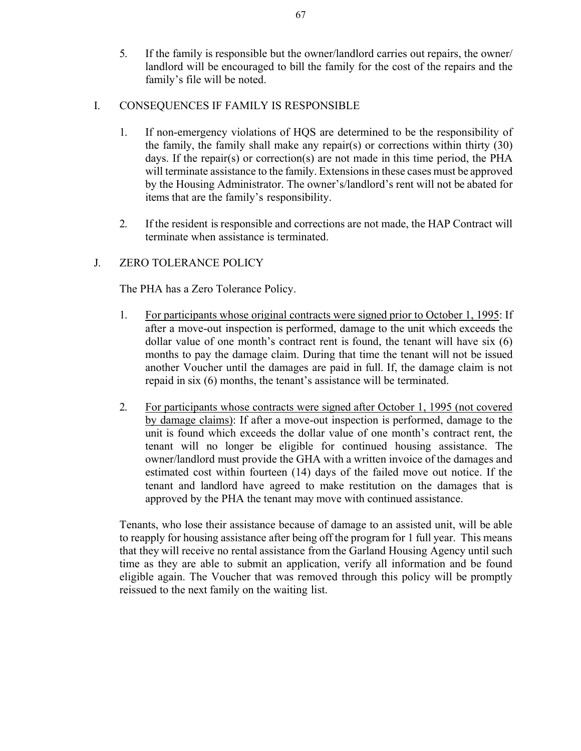5. If the family is responsible but the owner/landlord carries out repairs, the owner/ landlord will be encouraged to bill the family for the cost of the repairs and the family's file will be noted.

### I. CONSEQUENCES IF FAMILY IS RESPONSIBLE

- 1. If non-emergency violations of HQS are determined to be the responsibility of the family, the family shall make any repair(s) or corrections within thirty (30) days. If the repair(s) or correction(s) are not made in this time period, the PHA will terminate assistance to the family. Extensions in these cases must be approved by the Housing Administrator. The owner's/landlord's rent will not be abated for items that are the family's responsibility.
- 2. If the resident is responsible and corrections are not made, the HAP Contract will terminate when assistance is terminated.

### J. ZERO TOLERANCE POLICY

The PHA has a Zero Tolerance Policy.

- 1. For participants whose original contracts were signed prior to October 1, 1995: If after a move-out inspection is performed, damage to the unit which exceeds the dollar value of one month's contract rent is found, the tenant will have six (6) months to pay the damage claim. During that time the tenant will not be issued another Voucher until the damages are paid in full. If, the damage claim is not repaid in six (6) months, the tenant's assistance will be terminated.
- 2. For participants whose contracts were signed after October 1, 1995 (not covered by damage claims): If after a move-out inspection is performed, damage to the unit is found which exceeds the dollar value of one month's contract rent, the tenant will no longer be eligible for continued housing assistance. The owner/landlord must provide the GHA with a written invoice of the damages and estimated cost within fourteen (14) days of the failed move out notice. If the tenant and landlord have agreed to make restitution on the damages that is approved by the PHA the tenant may move with continued assistance.

Tenants, who lose their assistance because of damage to an assisted unit, will be able to reapply for housing assistance after being off the program for 1 full year. This means that they will receive no rental assistance from the Garland Housing Agency until such time as they are able to submit an application, verify all information and be found eligible again. The Voucher that was removed through this policy will be promptly reissued to the next family on the waiting list.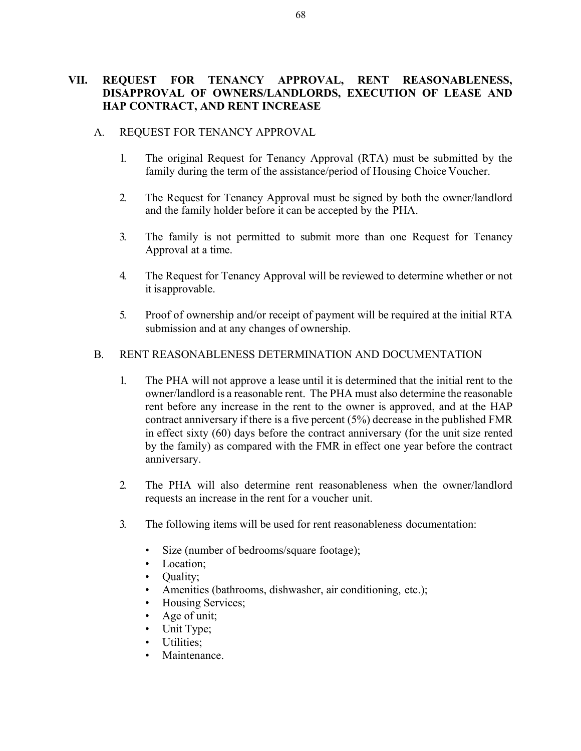### **VII. REQUEST FOR TENANCY APPROVAL, RENT REASONABLENESS, DISAPPROVAL OF OWNERS/LANDLORDS, EXECUTION OF LEASE AND HAP CONTRACT, AND RENT INCREASE**

#### A. REQUEST FOR TENANCY APPROVAL

- 1. The original Request for Tenancy Approval (RTA) must be submitted by the family during the term of the assistance/period of Housing Choice Voucher.
- 2. The Request for Tenancy Approval must be signed by both the owner/landlord and the family holder before it can be accepted by the PHA.
- 3. The family is not permitted to submit more than one Request for Tenancy Approval at a time.
- 4. The Request for Tenancy Approval will be reviewed to determine whether or not it is approvable.
- 5. Proof of ownership and/or receipt of payment will be required at the initial RTA submission and at any changes of ownership.

### B. RENT REASONABLENESS DETERMINATION AND DOCUMENTATION

- 1. The PHA will not approve a lease until it is determined that the initial rent to the owner/landlord is a reasonable rent. The PHA must also determine the reasonable rent before any increase in the rent to the owner is approved, and at the HAP contract anniversary if there is a five percent (5%) decrease in the published FMR in effect sixty (60) days before the contract anniversary (for the unit size rented by the family) as compared with the FMR in effect one year before the contract anniversary.
- 2. The PHA will also determine rent reasonableness when the owner/landlord requests an increase in the rent for a voucher unit.
- 3. The following items will be used for rent reasonableness documentation:
	- Size (number of bedrooms/square footage);
	- Location;
	- **Quality**;
	- Amenities (bathrooms, dishwasher, air conditioning, etc.);
	- Housing Services;
	- Age of unit;
	- Unit Type;
	- Utilities;
	- Maintenance.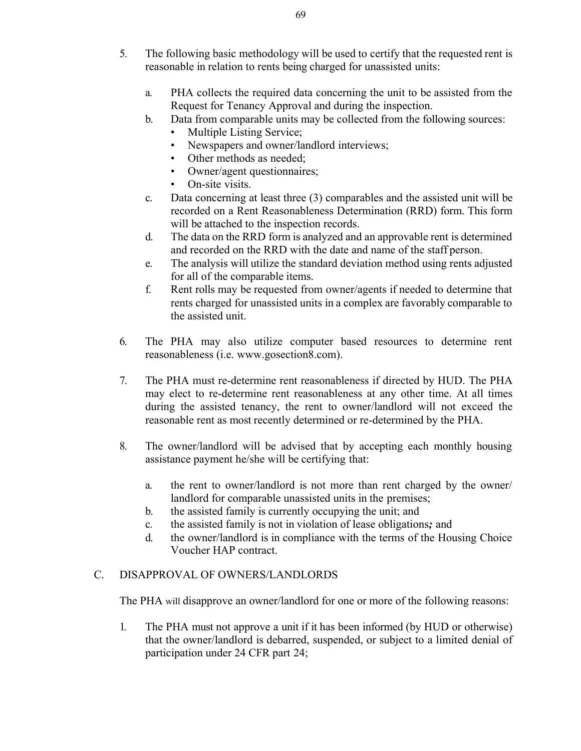- 5. The following basic methodology will be used to certify that the requested rent is reasonable in relation to rents being charged for unassisted units:
	- a. PHA collects the required data concerning the unit to be assisted from the Request for Tenancy Approval and during the inspection.
	- b. Data from comparable units may be collected from the following sources:
		- Multiple Listing Service;
		- Newspapers and owner/landlord interviews;
		- Other methods as needed;
		- Owner/agent questionnaires;
		- On-site visits.
	- c. Data concerning at least three (3) comparables and the assisted unit will be recorded on a Rent Reasonableness Determination (RRD) form. This form will be attached to the inspection records.
	- d. The data on the RRD form is analyzed and an approvable rent is determined and recorded on the RRD with the date and name of the staff person.
	- e. The analysis will utilize the standard deviation method using rents adjusted for all of the comparable items.
	- f. Rent rolls may be requested from owner/agents if needed to determine that rents charged for unassisted units in a complex are favorably comparable to the assisted unit.
- 6. The PHA may also utilize computer based resources to determine rent reasonableness (i.e. www.gosection8.com).
- 7. The PHA must re-determine rent reasonableness if directed by HUD. The PHA may elect to re-determine rent reasonableness at any other time. At all times during the assisted tenancy, the rent to owner/landlord will not exceed the reasonable rent as most recently determined or re-determined by the PHA.
- 8. The owner/landlord will be advised that by accepting each monthly housing assistance payment he/she will be certifying that:
	- a. the rent to owner/landlord is not more than rent charged by the owner/ landlord for comparable unassisted units in the premises;
	- b. the assisted family is currently occupying the unit; and
	- c. the assisted family is not in violation of lease obligations*;* and
	- d. the owner/landlord is in compliance with the terms of the Housing Choice Voucher HAP contract.

# C. DISAPPROVAL OF OWNERS/LANDLORDS

The PHA will disapprove an owner/landlord for one or more of the following reasons:

1. The PHA must not approve a unit if it has been informed (by HUD or otherwise) that the owner/landlord is debarred, suspended, or subject to a limited denial of participation under 24 CFR part 24;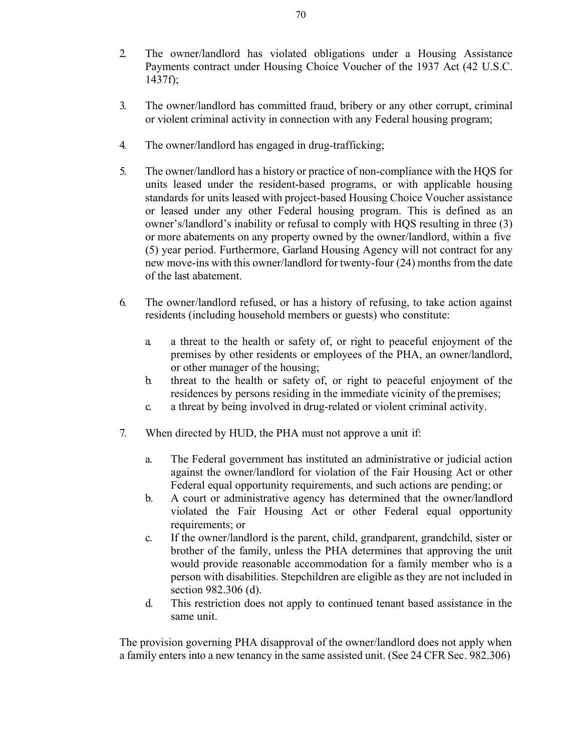- 2. The owner/landlord has violated obligations under a Housing Assistance Payments contract under Housing Choice Voucher of the 1937 Act (42 U.S.C. 1437f);
- 3. The owner/landlord has committed fraud, bribery or any other corrupt, criminal or violent criminal activity in connection with any Federal housing program;
- 4. The owner/landlord has engaged in drug-trafficking;
- 5. The owner/landlord has a history or practice of non-compliance with the HQS for units leased under the resident-based programs, or with applicable housing standards for units leased with project-based Housing Choice Voucher assistance or leased under any other Federal housing program. This is defined as an owner's/landlord's inability or refusal to comply with HQS resulting in three (3) or more abatements on any property owned by the owner/landlord, within a five (5) year period. Furthermore, Garland Housing Agency will not contract for any new move-ins with this owner/landlord for twenty-four (24) months from the date of the last abatement.
- 6. The owner/landlord refused, or has a history of refusing, to take action against residents (including household members or guests) who constitute:
	- a. a threat to the health or safety of, or right to peaceful enjoyment of the premises by other residents or employees of the PHA, an owner/landlord, or other manager of the housing;
	- b. threat to the health or safety of, or right to peaceful enjoyment of the residences by persons residing in the immediate vicinity of the premises;
	- c. a threat by being involved in drug-related or violent criminal activity.
- 7. When directed by HUD, the PHA must not approve a unit if:
	- a. The Federal government has instituted an administrative or judicial action against the owner/landlord for violation of the Fair Housing Act or other Federal equal opportunity requirements, and such actions are pending; or
	- b. A court or administrative agency has determined that the owner/landlord violated the Fair Housing Act or other Federal equal opportunity requirements; or
	- c. If the owner/landlord is the parent, child, grandparent, grandchild, sister or brother of the family, unless the PHA determines that approving the unit would provide reasonable accommodation for a family member who is a person with disabilities. Stepchildren are eligible as they are not included in section 982.306 (d).
	- d. This restriction does not apply to continued tenant based assistance in the same unit.

The provision governing PHA disapproval of the owner/landlord does not apply when a family enters into a new tenancy in the same assisted unit. (See 24 CFR Sec. 982.306)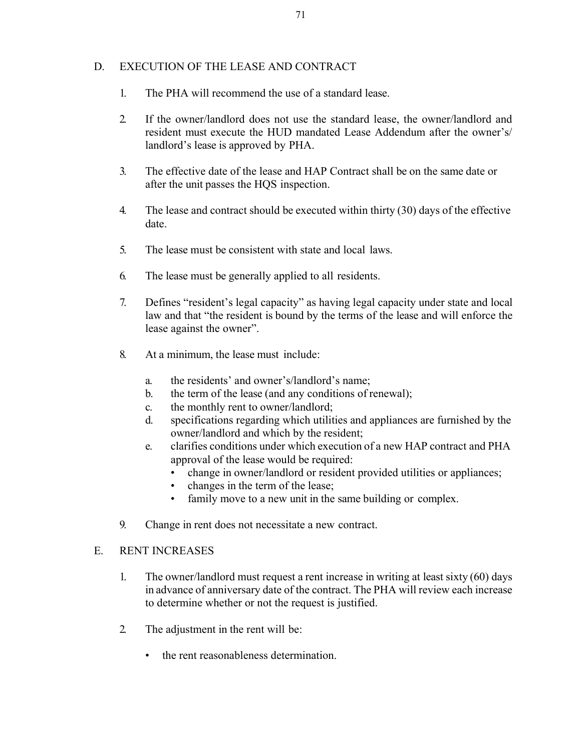### D. EXECUTION OF THE LEASE AND CONTRACT

- 1. The PHA will recommend the use of a standard lease.
- 2. If the owner/landlord does not use the standard lease, the owner/landlord and resident must execute the HUD mandated Lease Addendum after the owner's/ landlord's lease is approved by PHA.
- 3. The effective date of the lease and HAP Contract shall be on the same date or after the unit passes the HQS inspection.
- 4. The lease and contract should be executed within thirty (30) days of the effective date.
- 5. The lease must be consistent with state and local laws.
- 6. The lease must be generally applied to all residents.
- 7. Defines "resident's legal capacity" as having legal capacity under state and local law and that "the resident is bound by the terms of the lease and will enforce the lease against the owner".
- 8. At a minimum, the lease must include:
	- a. the residents' and owner's/landlord's name;
	- b. the term of the lease (and any conditions of renewal);
	- c. the monthly rent to owner/landlord;
	- d. specifications regarding which utilities and appliances are furnished by the owner/landlord and which by the resident;
	- e. clarifies conditions under which execution of a new HAP contract and PHA approval of the lease would be required:
		- change in owner/landlord or resident provided utilities or appliances;
		- changes in the term of the lease;
		- family move to a new unit in the same building or complex.
- 9. Change in rent does not necessitate a new contract.

### E. RENT INCREASES

- 1. The owner/landlord must request a rent increase in writing at least sixty (60) days in advance of anniversary date of the contract. The PHA will review each increase to determine whether or not the request is justified.
- 2. The adjustment in the rent will be:
	- the rent reasonableness determination.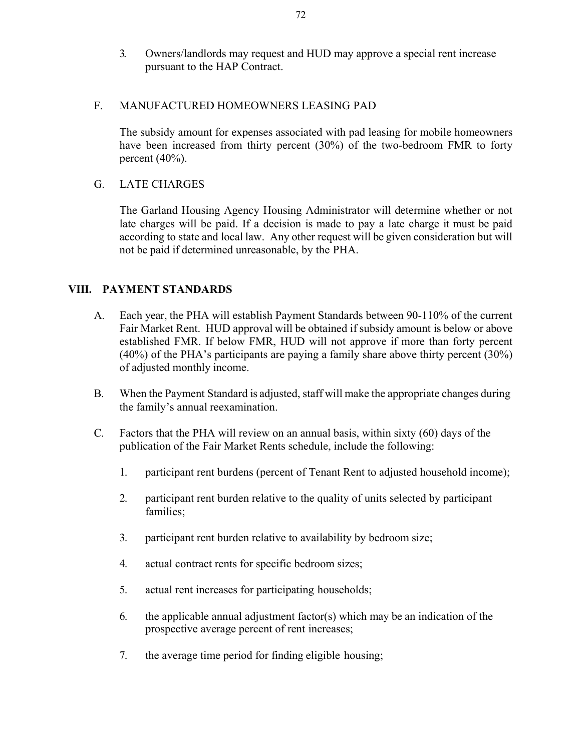3. Owners/landlords may request and HUD may approve a special rent increase pursuant to the HAP Contract.

### F. MANUFACTURED HOMEOWNERS LEASING PAD

The subsidy amount for expenses associated with pad leasing for mobile homeowners have been increased from thirty percent (30%) of the two-bedroom FMR to forty percent  $(40\%)$ .

### G. LATE CHARGES

The Garland Housing Agency Housing Administrator will determine whether or not late charges will be paid. If a decision is made to pay a late charge it must be paid according to state and local law. Any other request will be given consideration but will not be paid if determined unreasonable, by the PHA.

### **VIII. PAYMENT STANDARDS**

- A. Each year, the PHA will establish Payment Standards between 90-110% of the current Fair Market Rent. HUD approval will be obtained if subsidy amount is below or above established FMR. If below FMR, HUD will not approve if more than forty percent (40%) of the PHA's participants are paying a family share above thirty percent (30%) of adjusted monthly income.
- B. When the Payment Standard is adjusted, staff will make the appropriate changes during the family's annual reexamination.
- C. Factors that the PHA will review on an annual basis, within sixty (60) days of the publication of the Fair Market Rents schedule, include the following:
	- 1. participant rent burdens (percent of Tenant Rent to adjusted household income);
	- 2. participant rent burden relative to the quality of units selected by participant families;
	- 3. participant rent burden relative to availability by bedroom size;
	- 4. actual contract rents for specific bedroom sizes;
	- 5. actual rent increases for participating households;
	- 6. the applicable annual adjustment factor(s) which may be an indication of the prospective average percent of rent increases;
	- 7. the average time period for finding eligible housing;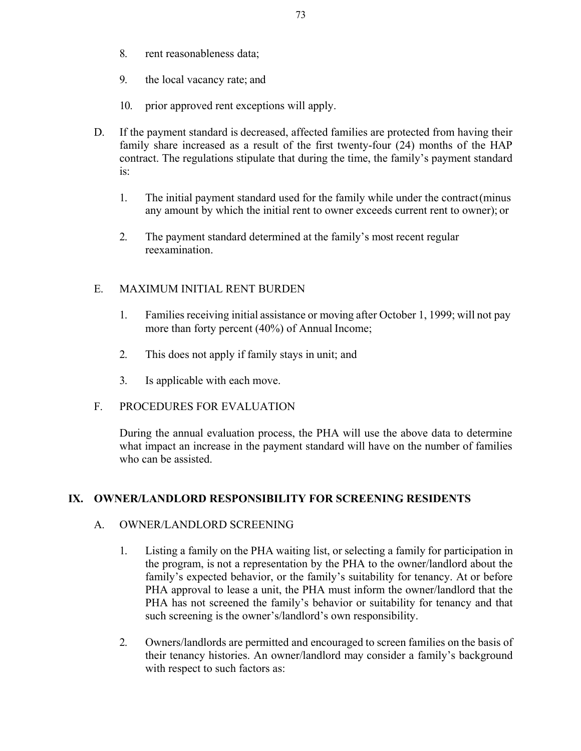- 8. rent reasonableness data;
- 9. the local vacancy rate; and
- 10. prior approved rent exceptions will apply.
- D. If the payment standard is decreased, affected families are protected from having their family share increased as a result of the first twenty-four (24) months of the HAP contract. The regulations stipulate that during the time, the family's payment standard is:
	- 1. The initial payment standard used for the family while under the contract (minus any amount by which the initial rent to owner exceeds current rent to owner); or
	- 2. The payment standard determined at the family's most recent regular reexamination.

#### E. MAXIMUM INITIAL RENT BURDEN

- 1. Families receiving initial assistance or moving after October 1, 1999; will not pay more than forty percent (40%) of Annual Income;
- 2. This does not apply if family stays in unit; and
- 3. Is applicable with each move.

#### F. PROCEDURES FOR EVALUATION

During the annual evaluation process, the PHA will use the above data to determine what impact an increase in the payment standard will have on the number of families who can be assisted.

### **IX. OWNER/LANDLORD RESPONSIBILITY FOR SCREENING RESIDENTS**

#### A. OWNER/LANDLORD SCREENING

- 1. Listing a family on the PHA waiting list, or selecting a family for participation in the program, is not a representation by the PHA to the owner/landlord about the family's expected behavior, or the family's suitability for tenancy. At or before PHA approval to lease a unit, the PHA must inform the owner/landlord that the PHA has not screened the family's behavior or suitability for tenancy and that such screening is the owner's/landlord's own responsibility.
- 2. Owners/landlords are permitted and encouraged to screen families on the basis of their tenancy histories. An owner/landlord may consider a family's background with respect to such factors as: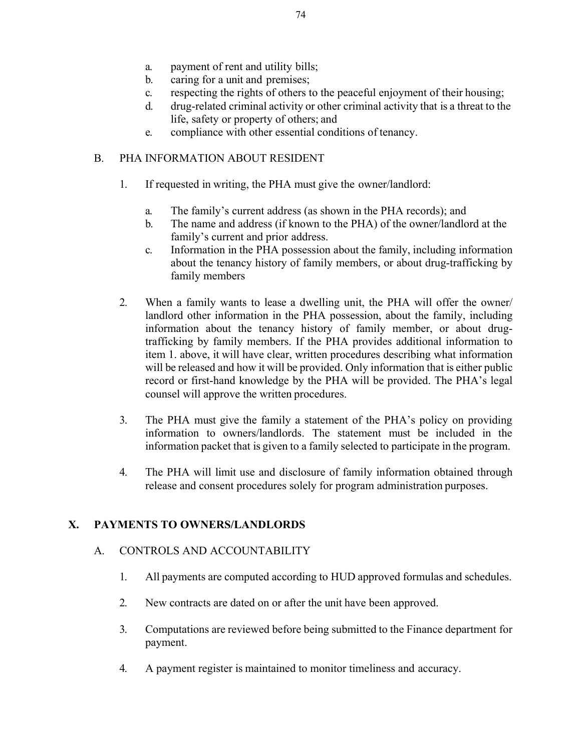- a. payment of rent and utility bills;
- b. caring for a unit and premises;
- c. respecting the rights of others to the peaceful enjoyment of their housing;
- d. drug-related criminal activity or other criminal activity that is a threat to the life, safety or property of others; and
- e. compliance with other essential conditions of tenancy.

# B. PHA INFORMATION ABOUT RESIDENT

- 1. If requested in writing, the PHA must give the owner/landlord:
	- a. The family's current address (as shown in the PHA records); and
	- b. The name and address (if known to the PHA) of the owner/landlord at the family's current and prior address.
	- c. Information in the PHA possession about the family, including information about the tenancy history of family members, or about drug-trafficking by family members
- 2. When a family wants to lease a dwelling unit, the PHA will offer the owner/ landlord other information in the PHA possession, about the family, including information about the tenancy history of family member, or about drugtrafficking by family members. If the PHA provides additional information to item 1. above, it will have clear, written procedures describing what information will be released and how it will be provided. Only information that is either public record or first-hand knowledge by the PHA will be provided. The PHA's legal counsel will approve the written procedures.
- 3. The PHA must give the family a statement of the PHA's policy on providing information to owners/landlords. The statement must be included in the information packet that is given to a family selected to participate in the program.
- 4. The PHA will limit use and disclosure of family information obtained through release and consent procedures solely for program administration purposes.

# **X. PAYMENTS TO OWNERS/LANDLORDS**

# A. CONTROLS AND ACCOUNTABILITY

- 1. All payments are computed according to HUD approved formulas and schedules.
- 2. New contracts are dated on or after the unit have been approved.
- 3. Computations are reviewed before being submitted to the Finance department for payment.
- 4. A payment register is maintained to monitor timeliness and accuracy.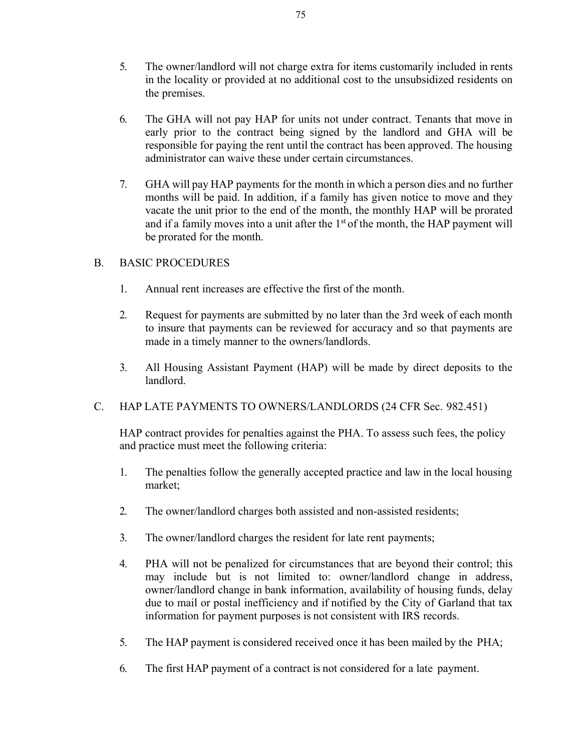- 5. The owner/landlord will not charge extra for items customarily included in rents in the locality or provided at no additional cost to the unsubsidized residents on the premises.
- 6. The GHA will not pay HAP for units not under contract. Tenants that move in early prior to the contract being signed by the landlord and GHA will be responsible for paying the rent until the contract has been approved. The housing administrator can waive these under certain circumstances.
- 7. GHA will pay HAP payments for the month in which a person dies and no further months will be paid. In addition, if a family has given notice to move and they vacate the unit prior to the end of the month, the monthly HAP will be prorated and if a family moves into a unit after the  $1<sup>st</sup>$  of the month, the HAP payment will be prorated for the month.

# B. BASIC PROCEDURES

- 1. Annual rent increases are effective the first of the month.
- 2. Request for payments are submitted by no later than the 3rd week of each month to insure that payments can be reviewed for accuracy and so that payments are made in a timely manner to the owners/landlords.
- 3. All Housing Assistant Payment (HAP) will be made by direct deposits to the landlord.

# C. HAP LATE PAYMENTS TO OWNERS/LANDLORDS (24 CFR Sec. 982.451)

HAP contract provides for penalties against the PHA. To assess such fees, the policy and practice must meet the following criteria:

- 1. The penalties follow the generally accepted practice and law in the local housing market;
- 2. The owner/landlord charges both assisted and non-assisted residents;
- 3. The owner/landlord charges the resident for late rent payments;
- 4. PHA will not be penalized for circumstances that are beyond their control; this may include but is not limited to: owner/landlord change in address, owner/landlord change in bank information, availability of housing funds, delay due to mail or postal inefficiency and if notified by the City of Garland that tax information for payment purposes is not consistent with IRS records.
- 5. The HAP payment is considered received once it has been mailed by the PHA;
- 6. The first HAP payment of a contract is not considered for a late payment.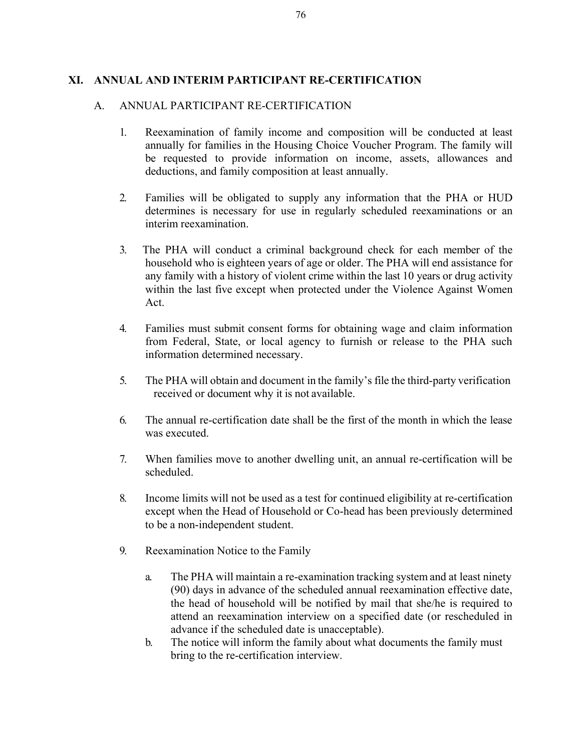### **XI. ANNUAL AND INTERIM PARTICIPANT RE-CERTIFICATION**

### A. ANNUAL PARTICIPANT RE-CERTIFICATION

- 1. Reexamination of family income and composition will be conducted at least annually for families in the Housing Choice Voucher Program. The family will be requested to provide information on income, assets, allowances and deductions, and family composition at least annually.
- 2. Families will be obligated to supply any information that the PHA or HUD determines is necessary for use in regularly scheduled reexaminations or an interim reexamination.
- 3. The PHA will conduct a criminal background check for each member of the household who is eighteen years of age or older. The PHA will end assistance for any family with a history of violent crime within the last 10 years or drug activity within the last five except when protected under the Violence Against Women Act.
- 4. Families must submit consent forms for obtaining wage and claim information from Federal, State, or local agency to furnish or release to the PHA such information determined necessary.
- 5. The PHA will obtain and document in the family's file the third-party verification received or document why it is not available.
- 6. The annual re-certification date shall be the first of the month in which the lease was executed.
- 7. When families move to another dwelling unit, an annual re-certification will be scheduled.
- 8. Income limits will not be used as a test for continued eligibility at re-certification except when the Head of Household or Co-head has been previously determined to be a non-independent student.
- 9. Reexamination Notice to the Family
	- a. The PHA will maintain a re-examination tracking system and at least ninety (90) days in advance of the scheduled annual reexamination effective date, the head of household will be notified by mail that she/he is required to attend an reexamination interview on a specified date (or rescheduled in advance if the scheduled date is unacceptable).
	- b. The notice will inform the family about what documents the family must bring to the re-certification interview.

76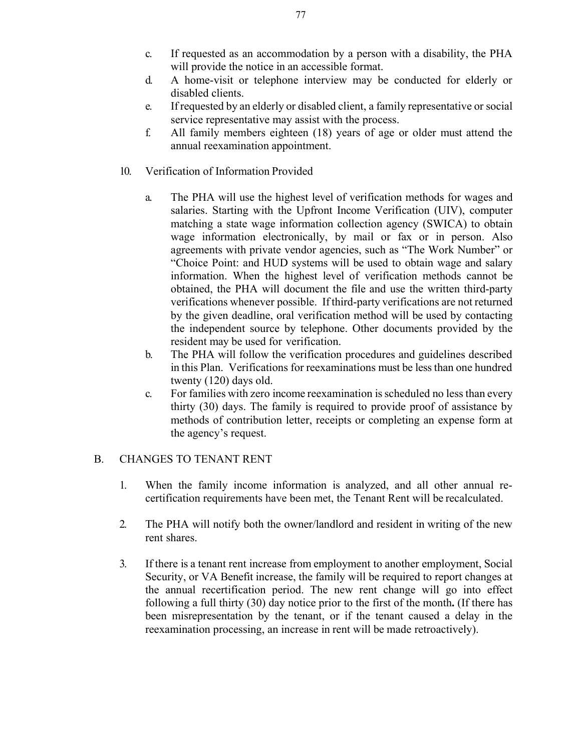- c. If requested as an accommodation by a person with a disability, the PHA will provide the notice in an accessible format.
- d. A home-visit or telephone interview may be conducted for elderly or disabled clients.
- e. If requested by an elderly or disabled client, a family representative or social service representative may assist with the process.
- f. All family members eighteen (18) years of age or older must attend the annual reexamination appointment.
- 10. Verification of Information Provided
	- a. The PHA will use the highest level of verification methods for wages and salaries. Starting with the Upfront Income Verification (UIV), computer matching a state wage information collection agency (SWICA) to obtain wage information electronically, by mail or fax or in person. Also agreements with private vendor agencies, such as "The Work Number" or "Choice Point: and HUD systems will be used to obtain wage and salary information. When the highest level of verification methods cannot be obtained, the PHA will document the file and use the written third-party verifications whenever possible. If third-party verifications are not returned by the given deadline, oral verification method will be used by contacting the independent source by telephone. Other documents provided by the resident may be used for verification.
	- b. The PHA will follow the verification procedures and guidelines described in this Plan. Verifications for reexaminations must be less than one hundred twenty (120) days old.
	- c. For families with zero income reexamination is scheduled no less than every thirty (30) days. The family is required to provide proof of assistance by methods of contribution letter, receipts or completing an expense form at the agency's request.

# B. CHANGES TO TENANT RENT

- 1. When the family income information is analyzed, and all other annual recertification requirements have been met, the Tenant Rent will be recalculated.
- 2. The PHA will notify both the owner/landlord and resident in writing of the new rent shares.
- 3. If there is a tenant rent increase from employment to another employment, Social Security, or VA Benefit increase, the family will be required to report changes at the annual recertification period. The new rent change will go into effect following a full thirty (30) day notice prior to the first of the month**.** (If there has been misrepresentation by the tenant, or if the tenant caused a delay in the reexamination processing, an increase in rent will be made retroactively).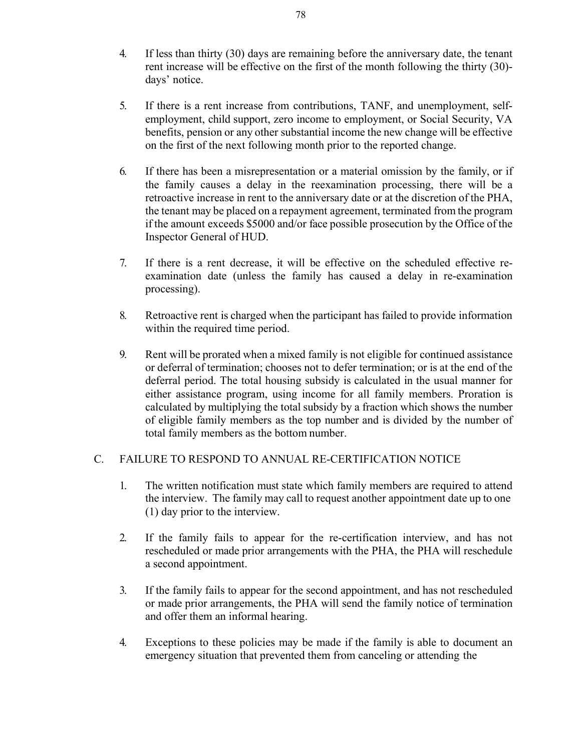- 4. If less than thirty (30) days are remaining before the anniversary date, the tenant rent increase will be effective on the first of the month following the thirty (30) days' notice.
- 5. If there is a rent increase from contributions, TANF, and unemployment, selfemployment, child support, zero income to employment, or Social Security, VA benefits, pension or any other substantial income the new change will be effective on the first of the next following month prior to the reported change.
- 6. If there has been a misrepresentation or a material omission by the family, or if the family causes a delay in the reexamination processing, there will be a retroactive increase in rent to the anniversary date or at the discretion of the PHA, the tenant may be placed on a repayment agreement, terminated from the program if the amount exceeds \$5000 and/or face possible prosecution by the Office of the Inspector General of HUD.
- 7. If there is a rent decrease, it will be effective on the scheduled effective reexamination date (unless the family has caused a delay in re-examination processing).
- 8. Retroactive rent is charged when the participant has failed to provide information within the required time period.
- 9. Rent will be prorated when a mixed family is not eligible for continued assistance or deferral of termination; chooses not to defer termination; or is at the end of the deferral period. The total housing subsidy is calculated in the usual manner for either assistance program, using income for all family members. Proration is calculated by multiplying the total subsidy by a fraction which shows the number of eligible family members as the top number and is divided by the number of total family members as the bottom number.

# C. FAILURE TO RESPOND TO ANNUAL RE-CERTIFICATION NOTICE

- 1. The written notification must state which family members are required to attend the interview. The family may call to request another appointment date up to one (1) day prior to the interview.
- 2. If the family fails to appear for the re-certification interview, and has not rescheduled or made prior arrangements with the PHA, the PHA will reschedule a second appointment.
- 3. If the family fails to appear for the second appointment, and has not rescheduled or made prior arrangements, the PHA will send the family notice of termination and offer them an informal hearing.
- 4. Exceptions to these policies may be made if the family is able to document an emergency situation that prevented them from canceling or attending the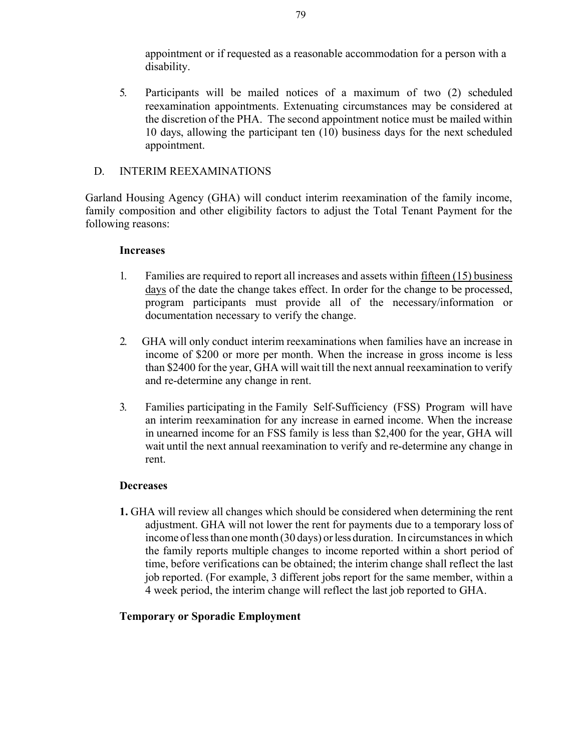appointment or if requested as a reasonable accommodation for a person with a disability.

5. Participants will be mailed notices of a maximum of two (2) scheduled reexamination appointments. Extenuating circumstances may be considered at the discretion of the PHA. The second appointment notice must be mailed within 10 days, allowing the participant ten (10) business days for the next scheduled appointment.

### D. INTERIM REEXAMINATIONS

Garland Housing Agency (GHA) will conduct interim reexamination of the family income, family composition and other eligibility factors to adjust the Total Tenant Payment for the following reasons:

### **Increases**

- 1. Families are required to report all increases and assets within fifteen (15) business days of the date the change takes effect. In order for the change to be processed, program participants must provide all of the necessary/information or documentation necessary to verify the change.
- 2. GHA will only conduct interim reexaminations when families have an increase in income of \$200 or more per month. When the increase in gross income is less than \$2400 for the year, GHA will wait till the next annual reexamination to verify and re-determine any change in rent.
- 3. Families participating in the Family Self-Sufficiency (FSS) Program will have an interim reexamination for any increase in earned income. When the increase in unearned income for an FSS family is less than \$2,400 for the year, GHA will wait until the next annual reexamination to verify and re-determine any change in rent.

# **Decreases**

**1.** GHA will review all changes which should be considered when determining the rent adjustment. GHA will not lower the rent for payments due to a temporary loss of income of less than one month (30 days) or less duration. In circumstances in which the family reports multiple changes to income reported within a short period of time, before verifications can be obtained; the interim change shall reflect the last job reported. (For example, 3 different jobs report for the same member, within a 4 week period, the interim change will reflect the last job reported to GHA.

### **Temporary or Sporadic Employment**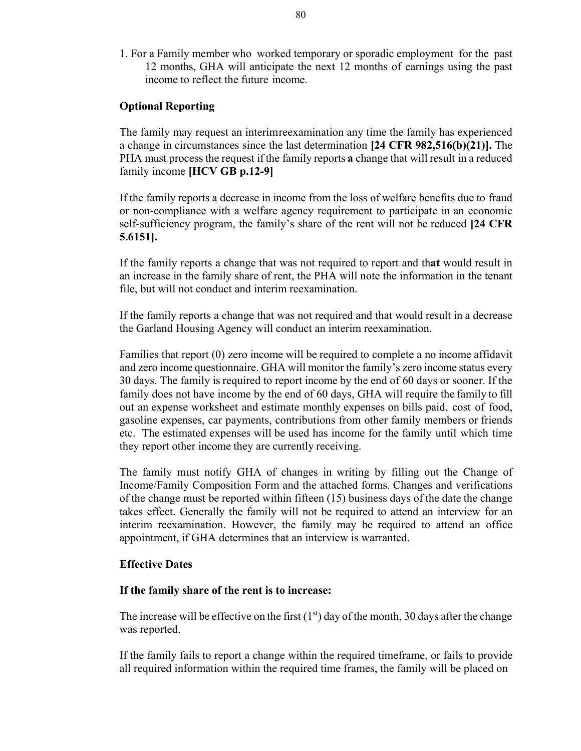1. For a Family member who worked temporary or sporadic employment for the past 12 months, GHA will anticipate the next 12 months of earnings using the past income to reflect the future income.

#### **Optional Reporting**

The family may request an interim reexamination any time the family has experienced a change in circumstances since the last determination **[24 CFR 982,516(b)(21)].** The PHA must process the request if the family reports **a** change that will result in a reduced family income **[HCV GB p.12-9]** 

If the family reports a decrease in income from the loss of welfare benefits due to fraud or non-compliance with a welfare agency requirement to participate in an economic self-sufficiency program, the family's share of the rent will not be reduced **[24 CFR 5.6151].** 

If the family reports a change that was not required to report and th**at** would result in an increase in the family share of rent, the PHA will note the information in the tenant file, but will not conduct and interim reexamination.

If the family reports a change that was not required and that would result in a decrease the Garland Housing Agency will conduct an interim reexamination.

Families that report (0) zero income will be required to complete a no income affidavit and zero income questionnaire. GHA will monitor the family's zero income status every 30 days. The family is required to report income by the end of 60 days or sooner. If the family does not have income by the end of 60 days, GHA will require the family to fill out an expense worksheet and estimate monthly expenses on bills paid, cost of food, gasoline expenses, car payments, contributions from other family members or friends etc. The estimated expenses will be used has income for the family until which time they report other income they are currently receiving.

The family must notify GHA of changes in writing by filling out the Change of Income/Family Composition Form and the attached forms. Changes and verifications of the change must be reported within fifteen (15) business days of the date the change takes effect. Generally the family will not be required to attend an interview for an interim reexamination. However, the family may be required to attend an office appointment, if GHA determines that an interview is warranted.

#### **Effective Dates**

#### **If the family share of the rent is to increase:**

The increase will be effective on the first  $(1<sup>st</sup>)$  day of the month, 30 days after the change was reported.

If the family fails to report a change within the required timeframe, or fails to provide all required information within the required time frames, the family will be placed on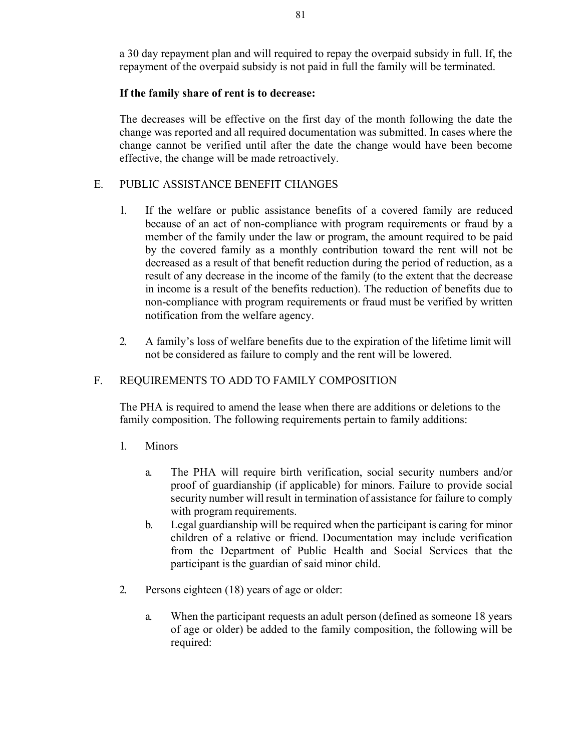a 30 day repayment plan and will required to repay the overpaid subsidy in full. If, the repayment of the overpaid subsidy is not paid in full the family will be terminated.

# **If the family share of rent is to decrease:**

The decreases will be effective on the first day of the month following the date the change was reported and all required documentation was submitted. In cases where the change cannot be verified until after the date the change would have been become effective, the change will be made retroactively.

# E. PUBLIC ASSISTANCE BENEFIT CHANGES

- 1. If the welfare or public assistance benefits of a covered family are reduced because of an act of non-compliance with program requirements or fraud by a member of the family under the law or program, the amount required to be paid by the covered family as a monthly contribution toward the rent will not be decreased as a result of that benefit reduction during the period of reduction, as a result of any decrease in the income of the family (to the extent that the decrease in income is a result of the benefits reduction). The reduction of benefits due to non-compliance with program requirements or fraud must be verified by written notification from the welfare agency.
- 2. A family's loss of welfare benefits due to the expiration of the lifetime limit will not be considered as failure to comply and the rent will be lowered.

# F. REQUIREMENTS TO ADD TO FAMILY COMPOSITION

The PHA is required to amend the lease when there are additions or deletions to the family composition. The following requirements pertain to family additions:

# 1. Minors

- a. The PHA will require birth verification, social security numbers and/or proof of guardianship (if applicable) for minors. Failure to provide social security number will result in termination of assistance for failure to comply with program requirements.
- b. Legal guardianship will be required when the participant is caring for minor children of a relative or friend. Documentation may include verification from the Department of Public Health and Social Services that the participant is the guardian of said minor child.
- 2. Persons eighteen (18) years of age or older:
	- a. When the participant requests an adult person (defined as someone 18 years of age or older) be added to the family composition, the following will be required: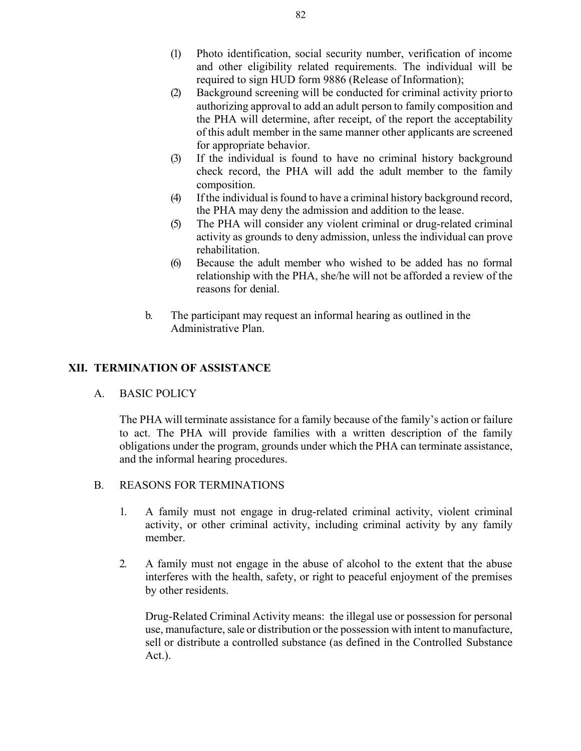- (1) Photo identification, social security number, verification of income and other eligibility related requirements. The individual will be required to sign HUD form 9886 (Release of Information);
- (2) Background screening will be conducted for criminal activity prior to authorizing approval to add an adult person to family composition and the PHA will determine, after receipt, of the report the acceptability of this adult member in the same manner other applicants are screened for appropriate behavior.
- (3) If the individual is found to have no criminal history background check record, the PHA will add the adult member to the family composition.
- (4) If the individual is found to have a criminal history background record, the PHA may deny the admission and addition to the lease.
- (5) The PHA will consider any violent criminal or drug-related criminal activity as grounds to deny admission, unless the individual can prove rehabilitation.
- (6) Because the adult member who wished to be added has no formal relationship with the PHA, she/he will not be afforded a review of the reasons for denial.
- b. The participant may request an informal hearing as outlined in the Administrative Plan.

# **XII. TERMINATION OF ASSISTANCE**

# A. BASIC POLICY

The PHA will terminate assistance for a family because of the family's action or failure to act. The PHA will provide families with a written description of the family obligations under the program, grounds under which the PHA can terminate assistance, and the informal hearing procedures.

# B. REASONS FOR TERMINATIONS

- 1. A family must not engage in drug-related criminal activity, violent criminal activity, or other criminal activity, including criminal activity by any family member.
- 2. A family must not engage in the abuse of alcohol to the extent that the abuse interferes with the health, safety, or right to peaceful enjoyment of the premises by other residents.

Drug-Related Criminal Activity means: the illegal use or possession for personal use, manufacture, sale or distribution or the possession with intent to manufacture, sell or distribute a controlled substance (as defined in the Controlled Substance Act.).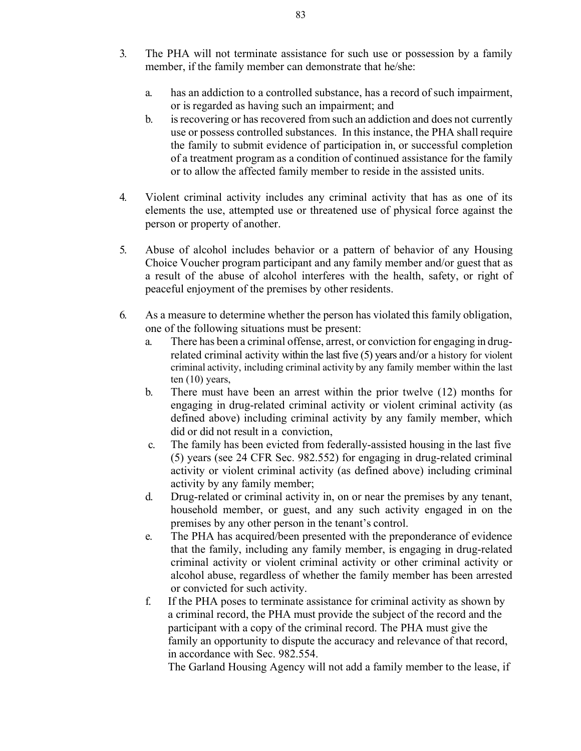- 3. The PHA will not terminate assistance for such use or possession by a family member, if the family member can demonstrate that he/she:
	- a. has an addiction to a controlled substance, has a record of such impairment, or is regarded as having such an impairment; and
	- b. is recovering or has recovered from such an addiction and does not currently use or possess controlled substances. In this instance, the PHA shall require the family to submit evidence of participation in, or successful completion of a treatment program as a condition of continued assistance for the family or to allow the affected family member to reside in the assisted units.
- 4. Violent criminal activity includes any criminal activity that has as one of its elements the use, attempted use or threatened use of physical force against the person or property of another.
- 5. Abuse of alcohol includes behavior or a pattern of behavior of any Housing Choice Voucher program participant and any family member and/or guest that as a result of the abuse of alcohol interferes with the health, safety, or right of peaceful enjoyment of the premises by other residents.
- 6. As a measure to determine whether the person has violated this family obligation, one of the following situations must be present:
	- a. There has been a criminal offense, arrest, or conviction for engaging in drugrelated criminal activity within the last five (5) years and/or a history for violent criminal activity, including criminal activity by any family member within the last ten (10) years,
	- b. There must have been an arrest within the prior twelve (12) months for engaging in drug-related criminal activity or violent criminal activity (as defined above) including criminal activity by any family member, which did or did not result in a conviction,
	- c. The family has been evicted from federally-assisted housing in the last five (5) years (see 24 CFR Sec. 982.552) for engaging in drug-related criminal activity or violent criminal activity (as defined above) including criminal activity by any family member;
	- d. Drug-related or criminal activity in, on or near the premises by any tenant, household member, or guest, and any such activity engaged in on the premises by any other person in the tenant's control.
	- e. The PHA has acquired/been presented with the preponderance of evidence that the family, including any family member, is engaging in drug-related criminal activity or violent criminal activity or other criminal activity or alcohol abuse, regardless of whether the family member has been arrested or convicted for such activity.
	- f. If the PHA poses to terminate assistance for criminal activity as shown by a criminal record, the PHA must provide the subject of the record and the participant with a copy of the criminal record. The PHA must give the family an opportunity to dispute the accuracy and relevance of that record, in accordance with Sec. 982.554.

The Garland Housing Agency will not add a family member to the lease, if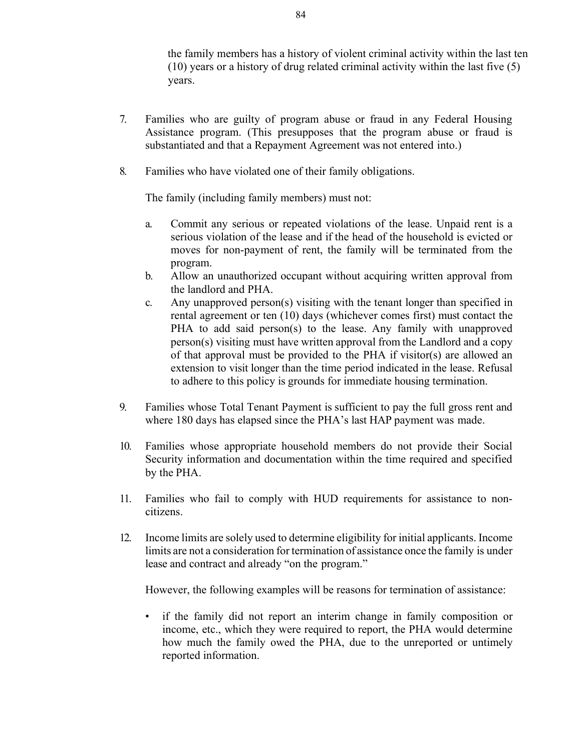the family members has a history of violent criminal activity within the last ten (10) years or a history of drug related criminal activity within the last five (5) years.

- 7. Families who are guilty of program abuse or fraud in any Federal Housing Assistance program. (This presupposes that the program abuse or fraud is substantiated and that a Repayment Agreement was not entered into.)
- 8. Families who have violated one of their family obligations.

The family (including family members) must not:

- a. Commit any serious or repeated violations of the lease. Unpaid rent is a serious violation of the lease and if the head of the household is evicted or moves for non-payment of rent, the family will be terminated from the program.
- b. Allow an unauthorized occupant without acquiring written approval from the landlord and PHA.
- c. Any unapproved person(s) visiting with the tenant longer than specified in rental agreement or ten (10) days (whichever comes first) must contact the PHA to add said person(s) to the lease. Any family with unapproved person(s) visiting must have written approval from the Landlord and a copy of that approval must be provided to the PHA if visitor(s) are allowed an extension to visit longer than the time period indicated in the lease. Refusal to adhere to this policy is grounds for immediate housing termination.
- 9. Families whose Total Tenant Payment is sufficient to pay the full gross rent and where 180 days has elapsed since the PHA's last HAP payment was made.
- 10. Families whose appropriate household members do not provide their Social Security information and documentation within the time required and specified by the PHA.
- 11. Families who fail to comply with HUD requirements for assistance to noncitizens.
- 12. Income limits are solely used to determine eligibility for initial applicants. Income limits are not a consideration for termination of assistance once the family is under lease and contract and already "on the program."

However, the following examples will be reasons for termination of assistance:

if the family did not report an interim change in family composition or income, etc., which they were required to report, the PHA would determine how much the family owed the PHA, due to the unreported or untimely reported information.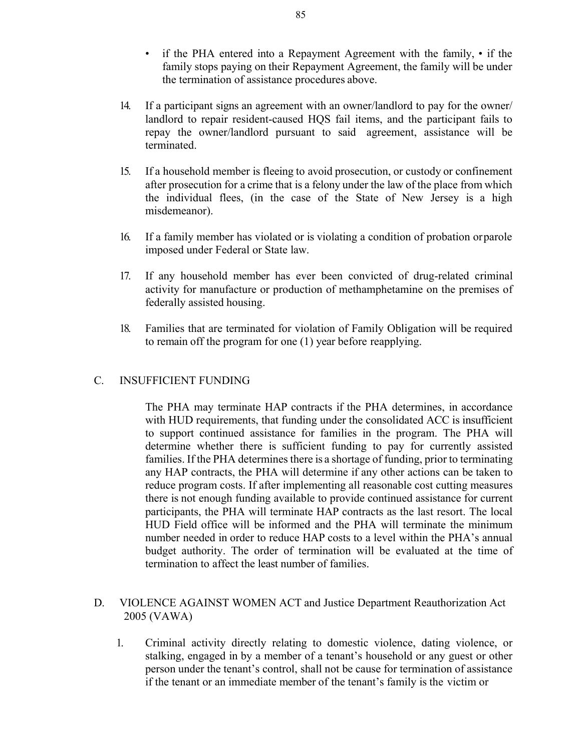- if the PHA entered into a Repayment Agreement with the family,  $\cdot$  if the family stops paying on their Repayment Agreement, the family will be under the termination of assistance procedures above.
- 14. If a participant signs an agreement with an owner/landlord to pay for the owner/ landlord to repair resident-caused HQS fail items, and the participant fails to repay the owner/landlord pursuant to said agreement, assistance will be terminated.
- 15. If a household member is fleeing to avoid prosecution, or custody or confinement after prosecution for a crime that is a felony under the law of the place from which the individual flees, (in the case of the State of New Jersey is a high misdemeanor).
- 16. If a family member has violated or is violating a condition of probation or parole imposed under Federal or State law.
- 17. If any household member has ever been convicted of drug-related criminal activity for manufacture or production of methamphetamine on the premises of federally assisted housing.
- 18. Families that are terminated for violation of Family Obligation will be required to remain off the program for one (1) year before reapplying.

### C. INSUFFICIENT FUNDING

The PHA may terminate HAP contracts if the PHA determines, in accordance with HUD requirements, that funding under the consolidated ACC is insufficient to support continued assistance for families in the program. The PHA will determine whether there is sufficient funding to pay for currently assisted families. If the PHA determines there is a shortage of funding, prior to terminating any HAP contracts, the PHA will determine if any other actions can be taken to reduce program costs. If after implementing all reasonable cost cutting measures there is not enough funding available to provide continued assistance for current participants, the PHA will terminate HAP contracts as the last resort. The local HUD Field office will be informed and the PHA will terminate the minimum number needed in order to reduce HAP costs to a level within the PHA's annual budget authority. The order of termination will be evaluated at the time of termination to affect the least number of families.

# D. VIOLENCE AGAINST WOMEN ACT and Justice Department Reauthorization Act 2005 (VAWA)

1. Criminal activity directly relating to domestic violence, dating violence, or stalking, engaged in by a member of a tenant's household or any guest or other person under the tenant's control, shall not be cause for termination of assistance if the tenant or an immediate member of the tenant's family is the victim or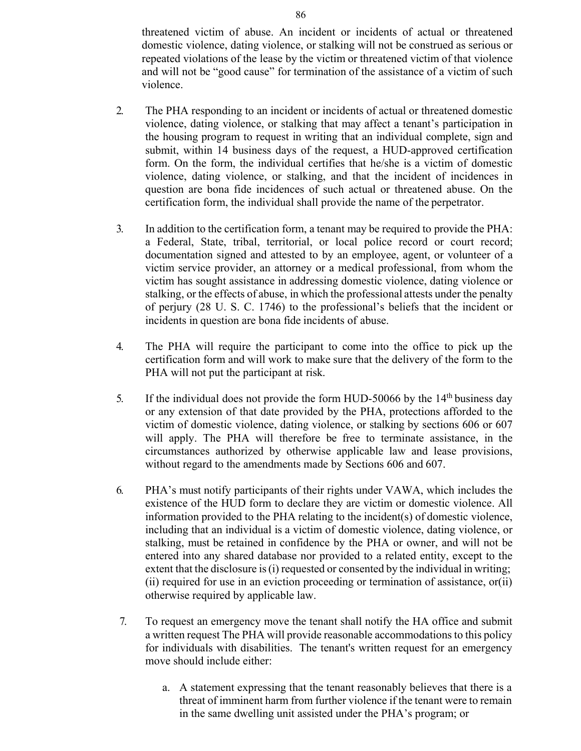threatened victim of abuse. An incident or incidents of actual or threatened domestic violence, dating violence, or stalking will not be construed as serious or repeated violations of the lease by the victim or threatened victim of that violence and will not be "good cause" for termination of the assistance of a victim of such violence.

- 2. The PHA responding to an incident or incidents of actual or threatened domestic violence, dating violence, or stalking that may affect a tenant's participation in the housing program to request in writing that an individual complete, sign and submit, within 14 business days of the request, a HUD-approved certification form. On the form, the individual certifies that he/she is a victim of domestic violence, dating violence, or stalking, and that the incident of incidences in question are bona fide incidences of such actual or threatened abuse. On the certification form, the individual shall provide the name of the perpetrator.
- 3. In addition to the certification form, a tenant may be required to provide the PHA: a Federal, State, tribal, territorial, or local police record or court record; documentation signed and attested to by an employee, agent, or volunteer of a victim service provider, an attorney or a medical professional, from whom the victim has sought assistance in addressing domestic violence, dating violence or stalking, or the effects of abuse, in which the professional attests under the penalty of perjury (28 U. S. C. 1746) to the professional's beliefs that the incident or incidents in question are bona fide incidents of abuse.
- 4. The PHA will require the participant to come into the office to pick up the certification form and will work to make sure that the delivery of the form to the PHA will not put the participant at risk.
- 5. If the individual does not provide the form HUD-50066 by the  $14<sup>th</sup>$  business day or any extension of that date provided by the PHA, protections afforded to the victim of domestic violence, dating violence, or stalking by sections 606 or 607 will apply. The PHA will therefore be free to terminate assistance, in the circumstances authorized by otherwise applicable law and lease provisions, without regard to the amendments made by Sections 606 and 607.
- 6. PHA's must notify participants of their rights under VAWA, which includes the existence of the HUD form to declare they are victim or domestic violence. All information provided to the PHA relating to the incident(s) of domestic violence, including that an individual is a victim of domestic violence, dating violence, or stalking, must be retained in confidence by the PHA or owner, and will not be entered into any shared database nor provided to a related entity, except to the extent that the disclosure is (i) requested or consented by the individual in writing; (ii) required for use in an eviction proceeding or termination of assistance, or(ii) otherwise required by applicable law.
- 7. To request an emergency move the tenant shall notify the HA office and submit a written request The PHA will provide reasonable accommodations to this policy for individuals with disabilities. The tenant's written request for an emergency move should include either:
	- a. A statement expressing that the tenant reasonably believes that there is a threat of imminent harm from further violence if the tenant were to remain in the same dwelling unit assisted under the PHA's program; or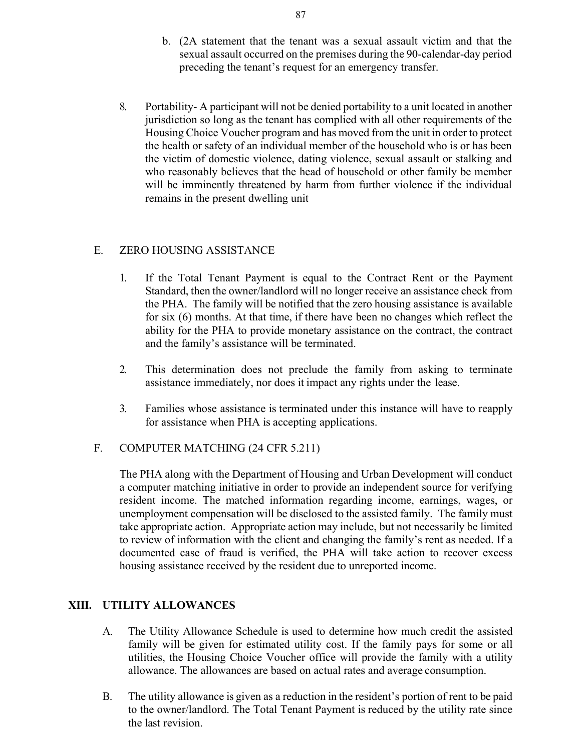- b. (2A statement that the tenant was a sexual assault victim and that the sexual assault occurred on the premises during the 90-calendar-day period preceding the tenant's request for an emergency transfer.
- 8. Portability- A participant will not be denied portability to a unit located in another jurisdiction so long as the tenant has complied with all other requirements of the Housing Choice Voucher program and has moved from the unit in order to protect the health or safety of an individual member of the household who is or has been the victim of domestic violence, dating violence, sexual assault or stalking and who reasonably believes that the head of household or other family be member will be imminently threatened by harm from further violence if the individual remains in the present dwelling unit

### E. ZERO HOUSING ASSISTANCE

- 1. If the Total Tenant Payment is equal to the Contract Rent or the Payment Standard, then the owner/landlord will no longer receive an assistance check from the PHA. The family will be notified that the zero housing assistance is available for six (6) months. At that time, if there have been no changes which reflect the ability for the PHA to provide monetary assistance on the contract, the contract and the family's assistance will be terminated.
- 2. This determination does not preclude the family from asking to terminate assistance immediately, nor does it impact any rights under the lease.
- 3. Families whose assistance is terminated under this instance will have to reapply for assistance when PHA is accepting applications.

# F. COMPUTER MATCHING (24 CFR 5.211)

The PHA along with the Department of Housing and Urban Development will conduct a computer matching initiative in order to provide an independent source for verifying resident income. The matched information regarding income, earnings, wages, or unemployment compensation will be disclosed to the assisted family. The family must take appropriate action. Appropriate action may include, but not necessarily be limited to review of information with the client and changing the family's rent as needed. If a documented case of fraud is verified, the PHA will take action to recover excess housing assistance received by the resident due to unreported income.

# **XIII. UTILITY ALLOWANCES**

- A. The Utility Allowance Schedule is used to determine how much credit the assisted family will be given for estimated utility cost. If the family pays for some or all utilities, the Housing Choice Voucher office will provide the family with a utility allowance. The allowances are based on actual rates and average consumption.
- B. The utility allowance is given as a reduction in the resident's portion of rent to be paid to the owner/landlord. The Total Tenant Payment is reduced by the utility rate since the last revision.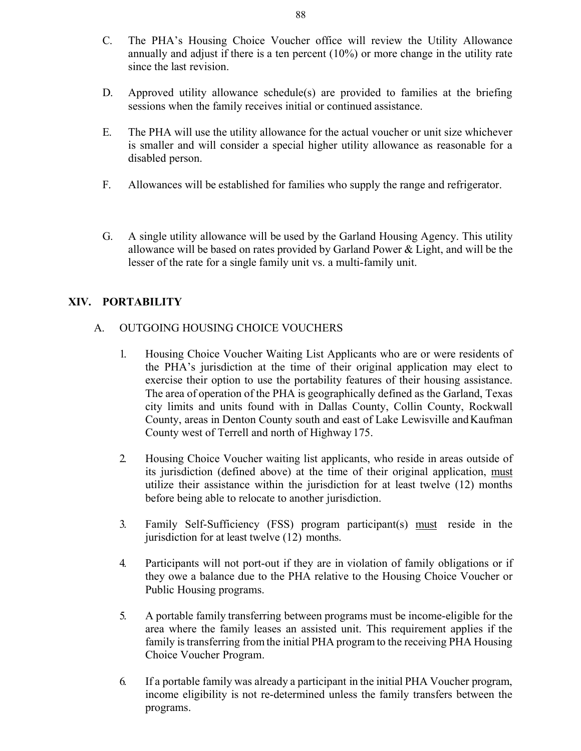- C. The PHA's Housing Choice Voucher office will review the Utility Allowance annually and adjust if there is a ten percent (10%) or more change in the utility rate since the last revision.
- D. Approved utility allowance schedule(s) are provided to families at the briefing sessions when the family receives initial or continued assistance.
- E. The PHA will use the utility allowance for the actual voucher or unit size whichever is smaller and will consider a special higher utility allowance as reasonable for a disabled person.
- F. Allowances will be established for families who supply the range and refrigerator.
- G. A single utility allowance will be used by the Garland Housing Agency. This utility allowance will be based on rates provided by Garland Power & Light, and will be the lesser of the rate for a single family unit vs. a multi-family unit.

# **XIV. PORTABILITY**

### A. OUTGOING HOUSING CHOICE VOUCHERS

- 1. Housing Choice Voucher Waiting List Applicants who are or were residents of the PHA's jurisdiction at the time of their original application may elect to exercise their option to use the portability features of their housing assistance. The area of operation of the PHA is geographically defined as the Garland, Texas city limits and units found with in Dallas County, Collin County, Rockwall County, areas in Denton County south and east of Lake Lewisville and Kaufman County west of Terrell and north of Highway 175.
- 2. Housing Choice Voucher waiting list applicants, who reside in areas outside of its jurisdiction (defined above) at the time of their original application, must utilize their assistance within the jurisdiction for at least twelve (12) months before being able to relocate to another jurisdiction.
- 3. Family Self-Sufficiency (FSS) program participant(s) must reside in the jurisdiction for at least twelve (12) months.
- 4. Participants will not port-out if they are in violation of family obligations or if they owe a balance due to the PHA relative to the Housing Choice Voucher or Public Housing programs.
- 5. A portable family transferring between programs must be income-eligible for the area where the family leases an assisted unit. This requirement applies if the family is transferring from the initial PHA program to the receiving PHA Housing Choice Voucher Program.
- 6. If a portable family was already a participant in the initial PHA Voucher program, income eligibility is not re-determined unless the family transfers between the programs.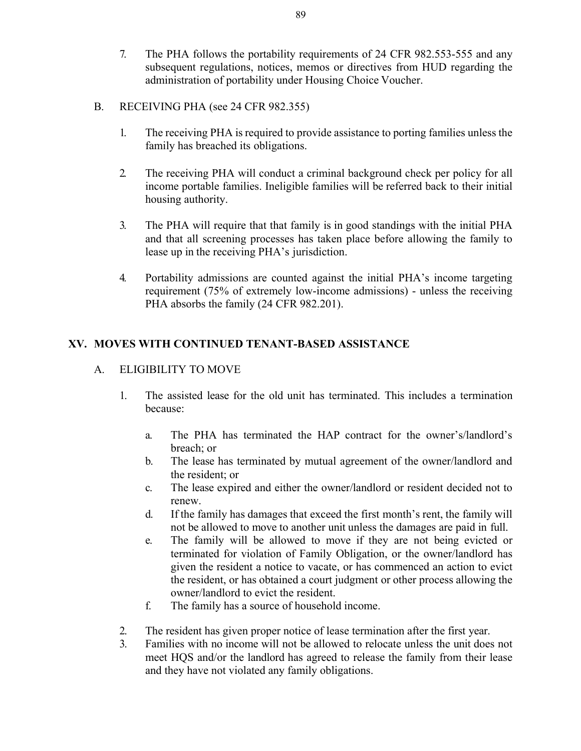- 7. The PHA follows the portability requirements of 24 CFR 982.553-555 and any subsequent regulations, notices, memos or directives from HUD regarding the administration of portability under Housing Choice Voucher.
- B. RECEIVING PHA (see 24 CFR 982.355)
	- 1. The receiving PHA is required to provide assistance to porting families unless the family has breached its obligations.
	- 2. The receiving PHA will conduct a criminal background check per policy for all income portable families. Ineligible families will be referred back to their initial housing authority.
	- 3. The PHA will require that that family is in good standings with the initial PHA and that all screening processes has taken place before allowing the family to lease up in the receiving PHA's jurisdiction.
	- 4. Portability admissions are counted against the initial PHA's income targeting requirement (75% of extremely low-income admissions) - unless the receiving PHA absorbs the family (24 CFR 982.201).

# **XV. MOVES WITH CONTINUED TENANT-BASED ASSISTANCE**

# A. ELIGIBILITY TO MOVE

- 1. The assisted lease for the old unit has terminated. This includes a termination because:
	- a. The PHA has terminated the HAP contract for the owner's/landlord's breach; or
	- b. The lease has terminated by mutual agreement of the owner/landlord and the resident; or
	- c. The lease expired and either the owner/landlord or resident decided not to renew.
	- d. If the family has damages that exceed the first month's rent, the family will not be allowed to move to another unit unless the damages are paid in full.
	- e. The family will be allowed to move if they are not being evicted or terminated for violation of Family Obligation, or the owner/landlord has given the resident a notice to vacate, or has commenced an action to evict the resident, or has obtained a court judgment or other process allowing the owner/landlord to evict the resident.
	- f. The family has a source of household income.
- 2. The resident has given proper notice of lease termination after the first year.
- 3. Families with no income will not be allowed to relocate unless the unit does not meet HQS and/or the landlord has agreed to release the family from their lease and they have not violated any family obligations.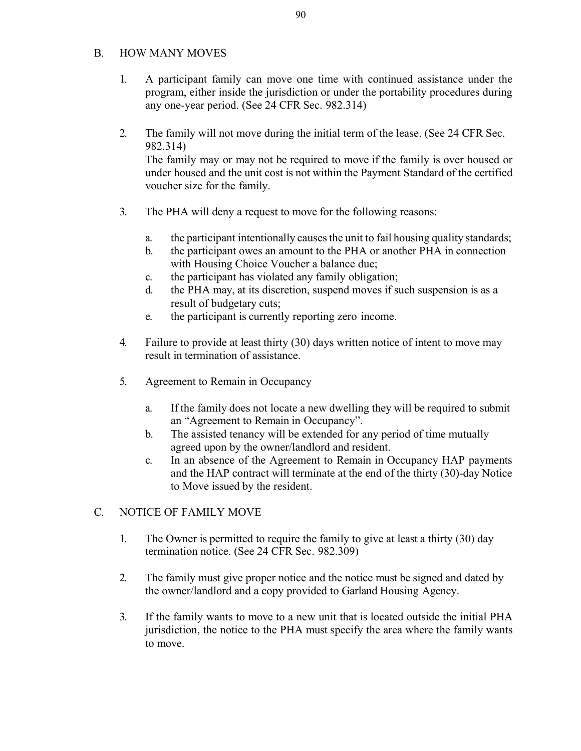### B. HOW MANY MOVES

- 1. A participant family can move one time with continued assistance under the program, either inside the jurisdiction or under the portability procedures during any one-year period. (See 24 CFR Sec. 982.314)
- 2. The family will not move during the initial term of the lease. (See 24 CFR Sec. 982.314)

The family may or may not be required to move if the family is over housed or under housed and the unit cost is not within the Payment Standard of the certified voucher size for the family.

- 3. The PHA will deny a request to move for the following reasons:
	- a. the participant intentionally causes the unit to fail housing quality standards;
	- b. the participant owes an amount to the PHA or another PHA in connection with Housing Choice Voucher a balance due;
	- c. the participant has violated any family obligation;
	- d. the PHA may, at its discretion, suspend moves if such suspension is as a result of budgetary cuts;
	- e. the participant is currently reporting zero income.
- 4. Failure to provide at least thirty (30) days written notice of intent to move may result in termination of assistance.
- 5. Agreement to Remain in Occupancy
	- a. If the family does not locate a new dwelling they will be required to submit an "Agreement to Remain in Occupancy".
	- b. The assisted tenancy will be extended for any period of time mutually agreed upon by the owner/landlord and resident.
	- c. In an absence of the Agreement to Remain in Occupancy HAP payments and the HAP contract will terminate at the end of the thirty (30)-day Notice to Move issued by the resident.

# C. NOTICE OF FAMILY MOVE

- 1. The Owner is permitted to require the family to give at least a thirty (30) day termination notice. (See 24 CFR Sec. 982.309)
- 2. The family must give proper notice and the notice must be signed and dated by the owner/landlord and a copy provided to Garland Housing Agency.
- 3. If the family wants to move to a new unit that is located outside the initial PHA jurisdiction, the notice to the PHA must specify the area where the family wants to move.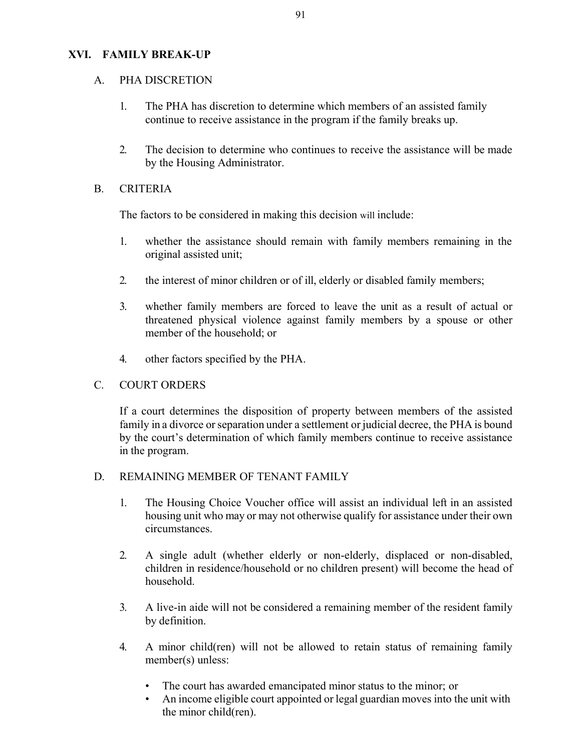### **XVI. FAMILY BREAK-UP**

### A. PHA DISCRETION

- 1. The PHA has discretion to determine which members of an assisted family continue to receive assistance in the program if the family breaks up.
- 2. The decision to determine who continues to receive the assistance will be made by the Housing Administrator.

### B. CRITERIA

The factors to be considered in making this decision will include:

- 1. whether the assistance should remain with family members remaining in the original assisted unit;
- 2. the interest of minor children or of ill, elderly or disabled family members;
- 3. whether family members are forced to leave the unit as a result of actual or threatened physical violence against family members by a spouse or other member of the household; or
- 4. other factors specified by the PHA.

# C. COURT ORDERS

If a court determines the disposition of property between members of the assisted family in a divorce or separation under a settlement or judicial decree, the PHA is bound by the court's determination of which family members continue to receive assistance in the program.

# D. REMAINING MEMBER OF TENANT FAMILY

- 1. The Housing Choice Voucher office will assist an individual left in an assisted housing unit who may or may not otherwise qualify for assistance under their own circumstances.
- 2. A single adult (whether elderly or non-elderly, displaced or non-disabled, children in residence/household or no children present) will become the head of household.
- 3. A live-in aide will not be considered a remaining member of the resident family by definition.
- 4. A minor child(ren) will not be allowed to retain status of remaining family member(s) unless:
	- The court has awarded emancipated minor status to the minor; or
	- An income eligible court appointed or legal guardian moves into the unit with the minor child(ren).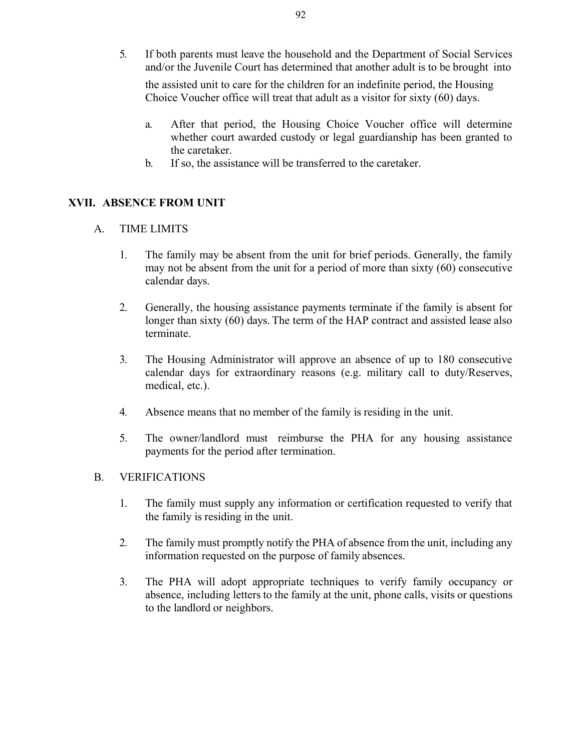- 5. If both parents must leave the household and the Department of Social Services and/or the Juvenile Court has determined that another adult is to be brought into the assisted unit to care for the children for an indefinite period, the Housing Choice Voucher office will treat that adult as a visitor for sixty (60) days.
	- a. After that period, the Housing Choice Voucher office will determine whether court awarded custody or legal guardianship has been granted to the caretaker.
	- b. If so, the assistance will be transferred to the caretaker.

# **XVII. ABSENCE FROM UNIT**

# A. TIME LIMITS

- 1. The family may be absent from the unit for brief periods. Generally, the family may not be absent from the unit for a period of more than sixty (60) consecutive calendar days.
- 2. Generally, the housing assistance payments terminate if the family is absent for longer than sixty (60) days. The term of the HAP contract and assisted lease also terminate.
- 3. The Housing Administrator will approve an absence of up to 180 consecutive calendar days for extraordinary reasons (e.g. military call to duty/Reserves, medical, etc.).
- 4. Absence means that no member of the family is residing in the unit.
- 5. The owner/landlord must reimburse the PHA for any housing assistance payments for the period after termination.

# B. VERIFICATIONS

- 1. The family must supply any information or certification requested to verify that the family is residing in the unit.
- 2. The family must promptly notify the PHA of absence from the unit, including any information requested on the purpose of family absences.
- 3. The PHA will adopt appropriate techniques to verify family occupancy or absence, including letters to the family at the unit, phone calls, visits or questions to the landlord or neighbors.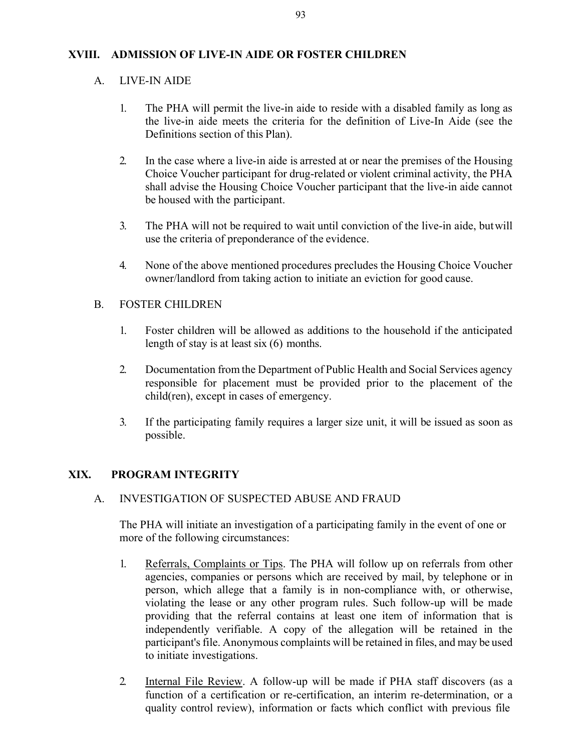# **XVIII. ADMISSION OF LIVE-IN AIDE OR FOSTER CHILDREN**

### A. LIVE-IN AIDE

- 1. The PHA will permit the live-in aide to reside with a disabled family as long as the live-in aide meets the criteria for the definition of Live-In Aide (see the Definitions section of this Plan).
- 2. In the case where a live-in aide is arrested at or near the premises of the Housing Choice Voucher participant for drug-related or violent criminal activity, the PHA shall advise the Housing Choice Voucher participant that the live-in aide cannot be housed with the participant.
- 3. The PHA will not be required to wait until conviction of the live-in aide, but will use the criteria of preponderance of the evidence.
- 4. None of the above mentioned procedures precludes the Housing Choice Voucher owner/landlord from taking action to initiate an eviction for good cause.

### B. FOSTER CHILDREN

- 1. Foster children will be allowed as additions to the household if the anticipated length of stay is at least six (6) months.
- 2. Documentation from the Department of Public Health and Social Services agency responsible for placement must be provided prior to the placement of the child(ren), except in cases of emergency.
- 3. If the participating family requires a larger size unit, it will be issued as soon as possible.

# **XIX. PROGRAM INTEGRITY**

### A. INVESTIGATION OF SUSPECTED ABUSE AND FRAUD

The PHA will initiate an investigation of a participating family in the event of one or more of the following circumstances:

- 1. Referrals, Complaints or Tips. The PHA will follow up on referrals from other agencies, companies or persons which are received by mail, by telephone or in person, which allege that a family is in non-compliance with, or otherwise, violating the lease or any other program rules. Such follow-up will be made providing that the referral contains at least one item of information that is independently verifiable. A copy of the allegation will be retained in the participant's file. Anonymous complaints will be retained in files, and may be used to initiate investigations.
- 2. Internal File Review. A follow-up will be made if PHA staff discovers (as a function of a certification or re-certification, an interim re-determination, or a quality control review), information or facts which conflict with previous file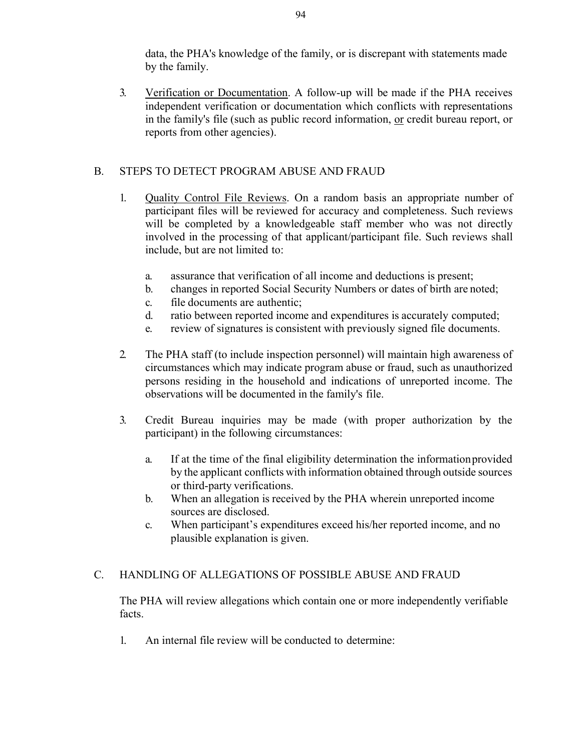data, the PHA's knowledge of the family, or is discrepant with statements made by the family.

3. Verification or Documentation. A follow-up will be made if the PHA receives independent verification or documentation which conflicts with representations in the family's file (such as public record information, or credit bureau report, or reports from other agencies).

# B. STEPS TO DETECT PROGRAM ABUSE AND FRAUD

- 1. Quality Control File Reviews. On a random basis an appropriate number of participant files will be reviewed for accuracy and completeness. Such reviews will be completed by a knowledgeable staff member who was not directly involved in the processing of that applicant/participant file. Such reviews shall include, but are not limited to:
	- a. assurance that verification of all income and deductions is present;
	- b. changes in reported Social Security Numbers or dates of birth are noted;
	- c. file documents are authentic;
	- d. ratio between reported income and expenditures is accurately computed;
	- e. review of signatures is consistent with previously signed file documents.
- 2. The PHA staff (to include inspection personnel) will maintain high awareness of circumstances which may indicate program abuse or fraud, such as unauthorized persons residing in the household and indications of unreported income. The observations will be documented in the family's file.
- 3. Credit Bureau inquiries may be made (with proper authorization by the participant) in the following circumstances:
	- a. If at the time of the final eligibility determination the information provided by the applicant conflicts with information obtained through outside sources or third-party verifications.
	- b. When an allegation is received by the PHA wherein unreported income sources are disclosed.
	- c. When participant's expenditures exceed his/her reported income, and no plausible explanation is given.

### C. HANDLING OF ALLEGATIONS OF POSSIBLE ABUSE AND FRAUD

The PHA will review allegations which contain one or more independently verifiable facts.

1. An internal file review will be conducted to determine: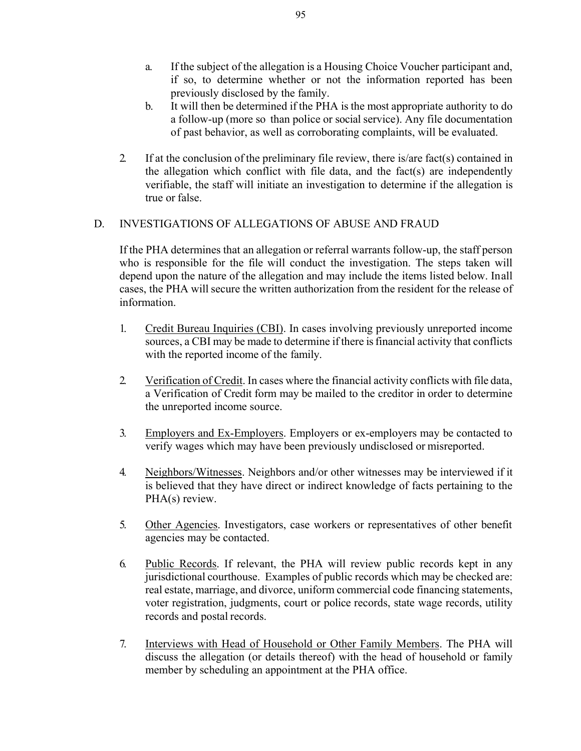- a. If the subject of the allegation is a Housing Choice Voucher participant and, if so, to determine whether or not the information reported has been previously disclosed by the family.
- b. It will then be determined if the PHA is the most appropriate authority to do a follow-up (more so than police or social service). Any file documentation of past behavior, as well as corroborating complaints, will be evaluated.
- 2. If at the conclusion of the preliminary file review, there is/are fact(s) contained in the allegation which conflict with file data, and the fact(s) are independently verifiable, the staff will initiate an investigation to determine if the allegation is true or false.

### D. INVESTIGATIONS OF ALLEGATIONS OF ABUSE AND FRAUD

If the PHA determines that an allegation or referral warrants follow-up, the staff person who is responsible for the file will conduct the investigation. The steps taken will depend upon the nature of the allegation and may include the items listed below. In all cases, the PHA will secure the written authorization from the resident for the release of information.

- 1. Credit Bureau Inquiries (CBI). In cases involving previously unreported income sources, a CBI may be made to determine if there is financial activity that conflicts with the reported income of the family.
- 2. Verification of Credit. In cases where the financial activity conflicts with file data, a Verification of Credit form may be mailed to the creditor in order to determine the unreported income source.
- 3. Employers and Ex-Employers. Employers or ex-employers may be contacted to verify wages which may have been previously undisclosed or misreported.
- 4. Neighbors/Witnesses. Neighbors and/or other witnesses may be interviewed if it is believed that they have direct or indirect knowledge of facts pertaining to the PHA(s) review.
- 5. Other Agencies. Investigators, case workers or representatives of other benefit agencies may be contacted.
- 6. Public Records. If relevant, the PHA will review public records kept in any jurisdictional courthouse. Examples of public records which may be checked are: real estate, marriage, and divorce, uniform commercial code financing statements, voter registration, judgments, court or police records, state wage records, utility records and postal records.
- 7. Interviews with Head of Household or Other Family Members. The PHA will discuss the allegation (or details thereof) with the head of household or family member by scheduling an appointment at the PHA office.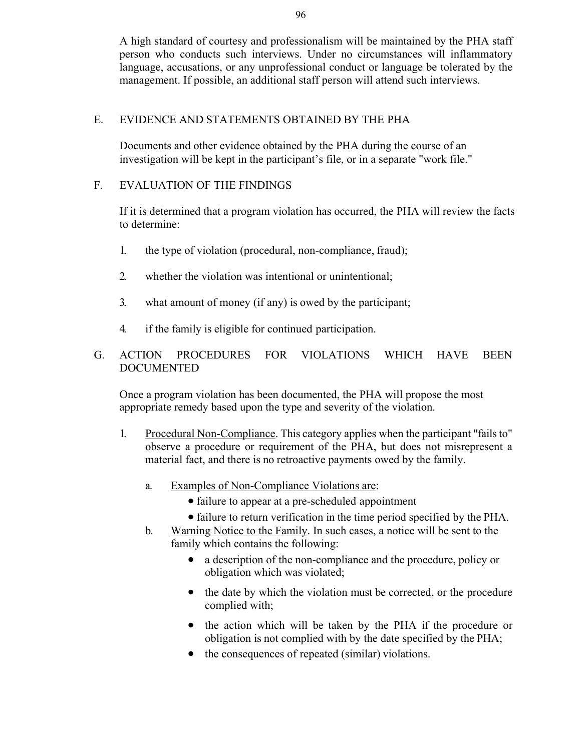A high standard of courtesy and professionalism will be maintained by the PHA staff person who conducts such interviews. Under no circumstances will inflammatory language, accusations, or any unprofessional conduct or language be tolerated by the management. If possible, an additional staff person will attend such interviews.

### E. EVIDENCE AND STATEMENTS OBTAINED BY THE PHA

Documents and other evidence obtained by the PHA during the course of an investigation will be kept in the participant's file, or in a separate "work file."

### F. EVALUATION OF THE FINDINGS

If it is determined that a program violation has occurred, the PHA will review the facts to determine:

- 1. the type of violation (procedural, non-compliance, fraud);
- 2. whether the violation was intentional or unintentional;
- 3. what amount of money (if any) is owed by the participant;
- 4. if the family is eligible for continued participation.

# G. ACTION PROCEDURES FOR VIOLATIONS WHICH HAVE BEEN DOCUMENTED

Once a program violation has been documented, the PHA will propose the most appropriate remedy based upon the type and severity of the violation.

- 1. Procedural Non-Compliance. This category applies when the participant "fails to" observe a procedure or requirement of the PHA, but does not misrepresent a material fact, and there is no retroactive payments owed by the family.
	- a. Examples of Non-Compliance Violations are:
		- failure to appear at a pre-scheduled appointment
		- failure to return verification in the time period specified by the PHA.
	- b. Warning Notice to the Family. In such cases, a notice will be sent to the family which contains the following:
		- a description of the non-compliance and the procedure, policy or obligation which was violated;
		- the date by which the violation must be corrected, or the procedure complied with;
		- the action which will be taken by the PHA if the procedure or obligation is not complied with by the date specified by the PHA;
		- the consequences of repeated (similar) violations.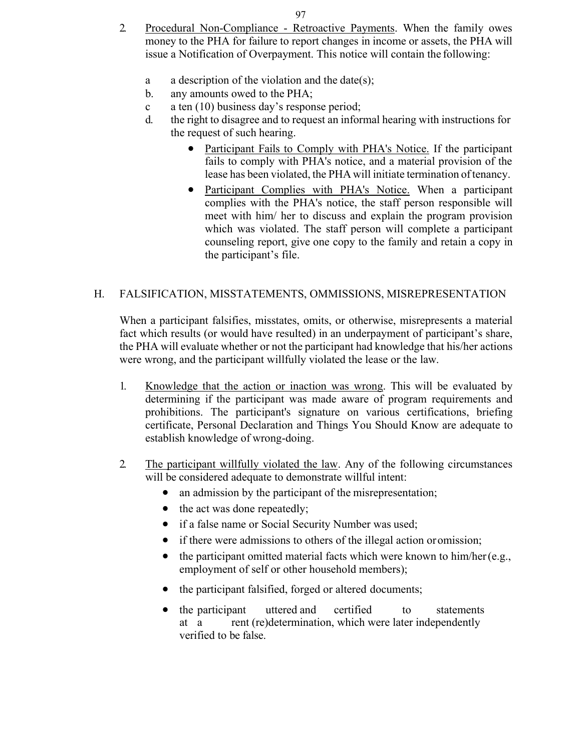- 2. Procedural Non-Compliance Retroactive Payments. When the family owes money to the PHA for failure to report changes in income or assets, the PHA will issue a Notification of Overpayment. This notice will contain the following:
	- a a description of the violation and the date(s);
	- b. any amounts owed to the PHA;
	- c a ten (10) business day's response period;
	- d. the right to disagree and to request an informal hearing with instructions for the request of such hearing.
		- Participant Fails to Comply with PHA's Notice. If the participant fails to comply with PHA's notice, and a material provision of the lease has been violated, the PHA will initiate termination of tenancy.
		- Participant Complies with PHA's Notice. When a participant complies with the PHA's notice, the staff person responsible will meet with him/ her to discuss and explain the program provision which was violated. The staff person will complete a participant counseling report, give one copy to the family and retain a copy in the participant's file.

# H. FALSIFICATION, MISSTATEMENTS, OMMISSIONS, MISREPRESENTATION

When a participant falsifies, misstates, omits, or otherwise, misrepresents a material fact which results (or would have resulted) in an underpayment of participant's share, the PHA will evaluate whether or not the participant had knowledge that his/her actions were wrong, and the participant willfully violated the lease or the law.

- 1. Knowledge that the action or inaction was wrong. This will be evaluated by determining if the participant was made aware of program requirements and prohibitions. The participant's signature on various certifications, briefing certificate, Personal Declaration and Things You Should Know are adequate to establish knowledge of wrong-doing.
- 2. The participant willfully violated the law. Any of the following circumstances will be considered adequate to demonstrate willful intent:
	- an admission by the participant of the misrepresentation;
	- the act was done repeatedly;
	- if a false name or Social Security Number was used;
	- if there were admissions to others of the illegal action or omission;
	- $\bullet$  the participant omitted material facts which were known to him/her (e.g., employment of self or other household members);
	- the participant falsified, forged or altered documents;
	- the participant uttered and certified to statements at a rent (re)determination, which were later independently verified to be false.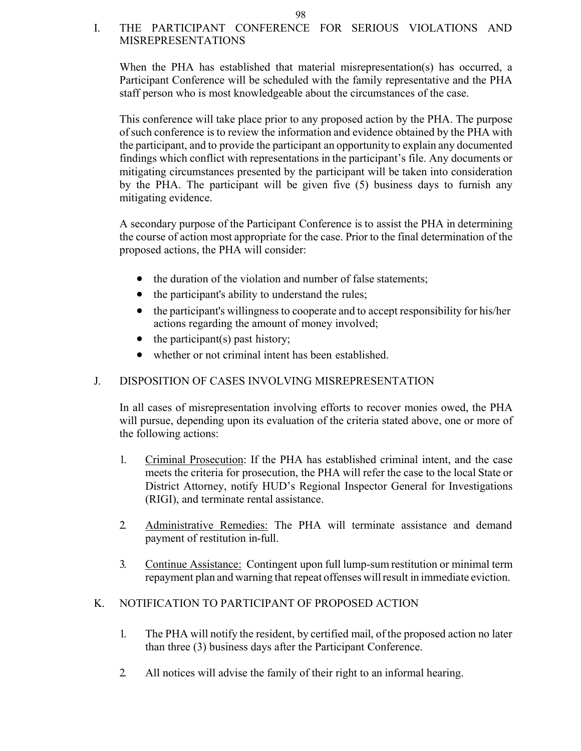# I. THE PARTICIPANT CONFERENCE FOR SERIOUS VIOLATIONS AND MISREPRESENTATIONS

When the PHA has established that material misrepresentation(s) has occurred, a Participant Conference will be scheduled with the family representative and the PHA staff person who is most knowledgeable about the circumstances of the case.

This conference will take place prior to any proposed action by the PHA. The purpose of such conference is to review the information and evidence obtained by the PHA with the participant, and to provide the participant an opportunity to explain any documented findings which conflict with representations in the participant's file. Any documents or mitigating circumstances presented by the participant will be taken into consideration by the PHA. The participant will be given five (5) business days to furnish any mitigating evidence.

A secondary purpose of the Participant Conference is to assist the PHA in determining the course of action most appropriate for the case. Prior to the final determination of the proposed actions, the PHA will consider:

- the duration of the violation and number of false statements;
- the participant's ability to understand the rules;
- the participant's willingness to cooperate and to accept responsibility for his/her actions regarding the amount of money involved;
- $\bullet$  the participant(s) past history;
- whether or not criminal intent has been established.

# J. DISPOSITION OF CASES INVOLVING MISREPRESENTATION

In all cases of misrepresentation involving efforts to recover monies owed, the PHA will pursue, depending upon its evaluation of the criteria stated above, one or more of the following actions:

- 1. Criminal Prosecution: If the PHA has established criminal intent, and the case meets the criteria for prosecution, the PHA will refer the case to the local State or District Attorney, notify HUD's Regional Inspector General for Investigations (RIGI), and terminate rental assistance.
- 2. Administrative Remedies: The PHA will terminate assistance and demand payment of restitution in-full.
- 3. Continue Assistance: Contingent upon full lump-sum restitution or minimal term repayment plan and warning that repeat offenses will result in immediate eviction.

# K. NOTIFICATION TO PARTICIPANT OF PROPOSED ACTION

- 1. The PHA will notify the resident, by certified mail, of the proposed action no later than three (3) business days after the Participant Conference.
- 2. All notices will advise the family of their right to an informal hearing.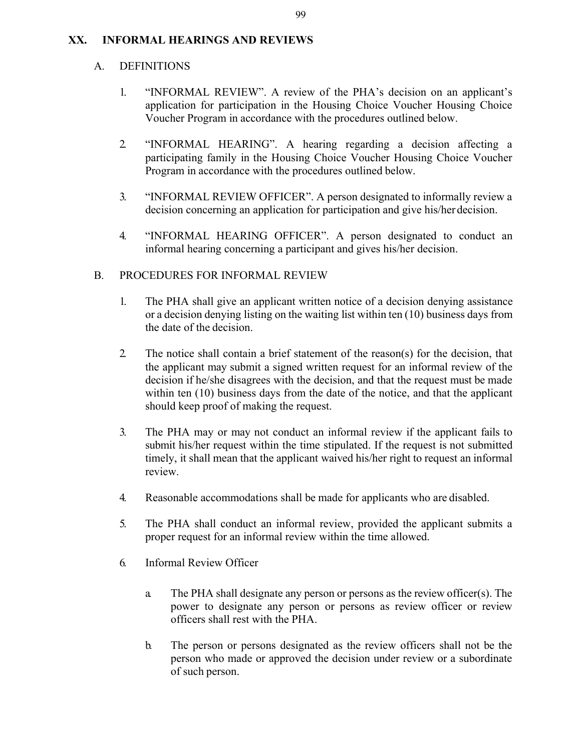### **XX. INFORMAL HEARINGS AND REVIEWS**

### A. DEFINITIONS

- 1. "INFORMAL REVIEW". A review of the PHA's decision on an applicant's application for participation in the Housing Choice Voucher Housing Choice Voucher Program in accordance with the procedures outlined below.
- 2. "INFORMAL HEARING". A hearing regarding a decision affecting a participating family in the Housing Choice Voucher Housing Choice Voucher Program in accordance with the procedures outlined below.
- 3. "INFORMAL REVIEW OFFICER". A person designated to informally review a decision concerning an application for participation and give his/her decision.
- 4. "INFORMAL HEARING OFFICER". A person designated to conduct an informal hearing concerning a participant and gives his/her decision.

### B. PROCEDURES FOR INFORMAL REVIEW

- 1. The PHA shall give an applicant written notice of a decision denying assistance or a decision denying listing on the waiting list within ten (10) business days from the date of the decision.
- 2. The notice shall contain a brief statement of the reason(s) for the decision, that the applicant may submit a signed written request for an informal review of the decision if he/she disagrees with the decision, and that the request must be made within ten (10) business days from the date of the notice, and that the applicant should keep proof of making the request.
- 3. The PHA may or may not conduct an informal review if the applicant fails to submit his/her request within the time stipulated. If the request is not submitted timely, it shall mean that the applicant waived his/her right to request an informal review.
- 4. Reasonable accommodations shall be made for applicants who are disabled.
- 5. The PHA shall conduct an informal review, provided the applicant submits a proper request for an informal review within the time allowed.
- 6. Informal Review Officer
	- a. The PHA shall designate any person or persons as the review officer(s). The power to designate any person or persons as review officer or review officers shall rest with the PHA.
	- b. The person or persons designated as the review officers shall not be the person who made or approved the decision under review or a subordinate of such person.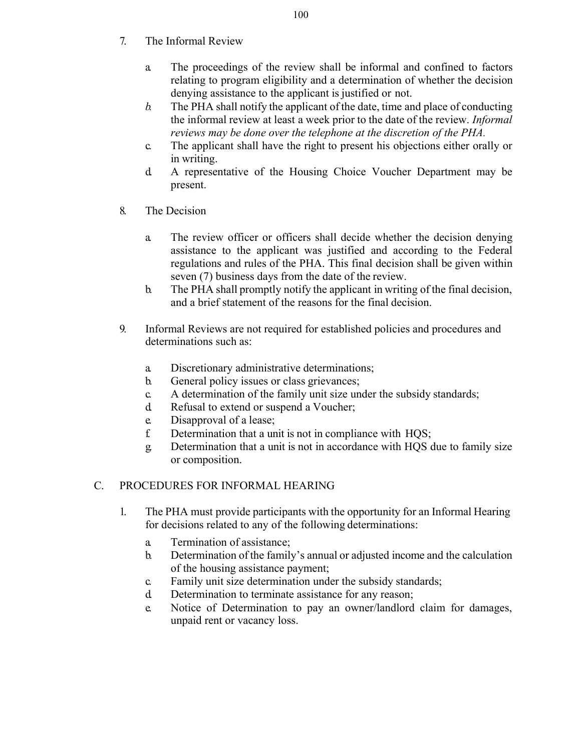- 7. The Informal Review
	- a. The proceedings of the review shall be informal and confined to factors relating to program eligibility and a determination of whether the decision denying assistance to the applicant is justified or not.
	- *b.* The PHA shall notify the applicant of the date, time and place of conducting the informal review at least a week prior to the date of the review. *Informal reviews may be done over the telephone at the discretion of the PHA.*
	- c. The applicant shall have the right to present his objections either orally or in writing.
	- d. A representative of the Housing Choice Voucher Department may be present.
- 8. The Decision
	- a. The review officer or officers shall decide whether the decision denying assistance to the applicant was justified and according to the Federal regulations and rules of the PHA. This final decision shall be given within seven (7) business days from the date of the review.
	- b. The PHA shall promptly notify the applicant in writing of the final decision, and a brief statement of the reasons for the final decision.
- 9. Informal Reviews are not required for established policies and procedures and determinations such as:
	- a. Discretionary administrative determinations;
	- b. General policy issues or class grievances;
	- c. A determination of the family unit size under the subsidy standards;
	- d. Refusal to extend or suspend a Voucher;
	- e. Disapproval of a lease;
	- f. Determination that a unit is not in compliance with HQS;
	- g. Determination that a unit is not in accordance with HQS due to family size or composition.

# C. PROCEDURES FOR INFORMAL HEARING

- 1. The PHA must provide participants with the opportunity for an Informal Hearing for decisions related to any of the following determinations:
	- a. Termination of assistance;
	- b. Determination of the family's annual or adjusted income and the calculation of the housing assistance payment;
	- c. Family unit size determination under the subsidy standards;
	- d. Determination to terminate assistance for any reason;
	- e. Notice of Determination to pay an owner/landlord claim for damages, unpaid rent or vacancy loss.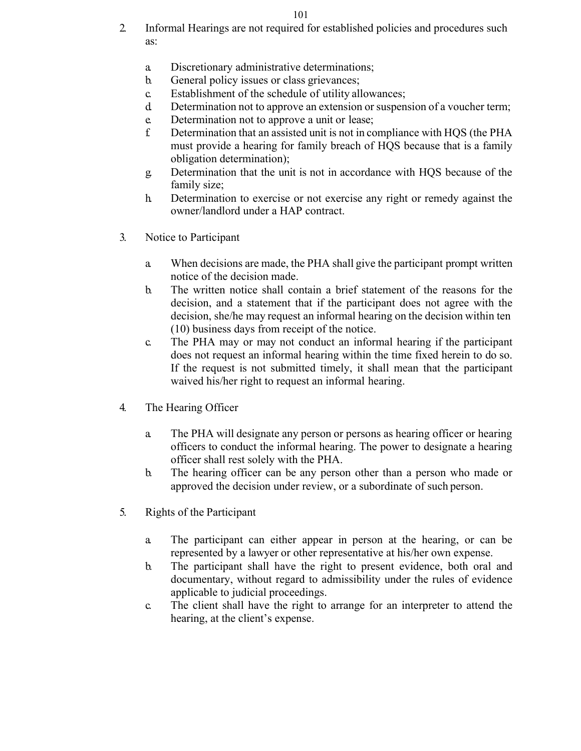- 2. Informal Hearings are not required for established policies and procedures such as:
	- a. Discretionary administrative determinations;
	- b. General policy issues or class grievances;
	- c. Establishment of the schedule of utility allowances;
	- d. Determination not to approve an extension or suspension of a voucher term;
	- e. Determination not to approve a unit or lease;
	- f. Determination that an assisted unit is not in compliance with HQS (the PHA must provide a hearing for family breach of HQS because that is a family obligation determination);
	- g. Determination that the unit is not in accordance with HQS because of the family size;
	- h. Determination to exercise or not exercise any right or remedy against the owner/landlord under a HAP contract.
- 3. Notice to Participant
	- a. When decisions are made, the PHA shall give the participant prompt written notice of the decision made.
	- b. The written notice shall contain a brief statement of the reasons for the decision, and a statement that if the participant does not agree with the decision, she/he may request an informal hearing on the decision within ten (10) business days from receipt of the notice.
	- c. The PHA may or may not conduct an informal hearing if the participant does not request an informal hearing within the time fixed herein to do so. If the request is not submitted timely, it shall mean that the participant waived his/her right to request an informal hearing.
- 4. The Hearing Officer
	- a. The PHA will designate any person or persons as hearing officer or hearing officers to conduct the informal hearing. The power to designate a hearing officer shall rest solely with the PHA.
	- b. The hearing officer can be any person other than a person who made or approved the decision under review, or a subordinate of such person.
- 5. Rights of the Participant
	- a. The participant can either appear in person at the hearing, or can be represented by a lawyer or other representative at his/her own expense.
	- b. The participant shall have the right to present evidence, both oral and documentary, without regard to admissibility under the rules of evidence applicable to judicial proceedings.
	- c. The client shall have the right to arrange for an interpreter to attend the hearing, at the client's expense.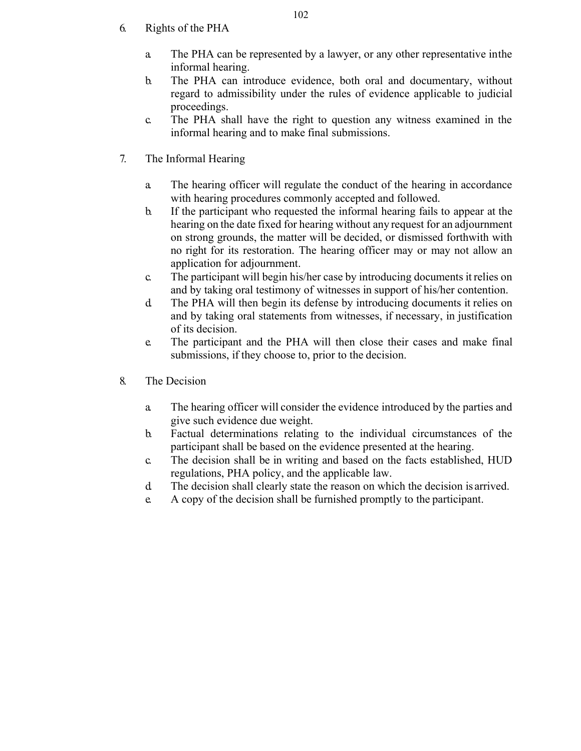- 6. Rights of the PHA
	- a. The PHA can be represented by a lawyer, or any other representative in the informal hearing.
	- b. The PHA can introduce evidence, both oral and documentary, without regard to admissibility under the rules of evidence applicable to judicial proceedings.
	- c. The PHA shall have the right to question any witness examined in the informal hearing and to make final submissions.
- 7. The Informal Hearing
	- a. The hearing officer will regulate the conduct of the hearing in accordance with hearing procedures commonly accepted and followed.
	- b. If the participant who requested the informal hearing fails to appear at the hearing on the date fixed for hearing without any request for an adjournment on strong grounds, the matter will be decided, or dismissed forthwith with no right for its restoration. The hearing officer may or may not allow an application for adjournment.
	- c. The participant will begin his/her case by introducing documents it relies on and by taking oral testimony of witnesses in support of his/her contention.
	- d. The PHA will then begin its defense by introducing documents it relies on and by taking oral statements from witnesses, if necessary, in justification of its decision.
	- e. The participant and the PHA will then close their cases and make final submissions, if they choose to, prior to the decision.
- 8. The Decision
	- a. The hearing officer will consider the evidence introduced by the parties and give such evidence due weight.
	- b. Factual determinations relating to the individual circumstances of the participant shall be based on the evidence presented at the hearing.
	- c. The decision shall be in writing and based on the facts established, HUD regulations, PHA policy, and the applicable law.
	- d. The decision shall clearly state the reason on which the decision is arrived.
	- e. A copy of the decision shall be furnished promptly to the participant.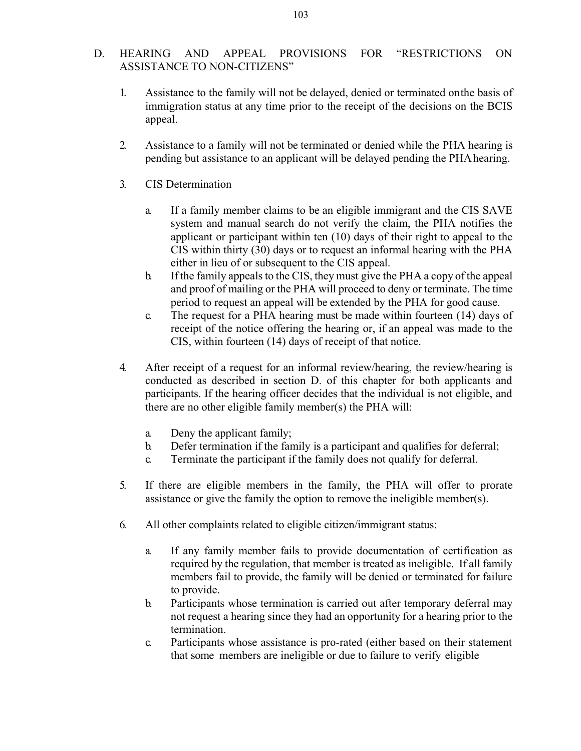### D. HEARING AND APPEAL PROVISIONS FOR "RESTRICTIONS ON ASSISTANCE TO NON-CITIZENS"

- 1. Assistance to the family will not be delayed, denied or terminated on the basis of immigration status at any time prior to the receipt of the decisions on the BCIS appeal.
- 2. Assistance to a family will not be terminated or denied while the PHA hearing is pending but assistance to an applicant will be delayed pending the PHA hearing.
- 3. CIS Determination
	- a. If a family member claims to be an eligible immigrant and the CIS SAVE system and manual search do not verify the claim, the PHA notifies the applicant or participant within ten (10) days of their right to appeal to the CIS within thirty (30) days or to request an informal hearing with the PHA either in lieu of or subsequent to the CIS appeal.
	- b. If the family appeals to the CIS, they must give the PHA a copy of the appeal and proof of mailing or the PHA will proceed to deny or terminate. The time period to request an appeal will be extended by the PHA for good cause.
	- c. The request for a PHA hearing must be made within fourteen (14) days of receipt of the notice offering the hearing or, if an appeal was made to the CIS, within fourteen (14) days of receipt of that notice.
- 4. After receipt of a request for an informal review/hearing, the review/hearing is conducted as described in section D. of this chapter for both applicants and participants. If the hearing officer decides that the individual is not eligible, and there are no other eligible family member(s) the PHA will:
	- a. Deny the applicant family;
	- b. Defer termination if the family is a participant and qualifies for deferral;
	- c. Terminate the participant if the family does not qualify for deferral.
- 5. If there are eligible members in the family, the PHA will offer to prorate assistance or give the family the option to remove the ineligible member(s).
- 6. All other complaints related to eligible citizen/immigrant status:
	- a. If any family member fails to provide documentation of certification as required by the regulation, that member is treated as ineligible. If all family members fail to provide, the family will be denied or terminated for failure to provide.
	- b. Participants whose termination is carried out after temporary deferral may not request a hearing since they had an opportunity for a hearing prior to the termination.
	- c. Participants whose assistance is pro-rated (either based on their statement that some members are ineligible or due to failure to verify eligible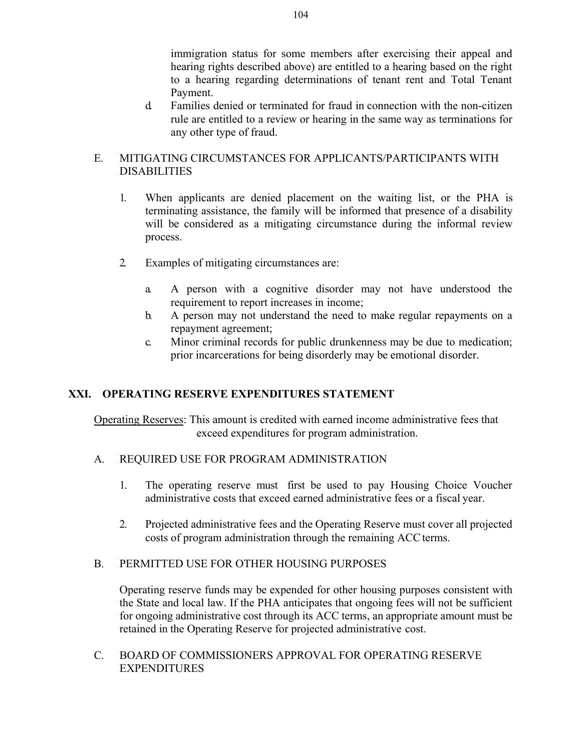immigration status for some members after exercising their appeal and hearing rights described above) are entitled to a hearing based on the right to a hearing regarding determinations of tenant rent and Total Tenant Payment.

d. Families denied or terminated for fraud in connection with the non-citizen rule are entitled to a review or hearing in the same way as terminations for any other type of fraud.

### E. MITIGATING CIRCUMSTANCES FOR APPLICANTS/PARTICIPANTS WITH DISABILITIES

- 1. When applicants are denied placement on the waiting list, or the PHA is terminating assistance, the family will be informed that presence of a disability will be considered as a mitigating circumstance during the informal review process.
- 2. Examples of mitigating circumstances are:
	- a. A person with a cognitive disorder may not have understood the requirement to report increases in income;
	- b. A person may not understand the need to make regular repayments on a repayment agreement;
	- c. Minor criminal records for public drunkenness may be due to medication; prior incarcerations for being disorderly may be emotional disorder.

# **XXI. OPERATING RESERVE EXPENDITURES STATEMENT**

Operating Reserves: This amount is credited with earned income administrative fees that exceed expenditures for program administration.

- A. REQUIRED USE FOR PROGRAM ADMINISTRATION
	- 1. The operating reserve must first be used to pay Housing Choice Voucher administrative costs that exceed earned administrative fees or a fiscal year.
	- 2. Projected administrative fees and the Operating Reserve must cover all projected costs of program administration through the remaining ACC terms.

### B. PERMITTED USE FOR OTHER HOUSING PURPOSES

Operating reserve funds may be expended for other housing purposes consistent with the State and local law. If the PHA anticipates that ongoing fees will not be sufficient for ongoing administrative cost through its ACC terms, an appropriate amount must be retained in the Operating Reserve for projected administrative cost.

C. BOARD OF COMMISSIONERS APPROVAL FOR OPERATING RESERVE EXPENDITURES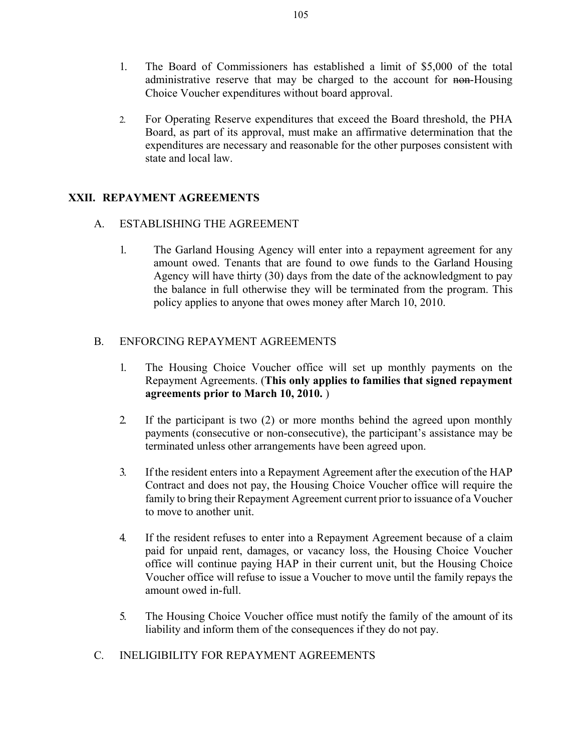- 1. The Board of Commissioners has established a limit of \$5,000 of the total administrative reserve that may be charged to the account for non-Housing Choice Voucher expenditures without board approval.
- 2. For Operating Reserve expenditures that exceed the Board threshold, the PHA Board, as part of its approval, must make an affirmative determination that the expenditures are necessary and reasonable for the other purposes consistent with state and local law.

# **XXII. REPAYMENT AGREEMENTS**

# A. ESTABLISHING THE AGREEMENT

1. The Garland Housing Agency will enter into a repayment agreement for any amount owed. Tenants that are found to owe funds to the Garland Housing Agency will have thirty (30) days from the date of the acknowledgment to pay the balance in full otherwise they will be terminated from the program. This policy applies to anyone that owes money after March 10, 2010.

# B. ENFORCING REPAYMENT AGREEMENTS

- 1. The Housing Choice Voucher office will set up monthly payments on the Repayment Agreements. (**This only applies to families that signed repayment agreements prior to March 10, 2010.** )
- 2. If the participant is two (2) or more months behind the agreed upon monthly payments (consecutive or non-consecutive), the participant's assistance may be terminated unless other arrangements have been agreed upon.
- 3. If the resident enters into a Repayment Agreement after the execution of the HAP Contract and does not pay, the Housing Choice Voucher office will require the family to bring their Repayment Agreement current prior to issuance of a Voucher to move to another unit.
- 4. If the resident refuses to enter into a Repayment Agreement because of a claim paid for unpaid rent, damages, or vacancy loss, the Housing Choice Voucher office will continue paying HAP in their current unit, but the Housing Choice Voucher office will refuse to issue a Voucher to move until the family repays the amount owed in-full.
- 5. The Housing Choice Voucher office must notify the family of the amount of its liability and inform them of the consequences if they do not pay.

# C. INELIGIBILITY FOR REPAYMENT AGREEMENTS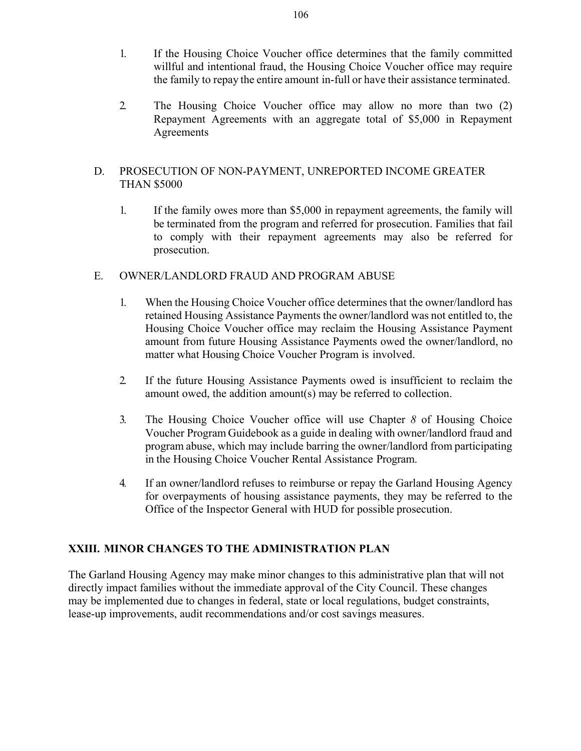- 1. If the Housing Choice Voucher office determines that the family committed willful and intentional fraud, the Housing Choice Voucher office may require the family to repay the entire amount in-full or have their assistance terminated.
- 2. The Housing Choice Voucher office may allow no more than two (2) Repayment Agreements with an aggregate total of \$5,000 in Repayment Agreements

# D. PROSECUTION OF NON-PAYMENT, UNREPORTED INCOME GREATER THAN \$5000

1. If the family owes more than \$5,000 in repayment agreements, the family will be terminated from the program and referred for prosecution. Families that fail to comply with their repayment agreements may also be referred for prosecution.

# E. OWNER/LANDLORD FRAUD AND PROGRAM ABUSE

- 1. When the Housing Choice Voucher office determines that the owner/landlord has retained Housing Assistance Payments the owner/landlord was not entitled to, the Housing Choice Voucher office may reclaim the Housing Assistance Payment amount from future Housing Assistance Payments owed the owner/landlord, no matter what Housing Choice Voucher Program is involved.
- 2. If the future Housing Assistance Payments owed is insufficient to reclaim the amount owed, the addition amount(s) may be referred to collection.
- 3. The Housing Choice Voucher office will use Chapter *8* of Housing Choice Voucher Program Guidebook as a guide in dealing with owner/landlord fraud and program abuse, which may include barring the owner/landlord from participating in the Housing Choice Voucher Rental Assistance Program.
- 4. If an owner/landlord refuses to reimburse or repay the Garland Housing Agency for overpayments of housing assistance payments, they may be referred to the Office of the Inspector General with HUD for possible prosecution.

# **XXIII. MINOR CHANGES TO THE ADMINISTRATION PLAN**

The Garland Housing Agency may make minor changes to this administrative plan that will not directly impact families without the immediate approval of the City Council. These changes may be implemented due to changes in federal, state or local regulations, budget constraints, lease-up improvements, audit recommendations and/or cost savings measures.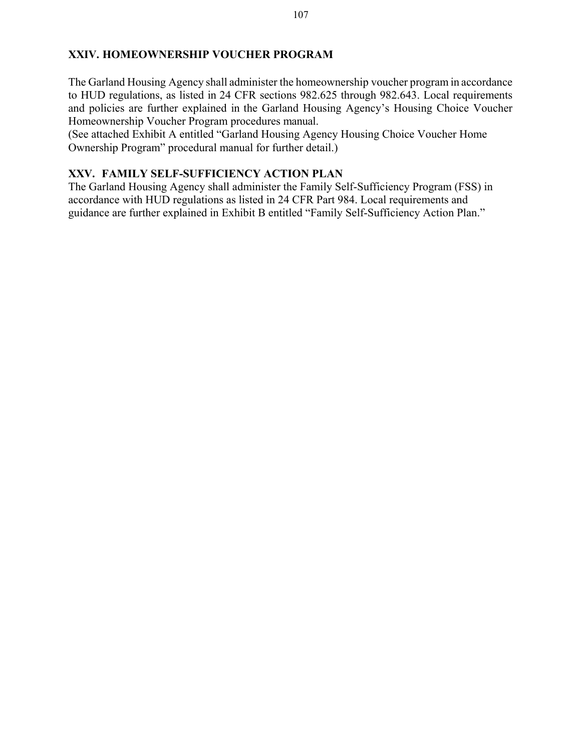The Garland Housing Agency shall administer the homeownership voucher program in accordance to HUD regulations, as listed in 24 CFR sections 982.625 through 982.643. Local requirements and policies are further explained in the Garland Housing Agency's Housing Choice Voucher Homeownership Voucher Program procedures manual.

(See attached Exhibit A entitled "Garland Housing Agency Housing Choice Voucher Home Ownership Program" procedural manual for further detail.)

# **XXV. FAMILY SELF-SUFFICIENCY ACTION PLAN**

The Garland Housing Agency shall administer the Family Self-Sufficiency Program (FSS) in accordance with HUD regulations as listed in 24 CFR Part 984. Local requirements and guidance are further explained in Exhibit B entitled "Family Self-Sufficiency Action Plan."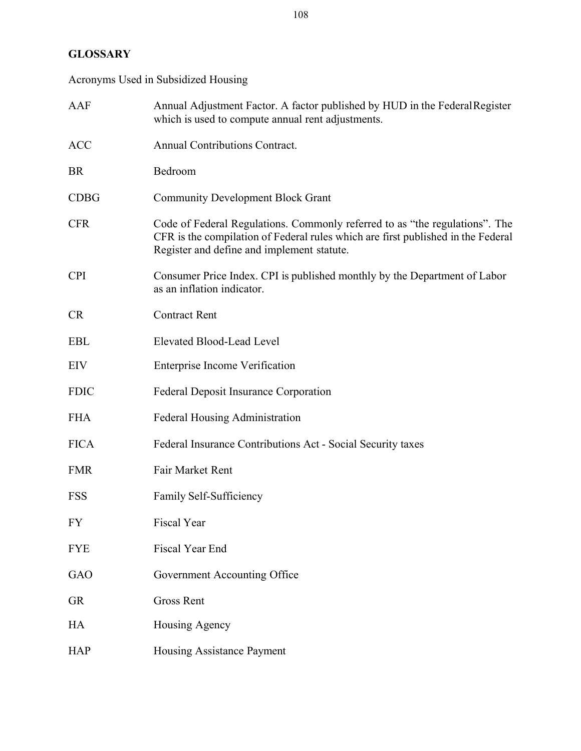# **GLOSSARY**

Acronyms Used in Subsidized Housing

| AAF         | Annual Adjustment Factor. A factor published by HUD in the Federal Register<br>which is used to compute annual rent adjustments.                                                                              |
|-------------|---------------------------------------------------------------------------------------------------------------------------------------------------------------------------------------------------------------|
| <b>ACC</b>  | Annual Contributions Contract.                                                                                                                                                                                |
| <b>BR</b>   | Bedroom                                                                                                                                                                                                       |
| <b>CDBG</b> | <b>Community Development Block Grant</b>                                                                                                                                                                      |
| <b>CFR</b>  | Code of Federal Regulations. Commonly referred to as "the regulations". The<br>CFR is the compilation of Federal rules which are first published in the Federal<br>Register and define and implement statute. |
| <b>CPI</b>  | Consumer Price Index. CPI is published monthly by the Department of Labor<br>as an inflation indicator.                                                                                                       |
| <b>CR</b>   | <b>Contract Rent</b>                                                                                                                                                                                          |
| <b>EBL</b>  | Elevated Blood-Lead Level                                                                                                                                                                                     |
| EIV         | <b>Enterprise Income Verification</b>                                                                                                                                                                         |
| <b>FDIC</b> | <b>Federal Deposit Insurance Corporation</b>                                                                                                                                                                  |
| <b>FHA</b>  | Federal Housing Administration                                                                                                                                                                                |
| <b>FICA</b> | Federal Insurance Contributions Act - Social Security taxes                                                                                                                                                   |
| <b>FMR</b>  | Fair Market Rent                                                                                                                                                                                              |
| <b>FSS</b>  | Family Self-Sufficiency                                                                                                                                                                                       |
| <b>FY</b>   | Fiscal Year                                                                                                                                                                                                   |
| <b>FYE</b>  | <b>Fiscal Year End</b>                                                                                                                                                                                        |
| GAO         | Government Accounting Office                                                                                                                                                                                  |
| <b>GR</b>   | Gross Rent                                                                                                                                                                                                    |
| <b>HA</b>   | Housing Agency                                                                                                                                                                                                |
| <b>HAP</b>  | Housing Assistance Payment                                                                                                                                                                                    |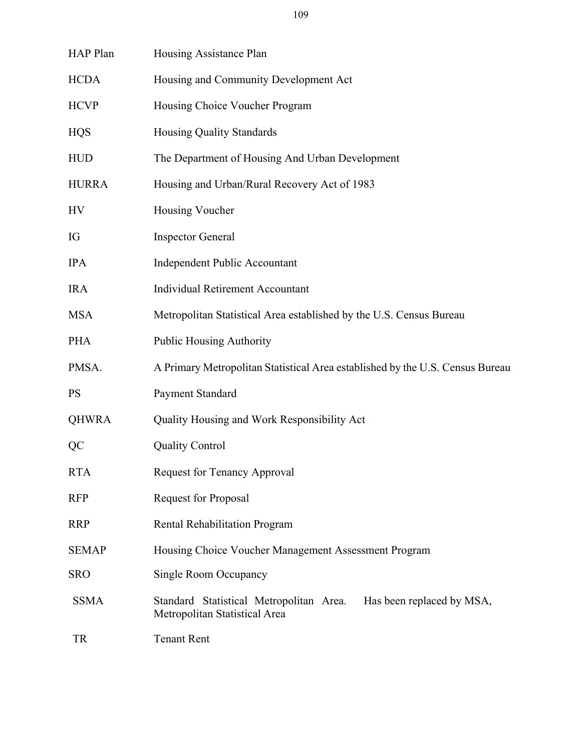| HAP Plan     | Housing Assistance Plan                                                                               |
|--------------|-------------------------------------------------------------------------------------------------------|
| <b>HCDA</b>  | Housing and Community Development Act                                                                 |
| <b>HCVP</b>  | Housing Choice Voucher Program                                                                        |
| <b>HQS</b>   | <b>Housing Quality Standards</b>                                                                      |
| <b>HUD</b>   | The Department of Housing And Urban Development                                                       |
| <b>HURRA</b> | Housing and Urban/Rural Recovery Act of 1983                                                          |
| HV           | Housing Voucher                                                                                       |
| IG           | <b>Inspector General</b>                                                                              |
| <b>IPA</b>   | Independent Public Accountant                                                                         |
| <b>IRA</b>   | <b>Individual Retirement Accountant</b>                                                               |
| <b>MSA</b>   | Metropolitan Statistical Area established by the U.S. Census Bureau                                   |
| <b>PHA</b>   | <b>Public Housing Authority</b>                                                                       |
| PMSA.        | A Primary Metropolitan Statistical Area established by the U.S. Census Bureau                         |
| PS           | Payment Standard                                                                                      |
| <b>QHWRA</b> | Quality Housing and Work Responsibility Act                                                           |
| QC           | <b>Quality Control</b>                                                                                |
| <b>RTA</b>   | Request for Tenancy Approval                                                                          |
| <b>RFP</b>   | <b>Request for Proposal</b>                                                                           |
| <b>RRP</b>   | Rental Rehabilitation Program                                                                         |
| <b>SEMAP</b> | Housing Choice Voucher Management Assessment Program                                                  |
| <b>SRO</b>   | <b>Single Room Occupancy</b>                                                                          |
| <b>SSMA</b>  | Standard Statistical Metropolitan Area.<br>Has been replaced by MSA,<br>Metropolitan Statistical Area |
| TR           | <b>Tenant Rent</b>                                                                                    |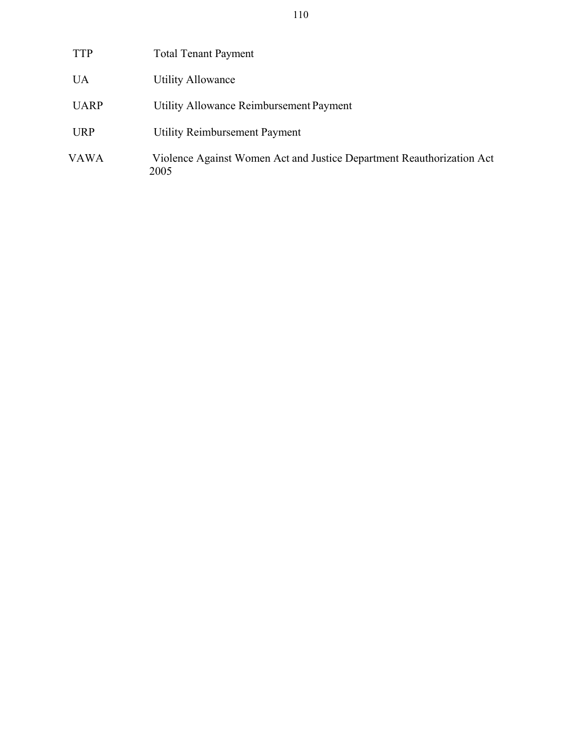| <b>TTP</b>  | <b>Total Tenant Payment</b>                                                   |
|-------------|-------------------------------------------------------------------------------|
| UA          | <b>Utility Allowance</b>                                                      |
| <b>UARP</b> | Utility Allowance Reimbursement Payment                                       |
| <b>URP</b>  | Utility Reimbursement Payment                                                 |
| VAWA        | Violence Against Women Act and Justice Department Reauthorization Act<br>2005 |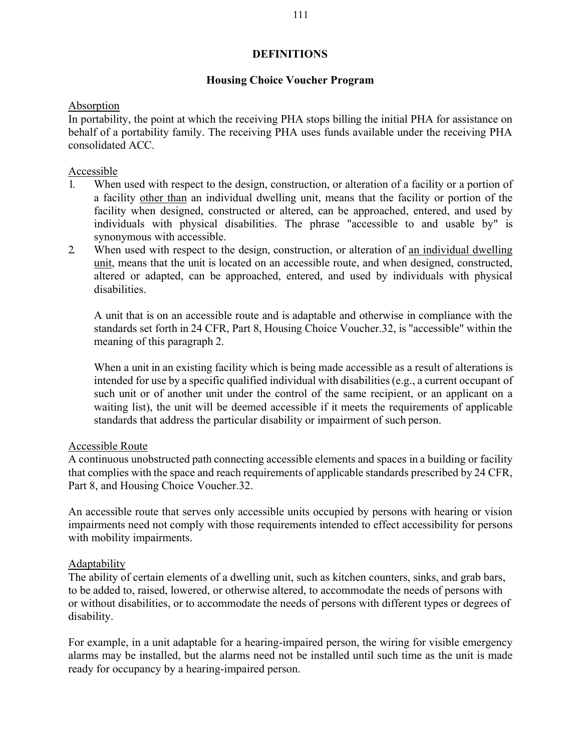# **DEFINITIONS**

#### **Housing Choice Voucher Program**

#### Absorption

In portability, the point at which the receiving PHA stops billing the initial PHA for assistance on behalf of a portability family. The receiving PHA uses funds available under the receiving PHA consolidated ACC.

# Accessible

- 1. When used with respect to the design, construction, or alteration of a facility or a portion of a facility other than an individual dwelling unit, means that the facility or portion of the facility when designed, constructed or altered, can be approached, entered, and used by individuals with physical disabilities. The phrase "accessible to and usable by" is synonymous with accessible.
- 2. When used with respect to the design, construction, or alteration of an individual dwelling unit, means that the unit is located on an accessible route, and when designed, constructed, altered or adapted, can be approached, entered, and used by individuals with physical disabilities.

A unit that is on an accessible route and is adaptable and otherwise in compliance with the standards set forth in 24 CFR, Part 8, Housing Choice Voucher.32, is "accessible" within the meaning of this paragraph 2.

When a unit in an existing facility which is being made accessible as a result of alterations is intended for use by a specific qualified individual with disabilities (e.g., a current occupant of such unit or of another unit under the control of the same recipient, or an applicant on a waiting list), the unit will be deemed accessible if it meets the requirements of applicable standards that address the particular disability or impairment of such person.

#### Accessible Route

A continuous unobstructed path connecting accessible elements and spaces in a building or facility that complies with the space and reach requirements of applicable standards prescribed by 24 CFR, Part 8, and Housing Choice Voucher.32.

An accessible route that serves only accessible units occupied by persons with hearing or vision impairments need not comply with those requirements intended to effect accessibility for persons with mobility impairments.

# Adaptability

The ability of certain elements of a dwelling unit, such as kitchen counters, sinks, and grab bars, to be added to, raised, lowered, or otherwise altered, to accommodate the needs of persons with or without disabilities, or to accommodate the needs of persons with different types or degrees of disability.

For example, in a unit adaptable for a hearing-impaired person, the wiring for visible emergency alarms may be installed, but the alarms need not be installed until such time as the unit is made ready for occupancy by a hearing-impaired person.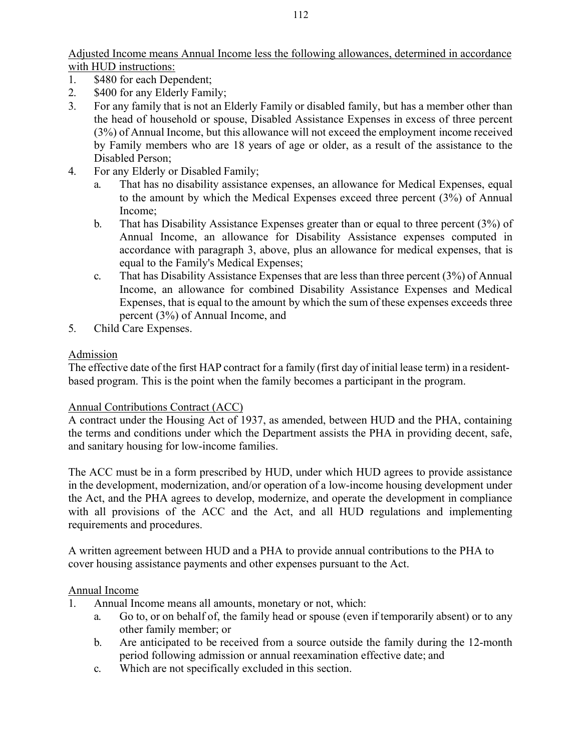Adjusted Income means Annual Income less the following allowances, determined in accordance with HUD instructions:

- 1. \$480 for each Dependent;
- 2. \$400 for any Elderly Family;
- 3. For any family that is not an Elderly Family or disabled family, but has a member other than the head of household or spouse, Disabled Assistance Expenses in excess of three percent (3%) of Annual Income, but this allowance will not exceed the employment income received by Family members who are 18 years of age or older, as a result of the assistance to the Disabled Person;
- 4. For any Elderly or Disabled Family;
	- a. That has no disability assistance expenses, an allowance for Medical Expenses, equal to the amount by which the Medical Expenses exceed three percent (3%) of Annual Income;
	- b. That has Disability Assistance Expenses greater than or equal to three percent (3%) of Annual Income, an allowance for Disability Assistance expenses computed in accordance with paragraph 3, above, plus an allowance for medical expenses, that is equal to the Family's Medical Expenses;
	- c. That has Disability Assistance Expenses that are less than three percent (3%) of Annual Income, an allowance for combined Disability Assistance Expenses and Medical Expenses, that is equal to the amount by which the sum of these expenses exceeds three percent (3%) of Annual Income, and
- 5. Child Care Expenses.

# Admission

The effective date of the first HAP contract for a family (first day of initial lease term) in a residentbased program. This is the point when the family becomes a participant in the program.

# Annual Contributions Contract (ACC)

A contract under the Housing Act of 1937, as amended, between HUD and the PHA, containing the terms and conditions under which the Department assists the PHA in providing decent, safe, and sanitary housing for low-income families.

The ACC must be in a form prescribed by HUD, under which HUD agrees to provide assistance in the development, modernization, and/or operation of a low-income housing development under the Act, and the PHA agrees to develop, modernize, and operate the development in compliance with all provisions of the ACC and the Act, and all HUD regulations and implementing requirements and procedures.

A written agreement between HUD and a PHA to provide annual contributions to the PHA to cover housing assistance payments and other expenses pursuant to the Act.

# Annual Income

- 1. Annual Income means all amounts, monetary or not, which:
	- a. Go to, or on behalf of, the family head or spouse (even if temporarily absent) or to any other family member; or
	- b. Are anticipated to be received from a source outside the family during the 12-month period following admission or annual reexamination effective date; and
	- c. Which are not specifically excluded in this section.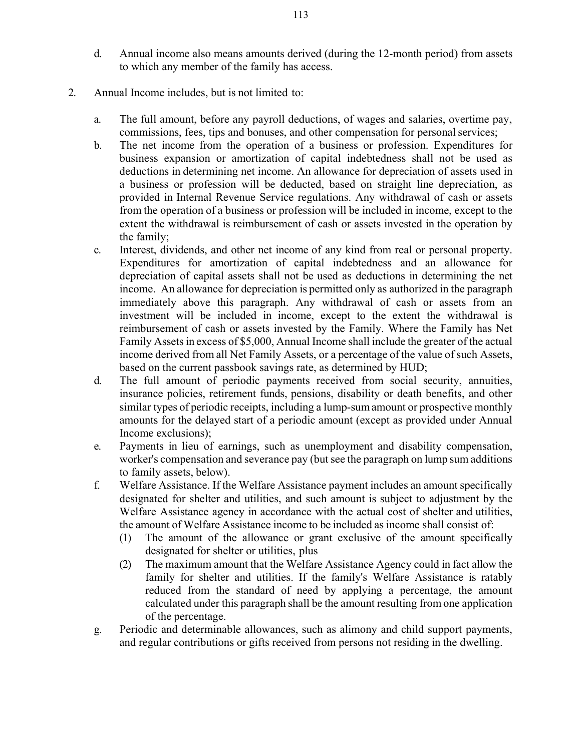- d. Annual income also means amounts derived (during the 12-month period) from assets to which any member of the family has access.
- 2. Annual Income includes, but is not limited to:
	- a. The full amount, before any payroll deductions, of wages and salaries, overtime pay, commissions, fees, tips and bonuses, and other compensation for personal services;
	- b. The net income from the operation of a business or profession. Expenditures for business expansion or amortization of capital indebtedness shall not be used as deductions in determining net income. An allowance for depreciation of assets used in a business or profession will be deducted, based on straight line depreciation, as provided in Internal Revenue Service regulations. Any withdrawal of cash or assets from the operation of a business or profession will be included in income, except to the extent the withdrawal is reimbursement of cash or assets invested in the operation by the family;
	- c. Interest, dividends, and other net income of any kind from real or personal property. Expenditures for amortization of capital indebtedness and an allowance for depreciation of capital assets shall not be used as deductions in determining the net income. An allowance for depreciation is permitted only as authorized in the paragraph immediately above this paragraph. Any withdrawal of cash or assets from an investment will be included in income, except to the extent the withdrawal is reimbursement of cash or assets invested by the Family. Where the Family has Net Family Assets in excess of \$5,000, Annual Income shall include the greater of the actual income derived from all Net Family Assets, or a percentage of the value of such Assets, based on the current passbook savings rate, as determined by HUD;
	- d. The full amount of periodic payments received from social security, annuities, insurance policies, retirement funds, pensions, disability or death benefits, and other similar types of periodic receipts, including a lump-sum amount or prospective monthly amounts for the delayed start of a periodic amount (except as provided under Annual Income exclusions);
	- e. Payments in lieu of earnings, such as unemployment and disability compensation, worker's compensation and severance pay (but see the paragraph on lump sum additions to family assets, below).
	- f. Welfare Assistance. If the Welfare Assistance payment includes an amount specifically designated for shelter and utilities, and such amount is subject to adjustment by the Welfare Assistance agency in accordance with the actual cost of shelter and utilities, the amount of Welfare Assistance income to be included as income shall consist of:
		- (1) The amount of the allowance or grant exclusive of the amount specifically designated for shelter or utilities, plus
		- (2) The maximum amount that the Welfare Assistance Agency could in fact allow the family for shelter and utilities. If the family's Welfare Assistance is ratably reduced from the standard of need by applying a percentage, the amount calculated under this paragraph shall be the amount resulting from one application of the percentage.
	- g. Periodic and determinable allowances, such as alimony and child support payments, and regular contributions or gifts received from persons not residing in the dwelling.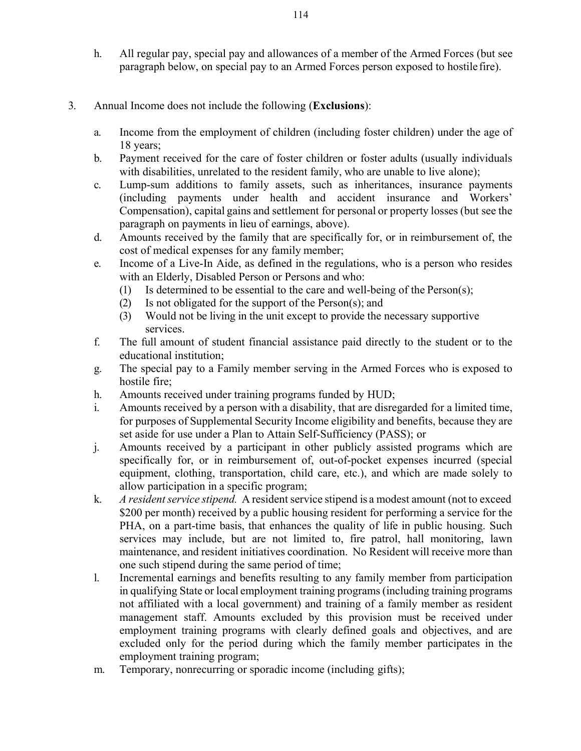- h. All regular pay, special pay and allowances of a member of the Armed Forces (but see paragraph below, on special pay to an Armed Forces person exposed to hostile fire).
- 3. Annual Income does not include the following (**Exclusions**):
	- a. Income from the employment of children (including foster children) under the age of 18 years;
	- b. Payment received for the care of foster children or foster adults (usually individuals with disabilities, unrelated to the resident family, who are unable to live alone);
	- c. Lump-sum additions to family assets, such as inheritances, insurance payments (including payments under health and accident insurance and Workers' Compensation), capital gains and settlement for personal or property losses (but see the paragraph on payments in lieu of earnings, above).
	- d. Amounts received by the family that are specifically for, or in reimbursement of, the cost of medical expenses for any family member;
	- e. Income of a Live-In Aide, as defined in the regulations, who is a person who resides with an Elderly, Disabled Person or Persons and who:
		- (1) Is determined to be essential to the care and well-being of the Person(s);
		- (2) Is not obligated for the support of the Person(s); and
		- (3) Would not be living in the unit except to provide the necessary supportive services.
	- f. The full amount of student financial assistance paid directly to the student or to the educational institution;
	- g. The special pay to a Family member serving in the Armed Forces who is exposed to hostile fire;
	- h. Amounts received under training programs funded by HUD;
	- i. Amounts received by a person with a disability, that are disregarded for a limited time, for purposes of Supplemental Security Income eligibility and benefits, because they are set aside for use under a Plan to Attain Self-Sufficiency (PASS); or
	- j. Amounts received by a participant in other publicly assisted programs which are specifically for, or in reimbursement of, out-of-pocket expenses incurred (special equipment, clothing, transportation, child care, etc.), and which are made solely to allow participation in a specific program;
	- k. *A resident service stipend.* A resident service stipend is a modest amount (not to exceed \$200 per month) received by a public housing resident for performing a service for the PHA, on a part-time basis, that enhances the quality of life in public housing. Such services may include, but are not limited to, fire patrol, hall monitoring, lawn maintenance, and resident initiatives coordination. No Resident will receive more than one such stipend during the same period of time;
	- l. Incremental earnings and benefits resulting to any family member from participation in qualifying State or local employment training programs (including training programs not affiliated with a local government) and training of a family member as resident management staff. Amounts excluded by this provision must be received under employment training programs with clearly defined goals and objectives, and are excluded only for the period during which the family member participates in the employment training program;
	- m. Temporary, nonrecurring or sporadic income (including gifts);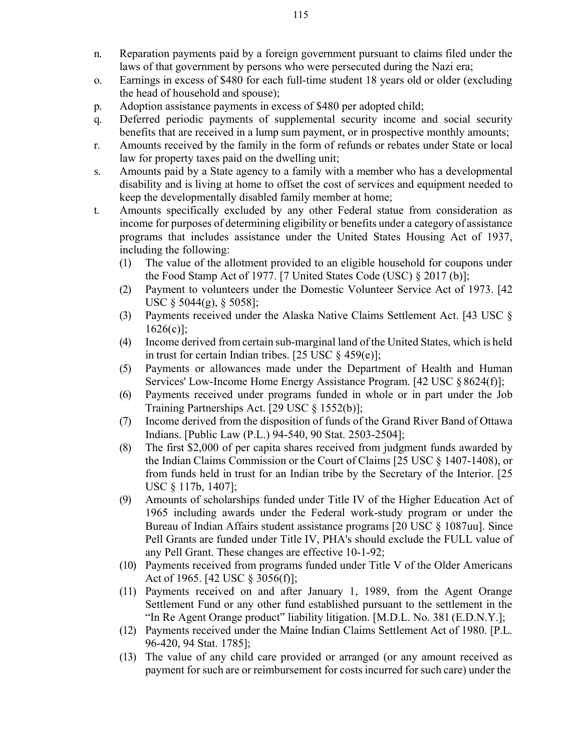- n. Reparation payments paid by a foreign government pursuant to claims filed under the laws of that government by persons who were persecuted during the Nazi era;
- o. Earnings in excess of \$480 for each full-time student 18 years old or older (excluding the head of household and spouse);
- p. Adoption assistance payments in excess of \$480 per adopted child;
- q. Deferred periodic payments of supplemental security income and social security benefits that are received in a lump sum payment, or in prospective monthly amounts;
- r. Amounts received by the family in the form of refunds or rebates under State or local law for property taxes paid on the dwelling unit;
- s. Amounts paid by a State agency to a family with a member who has a developmental disability and is living at home to offset the cost of services and equipment needed to keep the developmentally disabled family member at home;
- t. Amounts specifically excluded by any other Federal statue from consideration as income for purposes of determining eligibility or benefits under a category of assistance programs that includes assistance under the United States Housing Act of 1937, including the following:
	- (1) The value of the allotment provided to an eligible household for coupons under the Food Stamp Act of 1977. [7 United States Code (USC) § 2017 (b)];
	- (2) Payment to volunteers under the Domestic Volunteer Service Act of 1973. [42 USC § 5044(g), § 5058];
	- (3) Payments received under the Alaska Native Claims Settlement Act. [43 USC §  $1626(c)$ ;
	- (4) Income derived from certain sub-marginal land of the United States, which is held in trust for certain Indian tribes. [25 USC  $\S$  459(e)];
	- (5) Payments or allowances made under the Department of Health and Human Services' Low-Income Home Energy Assistance Program. [42 USC § 8624(f)];
	- (6) Payments received under programs funded in whole or in part under the Job Training Partnerships Act. [29 USC § 1552(b)];
	- (7) Income derived from the disposition of funds of the Grand River Band of Ottawa Indians. [Public Law (P.L.) 94-540, 90 Stat. 2503-2504];
	- (8) The first \$2,000 of per capita shares received from judgment funds awarded by the Indian Claims Commission or the Court of Claims [25 USC § 1407-1408), or from funds held in trust for an Indian tribe by the Secretary of the Interior. [25 USC § 117b, 1407];
	- (9) Amounts of scholarships funded under Title IV of the Higher Education Act of 1965 including awards under the Federal work-study program or under the Bureau of Indian Affairs student assistance programs [20 USC § 1087uu]. Since Pell Grants are funded under Title IV, PHA's should exclude the FULL value of any Pell Grant. These changes are effective 10-1-92;
	- (10) Payments received from programs funded under Title V of the Older Americans Act of 1965. [42 USC § 3056(f)];
	- (11) Payments received on and after January 1, 1989, from the Agent Orange Settlement Fund or any other fund established pursuant to the settlement in the "In Re Agent Orange product" liability litigation. [M.D.L. No. 381 (E.D.N.Y.];
	- (12) Payments received under the Maine Indian Claims Settlement Act of 1980. [P.L. 96-420, 94 Stat. 1785];
	- (13) The value of any child care provided or arranged (or any amount received as payment for such are or reimbursement for costs incurred for such care) under the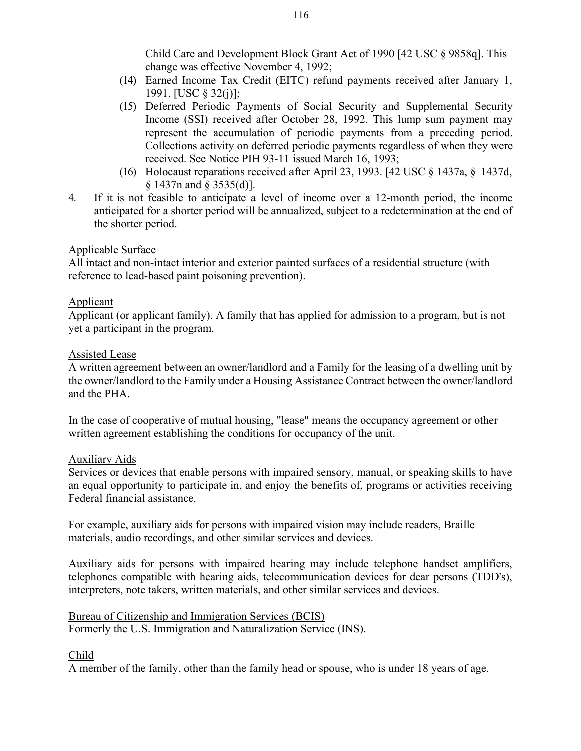Child Care and Development Block Grant Act of 1990 [42 USC § 9858q]. This change was effective November 4, 1992;

- (14) Earned Income Tax Credit (EITC) refund payments received after January 1, 1991. [USC § 32(j)];
- (15) Deferred Periodic Payments of Social Security and Supplemental Security Income (SSI) received after October 28, 1992. This lump sum payment may represent the accumulation of periodic payments from a preceding period. Collections activity on deferred periodic payments regardless of when they were received. See Notice PIH 93-11 issued March 16, 1993;
- (16) Holocaust reparations received after April 23, 1993. [42 USC § 1437a, § 1437d, § 1437n and § 3535(d)].
- 4. If it is not feasible to anticipate a level of income over a 12-month period, the income anticipated for a shorter period will be annualized, subject to a redetermination at the end of the shorter period.

# Applicable Surface

All intact and non-intact interior and exterior painted surfaces of a residential structure (with reference to lead-based paint poisoning prevention).

# Applicant

Applicant (or applicant family). A family that has applied for admission to a program, but is not yet a participant in the program.

# Assisted Lease

A written agreement between an owner/landlord and a Family for the leasing of a dwelling unit by the owner/landlord to the Family under a Housing Assistance Contract between the owner/landlord and the PHA.

In the case of cooperative of mutual housing, "lease" means the occupancy agreement or other written agreement establishing the conditions for occupancy of the unit.

# Auxiliary Aids

Services or devices that enable persons with impaired sensory, manual, or speaking skills to have an equal opportunity to participate in, and enjoy the benefits of, programs or activities receiving Federal financial assistance.

For example, auxiliary aids for persons with impaired vision may include readers, Braille materials, audio recordings, and other similar services and devices.

Auxiliary aids for persons with impaired hearing may include telephone handset amplifiers, telephones compatible with hearing aids, telecommunication devices for dear persons (TDD's), interpreters, note takers, written materials, and other similar services and devices.

# Bureau of Citizenship and Immigration Services (BCIS)

Formerly the U.S. Immigration and Naturalization Service (INS).

# Child

A member of the family, other than the family head or spouse, who is under 18 years of age.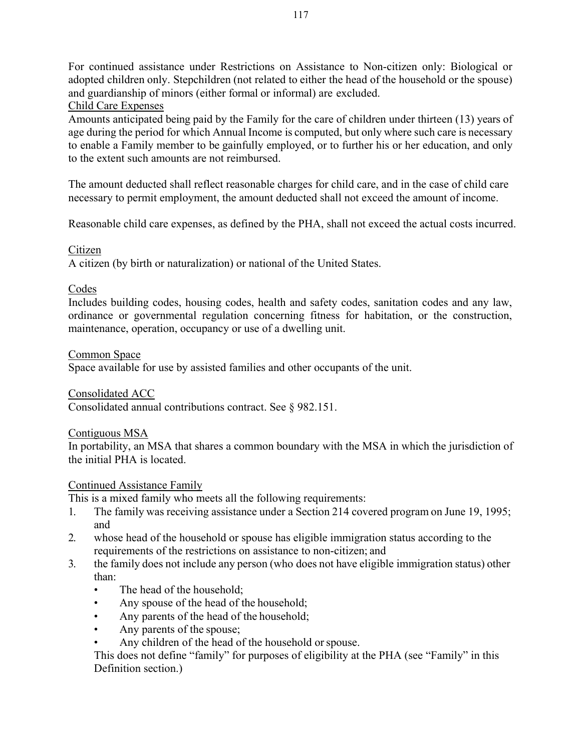For continued assistance under Restrictions on Assistance to Non-citizen only: Biological or adopted children only. Stepchildren (not related to either the head of the household or the spouse) and guardianship of minors (either formal or informal) are excluded.

# Child Care Expenses

Amounts anticipated being paid by the Family for the care of children under thirteen (13) years of age during the period for which Annual Income is computed, but only where such care is necessary to enable a Family member to be gainfully employed, or to further his or her education, and only to the extent such amounts are not reimbursed.

The amount deducted shall reflect reasonable charges for child care, and in the case of child care necessary to permit employment, the amount deducted shall not exceed the amount of income.

Reasonable child care expenses, as defined by the PHA, shall not exceed the actual costs incurred.

# Citizen

A citizen (by birth or naturalization) or national of the United States.

# Codes

Includes building codes, housing codes, health and safety codes, sanitation codes and any law, ordinance or governmental regulation concerning fitness for habitation, or the construction, maintenance, operation, occupancy or use of a dwelling unit.

# Common Space

Space available for use by assisted families and other occupants of the unit.

# Consolidated ACC

Consolidated annual contributions contract. See § 982.151.

# Contiguous MSA

In portability, an MSA that shares a common boundary with the MSA in which the jurisdiction of the initial PHA is located.

# Continued Assistance Family

This is a mixed family who meets all the following requirements:

- 1. The family was receiving assistance under a Section 214 covered program on June 19, 1995; and
- 2. whose head of the household or spouse has eligible immigration status according to the requirements of the restrictions on assistance to non-citizen; and
- 3. the family does not include any person (who does not have eligible immigration status) other than:
	- The head of the household;
	- Any spouse of the head of the household;
	- Any parents of the head of the household;
	- Any parents of the spouse;
	- Any children of the head of the household or spouse.

This does not define "family" for purposes of eligibility at the PHA (see "Family" in this Definition section.)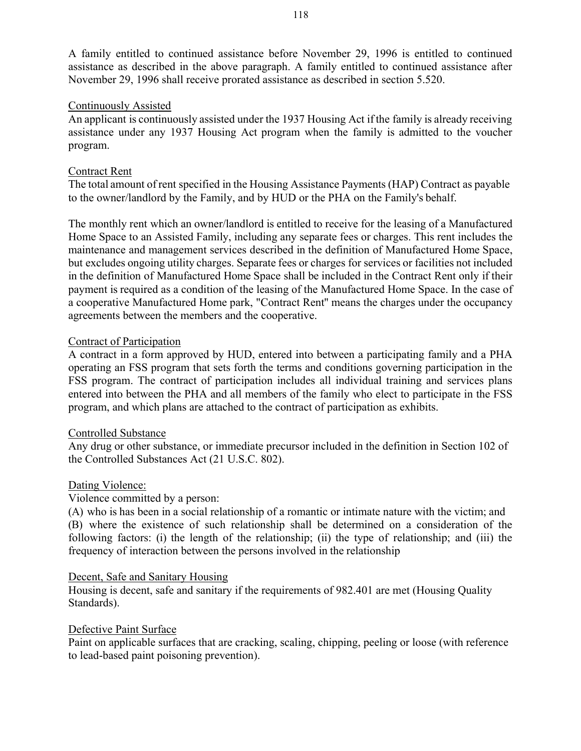A family entitled to continued assistance before November 29, 1996 is entitled to continued assistance as described in the above paragraph. A family entitled to continued assistance after November 29, 1996 shall receive prorated assistance as described in section 5.520.

# Continuously Assisted

An applicant is continuously assisted under the 1937 Housing Act if the family is already receiving assistance under any 1937 Housing Act program when the family is admitted to the voucher program.

# Contract Rent

The total amount of rent specified in the Housing Assistance Payments (HAP) Contract as payable to the owner/landlord by the Family, and by HUD or the PHA on the Family's behalf.

The monthly rent which an owner/landlord is entitled to receive for the leasing of a Manufactured Home Space to an Assisted Family, including any separate fees or charges. This rent includes the maintenance and management services described in the definition of Manufactured Home Space, but excludes ongoing utility charges. Separate fees or charges for services or facilities not included in the definition of Manufactured Home Space shall be included in the Contract Rent only if their payment is required as a condition of the leasing of the Manufactured Home Space. In the case of a cooperative Manufactured Home park, "Contract Rent'' means the charges under the occupancy agreements between the members and the cooperative.

# Contract of Participation

A contract in a form approved by HUD, entered into between a participating family and a PHA operating an FSS program that sets forth the terms and conditions governing participation in the FSS program. The contract of participation includes all individual training and services plans entered into between the PHA and all members of the family who elect to participate in the FSS program, and which plans are attached to the contract of participation as exhibits.

# Controlled Substance

Any drug or other substance, or immediate precursor included in the definition in Section 102 of the Controlled Substances Act (21 U.S.C. 802).

# Dating Violence:

Violence committed by a person:

(A) who is has been in a social relationship of a romantic or intimate nature with the victim; and (B) where the existence of such relationship shall be determined on a consideration of the following factors: (i) the length of the relationship; (ii) the type of relationship; and (iii) the frequency of interaction between the persons involved in the relationship

# Decent, Safe and Sanitary Housing

Housing is decent, safe and sanitary if the requirements of 982.401 are met (Housing Quality Standards).

# Defective Paint Surface

Paint on applicable surfaces that are cracking, scaling, chipping, peeling or loose (with reference to lead-based paint poisoning prevention).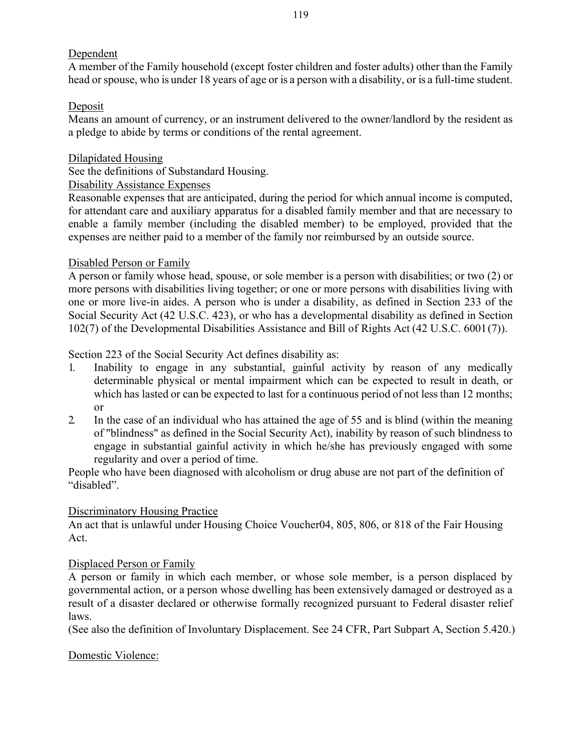# Dependent

A member of the Family household (except foster children and foster adults) other than the Family head or spouse, who is under 18 years of age or is a person with a disability, or is a full-time student.

# Deposit

Means an amount of currency, or an instrument delivered to the owner/landlord by the resident as a pledge to abide by terms or conditions of the rental agreement.

# Dilapidated Housing

See the definitions of Substandard Housing.

# Disability Assistance Expenses

Reasonable expenses that are anticipated, during the period for which annual income is computed, for attendant care and auxiliary apparatus for a disabled family member and that are necessary to enable a family member (including the disabled member) to be employed, provided that the expenses are neither paid to a member of the family nor reimbursed by an outside source.

# Disabled Person or Family

A person or family whose head, spouse, or sole member is a person with disabilities; or two (2) or more persons with disabilities living together; or one or more persons with disabilities living with one or more live-in aides. A person who is under a disability, as defined in Section 233 of the Social Security Act (42 U.S.C. 423), or who has a developmental disability as defined in Section 102(7) of the Developmental Disabilities Assistance and Bill of Rights Act (42 U.S.C. 6001 (7)).

# Section 223 of the Social Security Act defines disability as:

- 1. Inability to engage in any substantial, gainful activity by reason of any medically determinable physical or mental impairment which can be expected to result in death, or which has lasted or can be expected to last for a continuous period of not less than 12 months; or
- 2. In the case of an individual who has attained the age of 55 and is blind (within the meaning of "blindness" as defined in the Social Security Act), inability by reason of such blindness to engage in substantial gainful activity in which he/she has previously engaged with some regularity and over a period of time.

People who have been diagnosed with alcoholism or drug abuse are not part of the definition of "disabled".

# Discriminatory Housing Practice

An act that is unlawful under Housing Choice Voucher04, 805, 806, or 818 of the Fair Housing Act.

# Displaced Person or Family

A person or family in which each member, or whose sole member, is a person displaced by governmental action, or a person whose dwelling has been extensively damaged or destroyed as a result of a disaster declared or otherwise formally recognized pursuant to Federal disaster relief laws.

(See also the definition of Involuntary Displacement. See 24 CFR, Part Subpart A, Section 5.420.)

# Domestic Violence: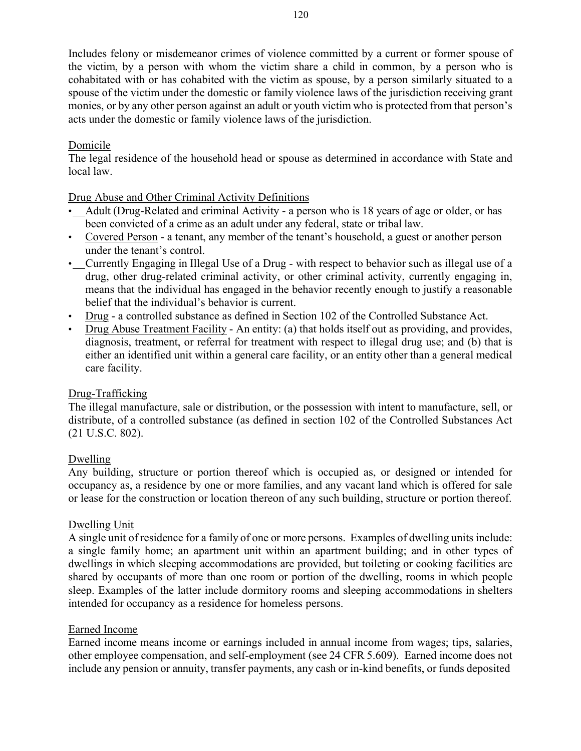Includes felony or misdemeanor crimes of violence committed by a current or former spouse of the victim, by a person with whom the victim share a child in common, by a person who is cohabitated with or has cohabited with the victim as spouse, by a person similarly situated to a spouse of the victim under the domestic or family violence laws of the jurisdiction receiving grant monies, or by any other person against an adult or youth victim who is protected from that person's acts under the domestic or family violence laws of the jurisdiction.

# Domicile

The legal residence of the household head or spouse as determined in accordance with State and local law.

# Drug Abuse and Other Criminal Activity Definitions

- Adult (Drug-Related and criminal Activity a person who is 18 years of age or older, or has been convicted of a crime as an adult under any federal, state or tribal law.
- Covered Person a tenant, any member of the tenant's household, a guest or another person under the tenant's control.
- Currently Engaging in Illegal Use of a Drug with respect to behavior such as illegal use of a drug, other drug-related criminal activity, or other criminal activity, currently engaging in, means that the individual has engaged in the behavior recently enough to justify a reasonable belief that the individual's behavior is current.
- Drug a controlled substance as defined in Section 102 of the Controlled Substance Act.
- Drug Abuse Treatment Facility An entity: (a) that holds itself out as providing, and provides, diagnosis, treatment, or referral for treatment with respect to illegal drug use; and (b) that is either an identified unit within a general care facility, or an entity other than a general medical care facility.

# Drug-Trafficking

The illegal manufacture, sale or distribution, or the possession with intent to manufacture, sell, or distribute, of a controlled substance (as defined in section 102 of the Controlled Substances Act (21 U.S.C. 802).

# Dwelling

Any building, structure or portion thereof which is occupied as, or designed or intended for occupancy as, a residence by one or more families, and any vacant land which is offered for sale or lease for the construction or location thereon of any such building, structure or portion thereof.

# Dwelling Unit

A single unit of residence for a family of one or more persons. Examples of dwelling units include: a single family home; an apartment unit within an apartment building; and in other types of dwellings in which sleeping accommodations are provided, but toileting or cooking facilities are shared by occupants of more than one room or portion of the dwelling, rooms in which people sleep. Examples of the latter include dormitory rooms and sleeping accommodations in shelters intended for occupancy as a residence for homeless persons.

# Earned Income

Earned income means income or earnings included in annual income from wages; tips, salaries, other employee compensation, and self-employment (see 24 CFR 5.609). Earned income does not include any pension or annuity, transfer payments, any cash or in-kind benefits, or funds deposited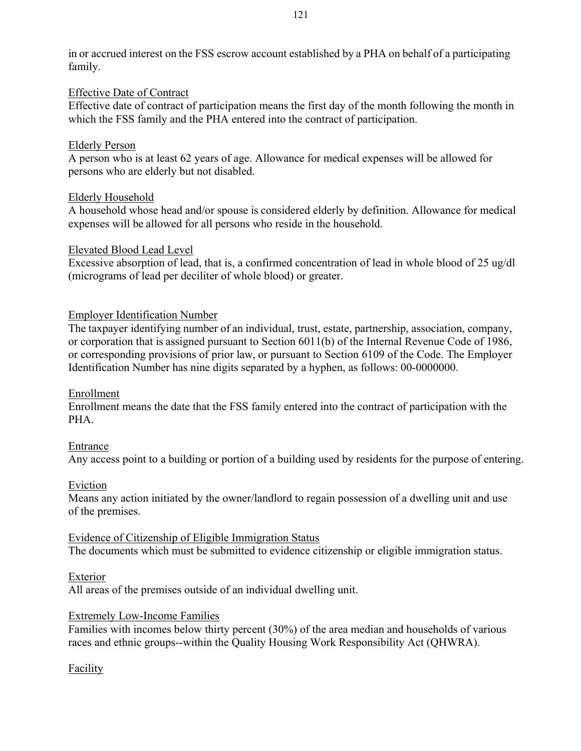in or accrued interest on the FSS escrow account established by a PHA on behalf of a participating family.

# Effective Date of Contract

Effective date of contract of participation means the first day of the month following the month in which the FSS family and the PHA entered into the contract of participation.

#### Elderly Person

A person who is at least 62 years of age. Allowance for medical expenses will be allowed for persons who are elderly but not disabled.

# Elderly Household

A household whose head and/or spouse is considered elderly by definition. Allowance for medical expenses will be allowed for all persons who reside in the household.

#### Elevated Blood Lead Level

Excessive absorption of lead, that is, a confirmed concentration of lead in whole blood of 25 ug/dl (micrograms of lead per deciliter of whole blood) or greater.

# Employer Identification Number

The taxpayer identifying number of an individual, trust, estate, partnership, association, company, or corporation that is assigned pursuant to Section 6011(b) of the Internal Revenue Code of 1986, or corresponding provisions of prior law, or pursuant to Section 6109 of the Code. The Employer Identification Number has nine digits separated by a hyphen, as follows: 00-0000000.

# Enrollment

Enrollment means the date that the FSS family entered into the contract of participation with the PHA.

# Entrance

Any access point to a building or portion of a building used by residents for the purpose of entering.

# Eviction

Means any action initiated by the owner/landlord to regain possession of a dwelling unit and use of the premises.

Evidence of Citizenship of Eligible Immigration Status The documents which must be submitted to evidence citizenship or eligible immigration status.

# Exterior

All areas of the premises outside of an individual dwelling unit.

#### Extremely Low-Income Families

Families with incomes below thirty percent (30%) of the area median and households of various races and ethnic groups--within the Quality Housing Work Responsibility Act (QHWRA).

# Facility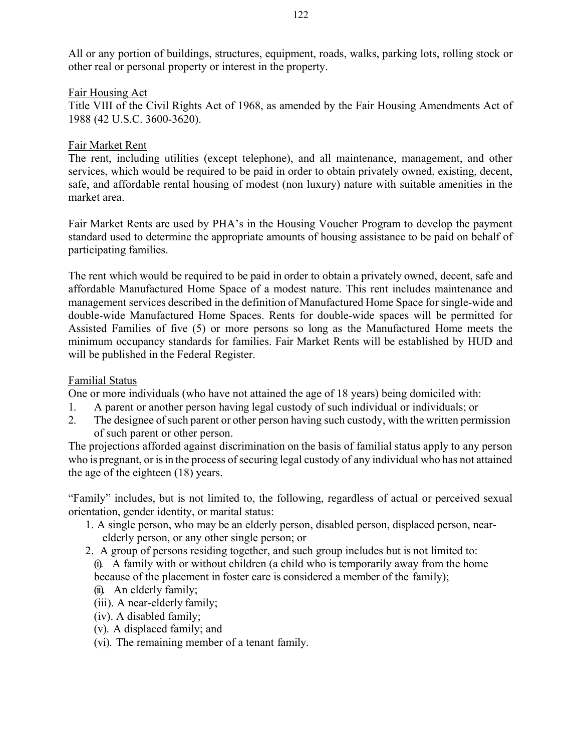All or any portion of buildings, structures, equipment, roads, walks, parking lots, rolling stock or other real or personal property or interest in the property.

#### Fair Housing Act

Title VIII of the Civil Rights Act of 1968, as amended by the Fair Housing Amendments Act of 1988 (42 U.S.C. 3600-3620).

#### Fair Market Rent

The rent, including utilities (except telephone), and all maintenance, management, and other services, which would be required to be paid in order to obtain privately owned, existing, decent, safe, and affordable rental housing of modest (non luxury) nature with suitable amenities in the market area.

Fair Market Rents are used by PHA's in the Housing Voucher Program to develop the payment standard used to determine the appropriate amounts of housing assistance to be paid on behalf of participating families.

The rent which would be required to be paid in order to obtain a privately owned, decent, safe and affordable Manufactured Home Space of a modest nature. This rent includes maintenance and management services described in the definition of Manufactured Home Space for single-wide and double-wide Manufactured Home Spaces. Rents for double-wide spaces will be permitted for Assisted Families of five (5) or more persons so long as the Manufactured Home meets the minimum occupancy standards for families. Fair Market Rents will be established by HUD and will be published in the Federal Register.

#### Familial Status

One or more individuals (who have not attained the age of 18 years) being domiciled with:

- 1. A parent or another person having legal custody of such individual or individuals; or
- 2. The designee of such parent or other person having such custody, with the written permission of such parent or other person.

The projections afforded against discrimination on the basis of familial status apply to any person who is pregnant, or is in the process of securing legal custody of any individual who has not attained the age of the eighteen (18) years.

"Family" includes, but is not limited to, the following, regardless of actual or perceived sexual orientation, gender identity, or marital status:

- 1. A single person, who may be an elderly person, disabled person, displaced person, nearelderly person, or any other single person; or
- 2. A group of persons residing together, and such group includes but is not limited to: (i). A family with or without children (a child who is temporarily away from the home because of the placement in foster care is considered a member of the family);
	- (ii). An elderly family;
	- (iii). A near-elderly family;
	- (iv). A disabled family;
	- (v). A displaced family; and
	- (vi). The remaining member of a tenant family.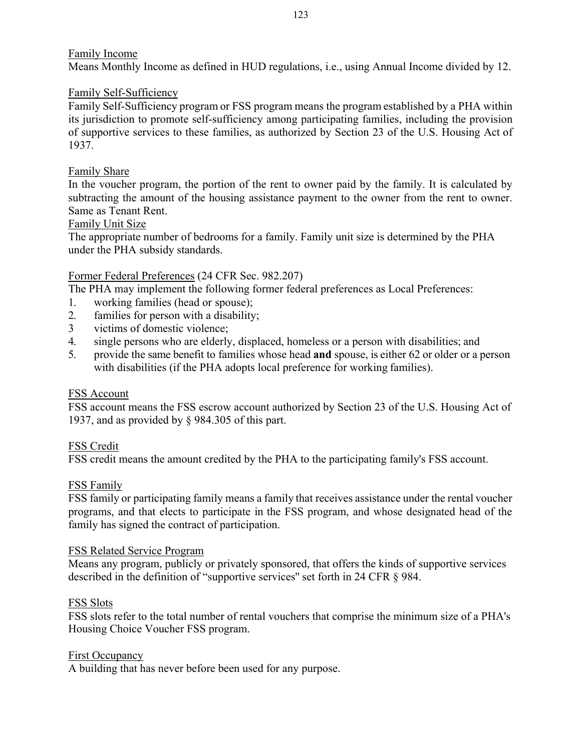# Family Income

Means Monthly Income as defined in HUD regulations, i.e., using Annual Income divided by 12.

# Family Self-Sufficiency

Family Self-Sufficiency program or FSS program means the program established by a PHA within its jurisdiction to promote self-sufficiency among participating families, including the provision of supportive services to these families, as authorized by Section 23 of the U.S. Housing Act of 1937.

# Family Share

In the voucher program, the portion of the rent to owner paid by the family. It is calculated by subtracting the amount of the housing assistance payment to the owner from the rent to owner. Same as Tenant Rent.

#### Family Unit Size

The appropriate number of bedrooms for a family. Family unit size is determined by the PHA under the PHA subsidy standards.

#### Former Federal Preferences (24 CFR Sec. 982.207)

The PHA may implement the following former federal preferences as Local Preferences:

- 1. working families (head or spouse);
- 2. families for person with a disability;
- 3 victims of domestic violence;
- 4. single persons who are elderly, displaced, homeless or a person with disabilities; and
- 5. provide the same benefit to families whose head **and** spouse, is either 62 or older or a person with disabilities (if the PHA adopts local preference for working families).

#### FSS Account

FSS account means the FSS escrow account authorized by Section 23 of the U.S. Housing Act of 1937, and as provided by § 984.305 of this part.

# FSS Credit

FSS credit means the amount credited by the PHA to the participating family's FSS account.

#### FSS Family

FSS family or participating family means a family that receives assistance under the rental voucher programs, and that elects to participate in the FSS program, and whose designated head of the family has signed the contract of participation.

#### FSS Related Service Program

Means any program, publicly or privately sponsored, that offers the kinds of supportive services described in the definition of "supportive services'' set forth in 24 CFR § 984.

#### FSS Slots

FSS slots refer to the total number of rental vouchers that comprise the minimum size of a PHA's Housing Choice Voucher FSS program.

#### First Occupancy

A building that has never before been used for any purpose.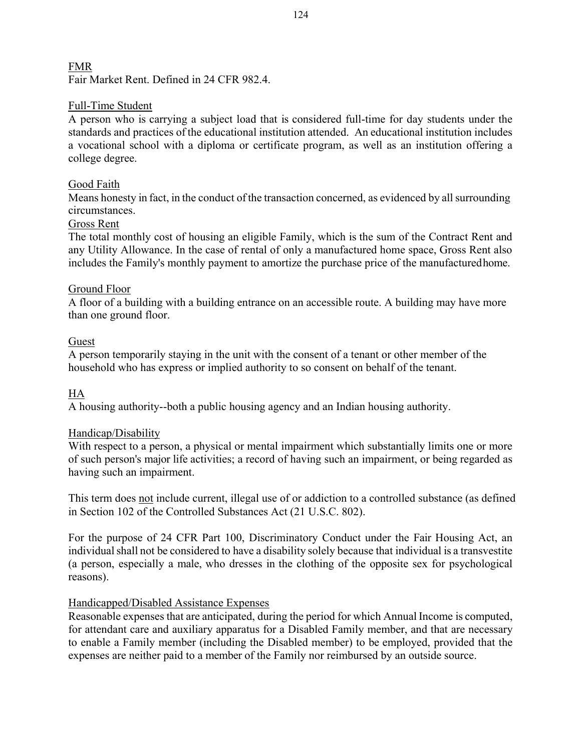# FMR

Fair Market Rent. Defined in 24 CFR 982.4.

# Full-Time Student

A person who is carrying a subject load that is considered full-time for day students under the standards and practices of the educational institution attended. An educational institution includes a vocational school with a diploma or certificate program, as well as an institution offering a college degree.

# Good Faith

Means honesty in fact, in the conduct of the transaction concerned, as evidenced by all surrounding circumstances.

# Gross Rent

The total monthly cost of housing an eligible Family, which is the sum of the Contract Rent and any Utility Allowance. In the case of rental of only a manufactured home space, Gross Rent also includes the Family's monthly payment to amortize the purchase price of the manufactured home.

#### Ground Floor

A floor of a building with a building entrance on an accessible route. A building may have more than one ground floor.

#### Guest

A person temporarily staying in the unit with the consent of a tenant or other member of the household who has express or implied authority to so consent on behalf of the tenant.

# HA

A housing authority--both a public housing agency and an Indian housing authority.

#### Handicap/Disability

With respect to a person, a physical or mental impairment which substantially limits one or more of such person's major life activities; a record of having such an impairment, or being regarded as having such an impairment.

This term does not include current, illegal use of or addiction to a controlled substance (as defined in Section 102 of the Controlled Substances Act (21 U.S.C. 802).

For the purpose of 24 CFR Part 100, Discriminatory Conduct under the Fair Housing Act, an individual shall not be considered to have a disability solely because that individual is a transvestite (a person, especially a male, who dresses in the clothing of the opposite sex for psychological reasons).

#### Handicapped/Disabled Assistance Expenses

Reasonable expenses that are anticipated, during the period for which Annual Income is computed, for attendant care and auxiliary apparatus for a Disabled Family member, and that are necessary to enable a Family member (including the Disabled member) to be employed, provided that the expenses are neither paid to a member of the Family nor reimbursed by an outside source.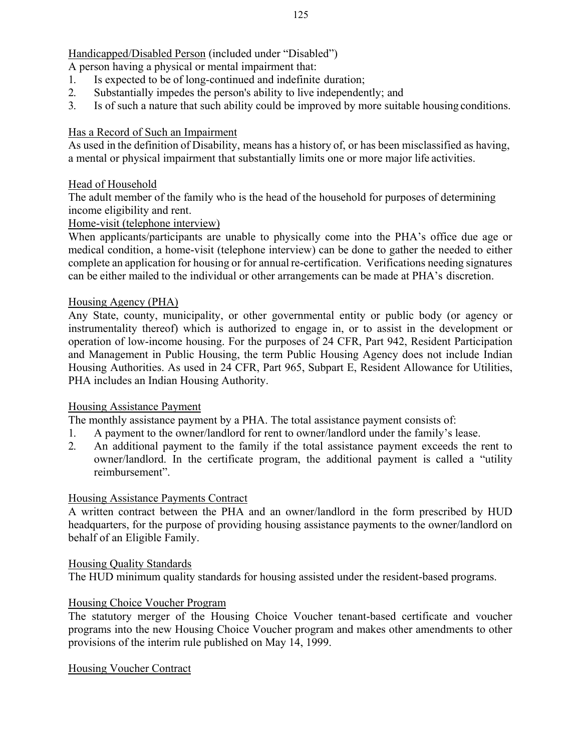Handicapped/Disabled Person (included under "Disabled")

A person having a physical or mental impairment that:

- 1. Is expected to be of long-continued and indefinite duration;
- 2. Substantially impedes the person's ability to live independently; and
- 3. Is of such a nature that such ability could be improved by more suitable housing conditions.

# Has a Record of Such an Impairment

As used in the definition of Disability, means has a history of, or has been misclassified as having, a mental or physical impairment that substantially limits one or more major life activities.

# Head of Household

The adult member of the family who is the head of the household for purposes of determining income eligibility and rent.

# Home-visit (telephone interview)

When applicants/participants are unable to physically come into the PHA's office due age or medical condition, a home-visit (telephone interview) can be done to gather the needed to either complete an application for housing or for annual re-certification. Verifications needing signatures can be either mailed to the individual or other arrangements can be made at PHA's discretion.

# Housing Agency (PHA)

Any State, county, municipality, or other governmental entity or public body (or agency or instrumentality thereof) which is authorized to engage in, or to assist in the development or operation of low-income housing. For the purposes of 24 CFR, Part 942, Resident Participation and Management in Public Housing, the term Public Housing Agency does not include Indian Housing Authorities. As used in 24 CFR, Part 965, Subpart E, Resident Allowance for Utilities, PHA includes an Indian Housing Authority.

# Housing Assistance Payment

The monthly assistance payment by a PHA. The total assistance payment consists of:

- 1. A payment to the owner/landlord for rent to owner/landlord under the family's lease.
- 2. An additional payment to the family if the total assistance payment exceeds the rent to owner/landlord. In the certificate program, the additional payment is called a "utility reimbursement".

# Housing Assistance Payments Contract

A written contract between the PHA and an owner/landlord in the form prescribed by HUD headquarters, for the purpose of providing housing assistance payments to the owner/landlord on behalf of an Eligible Family.

# Housing Quality Standards

The HUD minimum quality standards for housing assisted under the resident-based programs.

# Housing Choice Voucher Program

The statutory merger of the Housing Choice Voucher tenant-based certificate and voucher programs into the new Housing Choice Voucher program and makes other amendments to other provisions of the interim rule published on May 14, 1999.

# Housing Voucher Contract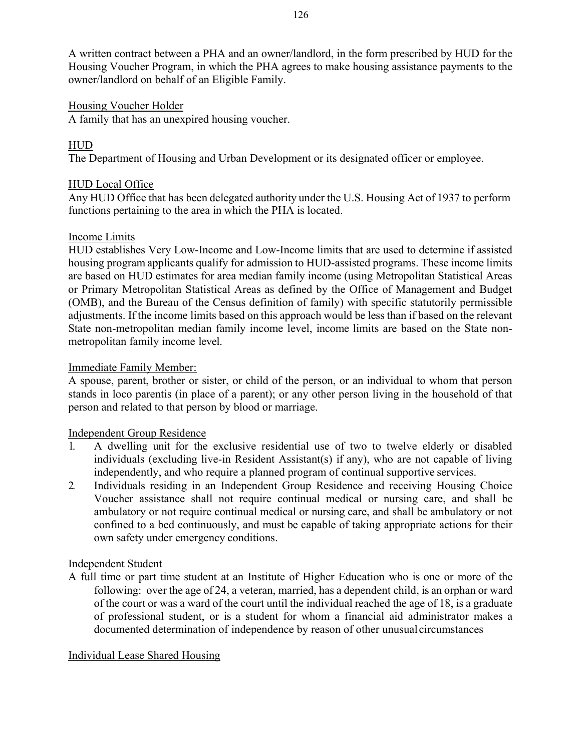A written contract between a PHA and an owner/landlord, in the form prescribed by HUD for the Housing Voucher Program, in which the PHA agrees to make housing assistance payments to the owner/landlord on behalf of an Eligible Family.

# Housing Voucher Holder

A family that has an unexpired housing voucher.

# HUD

The Department of Housing and Urban Development or its designated officer or employee.

# HUD Local Office

Any HUD Office that has been delegated authority under the U.S. Housing Act of 1937 to perform functions pertaining to the area in which the PHA is located.

# Income Limits

HUD establishes Very Low-Income and Low-Income limits that are used to determine if assisted housing program applicants qualify for admission to HUD-assisted programs. These income limits are based on HUD estimates for area median family income (using Metropolitan Statistical Areas or Primary Metropolitan Statistical Areas as defined by the Office of Management and Budget (OMB), and the Bureau of the Census definition of family) with specific statutorily permissible adjustments. If the income limits based on this approach would be less than if based on the relevant State non-metropolitan median family income level, income limits are based on the State nonmetropolitan family income level.

# Immediate Family Member:

A spouse, parent, brother or sister, or child of the person, or an individual to whom that person stands in loco parentis (in place of a parent); or any other person living in the household of that person and related to that person by blood or marriage.

# Independent Group Residence

- 1. A dwelling unit for the exclusive residential use of two to twelve elderly or disabled individuals (excluding live-in Resident Assistant(s) if any), who are not capable of living independently, and who require a planned program of continual supportive services.
- 2. Individuals residing in an Independent Group Residence and receiving Housing Choice Voucher assistance shall not require continual medical or nursing care, and shall be ambulatory or not require continual medical or nursing care, and shall be ambulatory or not confined to a bed continuously, and must be capable of taking appropriate actions for their own safety under emergency conditions.

# Independent Student

A full time or part time student at an Institute of Higher Education who is one or more of the following: over the age of 24, a veteran, married, has a dependent child, is an orphan or ward of the court or was a ward of the court until the individual reached the age of 18, is a graduate of professional student, or is a student for whom a financial aid administrator makes a documented determination of independence by reason of other unusual circumstances

# Individual Lease Shared Housing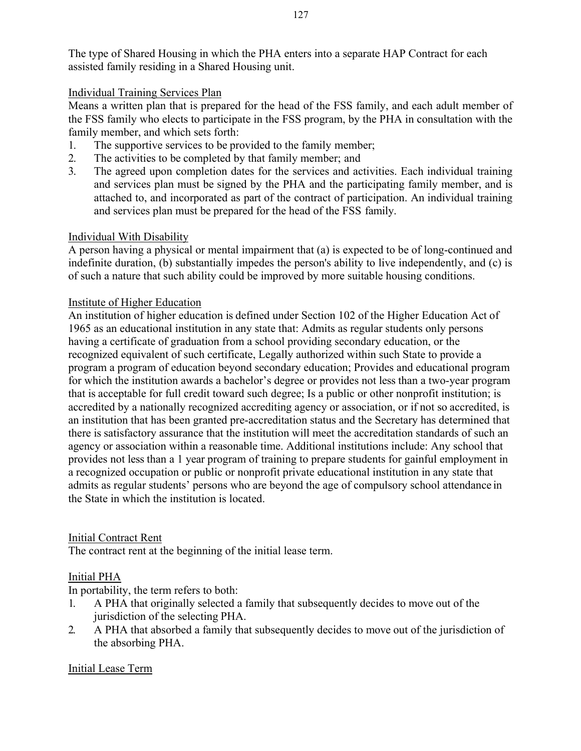The type of Shared Housing in which the PHA enters into a separate HAP Contract for each assisted family residing in a Shared Housing unit.

# Individual Training Services Plan

Means a written plan that is prepared for the head of the FSS family, and each adult member of the FSS family who elects to participate in the FSS program, by the PHA in consultation with the family member, and which sets forth:

- 1. The supportive services to be provided to the family member;
- 2. The activities to be completed by that family member; and
- 3. The agreed upon completion dates for the services and activities. Each individual training and services plan must be signed by the PHA and the participating family member, and is attached to, and incorporated as part of the contract of participation. An individual training and services plan must be prepared for the head of the FSS family.

# Individual With Disability

A person having a physical or mental impairment that (a) is expected to be of long-continued and indefinite duration, (b) substantially impedes the person's ability to live independently, and (c) is of such a nature that such ability could be improved by more suitable housing conditions.

# Institute of Higher Education

An institution of higher education is defined under Section 102 of the Higher Education Act of 1965 as an educational institution in any state that: Admits as regular students only persons having a certificate of graduation from a school providing secondary education, or the recognized equivalent of such certificate, Legally authorized within such State to provide a program a program of education beyond secondary education; Provides and educational program for which the institution awards a bachelor's degree or provides not less than a two-year program that is acceptable for full credit toward such degree; Is a public or other nonprofit institution; is accredited by a nationally recognized accrediting agency or association, or if not so accredited, is an institution that has been granted pre-accreditation status and the Secretary has determined that there is satisfactory assurance that the institution will meet the accreditation standards of such an agency or association within a reasonable time. Additional institutions include: Any school that provides not less than a 1 year program of training to prepare students for gainful employment in a recognized occupation or public or nonprofit private educational institution in any state that admits as regular students' persons who are beyond the age of compulsory school attendance in the State in which the institution is located.

# Initial Contract Rent

The contract rent at the beginning of the initial lease term.

# Initial PHA

In portability, the term refers to both:

- 1. A PHA that originally selected a family that subsequently decides to move out of the jurisdiction of the selecting PHA.
- 2. A PHA that absorbed a family that subsequently decides to move out of the jurisdiction of the absorbing PHA.

# Initial Lease Term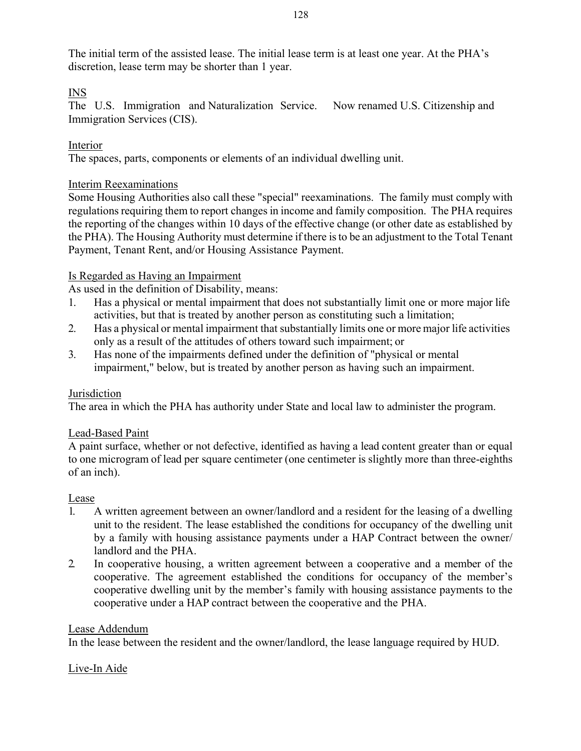The initial term of the assisted lease. The initial lease term is at least one year. At the PHA's discretion, lease term may be shorter than 1 year.

# INS

The U.S. Immigration and Naturalization Service. Now renamed U.S. Citizenship and Immigration Services (CIS).

# Interior

The spaces, parts, components or elements of an individual dwelling unit.

# Interim Reexaminations

Some Housing Authorities also call these "special" reexaminations. The family must comply with regulations requiring them to report changes in income and family composition. The PHA requires the reporting of the changes within 10 days of the effective change (or other date as established by the PHA). The Housing Authority must determine if there is to be an adjustment to the Total Tenant Payment, Tenant Rent, and/or Housing Assistance Payment.

# Is Regarded as Having an Impairment

As used in the definition of Disability, means:

- 1. Has a physical or mental impairment that does not substantially limit one or more major life activities, but that is treated by another person as constituting such a limitation;
- 2. Has a physical or mental impairment that substantially limits one or more major life activities only as a result of the attitudes of others toward such impairment; or
- 3. Has none of the impairments defined under the definition of "physical or mental impairment," below, but is treated by another person as having such an impairment.

# **Jurisdiction**

The area in which the PHA has authority under State and local law to administer the program.

# Lead-Based Paint

A paint surface, whether or not defective, identified as having a lead content greater than or equal to one microgram of lead per square centimeter (one centimeter is slightly more than three-eighths of an inch).

# Lease

- 1. A written agreement between an owner/landlord and a resident for the leasing of a dwelling unit to the resident. The lease established the conditions for occupancy of the dwelling unit by a family with housing assistance payments under a HAP Contract between the owner/ landlord and the PHA.
- 2. In cooperative housing, a written agreement between a cooperative and a member of the cooperative. The agreement established the conditions for occupancy of the member's cooperative dwelling unit by the member's family with housing assistance payments to the cooperative under a HAP contract between the cooperative and the PHA.

# Lease Addendum

In the lease between the resident and the owner/landlord, the lease language required by HUD.

# Live-In Aide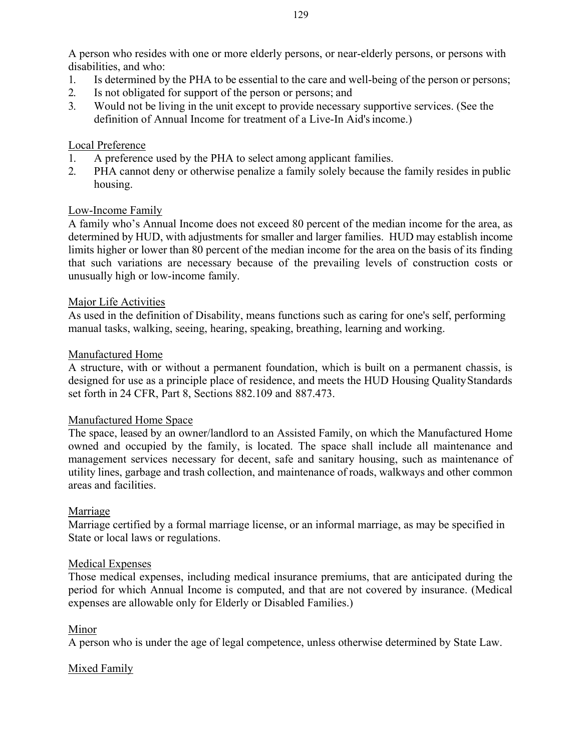A person who resides with one or more elderly persons, or near-elderly persons, or persons with disabilities, and who:

- 1. Is determined by the PHA to be essential to the care and well-being of the person or persons;
- 2. Is not obligated for support of the person or persons; and
- 3. Would not be living in the unit except to provide necessary supportive services. (See the definition of Annual Income for treatment of a Live-In Aid's income.)

# Local Preference

- 1. A preference used by the PHA to select among applicant families.
- 2. PHA cannot deny or otherwise penalize a family solely because the family resides in public housing.

# Low-Income Family

A family who's Annual Income does not exceed 80 percent of the median income for the area, as determined by HUD, with adjustments for smaller and larger families. HUD may establish income limits higher or lower than 80 percent of the median income for the area on the basis of its finding that such variations are necessary because of the prevailing levels of construction costs or unusually high or low-income family.

# Major Life Activities

As used in the definition of Disability, means functions such as caring for one's self, performing manual tasks, walking, seeing, hearing, speaking, breathing, learning and working.

# Manufactured Home

A structure, with or without a permanent foundation, which is built on a permanent chassis, is designed for use as a principle place of residence, and meets the HUD Housing Quality Standards set forth in 24 CFR, Part 8, Sections 882.109 and 887.473.

# Manufactured Home Space

The space, leased by an owner/landlord to an Assisted Family, on which the Manufactured Home owned and occupied by the family, is located. The space shall include all maintenance and management services necessary for decent, safe and sanitary housing, such as maintenance of utility lines, garbage and trash collection, and maintenance of roads, walkways and other common areas and facilities.

# Marriage

Marriage certified by a formal marriage license, or an informal marriage, as may be specified in State or local laws or regulations.

# Medical Expenses

Those medical expenses, including medical insurance premiums, that are anticipated during the period for which Annual Income is computed, and that are not covered by insurance. (Medical expenses are allowable only for Elderly or Disabled Families.)

# Minor

A person who is under the age of legal competence, unless otherwise determined by State Law.

# Mixed Family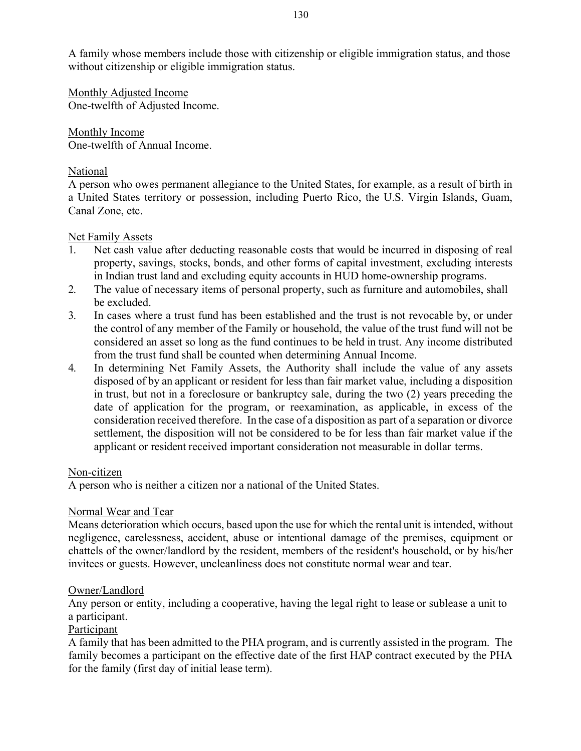A family whose members include those with citizenship or eligible immigration status, and those without citizenship or eligible immigration status.

Monthly Adjusted Income One-twelfth of Adjusted Income.

Monthly Income One-twelfth of Annual Income.

# National

A person who owes permanent allegiance to the United States, for example, as a result of birth in a United States territory or possession, including Puerto Rico, the U.S. Virgin Islands, Guam, Canal Zone, etc.

# Net Family Assets

- 1. Net cash value after deducting reasonable costs that would be incurred in disposing of real property, savings, stocks, bonds, and other forms of capital investment, excluding interests in Indian trust land and excluding equity accounts in HUD home-ownership programs.
- 2. The value of necessary items of personal property, such as furniture and automobiles, shall be excluded.
- 3. In cases where a trust fund has been established and the trust is not revocable by, or under the control of any member of the Family or household, the value of the trust fund will not be considered an asset so long as the fund continues to be held in trust. Any income distributed from the trust fund shall be counted when determining Annual Income.
- 4. In determining Net Family Assets, the Authority shall include the value of any assets disposed of by an applicant or resident for less than fair market value, including a disposition in trust, but not in a foreclosure or bankruptcy sale, during the two (2) years preceding the date of application for the program, or reexamination, as applicable, in excess of the consideration received therefore. In the case of a disposition as part of a separation or divorce settlement, the disposition will not be considered to be for less than fair market value if the applicant or resident received important consideration not measurable in dollar terms.

# Non-citizen

A person who is neither a citizen nor a national of the United States.

# Normal Wear and Tear

Means deterioration which occurs, based upon the use for which the rental unit is intended, without negligence, carelessness, accident, abuse or intentional damage of the premises, equipment or chattels of the owner/landlord by the resident, members of the resident's household, or by his/her invitees or guests. However, uncleanliness does not constitute normal wear and tear.

# Owner/Landlord

Any person or entity, including a cooperative, having the legal right to lease or sublease a unit to a participant.

# Participant

A family that has been admitted to the PHA program, and is currently assisted in the program. The family becomes a participant on the effective date of the first HAP contract executed by the PHA for the family (first day of initial lease term).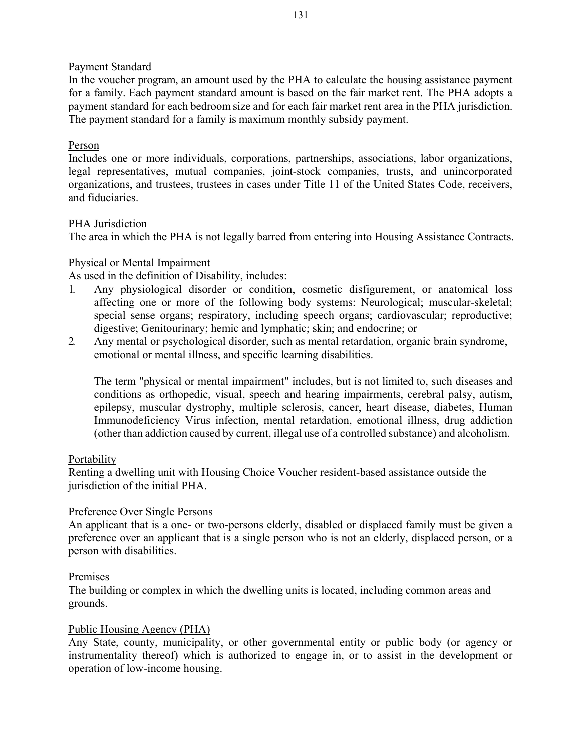# Payment Standard

In the voucher program, an amount used by the PHA to calculate the housing assistance payment for a family. Each payment standard amount is based on the fair market rent. The PHA adopts a payment standard for each bedroom size and for each fair market rent area in the PHA jurisdiction. The payment standard for a family is maximum monthly subsidy payment.

#### Person

Includes one or more individuals, corporations, partnerships, associations, labor organizations, legal representatives, mutual companies, joint-stock companies, trusts, and unincorporated organizations, and trustees, trustees in cases under Title 11 of the United States Code, receivers, and fiduciaries.

#### PHA Jurisdiction

The area in which the PHA is not legally barred from entering into Housing Assistance Contracts.

# Physical or Mental Impairment

As used in the definition of Disability, includes:

- 1. Any physiological disorder or condition, cosmetic disfigurement, or anatomical loss affecting one or more of the following body systems: Neurological; muscular-skeletal; special sense organs; respiratory, including speech organs; cardiovascular; reproductive; digestive; Genitourinary; hemic and lymphatic; skin; and endocrine; or
- 2. Any mental or psychological disorder, such as mental retardation, organic brain syndrome, emotional or mental illness, and specific learning disabilities.

The term "physical or mental impairment" includes, but is not limited to, such diseases and conditions as orthopedic, visual, speech and hearing impairments, cerebral palsy, autism, epilepsy, muscular dystrophy, multiple sclerosis, cancer, heart disease, diabetes, Human Immunodeficiency Virus infection, mental retardation, emotional illness, drug addiction (other than addiction caused by current, illegal use of a controlled substance) and alcoholism.

#### **Portability**

Renting a dwelling unit with Housing Choice Voucher resident-based assistance outside the jurisdiction of the initial PHA.

#### Preference Over Single Persons

An applicant that is a one- or two-persons elderly, disabled or displaced family must be given a preference over an applicant that is a single person who is not an elderly, displaced person, or a person with disabilities.

#### Premises

The building or complex in which the dwelling units is located, including common areas and grounds.

# Public Housing Agency (PHA)

Any State, county, municipality, or other governmental entity or public body (or agency or instrumentality thereof) which is authorized to engage in, or to assist in the development or operation of low-income housing.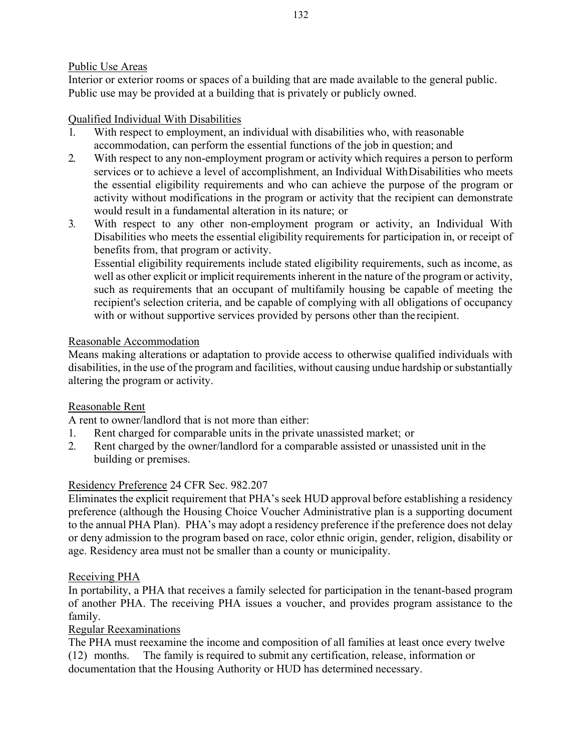# Public Use Areas

Interior or exterior rooms or spaces of a building that are made available to the general public. Public use may be provided at a building that is privately or publicly owned.

# Qualified Individual With Disabilities

- 1. With respect to employment, an individual with disabilities who, with reasonable accommodation, can perform the essential functions of the job in question; and
- 2. With respect to any non-employment program or activity which requires a person to perform services or to achieve a level of accomplishment, an Individual With Disabilities who meets the essential eligibility requirements and who can achieve the purpose of the program or activity without modifications in the program or activity that the recipient can demonstrate would result in a fundamental alteration in its nature; or
- 3. With respect to any other non-employment program or activity, an Individual With Disabilities who meets the essential eligibility requirements for participation in, or receipt of benefits from, that program or activity.

Essential eligibility requirements include stated eligibility requirements, such as income, as well as other explicit or implicit requirements inherent in the nature of the program or activity, such as requirements that an occupant of multifamily housing be capable of meeting the recipient's selection criteria, and be capable of complying with all obligations of occupancy with or without supportive services provided by persons other than the recipient.

# Reasonable Accommodation

Means making alterations or adaptation to provide access to otherwise qualified individuals with disabilities, in the use of the program and facilities, without causing undue hardship or substantially altering the program or activity.

# Reasonable Rent

A rent to owner/landlord that is not more than either:

- 1. Rent charged for comparable units in the private unassisted market; or
- 2. Rent charged by the owner/landlord for a comparable assisted or unassisted unit in the building or premises.

# Residency Preference 24 CFR Sec. 982.207

Eliminates the explicit requirement that PHA's seek HUD approval before establishing a residency preference (although the Housing Choice Voucher Administrative plan is a supporting document to the annual PHA Plan). PHA's may adopt a residency preference if the preference does not delay or deny admission to the program based on race, color ethnic origin, gender, religion, disability or age. Residency area must not be smaller than a county or municipality.

# Receiving PHA

In portability, a PHA that receives a family selected for participation in the tenant-based program of another PHA. The receiving PHA issues a voucher, and provides program assistance to the family.

# Regular Reexaminations

The PHA must reexamine the income and composition of all families at least once every twelve (12) months. The family is required to submit any certification, release, information or documentation that the Housing Authority or HUD has determined necessary.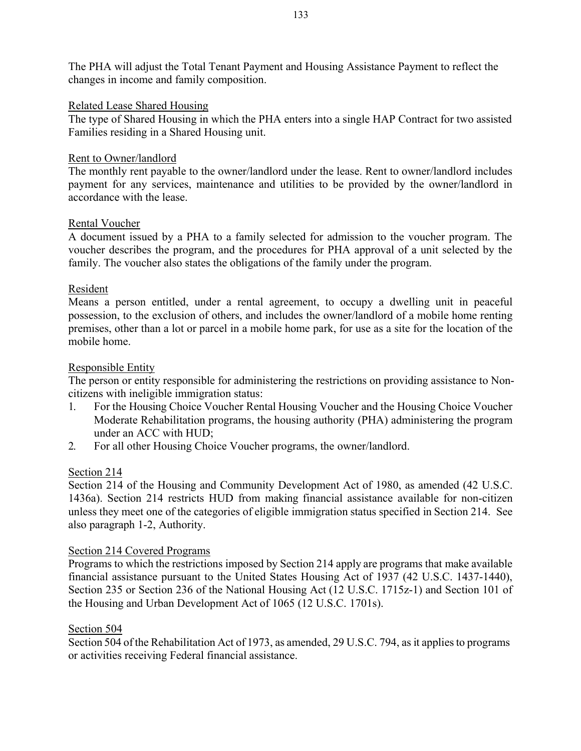The PHA will adjust the Total Tenant Payment and Housing Assistance Payment to reflect the changes in income and family composition.

#### Related Lease Shared Housing

The type of Shared Housing in which the PHA enters into a single HAP Contract for two assisted Families residing in a Shared Housing unit.

#### Rent to Owner/landlord

The monthly rent payable to the owner/landlord under the lease. Rent to owner/landlord includes payment for any services, maintenance and utilities to be provided by the owner/landlord in accordance with the lease.

#### Rental Voucher

A document issued by a PHA to a family selected for admission to the voucher program. The voucher describes the program, and the procedures for PHA approval of a unit selected by the family. The voucher also states the obligations of the family under the program.

#### Resident

Means a person entitled, under a rental agreement, to occupy a dwelling unit in peaceful possession, to the exclusion of others, and includes the owner/landlord of a mobile home renting premises, other than a lot or parcel in a mobile home park, for use as a site for the location of the mobile home.

# Responsible Entity

The person or entity responsible for administering the restrictions on providing assistance to Noncitizens with ineligible immigration status:

- 1. For the Housing Choice Voucher Rental Housing Voucher and the Housing Choice Voucher Moderate Rehabilitation programs, the housing authority (PHA) administering the program under an ACC with HUD;
- 2. For all other Housing Choice Voucher programs, the owner/landlord.

# Section 214

Section 214 of the Housing and Community Development Act of 1980, as amended (42 U.S.C. 1436a). Section 214 restricts HUD from making financial assistance available for non-citizen unless they meet one of the categories of eligible immigration status specified in Section 214. See also paragraph 1-2, Authority.

# Section 214 Covered Programs

Programs to which the restrictions imposed by Section 214 apply are programs that make available financial assistance pursuant to the United States Housing Act of 1937 (42 U.S.C. 1437-1440), Section 235 or Section 236 of the National Housing Act (12 U.S.C. 1715z-1) and Section 101 of the Housing and Urban Development Act of 1065 (12 U.S.C. 1701s).

# Section 504

Section 504 of the Rehabilitation Act of 1973, as amended, 29 U.S.C. 794, as it applies to programs or activities receiving Federal financial assistance.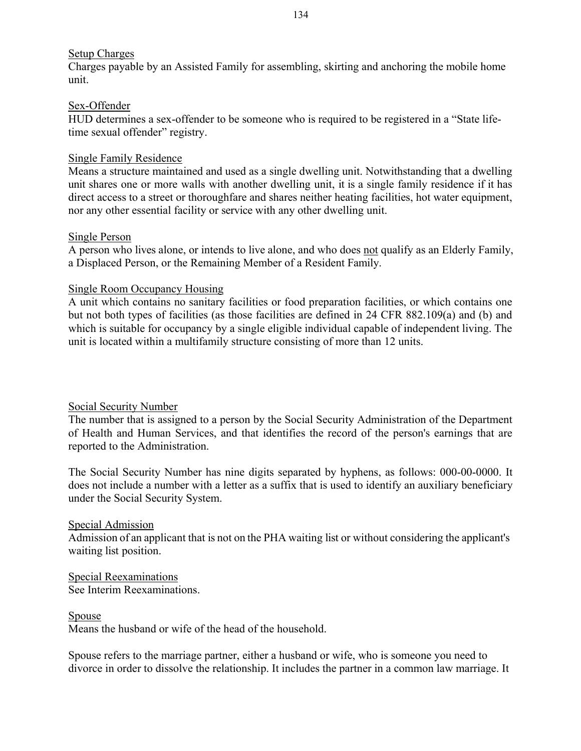#### Setup Charges

Charges payable by an Assisted Family for assembling, skirting and anchoring the mobile home unit.

#### Sex-Offender

HUD determines a sex-offender to be someone who is required to be registered in a "State lifetime sexual offender" registry.

#### Single Family Residence

Means a structure maintained and used as a single dwelling unit. Notwithstanding that a dwelling unit shares one or more walls with another dwelling unit, it is a single family residence if it has direct access to a street or thoroughfare and shares neither heating facilities, hot water equipment, nor any other essential facility or service with any other dwelling unit.

#### Single Person

A person who lives alone, or intends to live alone, and who does not qualify as an Elderly Family, a Displaced Person, or the Remaining Member of a Resident Family.

# Single Room Occupancy Housing

A unit which contains no sanitary facilities or food preparation facilities, or which contains one but not both types of facilities (as those facilities are defined in 24 CFR 882.109(a) and (b) and which is suitable for occupancy by a single eligible individual capable of independent living. The unit is located within a multifamily structure consisting of more than 12 units.

# Social Security Number

The number that is assigned to a person by the Social Security Administration of the Department of Health and Human Services, and that identifies the record of the person's earnings that are reported to the Administration.

The Social Security Number has nine digits separated by hyphens, as follows: 000-00-0000. It does not include a number with a letter as a suffix that is used to identify an auxiliary beneficiary under the Social Security System.

#### Special Admission

Admission of an applicant that is not on the PHA waiting list or without considering the applicant's waiting list position.

#### Special Reexaminations See Interim Reexaminations.

Spouse

Means the husband or wife of the head of the household.

Spouse refers to the marriage partner, either a husband or wife, who is someone you need to divorce in order to dissolve the relationship. It includes the partner in a common law marriage. It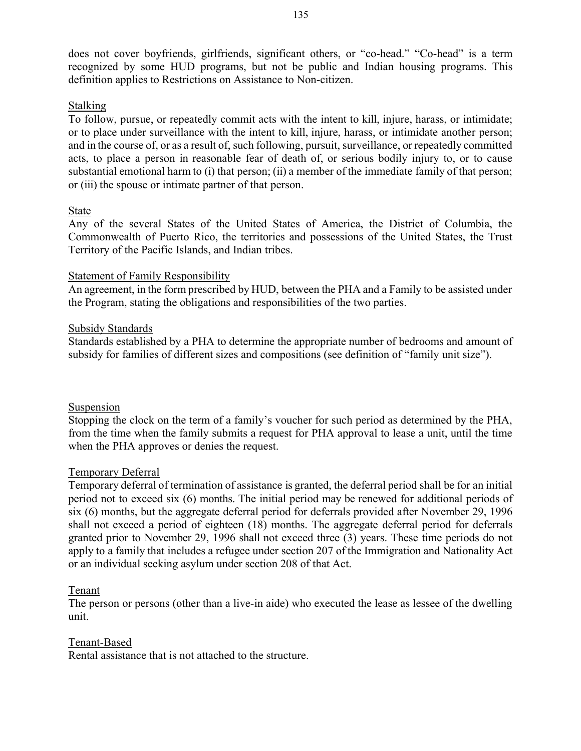does not cover boyfriends, girlfriends, significant others, or "co-head." "Co-head" is a term recognized by some HUD programs, but not be public and Indian housing programs. This definition applies to Restrictions on Assistance to Non-citizen.

# Stalking

To follow, pursue, or repeatedly commit acts with the intent to kill, injure, harass, or intimidate; or to place under surveillance with the intent to kill, injure, harass, or intimidate another person; and in the course of, or as a result of, such following, pursuit, surveillance, or repeatedly committed acts, to place a person in reasonable fear of death of, or serious bodily injury to, or to cause substantial emotional harm to (i) that person; (ii) a member of the immediate family of that person; or (iii) the spouse or intimate partner of that person.

# State

Any of the several States of the United States of America, the District of Columbia, the Commonwealth of Puerto Rico, the territories and possessions of the United States, the Trust Territory of the Pacific Islands, and Indian tribes.

# Statement of Family Responsibility

An agreement, in the form prescribed by HUD, between the PHA and a Family to be assisted under the Program, stating the obligations and responsibilities of the two parties.

# Subsidy Standards

Standards established by a PHA to determine the appropriate number of bedrooms and amount of subsidy for families of different sizes and compositions (see definition of "family unit size").

# Suspension

Stopping the clock on the term of a family's voucher for such period as determined by the PHA, from the time when the family submits a request for PHA approval to lease a unit, until the time when the PHA approves or denies the request.

# Temporary Deferral

Temporary deferral of termination of assistance is granted, the deferral period shall be for an initial period not to exceed six (6) months. The initial period may be renewed for additional periods of six (6) months, but the aggregate deferral period for deferrals provided after November 29, 1996 shall not exceed a period of eighteen (18) months. The aggregate deferral period for deferrals granted prior to November 29, 1996 shall not exceed three (3) years. These time periods do not apply to a family that includes a refugee under section 207 of the Immigration and Nationality Act or an individual seeking asylum under section 208 of that Act.

# Tenant

The person or persons (other than a live-in aide) who executed the lease as lessee of the dwelling unit.

# Tenant-Based

Rental assistance that is not attached to the structure.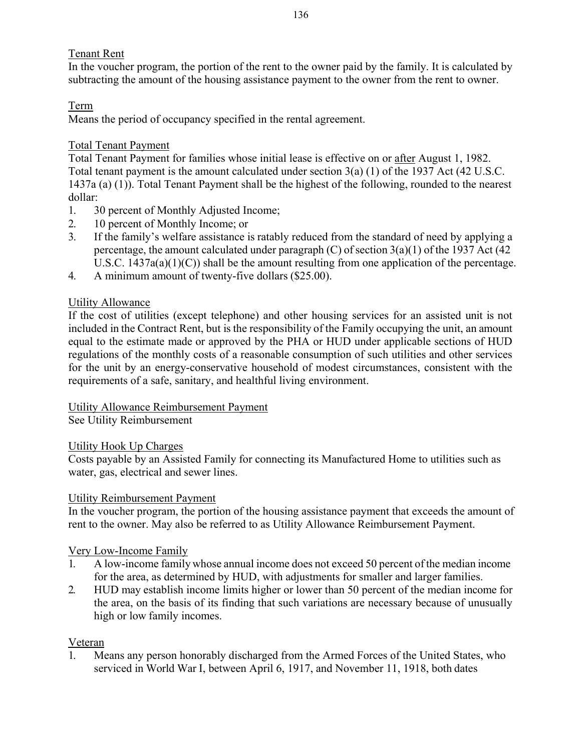# Tenant Rent

In the voucher program, the portion of the rent to the owner paid by the family. It is calculated by subtracting the amount of the housing assistance payment to the owner from the rent to owner.

# Term

Means the period of occupancy specified in the rental agreement.

# Total Tenant Payment

Total Tenant Payment for families whose initial lease is effective on or after August 1, 1982. Total tenant payment is the amount calculated under section 3(a) (1) of the 1937 Act (42 U.S.C. 1437a (a) (1)). Total Tenant Payment shall be the highest of the following, rounded to the nearest dollar:

- 1. 30 percent of Monthly Adjusted Income;
- 2. 10 percent of Monthly Income; or
- 3. If the family's welfare assistance is ratably reduced from the standard of need by applying a percentage, the amount calculated under paragraph  $(C)$  of section  $3(a)(1)$  of the 1937 Act (42) U.S.C. 1437a(a)(1)(C)) shall be the amount resulting from one application of the percentage.
- 4. A minimum amount of twenty-five dollars (\$25.00).

# Utility Allowance

If the cost of utilities (except telephone) and other housing services for an assisted unit is not included in the Contract Rent, but is the responsibility of the Family occupying the unit, an amount equal to the estimate made or approved by the PHA or HUD under applicable sections of HUD regulations of the monthly costs of a reasonable consumption of such utilities and other services for the unit by an energy-conservative household of modest circumstances, consistent with the requirements of a safe, sanitary, and healthful living environment.

# Utility Allowance Reimbursement Payment

See Utility Reimbursement

# Utility Hook Up Charges

Costs payable by an Assisted Family for connecting its Manufactured Home to utilities such as water, gas, electrical and sewer lines.

# Utility Reimbursement Payment

In the voucher program, the portion of the housing assistance payment that exceeds the amount of rent to the owner. May also be referred to as Utility Allowance Reimbursement Payment.

# Very Low-Income Family

- 1. A low-income family whose annual income does not exceed 50 percent of the median income for the area, as determined by HUD, with adjustments for smaller and larger families.
- 2. HUD may establish income limits higher or lower than 50 percent of the median income for the area, on the basis of its finding that such variations are necessary because of unusually high or low family incomes.

# Veteran

1. Means any person honorably discharged from the Armed Forces of the United States, who serviced in World War I, between April 6, 1917, and November 11, 1918, both dates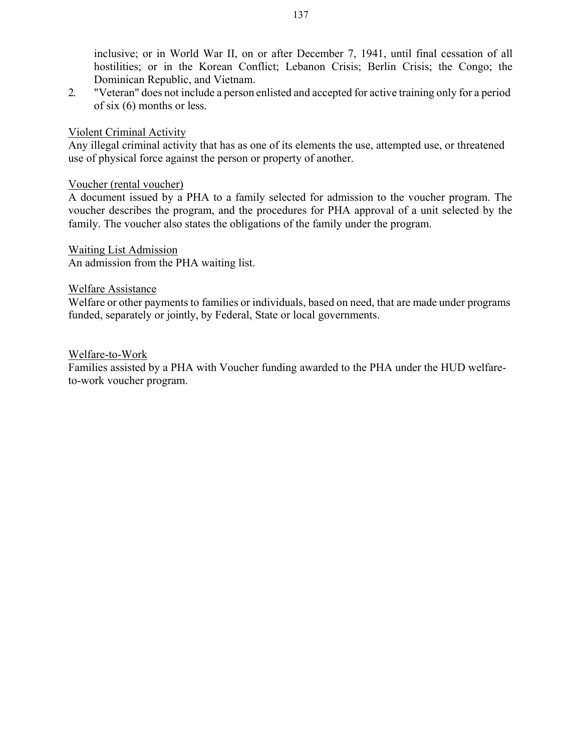inclusive; or in World War II, on or after December 7, 1941, until final cessation of all hostilities; or in the Korean Conflict; Lebanon Crisis; Berlin Crisis; the Congo; the Dominican Republic, and Vietnam.

2. "Veteran" does not include a person enlisted and accepted for active training only for a period of six (6) months or less.

# Violent Criminal Activity

Any illegal criminal activity that has as one of its elements the use, attempted use, or threatened use of physical force against the person or property of another.

#### Voucher (rental voucher)

A document issued by a PHA to a family selected for admission to the voucher program. The voucher describes the program, and the procedures for PHA approval of a unit selected by the family. The voucher also states the obligations of the family under the program.

#### Waiting List Admission

An admission from the PHA waiting list.

# Welfare Assistance

Welfare or other payments to families or individuals, based on need, that are made under programs funded, separately or jointly, by Federal, State or local governments.

#### Welfare-to-Work

Families assisted by a PHA with Voucher funding awarded to the PHA under the HUD welfareto-work voucher program.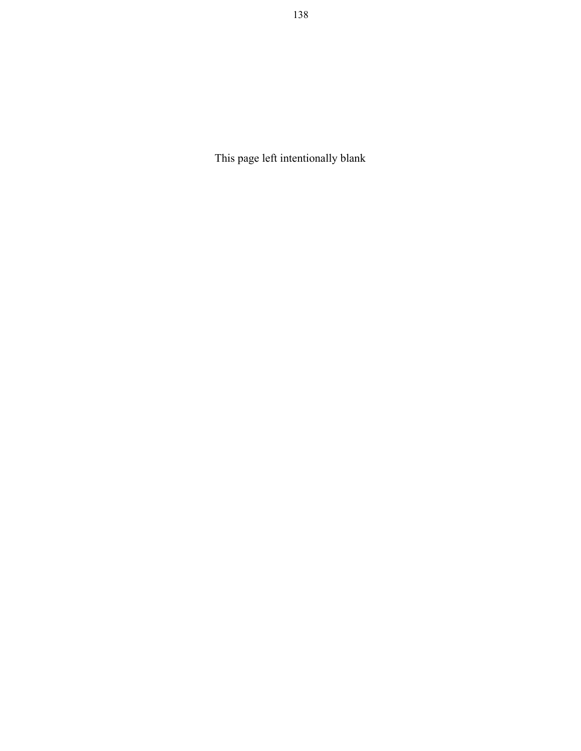This page left intentionally blank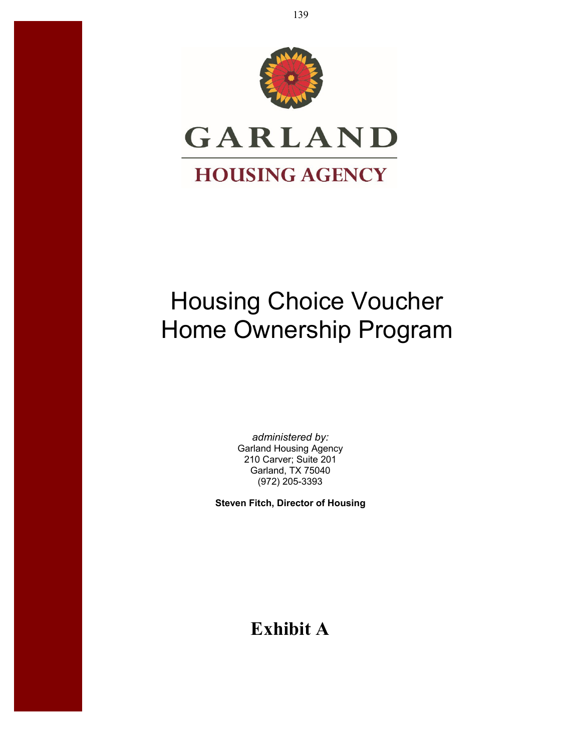



# **HOUSING AGENCY**

# Housing Choice Voucher Home Ownership Program

*administered by:*  Garland Housing Agency 210 Carver; Suite 201 Garland, TX 75040 (972) 205-3393

**Steven Fitch, Director of Housing** 

**Exhibit A**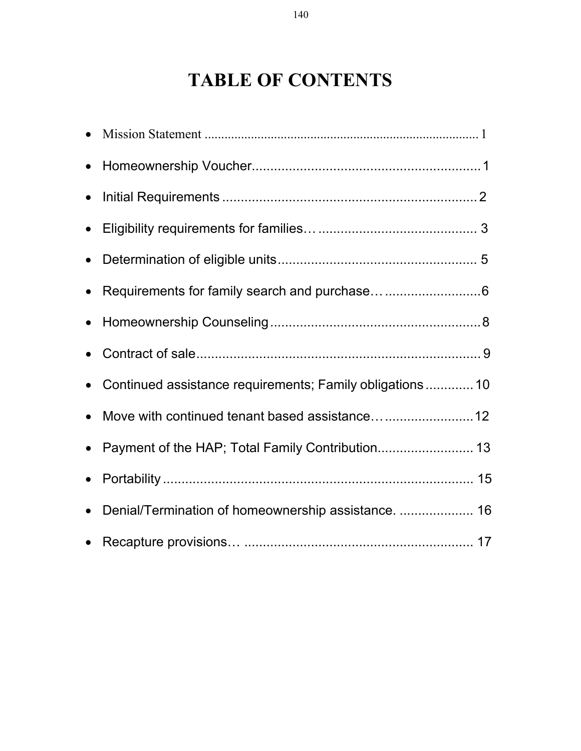# **TABLE OF CONTENTS**

| $\bullet$ |                                                          |
|-----------|----------------------------------------------------------|
| $\bullet$ |                                                          |
| $\bullet$ |                                                          |
| $\bullet$ |                                                          |
| $\bullet$ |                                                          |
|           |                                                          |
| $\bullet$ |                                                          |
| $\bullet$ | Continued assistance requirements; Family obligations 10 |
| $\bullet$ | Move with continued tenant based assistance12            |
|           |                                                          |
| $\bullet$ |                                                          |
| $\bullet$ | Denial/Termination of homeownership assistance.  16      |
|           |                                                          |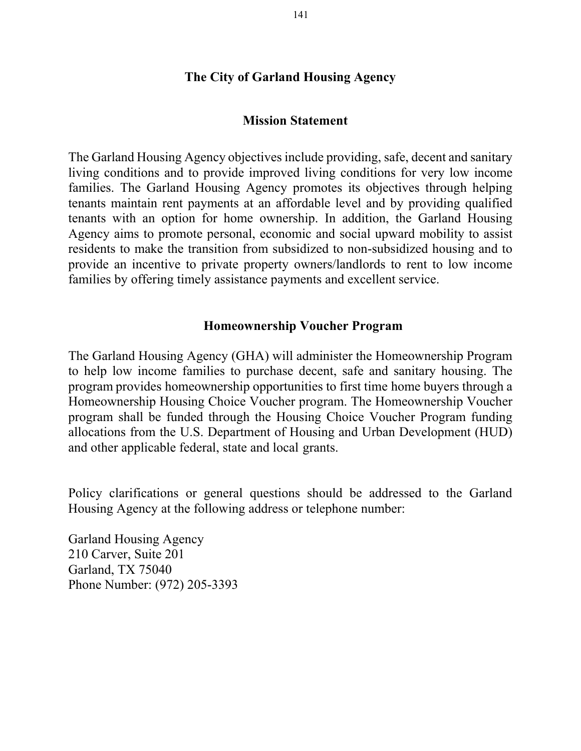#### **The City of Garland Housing Agency**

#### **Mission Statement**

The Garland Housing Agency objectives include providing, safe, decent and sanitary living conditions and to provide improved living conditions for very low income families. The Garland Housing Agency promotes its objectives through helping tenants maintain rent payments at an affordable level and by providing qualified tenants with an option for home ownership. In addition, the Garland Housing Agency aims to promote personal, economic and social upward mobility to assist residents to make the transition from subsidized to non-subsidized housing and to provide an incentive to private property owners/landlords to rent to low income families by offering timely assistance payments and excellent service.

#### **Homeownership Voucher Program**

The Garland Housing Agency (GHA) will administer the Homeownership Program to help low income families to purchase decent, safe and sanitary housing. The program provides homeownership opportunities to first time home buyers through a Homeownership Housing Choice Voucher program. The Homeownership Voucher program shall be funded through the Housing Choice Voucher Program funding allocations from the U.S. Department of Housing and Urban Development (HUD) and other applicable federal, state and local grants.

Policy clarifications or general questions should be addressed to the Garland Housing Agency at the following address or telephone number:

Garland Housing Agency 210 Carver, Suite 201 Garland, TX 75040 Phone Number: (972) 205-3393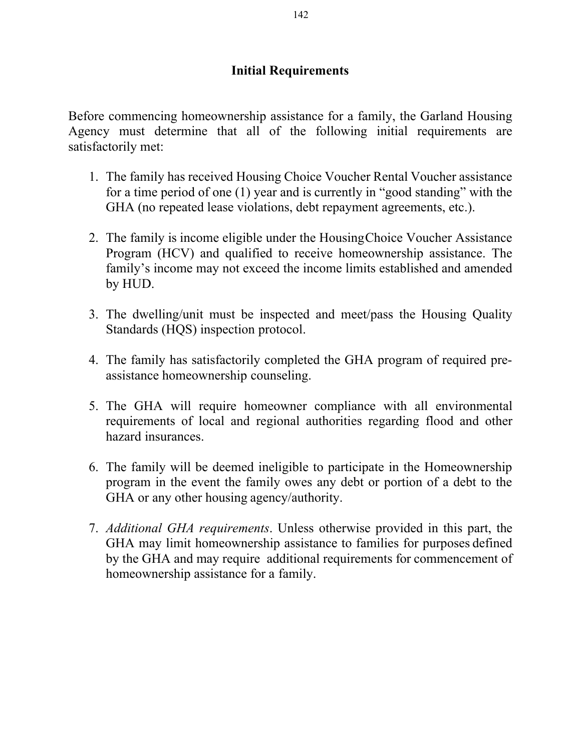#### **Initial Requirements**

Before commencing homeownership assistance for a family, the Garland Housing Agency must determine that all of the following initial requirements are satisfactorily met:

- 1. The family has received Housing Choice Voucher Rental Voucher assistance for a time period of one (1) year and is currently in "good standing" with the GHA (no repeated lease violations, debt repayment agreements, etc.).
- 2. The family is income eligible under the Housing Choice Voucher Assistance Program (HCV) and qualified to receive homeownership assistance. The family's income may not exceed the income limits established and amended by HUD.
- 3. The dwelling/unit must be inspected and meet/pass the Housing Quality Standards (HQS) inspection protocol.
- 4. The family has satisfactorily completed the GHA program of required preassistance homeownership counseling.
- 5. The GHA will require homeowner compliance with all environmental requirements of local and regional authorities regarding flood and other hazard insurances.
- 6. The family will be deemed ineligible to participate in the Homeownership program in the event the family owes any debt or portion of a debt to the GHA or any other housing agency/authority.
- 7. *Additional GHA requirements*. Unless otherwise provided in this part, the GHA may limit homeownership assistance to families for purposes defined by the GHA and may require additional requirements for commencement of homeownership assistance for a family.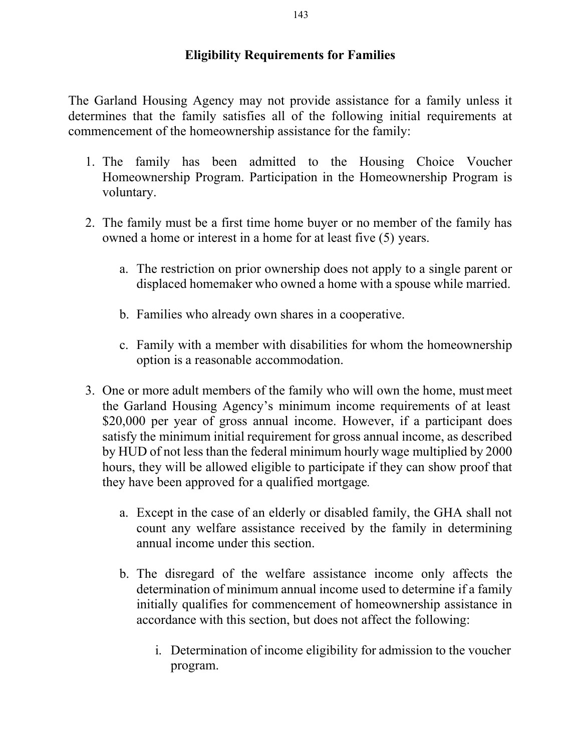#### **Eligibility Requirements for Families**

The Garland Housing Agency may not provide assistance for a family unless it determines that the family satisfies all of the following initial requirements at commencement of the homeownership assistance for the family:

- 1. The family has been admitted to the Housing Choice Voucher Homeownership Program. Participation in the Homeownership Program is voluntary.
- 2. The family must be a first time home buyer or no member of the family has owned a home or interest in a home for at least five (5) years.
	- a. The restriction on prior ownership does not apply to a single parent or displaced homemaker who owned a home with a spouse while married.
	- b. Families who already own shares in a cooperative.
	- c. Family with a member with disabilities for whom the homeownership option is a reasonable accommodation.
- 3. One or more adult members of the family who will own the home, must meet the Garland Housing Agency's minimum income requirements of at least \$20,000 per year of gross annual income. However, if a participant does satisfy the minimum initial requirement for gross annual income, as described by HUD of not less than the federal minimum hourly wage multiplied by 2000 hours, they will be allowed eligible to participate if they can show proof that they have been approved for a qualified mortgage*.* 
	- a. Except in the case of an elderly or disabled family, the GHA shall not count any welfare assistance received by the family in determining annual income under this section.
	- b. The disregard of the welfare assistance income only affects the determination of minimum annual income used to determine if a family initially qualifies for commencement of homeownership assistance in accordance with this section, but does not affect the following:
		- i. Determination of income eligibility for admission to the voucher program.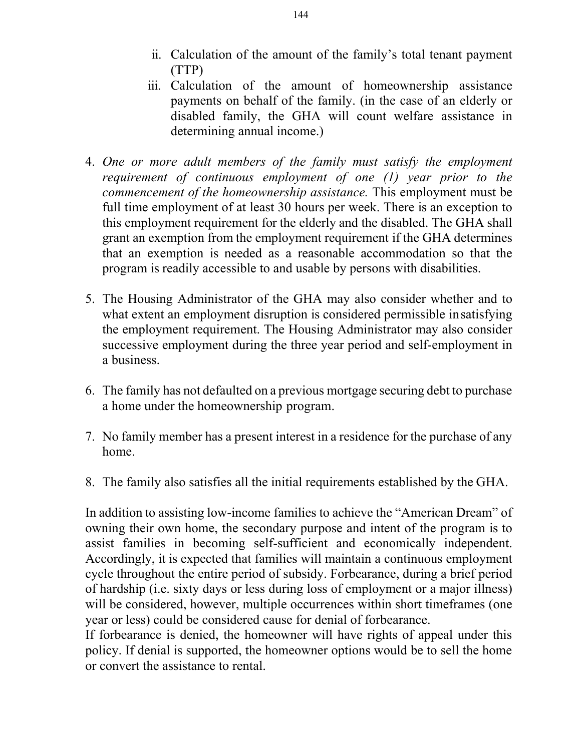- ii. Calculation of the amount of the family's total tenant payment (TTP)
- iii. Calculation of the amount of homeownership assistance payments on behalf of the family. (in the case of an elderly or disabled family, the GHA will count welfare assistance in determining annual income.)
- 4. *One or more adult members of the family must satisfy the employment requirement of continuous employment of one (1) year prior to the commencement of the homeownership assistance.* This employment must be full time employment of at least 30 hours per week. There is an exception to this employment requirement for the elderly and the disabled. The GHA shall grant an exemption from the employment requirement if the GHA determines that an exemption is needed as a reasonable accommodation so that the program is readily accessible to and usable by persons with disabilities.
- 5. The Housing Administrator of the GHA may also consider whether and to what extent an employment disruption is considered permissible in satisfying the employment requirement. The Housing Administrator may also consider successive employment during the three year period and self-employment in a business.
- 6. The family has not defaulted on a previous mortgage securing debt to purchase a home under the homeownership program.
- 7. No family member has a present interest in a residence for the purchase of any home.
- 8. The family also satisfies all the initial requirements established by the GHA.

In addition to assisting low-income families to achieve the "American Dream" of owning their own home, the secondary purpose and intent of the program is to assist families in becoming self-sufficient and economically independent. Accordingly, it is expected that families will maintain a continuous employment cycle throughout the entire period of subsidy. Forbearance, during a brief period of hardship (i.e. sixty days or less during loss of employment or a major illness) will be considered, however, multiple occurrences within short timeframes (one year or less) could be considered cause for denial of forbearance.

If forbearance is denied, the homeowner will have rights of appeal under this policy. If denial is supported, the homeowner options would be to sell the home or convert the assistance to rental.

144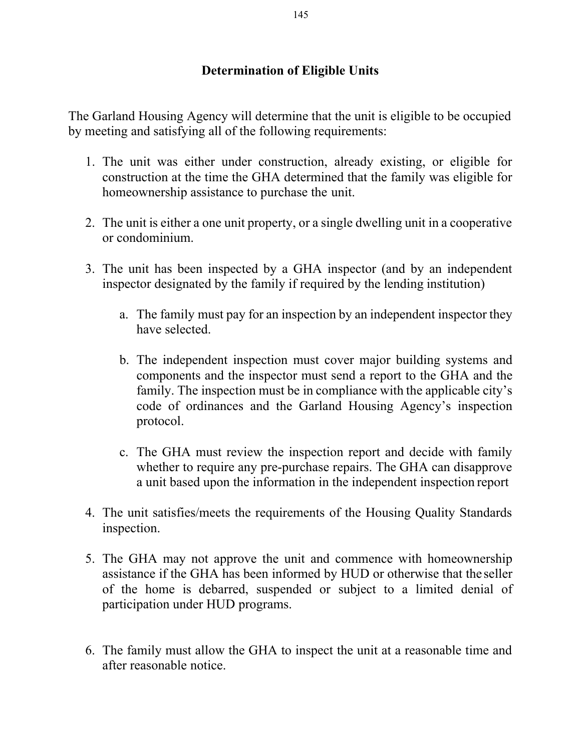#### **Determination of Eligible Units**

The Garland Housing Agency will determine that the unit is eligible to be occupied by meeting and satisfying all of the following requirements:

- 1. The unit was either under construction, already existing, or eligible for construction at the time the GHA determined that the family was eligible for homeownership assistance to purchase the unit.
- 2. The unit is either a one unit property, or a single dwelling unit in a cooperative or condominium.
- 3. The unit has been inspected by a GHA inspector (and by an independent inspector designated by the family if required by the lending institution)
	- a. The family must pay for an inspection by an independent inspector they have selected.
	- b. The independent inspection must cover major building systems and components and the inspector must send a report to the GHA and the family. The inspection must be in compliance with the applicable city's code of ordinances and the Garland Housing Agency's inspection protocol.
	- c. The GHA must review the inspection report and decide with family whether to require any pre-purchase repairs. The GHA can disapprove a unit based upon the information in the independent inspection report
- 4. The unit satisfies/meets the requirements of the Housing Quality Standards inspection.
- 5. The GHA may not approve the unit and commence with homeownership assistance if the GHA has been informed by HUD or otherwise that the seller of the home is debarred, suspended or subject to a limited denial of participation under HUD programs.
- 6. The family must allow the GHA to inspect the unit at a reasonable time and after reasonable notice.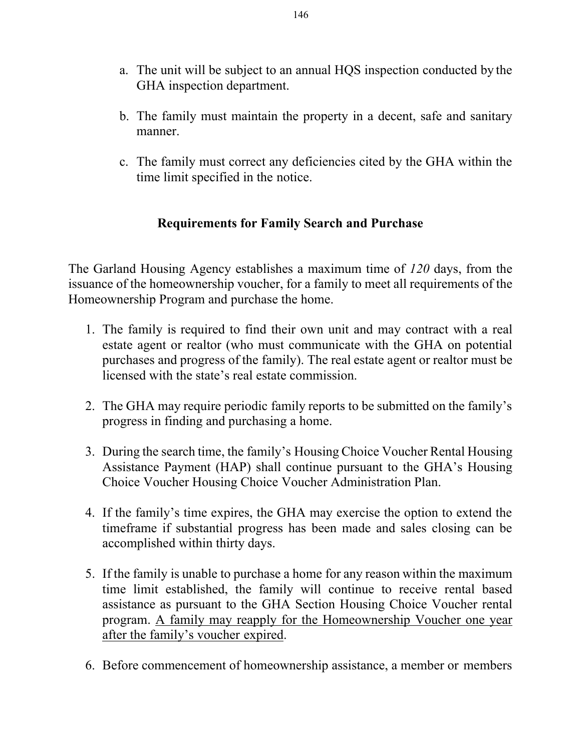- a. The unit will be subject to an annual HQS inspection conducted by the GHA inspection department.
- b. The family must maintain the property in a decent, safe and sanitary manner.
- c. The family must correct any deficiencies cited by the GHA within the time limit specified in the notice.

## **Requirements for Family Search and Purchase**

The Garland Housing Agency establishes a maximum time of *120* days, from the issuance of the homeownership voucher, for a family to meet all requirements of the Homeownership Program and purchase the home.

- 1. The family is required to find their own unit and may contract with a real estate agent or realtor (who must communicate with the GHA on potential purchases and progress of the family). The real estate agent or realtor must be licensed with the state's real estate commission.
- 2. The GHA may require periodic family reports to be submitted on the family's progress in finding and purchasing a home.
- 3. During the search time, the family's Housing Choice Voucher Rental Housing Assistance Payment (HAP) shall continue pursuant to the GHA's Housing Choice Voucher Housing Choice Voucher Administration Plan.
- 4. If the family's time expires, the GHA may exercise the option to extend the timeframe if substantial progress has been made and sales closing can be accomplished within thirty days.
- 5. If the family is unable to purchase a home for any reason within the maximum time limit established, the family will continue to receive rental based assistance as pursuant to the GHA Section Housing Choice Voucher rental program. A family may reapply for the Homeownership Voucher one year after the family's voucher expired.
- 6. Before commencement of homeownership assistance, a member or members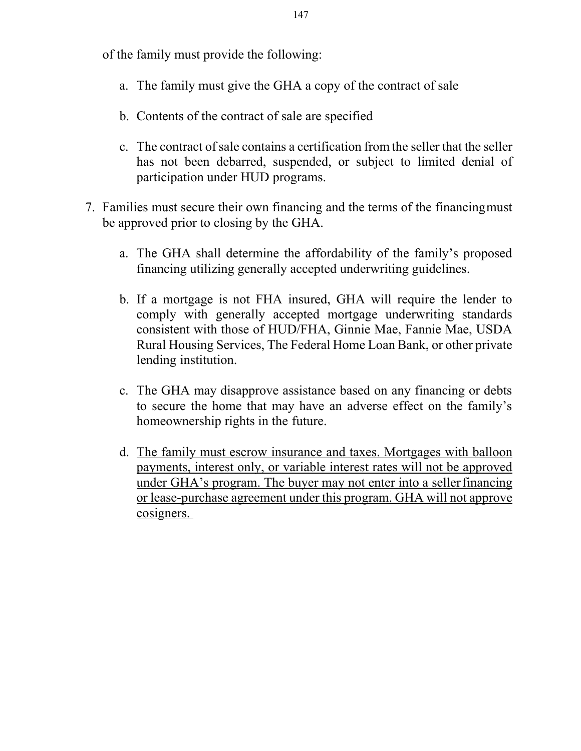of the family must provide the following:

- a. The family must give the GHA a copy of the contract of sale
- b. Contents of the contract of sale are specified
- c. The contract of sale contains a certification from the seller that the seller has not been debarred, suspended, or subject to limited denial of participation under HUD programs.
- 7. Families must secure their own financing and the terms of the financing must be approved prior to closing by the GHA.
	- a. The GHA shall determine the affordability of the family's proposed financing utilizing generally accepted underwriting guidelines.
	- b. If a mortgage is not FHA insured, GHA will require the lender to comply with generally accepted mortgage underwriting standards consistent with those of HUD/FHA, Ginnie Mae, Fannie Mae, USDA Rural Housing Services, The Federal Home Loan Bank, or other private lending institution.
	- c. The GHA may disapprove assistance based on any financing or debts to secure the home that may have an adverse effect on the family's homeownership rights in the future.
	- d. The family must escrow insurance and taxes. Mortgages with balloon payments, interest only, or variable interest rates will not be approved under GHA's program. The buyer may not enter into a seller financing or lease-purchase agreement under this program. GHA will not approve cosigners.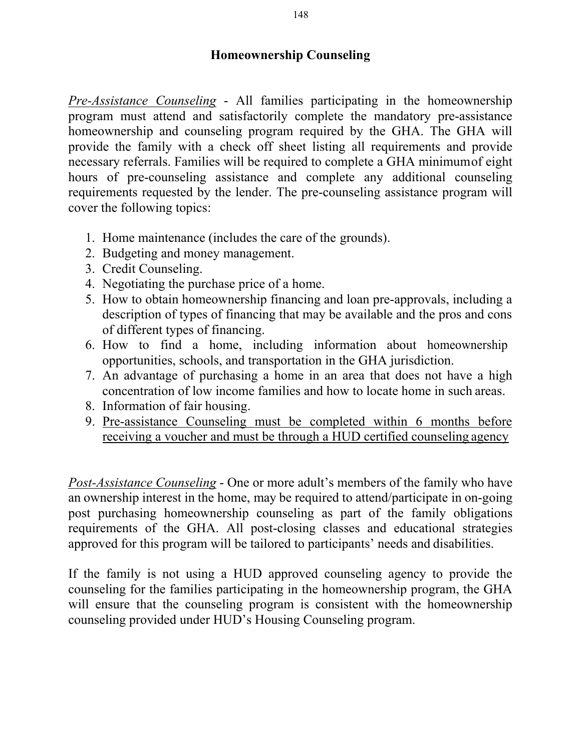#### **Homeownership Counseling**

*Pre-Assistance Counseling* - All families participating in the homeownership program must attend and satisfactorily complete the mandatory pre-assistance homeownership and counseling program required by the GHA. The GHA will provide the family with a check off sheet listing all requirements and provide necessary referrals. Families will be required to complete a GHA minimum of eight hours of pre-counseling assistance and complete any additional counseling requirements requested by the lender. The pre-counseling assistance program will cover the following topics:

- 1. Home maintenance (includes the care of the grounds).
- 2. Budgeting and money management.
- 3. Credit Counseling.
- 4. Negotiating the purchase price of a home.
- 5. How to obtain homeownership financing and loan pre-approvals, including a description of types of financing that may be available and the pros and cons of different types of financing.
- 6. How to find a home, including information about homeownership opportunities, schools, and transportation in the GHA jurisdiction.
- 7. An advantage of purchasing a home in an area that does not have a high concentration of low income families and how to locate home in such areas.
- 8. Information of fair housing.
- 9. Pre-assistance Counseling must be completed within 6 months before receiving a voucher and must be through a HUD certified counseling agency

*Post-Assistance Counseling* - One or more adult's members of the family who have an ownership interest in the home, may be required to attend/participate in on-going post purchasing homeownership counseling as part of the family obligations requirements of the GHA. All post-closing classes and educational strategies approved for this program will be tailored to participants' needs and disabilities.

If the family is not using a HUD approved counseling agency to provide the counseling for the families participating in the homeownership program, the GHA will ensure that the counseling program is consistent with the homeownership counseling provided under HUD's Housing Counseling program.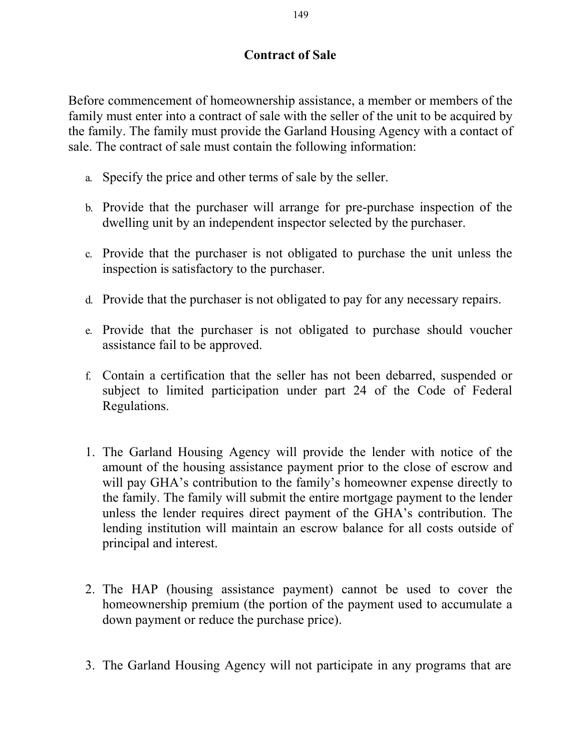#### **Contract of Sale**

Before commencement of homeownership assistance, a member or members of the family must enter into a contract of sale with the seller of the unit to be acquired by the family. The family must provide the Garland Housing Agency with a contact of sale. The contract of sale must contain the following information:

- a. Specify the price and other terms of sale by the seller.
- b. Provide that the purchaser will arrange for pre-purchase inspection of the dwelling unit by an independent inspector selected by the purchaser.
- c. Provide that the purchaser is not obligated to purchase the unit unless the inspection is satisfactory to the purchaser.
- d. Provide that the purchaser is not obligated to pay for any necessary repairs.
- e. Provide that the purchaser is not obligated to purchase should voucher assistance fail to be approved.
- f. Contain a certification that the seller has not been debarred, suspended or subject to limited participation under part 24 of the Code of Federal Regulations.
- 1. The Garland Housing Agency will provide the lender with notice of the amount of the housing assistance payment prior to the close of escrow and will pay GHA's contribution to the family's homeowner expense directly to the family. The family will submit the entire mortgage payment to the lender unless the lender requires direct payment of the GHA's contribution. The lending institution will maintain an escrow balance for all costs outside of principal and interest.
- 2. The HAP (housing assistance payment) cannot be used to cover the homeownership premium (the portion of the payment used to accumulate a down payment or reduce the purchase price).
- 3. The Garland Housing Agency will not participate in any programs that are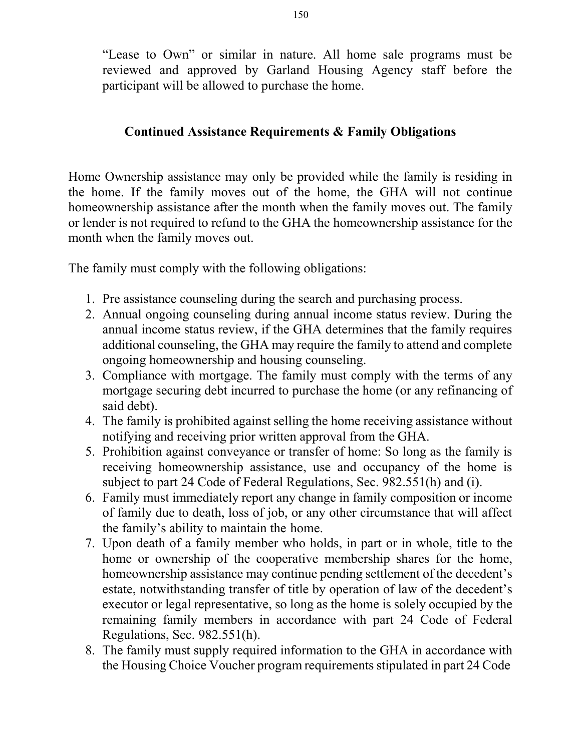"Lease to Own" or similar in nature. All home sale programs must be reviewed and approved by Garland Housing Agency staff before the participant will be allowed to purchase the home.

## **Continued Assistance Requirements & Family Obligations**

Home Ownership assistance may only be provided while the family is residing in the home. If the family moves out of the home, the GHA will not continue homeownership assistance after the month when the family moves out. The family or lender is not required to refund to the GHA the homeownership assistance for the month when the family moves out.

The family must comply with the following obligations:

- 1. Pre assistance counseling during the search and purchasing process.
- 2. Annual ongoing counseling during annual income status review. During the annual income status review, if the GHA determines that the family requires additional counseling, the GHA may require the family to attend and complete ongoing homeownership and housing counseling.
- 3. Compliance with mortgage. The family must comply with the terms of any mortgage securing debt incurred to purchase the home (or any refinancing of said debt).
- 4. The family is prohibited against selling the home receiving assistance without notifying and receiving prior written approval from the GHA.
- 5. Prohibition against conveyance or transfer of home: So long as the family is receiving homeownership assistance, use and occupancy of the home is subject to part 24 Code of Federal Regulations, Sec. 982.551(h) and (i).
- 6. Family must immediately report any change in family composition or income of family due to death, loss of job, or any other circumstance that will affect the family's ability to maintain the home.
- 7. Upon death of a family member who holds, in part or in whole, title to the home or ownership of the cooperative membership shares for the home, homeownership assistance may continue pending settlement of the decedent's estate, notwithstanding transfer of title by operation of law of the decedent's executor or legal representative, so long as the home is solely occupied by the remaining family members in accordance with part 24 Code of Federal Regulations, Sec. 982.551(h).
- 8. The family must supply required information to the GHA in accordance with the Housing Choice Voucher program requirements stipulated in part 24 Code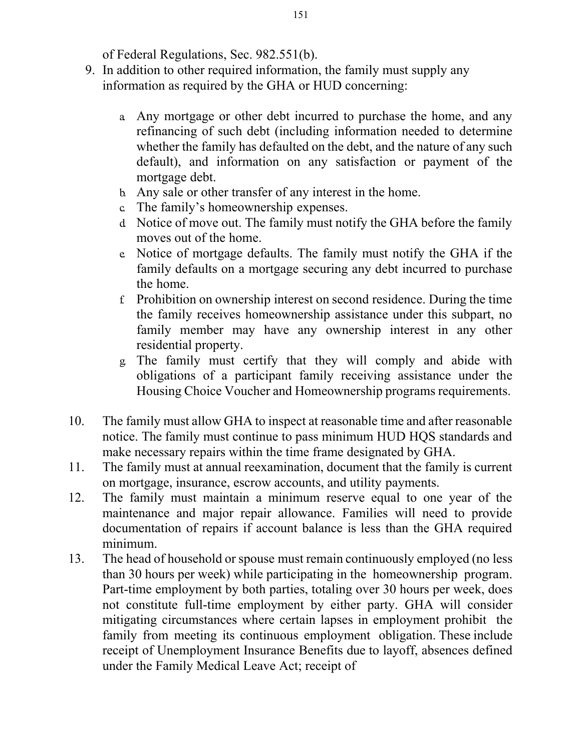of Federal Regulations, Sec. 982.551(b).

- 9. In addition to other required information, the family must supply any information as required by the GHA or HUD concerning:
	- a. Any mortgage or other debt incurred to purchase the home, and any refinancing of such debt (including information needed to determine whether the family has defaulted on the debt, and the nature of any such default), and information on any satisfaction or payment of the mortgage debt.
	- b. Any sale or other transfer of any interest in the home.
	- c. The family's homeownership expenses.
	- d. Notice of move out. The family must notify the GHA before the family moves out of the home.
	- e. Notice of mortgage defaults. The family must notify the GHA if the family defaults on a mortgage securing any debt incurred to purchase the home.
	- f. Prohibition on ownership interest on second residence. During the time the family receives homeownership assistance under this subpart, no family member may have any ownership interest in any other residential property.
	- g. The family must certify that they will comply and abide with obligations of a participant family receiving assistance under the Housing Choice Voucher and Homeownership programs requirements.
- 10. The family must allow GHA to inspect at reasonable time and after reasonable notice. The family must continue to pass minimum HUD HQS standards and make necessary repairs within the time frame designated by GHA.
- 11. The family must at annual reexamination, document that the family is current on mortgage, insurance, escrow accounts, and utility payments.
- 12. The family must maintain a minimum reserve equal to one year of the maintenance and major repair allowance. Families will need to provide documentation of repairs if account balance is less than the GHA required minimum.
- 13. The head of household or spouse must remain continuously employed (no less than 30 hours per week) while participating in the homeownership program. Part-time employment by both parties, totaling over 30 hours per week, does not constitute full-time employment by either party. GHA will consider mitigating circumstances where certain lapses in employment prohibit the family from meeting its continuous employment obligation. These include receipt of Unemployment Insurance Benefits due to layoff, absences defined under the Family Medical Leave Act; receipt of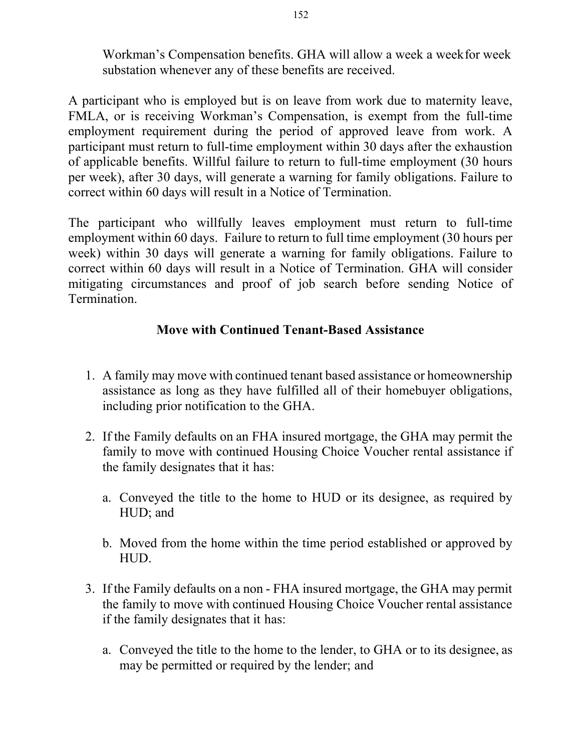Workman's Compensation benefits. GHA will allow a week a week for week substation whenever any of these benefits are received.

A participant who is employed but is on leave from work due to maternity leave, FMLA, or is receiving Workman's Compensation, is exempt from the full-time employment requirement during the period of approved leave from work. A participant must return to full-time employment within 30 days after the exhaustion of applicable benefits. Willful failure to return to full-time employment (30 hours per week), after 30 days, will generate a warning for family obligations. Failure to correct within 60 days will result in a Notice of Termination.

The participant who willfully leaves employment must return to full-time employment within 60 days. Failure to return to full time employment (30 hours per week) within 30 days will generate a warning for family obligations. Failure to correct within 60 days will result in a Notice of Termination. GHA will consider mitigating circumstances and proof of job search before sending Notice of Termination.

## **Move with Continued Tenant-Based Assistance**

- 1. A family may move with continued tenant based assistance or homeownership assistance as long as they have fulfilled all of their homebuyer obligations, including prior notification to the GHA.
- 2. If the Family defaults on an FHA insured mortgage, the GHA may permit the family to move with continued Housing Choice Voucher rental assistance if the family designates that it has:
	- a. Conveyed the title to the home to HUD or its designee, as required by HUD; and
	- b. Moved from the home within the time period established or approved by HUD.
- 3. If the Family defaults on a non FHA insured mortgage, the GHA may permit the family to move with continued Housing Choice Voucher rental assistance if the family designates that it has:
	- a. Conveyed the title to the home to the lender, to GHA or to its designee, as may be permitted or required by the lender; and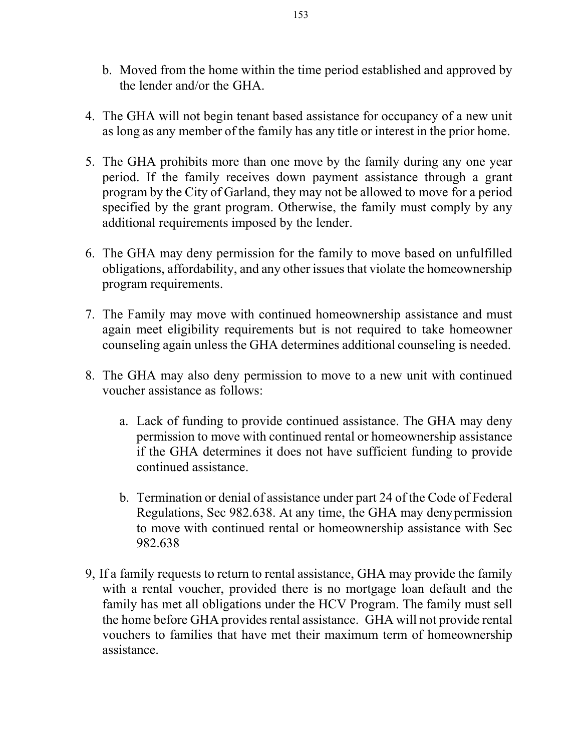- b. Moved from the home within the time period established and approved by the lender and/or the GHA.
- 4. The GHA will not begin tenant based assistance for occupancy of a new unit as long as any member of the family has any title or interest in the prior home.
- 5. The GHA prohibits more than one move by the family during any one year period. If the family receives down payment assistance through a grant program by the City of Garland, they may not be allowed to move for a period specified by the grant program. Otherwise, the family must comply by any additional requirements imposed by the lender.
- 6. The GHA may deny permission for the family to move based on unfulfilled obligations, affordability, and any other issues that violate the homeownership program requirements.
- 7. The Family may move with continued homeownership assistance and must again meet eligibility requirements but is not required to take homeowner counseling again unless the GHA determines additional counseling is needed.
- 8. The GHA may also deny permission to move to a new unit with continued voucher assistance as follows:
	- a. Lack of funding to provide continued assistance. The GHA may deny permission to move with continued rental or homeownership assistance if the GHA determines it does not have sufficient funding to provide continued assistance.
	- b. Termination or denial of assistance under part 24 of the Code of Federal Regulations, Sec 982.638. At any time, the GHA may deny permission to move with continued rental or homeownership assistance with Sec 982.638
- 9, If a family requests to return to rental assistance, GHA may provide the family with a rental voucher, provided there is no mortgage loan default and the family has met all obligations under the HCV Program. The family must sell the home before GHA provides rental assistance. GHA will not provide rental vouchers to families that have met their maximum term of homeownership assistance.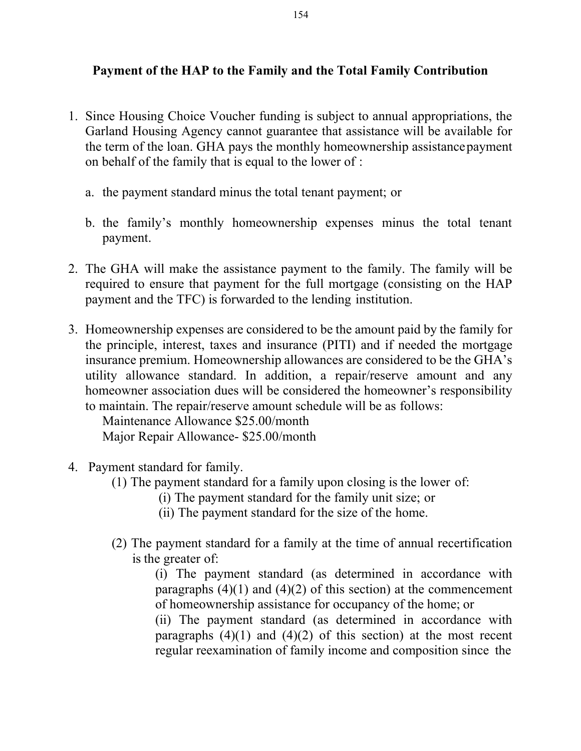#### **Payment of the HAP to the Family and the Total Family Contribution**

- 1. Since Housing Choice Voucher funding is subject to annual appropriations, the Garland Housing Agency cannot guarantee that assistance will be available for the term of the loan. GHA pays the monthly homeownership assistance payment on behalf of the family that is equal to the lower of :
	- a. the payment standard minus the total tenant payment; or
	- b. the family's monthly homeownership expenses minus the total tenant payment.
- 2. The GHA will make the assistance payment to the family. The family will be required to ensure that payment for the full mortgage (consisting on the HAP payment and the TFC) is forwarded to the lending institution.
- 3. Homeownership expenses are considered to be the amount paid by the family for the principle, interest, taxes and insurance (PITI) and if needed the mortgage insurance premium. Homeownership allowances are considered to be the GHA's utility allowance standard. In addition, a repair/reserve amount and any homeowner association dues will be considered the homeowner's responsibility to maintain. The repair/reserve amount schedule will be as follows:

Maintenance Allowance \$25.00/month Major Repair Allowance- \$25.00/month

- 4. Payment standard for family.
	- (1) The payment standard for a family upon closing is the lower of:
		- (i) The payment standard for the family unit size; or
		- (ii) The payment standard for the size of the home.
	- (2) The payment standard for a family at the time of annual recertification is the greater of:

(i) The payment standard (as determined in accordance with paragraphs  $(4)(1)$  and  $(4)(2)$  of this section) at the commencement of homeownership assistance for occupancy of the home; or

(ii) The payment standard (as determined in accordance with paragraphs  $(4)(1)$  and  $(4)(2)$  of this section) at the most recent regular reexamination of family income and composition since the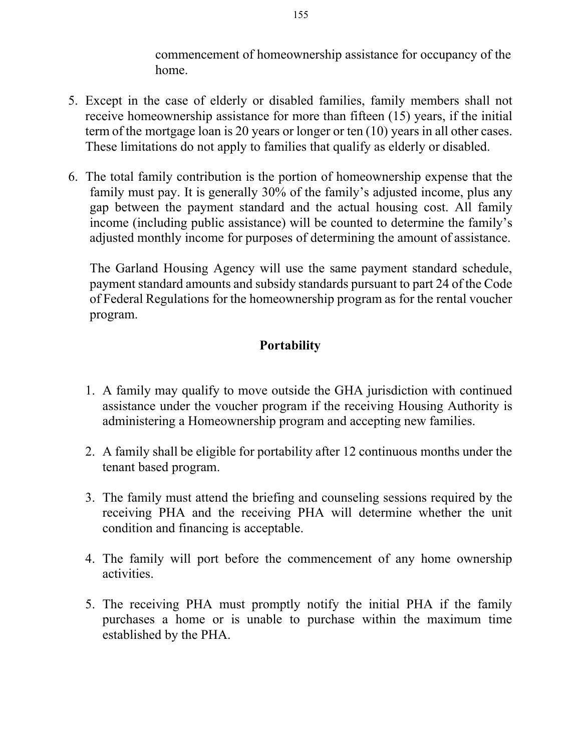commencement of homeownership assistance for occupancy of the home.

- 5. Except in the case of elderly or disabled families, family members shall not receive homeownership assistance for more than fifteen (15) years, if the initial term of the mortgage loan is 20 years or longer or ten (10) years in all other cases. These limitations do not apply to families that qualify as elderly or disabled.
- 6. The total family contribution is the portion of homeownership expense that the family must pay. It is generally 30% of the family's adjusted income, plus any gap between the payment standard and the actual housing cost. All family income (including public assistance) will be counted to determine the family's adjusted monthly income for purposes of determining the amount of assistance.

The Garland Housing Agency will use the same payment standard schedule, payment standard amounts and subsidy standards pursuant to part 24 of the Code of Federal Regulations for the homeownership program as for the rental voucher program.

## **Portability**

- 1. A family may qualify to move outside the GHA jurisdiction with continued assistance under the voucher program if the receiving Housing Authority is administering a Homeownership program and accepting new families.
- 2. A family shall be eligible for portability after 12 continuous months under the tenant based program.
- 3. The family must attend the briefing and counseling sessions required by the receiving PHA and the receiving PHA will determine whether the unit condition and financing is acceptable.
- 4. The family will port before the commencement of any home ownership activities.
- 5. The receiving PHA must promptly notify the initial PHA if the family purchases a home or is unable to purchase within the maximum time established by the PHA.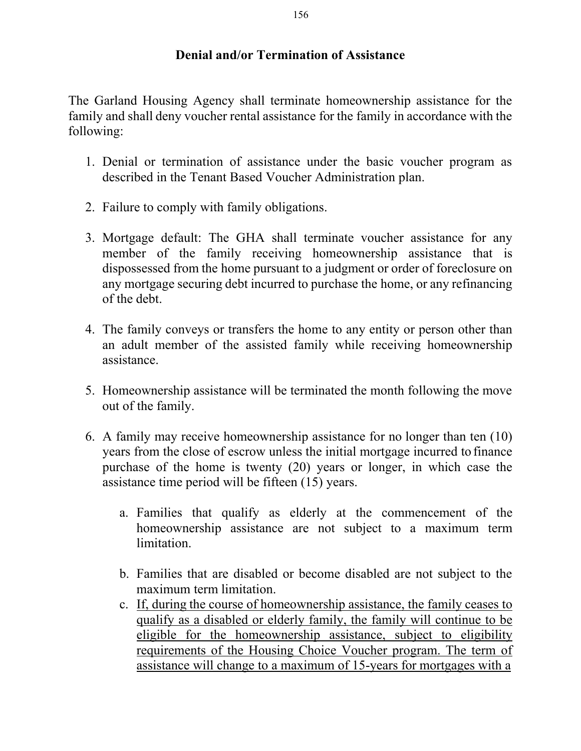#### **Denial and/or Termination of Assistance**

The Garland Housing Agency shall terminate homeownership assistance for the family and shall deny voucher rental assistance for the family in accordance with the following:

- 1. Denial or termination of assistance under the basic voucher program as described in the Tenant Based Voucher Administration plan.
- 2. Failure to comply with family obligations.
- 3. Mortgage default: The GHA shall terminate voucher assistance for any member of the family receiving homeownership assistance that is dispossessed from the home pursuant to a judgment or order of foreclosure on any mortgage securing debt incurred to purchase the home, or any refinancing of the debt.
- 4. The family conveys or transfers the home to any entity or person other than an adult member of the assisted family while receiving homeownership assistance.
- 5. Homeownership assistance will be terminated the month following the move out of the family.
- 6. A family may receive homeownership assistance for no longer than ten (10) years from the close of escrow unless the initial mortgage incurred to finance purchase of the home is twenty (20) years or longer, in which case the assistance time period will be fifteen (15) years.
	- a. Families that qualify as elderly at the commencement of the homeownership assistance are not subject to a maximum term limitation.
	- b. Families that are disabled or become disabled are not subject to the maximum term limitation.
	- c. If, during the course of homeownership assistance, the family ceases to qualify as a disabled or elderly family, the family will continue to be eligible for the homeownership assistance, subject to eligibility requirements of the Housing Choice Voucher program. The term of assistance will change to a maximum of 15-years for mortgages with a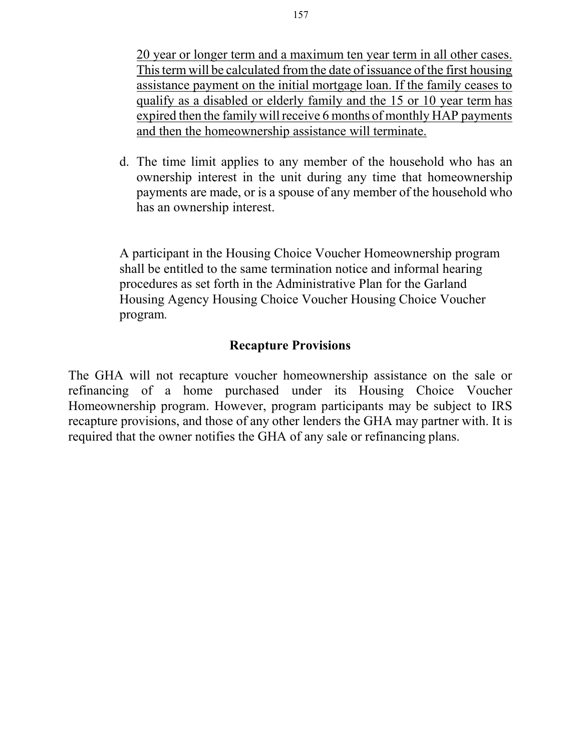20 year or longer term and a maximum ten year term in all other cases. This term will be calculated from the date of issuance of the first housing assistance payment on the initial mortgage loan. If the family ceases to qualify as a disabled or elderly family and the 15 or 10 year term has expired then the family will receive 6 months of monthly HAP payments and then the homeownership assistance will terminate.

d. The time limit applies to any member of the household who has an ownership interest in the unit during any time that homeownership payments are made, or is a spouse of any member of the household who has an ownership interest.

A participant in the Housing Choice Voucher Homeownership program shall be entitled to the same termination notice and informal hearing procedures as set forth in the Administrative Plan for the Garland Housing Agency Housing Choice Voucher Housing Choice Voucher program*.* 

#### **Recapture Provisions**

The GHA will not recapture voucher homeownership assistance on the sale or refinancing of a home purchased under its Housing Choice Voucher Homeownership program. However, program participants may be subject to IRS recapture provisions, and those of any other lenders the GHA may partner with. It is required that the owner notifies the GHA of any sale or refinancing plans.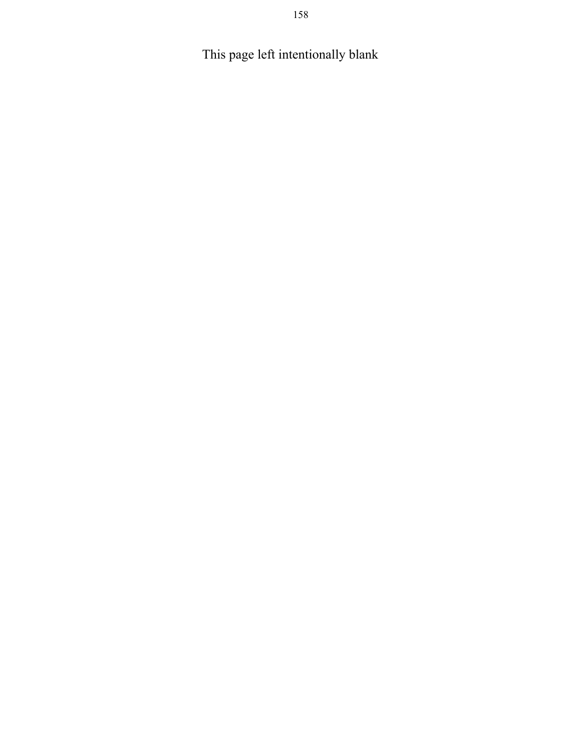This page left intentionally blank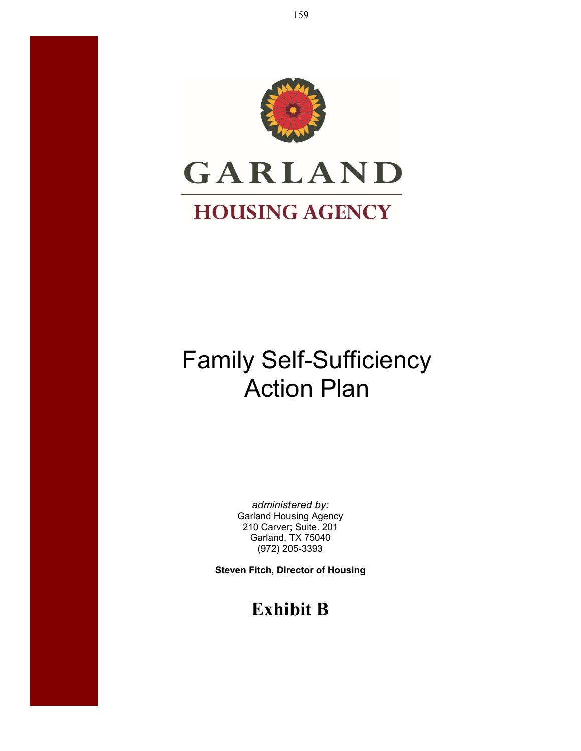

# Family Self-Sufficiency Action Plan

*administered by:*  Garland Housing Agency 210 Carver; Suite. 201 Garland, TX 75040 (972) 205-3393

**Steven Fitch, Director of Housing** 

## **Exhibit B**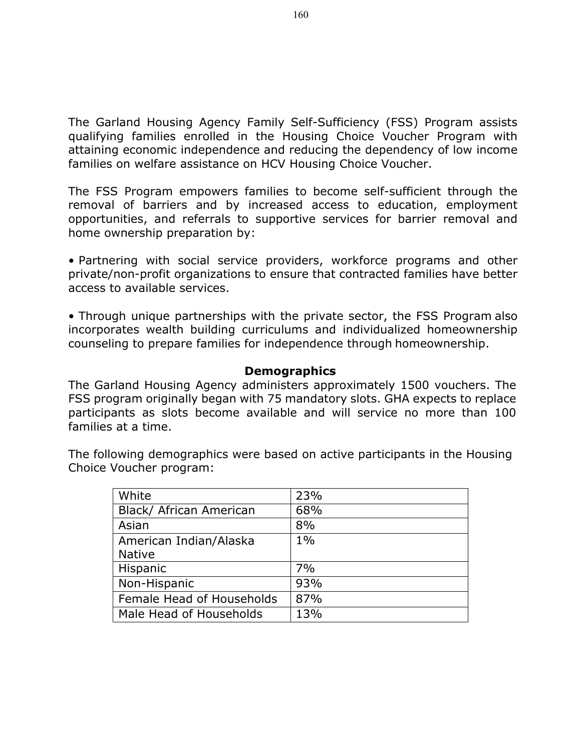The Garland Housing Agency Family Self-Sufficiency (FSS) Program assists qualifying families enrolled in the Housing Choice Voucher Program with attaining economic independence and reducing the dependency of low income families on welfare assistance on HCV Housing Choice Voucher.

The FSS Program empowers families to become self-sufficient through the removal of barriers and by increased access to education, employment opportunities, and referrals to supportive services for barrier removal and home ownership preparation by:

• Partnering with social service providers, workforce programs and other private/non-profit organizations to ensure that contracted families have better access to available services.

• Through unique partnerships with the private sector, the FSS Program also incorporates wealth building curriculums and individualized homeownership counseling to prepare families for independence through homeownership.

#### **Demographics**

The Garland Housing Agency administers approximately 1500 vouchers. The FSS program originally began with 75 mandatory slots. GHA expects to replace participants as slots become available and will service no more than 100 families at a time.

The following demographics were based on active participants in the Housing Choice Voucher program:

| White                     | 23%   |
|---------------------------|-------|
| Black/ African American   | 68%   |
| Asian                     | 8%    |
| American Indian/Alaska    | $1\%$ |
| <b>Native</b>             |       |
| Hispanic                  | 7%    |
| Non-Hispanic              | 93%   |
| Female Head of Households | 87%   |
| Male Head of Households   | 13%   |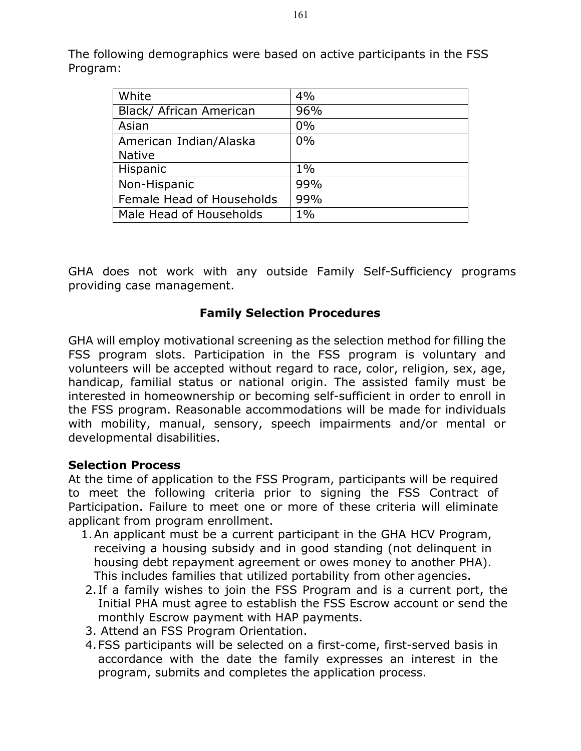The following demographics were based on active participants in the FSS Program:

| White                     | 4%    |
|---------------------------|-------|
| Black/ African American   | 96%   |
| Asian                     | 0%    |
| American Indian/Alaska    | 0%    |
| <b>Native</b>             |       |
| Hispanic                  | $1\%$ |
| Non-Hispanic              | 99%   |
| Female Head of Households | 99%   |
| Male Head of Households   | $1\%$ |

GHA does not work with any outside Family Self-Sufficiency programs providing case management.

#### **Family Selection Procedures**

GHA will employ motivational screening as the selection method for filling the FSS program slots. Participation in the FSS program is voluntary and volunteers will be accepted without regard to race, color, religion, sex, age, handicap, familial status or national origin. The assisted family must be interested in homeownership or becoming self-sufficient in order to enroll in the FSS program. Reasonable accommodations will be made for individuals with mobility, manual, sensory, speech impairments and/or mental or developmental disabilities.

#### **Selection Process**

At the time of application to the FSS Program, participants will be required to meet the following criteria prior to signing the FSS Contract of Participation. Failure to meet one or more of these criteria will eliminate applicant from program enrollment.

- 1.An applicant must be a current participant in the GHA HCV Program, receiving a housing subsidy and in good standing (not delinquent in housing debt repayment agreement or owes money to another PHA). This includes families that utilized portability from other agencies.
- 2. If a family wishes to join the FSS Program and is a current port, the Initial PHA must agree to establish the FSS Escrow account or send the monthly Escrow payment with HAP payments.
- 3. Attend an FSS Program Orientation.
- 4.FSS participants will be selected on a first-come, first-served basis in accordance with the date the family expresses an interest in the program, submits and completes the application process.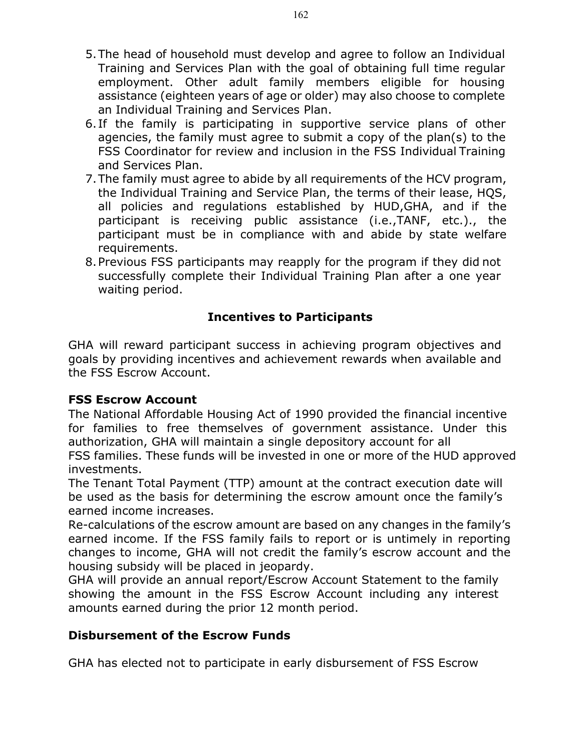- 5.The head of household must develop and agree to follow an Individual Training and Services Plan with the goal of obtaining full time regular employment. Other adult family members eligible for housing assistance (eighteen years of age or older) may also choose to complete an Individual Training and Services Plan.
- 6. If the family is participating in supportive service plans of other agencies, the family must agree to submit a copy of the plan(s) to the FSS Coordinator for review and inclusion in the FSS Individual Training and Services Plan.
- 7.The family must agree to abide by all requirements of the HCV program, the Individual Training and Service Plan, the terms of their lease, HQS, all policies and regulations established by HUD,GHA, and if the participant is receiving public assistance (i.e.,TANF, etc.)., the participant must be in compliance with and abide by state welfare requirements.
- 8.Previous FSS participants may reapply for the program if they did not successfully complete their Individual Training Plan after a one year waiting period.

#### **Incentives to Participants**

GHA will reward participant success in achieving program objectives and goals by providing incentives and achievement rewards when available and the FSS Escrow Account.

#### **FSS Escrow Account**

The National Affordable Housing Act of 1990 provided the financial incentive for families to free themselves of government assistance. Under this authorization, GHA will maintain a single depository account for all

FSS families. These funds will be invested in one or more of the HUD approved investments.

The Tenant Total Payment (TTP) amount at the contract execution date will be used as the basis for determining the escrow amount once the family's earned income increases.

Re-calculations of the escrow amount are based on any changes in the family's earned income. If the FSS family fails to report or is untimely in reporting changes to income, GHA will not credit the family's escrow account and the housing subsidy will be placed in jeopardy.

GHA will provide an annual report/Escrow Account Statement to the family showing the amount in the FSS Escrow Account including any interest amounts earned during the prior 12 month period.

#### **Disbursement of the Escrow Funds**

GHA has elected not to participate in early disbursement of FSS Escrow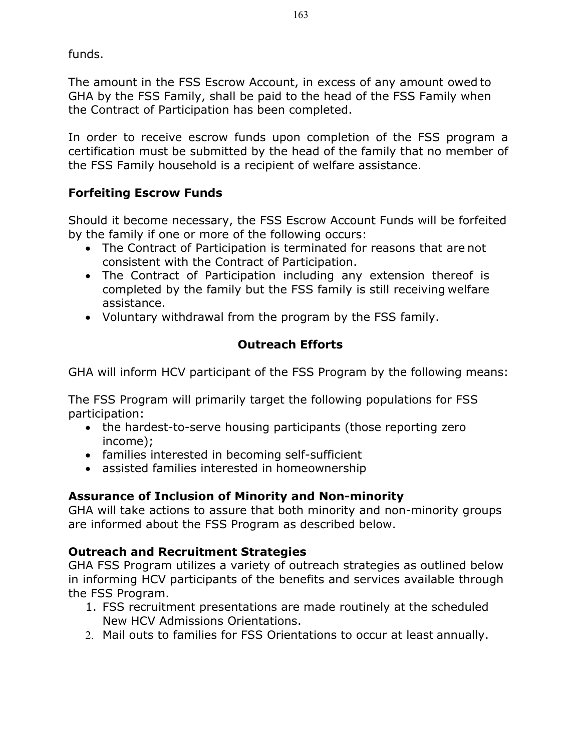funds.

The amount in the FSS Escrow Account, in excess of any amount owed to GHA by the FSS Family, shall be paid to the head of the FSS Family when the Contract of Participation has been completed.

In order to receive escrow funds upon completion of the FSS program a certification must be submitted by the head of the family that no member of the FSS Family household is a recipient of welfare assistance.

#### **Forfeiting Escrow Funds**

Should it become necessary, the FSS Escrow Account Funds will be forfeited by the family if one or more of the following occurs:

- The Contract of Participation is terminated for reasons that are not consistent with the Contract of Participation.
- The Contract of Participation including any extension thereof is completed by the family but the FSS family is still receiving welfare assistance.
- Voluntary withdrawal from the program by the FSS family.

## **Outreach Efforts**

GHA will inform HCV participant of the FSS Program by the following means:

The FSS Program will primarily target the following populations for FSS participation:

- the hardest-to-serve housing participants (those reporting zero income);
- families interested in becoming self-sufficient
- assisted families interested in homeownership

## **Assurance of Inclusion of Minority and Non-minority**

GHA will take actions to assure that both minority and non-minority groups are informed about the FSS Program as described below.

## **Outreach and Recruitment Strategies**

GHA FSS Program utilizes a variety of outreach strategies as outlined below in informing HCV participants of the benefits and services available through the FSS Program.

- 1. FSS recruitment presentations are made routinely at the scheduled New HCV Admissions Orientations.
- 2. Mail outs to families for FSS Orientations to occur at least annually.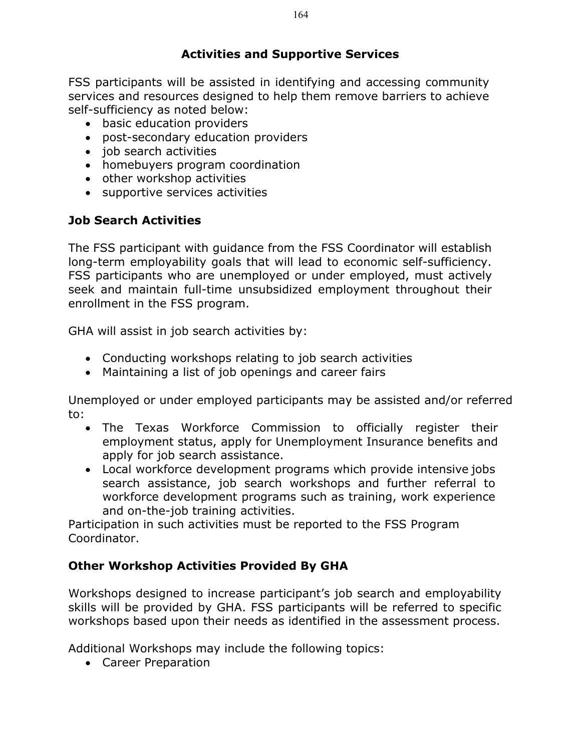## **Activities and Supportive Services**

FSS participants will be assisted in identifying and accessing community services and resources designed to help them remove barriers to achieve self-sufficiency as noted below:

- basic education providers
- post-secondary education providers
- job search activities
- homebuyers program coordination
- other workshop activities
- supportive services activities

#### **Job Search Activities**

The FSS participant with guidance from the FSS Coordinator will establish long-term employability goals that will lead to economic self-sufficiency. FSS participants who are unemployed or under employed, must actively seek and maintain full-time unsubsidized employment throughout their enrollment in the FSS program.

GHA will assist in job search activities by:

- Conducting workshops relating to job search activities
- Maintaining a list of job openings and career fairs

Unemployed or under employed participants may be assisted and/or referred to:

- The Texas Workforce Commission to officially register their employment status, apply for Unemployment Insurance benefits and apply for job search assistance.
- Local workforce development programs which provide intensive jobs search assistance, job search workshops and further referral to workforce development programs such as training, work experience and on-the-job training activities.

Participation in such activities must be reported to the FSS Program Coordinator.

## **Other Workshop Activities Provided By GHA**

Workshops designed to increase participant's job search and employability skills will be provided by GHA. FSS participants will be referred to specific workshops based upon their needs as identified in the assessment process.

Additional Workshops may include the following topics:

• Career Preparation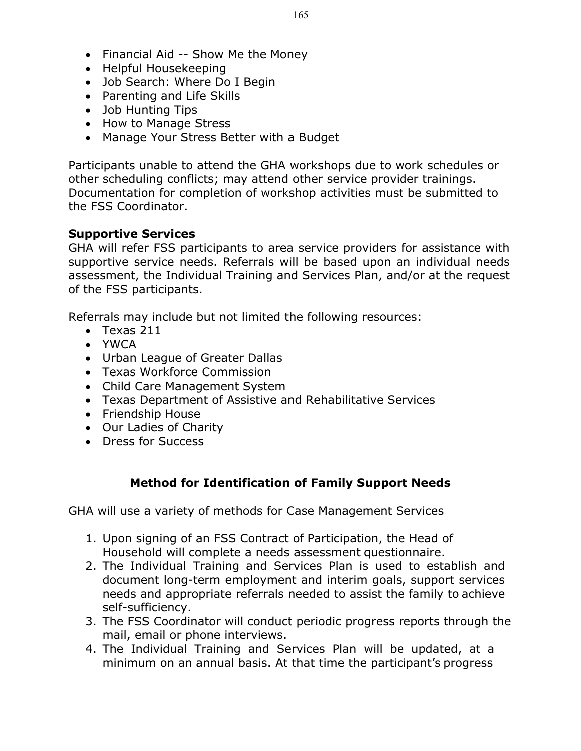- Financial Aid -- Show Me the Money
- Helpful Housekeeping
- Job Search: Where Do I Begin
- Parenting and Life Skills
- Job Hunting Tips
- How to Manage Stress
- Manage Your Stress Better with a Budget

Participants unable to attend the GHA workshops due to work schedules or other scheduling conflicts; may attend other service provider trainings. Documentation for completion of workshop activities must be submitted to the FSS Coordinator.

## **Supportive Services**

GHA will refer FSS participants to area service providers for assistance with supportive service needs. Referrals will be based upon an individual needs assessment, the Individual Training and Services Plan, and/or at the request of the FSS participants.

Referrals may include but not limited the following resources:

- $\bullet$  Texas 211
- YWCA
- Urban League of Greater Dallas
- Texas Workforce Commission
- Child Care Management System
- Texas Department of Assistive and Rehabilitative Services
- Friendship House
- Our Ladies of Charity
- Dress for Success

## **Method for Identification of Family Support Needs**

GHA will use a variety of methods for Case Management Services

- 1. Upon signing of an FSS Contract of Participation, the Head of Household will complete a needs assessment questionnaire.
- 2. The Individual Training and Services Plan is used to establish and document long-term employment and interim goals, support services needs and appropriate referrals needed to assist the family to achieve self-sufficiency.
- 3. The FSS Coordinator will conduct periodic progress reports through the mail, email or phone interviews.
- 4. The Individual Training and Services Plan will be updated, at a minimum on an annual basis. At that time the participant's progress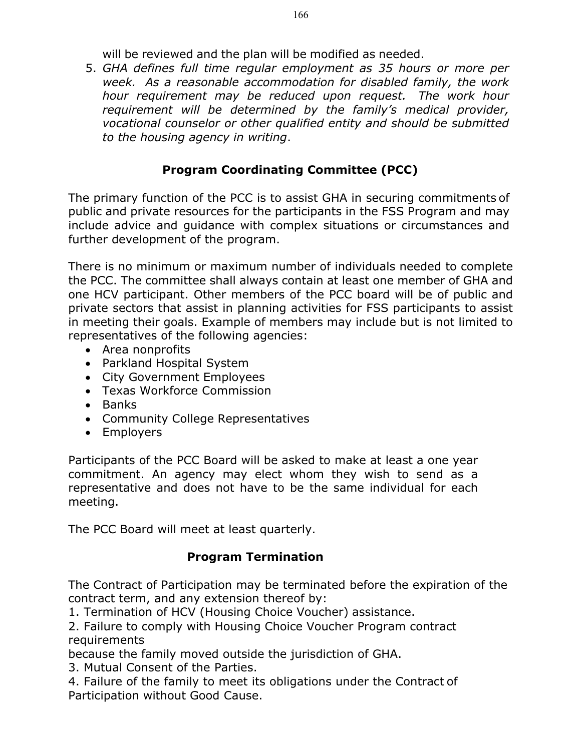will be reviewed and the plan will be modified as needed.

5. *GHA defines full time regular employment as 35 hours or more per week. As a reasonable accommodation for disabled family, the work hour requirement may be reduced upon request. The work hour requirement will be determined by the family's medical provider, vocational counselor or other qualified entity and should be submitted to the housing agency in writing*.

## **Program Coordinating Committee (PCC)**

The primary function of the PCC is to assist GHA in securing commitments of public and private resources for the participants in the FSS Program and may include advice and guidance with complex situations or circumstances and further development of the program.

There is no minimum or maximum number of individuals needed to complete the PCC. The committee shall always contain at least one member of GHA and one HCV participant. Other members of the PCC board will be of public and private sectors that assist in planning activities for FSS participants to assist in meeting their goals. Example of members may include but is not limited to representatives of the following agencies:

- Area nonprofits
- Parkland Hospital System
- City Government Employees
- Texas Workforce Commission
- Banks
- Community College Representatives
- Employers

Participants of the PCC Board will be asked to make at least a one year commitment. An agency may elect whom they wish to send as a representative and does not have to be the same individual for each meeting.

The PCC Board will meet at least quarterly.

## **Program Termination**

The Contract of Participation may be terminated before the expiration of the contract term, and any extension thereof by:

1. Termination of HCV (Housing Choice Voucher) assistance.

2. Failure to comply with Housing Choice Voucher Program contract **requirements** 

because the family moved outside the jurisdiction of GHA.

3. Mutual Consent of the Parties.

4. Failure of the family to meet its obligations under the Contract of Participation without Good Cause.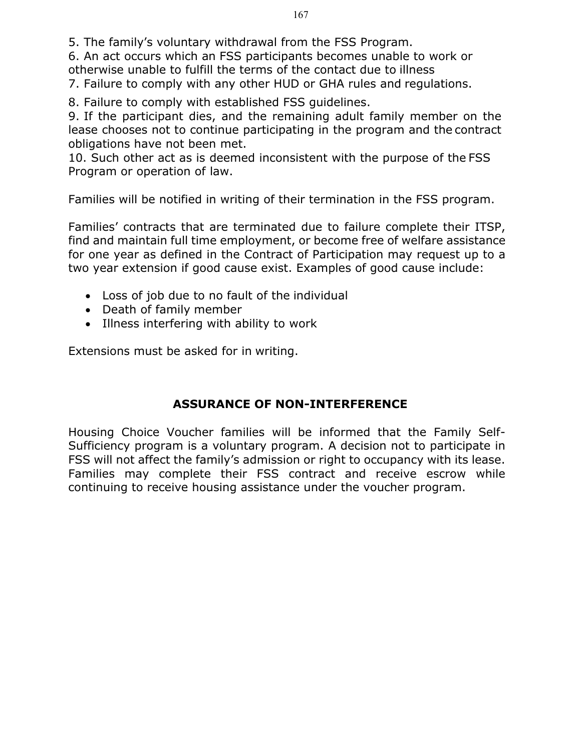5. The family's voluntary withdrawal from the FSS Program.

6. An act occurs which an FSS participants becomes unable to work or otherwise unable to fulfill the terms of the contact due to illness

7. Failure to comply with any other HUD or GHA rules and regulations.

8. Failure to comply with established FSS guidelines.

9. If the participant dies, and the remaining adult family member on the lease chooses not to continue participating in the program and the contract obligations have not been met.

10. Such other act as is deemed inconsistent with the purpose of the FSS Program or operation of law.

Families will be notified in writing of their termination in the FSS program.

Families' contracts that are terminated due to failure complete their ITSP, find and maintain full time employment, or become free of welfare assistance for one year as defined in the Contract of Participation may request up to a two year extension if good cause exist. Examples of good cause include:

- Loss of job due to no fault of the individual
- Death of family member
- Illness interfering with ability to work

Extensions must be asked for in writing.

#### **ASSURANCE OF NON-INTERFERENCE**

Housing Choice Voucher families will be informed that the Family Self-Sufficiency program is a voluntary program. A decision not to participate in FSS will not affect the family's admission or right to occupancy with its lease. Families may complete their FSS contract and receive escrow while continuing to receive housing assistance under the voucher program.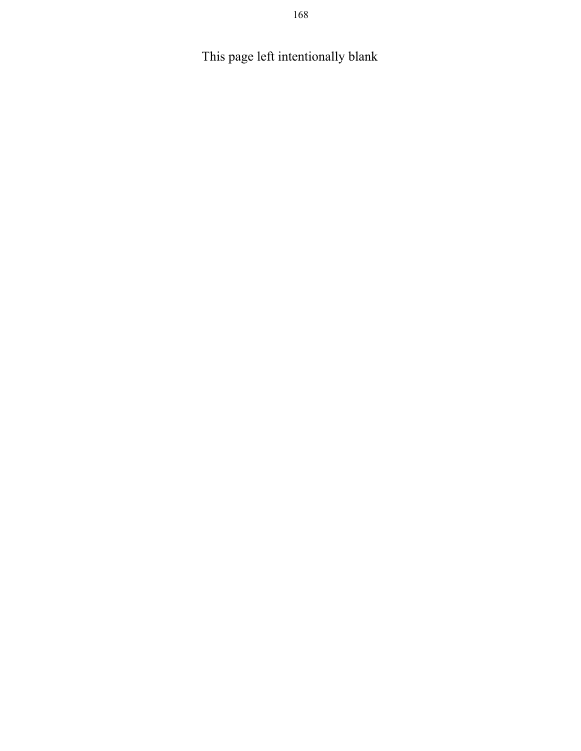This page left intentionally blank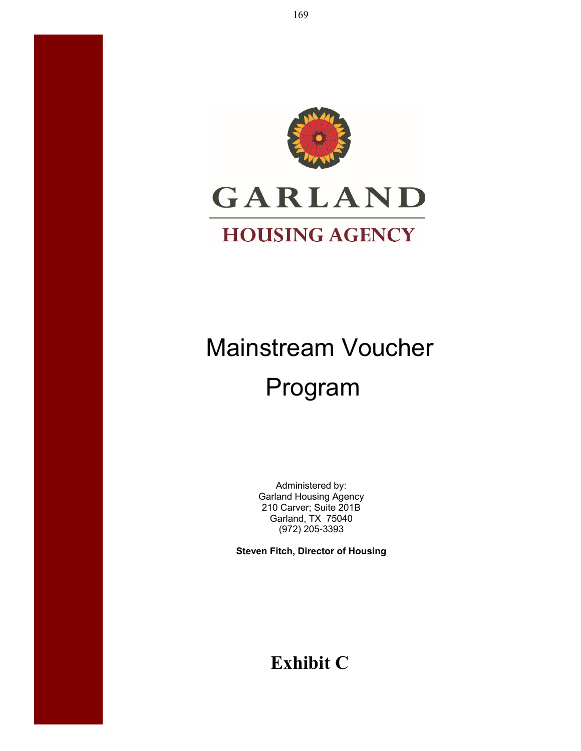

# **GARLAND HOUSING AGENCY**

# Mainstream Voucher Program

Administered by: Garland Housing Agency 210 Carver; Suite 201B Garland, TX 75040 (972) 205-3393

**Steven Fitch, Director of Housing** 

## **Exhibit C**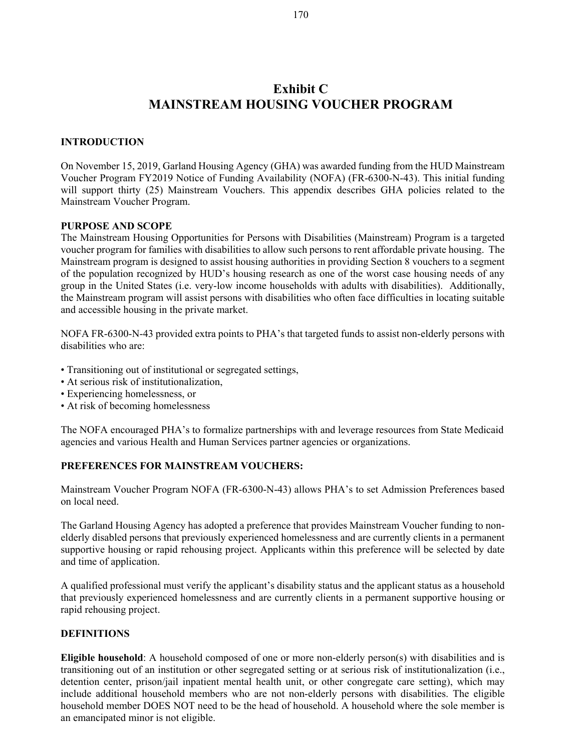#### **Exhibit C MAINSTREAM HOUSING VOUCHER PROGRAM**

#### **INTRODUCTION**

On November 15, 2019, Garland Housing Agency (GHA) was awarded funding from the HUD Mainstream Voucher Program FY2019 Notice of Funding Availability (NOFA) (FR-6300-N-43). This initial funding will support thirty (25) Mainstream Vouchers. This appendix describes GHA policies related to the Mainstream Voucher Program.

#### **PURPOSE AND SCOPE**

The Mainstream Housing Opportunities for Persons with Disabilities (Mainstream) Program is a targeted voucher program for families with disabilities to allow such persons to rent affordable private housing. The Mainstream program is designed to assist housing authorities in providing Section 8 vouchers to a segment of the population recognized by HUD's housing research as one of the worst case housing needs of any group in the United States (i.e. very-low income households with adults with disabilities). Additionally, the Mainstream program will assist persons with disabilities who often face difficulties in locating suitable and accessible housing in the private market.

NOFA FR-6300-N-43 provided extra points to PHA's that targeted funds to assist non-elderly persons with disabilities who are:

- Transitioning out of institutional or segregated settings,
- At serious risk of institutionalization,
- Experiencing homelessness, or
- At risk of becoming homelessness

The NOFA encouraged PHA's to formalize partnerships with and leverage resources from State Medicaid agencies and various Health and Human Services partner agencies or organizations.

#### **PREFERENCES FOR MAINSTREAM VOUCHERS:**

Mainstream Voucher Program NOFA (FR-6300-N-43) allows PHA's to set Admission Preferences based on local need.

The Garland Housing Agency has adopted a preference that provides Mainstream Voucher funding to nonelderly disabled persons that previously experienced homelessness and are currently clients in a permanent supportive housing or rapid rehousing project. Applicants within this preference will be selected by date and time of application.

A qualified professional must verify the applicant's disability status and the applicant status as a household that previously experienced homelessness and are currently clients in a permanent supportive housing or rapid rehousing project.

#### **DEFINITIONS**

**Eligible household**: A household composed of one or more non-elderly person(s) with disabilities and is transitioning out of an institution or other segregated setting or at serious risk of institutionalization (i.e., detention center, prison/jail inpatient mental health unit, or other congregate care setting), which may include additional household members who are not non-elderly persons with disabilities. The eligible household member DOES NOT need to be the head of household. A household where the sole member is an emancipated minor is not eligible.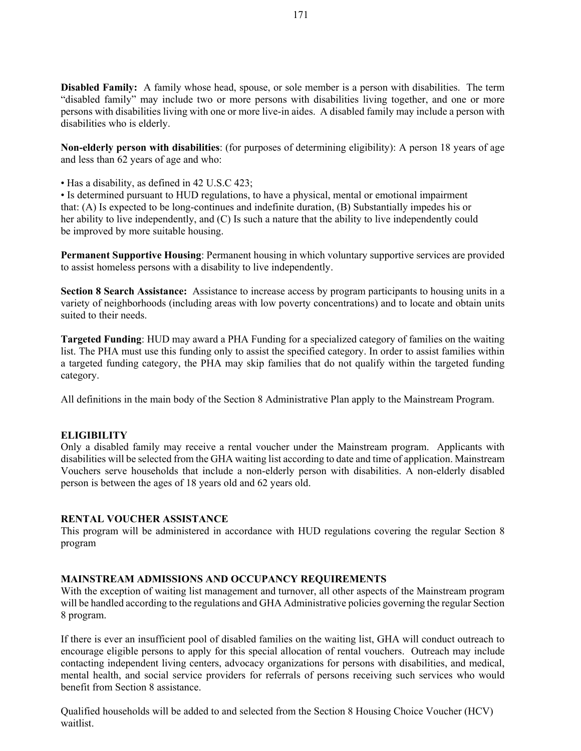**Disabled Family:** A family whose head, spouse, or sole member is a person with disabilities. The term "disabled family" may include two or more persons with disabilities living together, and one or more persons with disabilities living with one or more live-in aides. A disabled family may include a person with disabilities who is elderly.

**Non-elderly person with disabilities**: (for purposes of determining eligibility): A person 18 years of age and less than 62 years of age and who:

• Has a disability, as defined in 42 U.S.C 423;

• Is determined pursuant to HUD regulations, to have a physical, mental or emotional impairment that: (A) Is expected to be long-continues and indefinite duration, (B) Substantially impedes his or her ability to live independently, and (C) Is such a nature that the ability to live independently could be improved by more suitable housing.

**Permanent Supportive Housing**: Permanent housing in which voluntary supportive services are provided to assist homeless persons with a disability to live independently.

**Section 8 Search Assistance:** Assistance to increase access by program participants to housing units in a variety of neighborhoods (including areas with low poverty concentrations) and to locate and obtain units suited to their needs.

**Targeted Funding**: HUD may award a PHA Funding for a specialized category of families on the waiting list. The PHA must use this funding only to assist the specified category. In order to assist families within a targeted funding category, the PHA may skip families that do not qualify within the targeted funding category.

All definitions in the main body of the Section 8 Administrative Plan apply to the Mainstream Program.

#### **ELIGIBILITY**

Only a disabled family may receive a rental voucher under the Mainstream program. Applicants with disabilities will be selected from the GHA waiting list according to date and time of application. Mainstream Vouchers serve households that include a non-elderly person with disabilities. A non-elderly disabled person is between the ages of 18 years old and 62 years old.

#### **RENTAL VOUCHER ASSISTANCE**

This program will be administered in accordance with HUD regulations covering the regular Section 8 program

#### **MAINSTREAM ADMISSIONS AND OCCUPANCY REQUIREMENTS**

With the exception of waiting list management and turnover, all other aspects of the Mainstream program will be handled according to the regulations and GHA Administrative policies governing the regular Section 8 program.

If there is ever an insufficient pool of disabled families on the waiting list, GHA will conduct outreach to encourage eligible persons to apply for this special allocation of rental vouchers. Outreach may include contacting independent living centers, advocacy organizations for persons with disabilities, and medical, mental health, and social service providers for referrals of persons receiving such services who would benefit from Section 8 assistance.

Qualified households will be added to and selected from the Section 8 Housing Choice Voucher (HCV) waitlist.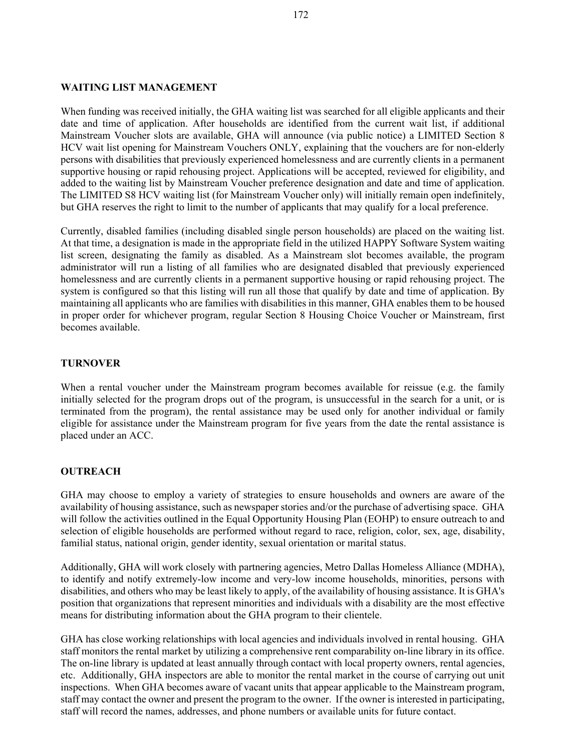#### **WAITING LIST MANAGEMENT**

When funding was received initially, the GHA waiting list was searched for all eligible applicants and their date and time of application. After households are identified from the current wait list, if additional Mainstream Voucher slots are available, GHA will announce (via public notice) a LIMITED Section 8 HCV wait list opening for Mainstream Vouchers ONLY, explaining that the vouchers are for non-elderly persons with disabilities that previously experienced homelessness and are currently clients in a permanent supportive housing or rapid rehousing project. Applications will be accepted, reviewed for eligibility, and added to the waiting list by Mainstream Voucher preference designation and date and time of application. The LIMITED S8 HCV waiting list (for Mainstream Voucher only) will initially remain open indefinitely, but GHA reserves the right to limit to the number of applicants that may qualify for a local preference.

Currently, disabled families (including disabled single person households) are placed on the waiting list. At that time, a designation is made in the appropriate field in the utilized HAPPY Software System waiting list screen, designating the family as disabled. As a Mainstream slot becomes available, the program administrator will run a listing of all families who are designated disabled that previously experienced homelessness and are currently clients in a permanent supportive housing or rapid rehousing project. The system is configured so that this listing will run all those that qualify by date and time of application. By maintaining all applicants who are families with disabilities in this manner, GHA enables them to be housed in proper order for whichever program, regular Section 8 Housing Choice Voucher or Mainstream, first becomes available.

#### **TURNOVER**

When a rental voucher under the Mainstream program becomes available for reissue (e.g. the family initially selected for the program drops out of the program, is unsuccessful in the search for a unit, or is terminated from the program), the rental assistance may be used only for another individual or family eligible for assistance under the Mainstream program for five years from the date the rental assistance is placed under an ACC.

#### **OUTREACH**

GHA may choose to employ a variety of strategies to ensure households and owners are aware of the availability of housing assistance, such as newspaper stories and/or the purchase of advertising space. GHA will follow the activities outlined in the Equal Opportunity Housing Plan (EOHP) to ensure outreach to and selection of eligible households are performed without regard to race, religion, color, sex, age, disability, familial status, national origin, gender identity, sexual orientation or marital status.

Additionally, GHA will work closely with partnering agencies, Metro Dallas Homeless Alliance (MDHA), to identify and notify extremely-low income and very-low income households, minorities, persons with disabilities, and others who may be least likely to apply, of the availability of housing assistance. It is GHA's position that organizations that represent minorities and individuals with a disability are the most effective means for distributing information about the GHA program to their clientele.

GHA has close working relationships with local agencies and individuals involved in rental housing. GHA staff monitors the rental market by utilizing a comprehensive rent comparability on-line library in its office. The on-line library is updated at least annually through contact with local property owners, rental agencies, etc. Additionally, GHA inspectors are able to monitor the rental market in the course of carrying out unit inspections. When GHA becomes aware of vacant units that appear applicable to the Mainstream program, staff may contact the owner and present the program to the owner. If the owner is interested in participating, staff will record the names, addresses, and phone numbers or available units for future contact.